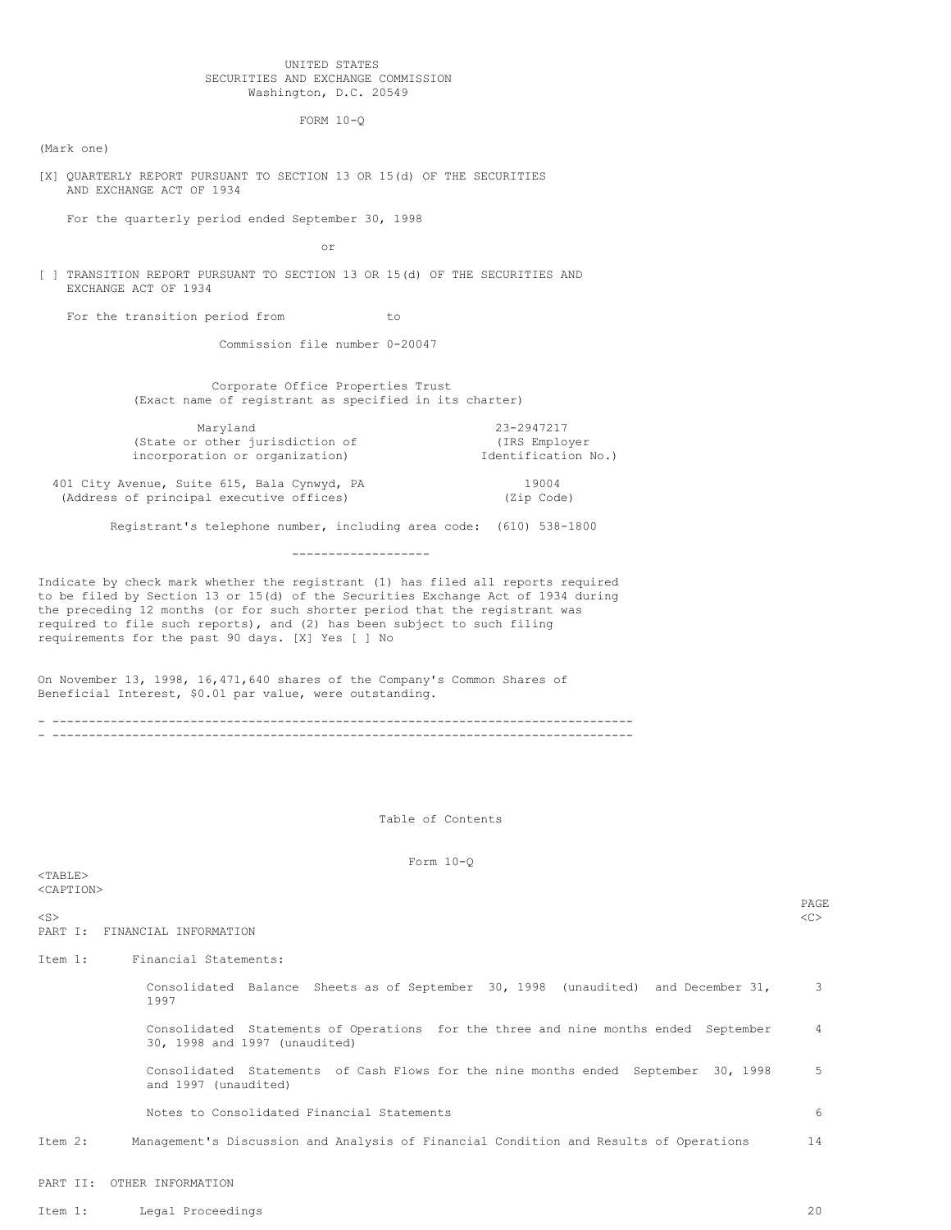#### UNITED STATES SECURITIES AND EXCHANGE COMMISSION Washington, D.C. 20549

FORM 10-Q

(Mark one)

[X] QUARTERLY REPORT PURSUANT TO SECTION 13 OR 15(d) OF THE SECURITIES AND EXCHANGE ACT OF 1934

For the quarterly period ended September 30, 1998

or

[ ] TRANSITION REPORT PURSUANT TO SECTION 13 OR 15(d) OF THE SECURITIES AND EXCHANGE ACT OF 1934

For the transition period from to

Commission file number 0-20047

Corporate Office Properties Trust (Exact name of registrant as specified in its charter)

| Maryland                        | 23-2947217          |
|---------------------------------|---------------------|
| (State or other jurisdiction of | (IRS Employer       |
| incorporation or organization)  | Identification No.) |
|                                 |                     |

401 City Avenue, Suite 615, Bala Cynwyd, PA 19004 (Address of principal executive offices) (Zip Code)

Registrant's telephone number, including area code: (610) 538-1800

-------------------

Indicate by check mark whether the registrant (1) has filed all reports required to be filed by Section 13 or 15(d) of the Securities Exchange Act of 1934 during the preceding 12 months (or for such shorter period that the registrant was required to file such reports), and (2) has been subject to such filing requirements for the past 90 days. [X] Yes [ ] No

On November 13, 1998, 16,471,640 shares of the Company's Common Shares of Beneficial Interest, \$0.01 par value, were outstanding.

- -------------------------------------------------------------------------------- - --------------------------------------------------------------------------------

Table of Contents

Form 10-Q

 $<$ TABLE $>$ <CAPTION>

<S> <C> PART I: FINANCIAL INFORMATION

Item 1: Financial Statements:

Consolidated Balance Sheets as of September 30, 1998 (unaudited) and December 31, 3 1997 Consolidated Statements of Operations for the three and nine months ended September 4 30, 1998 and 1997 (unaudited) Consolidated Statements of Cash Flows for the nine months ended September 30, 1998 5 and 1997 (unaudited)

Notes to Consolidated Financial Statements 6

Item 2: Management's Discussion and Analysis of Financial Condition and Results of Operations 14

PART II: OTHER INFORMATION

Item 1: Legal Proceedings 20

PAGE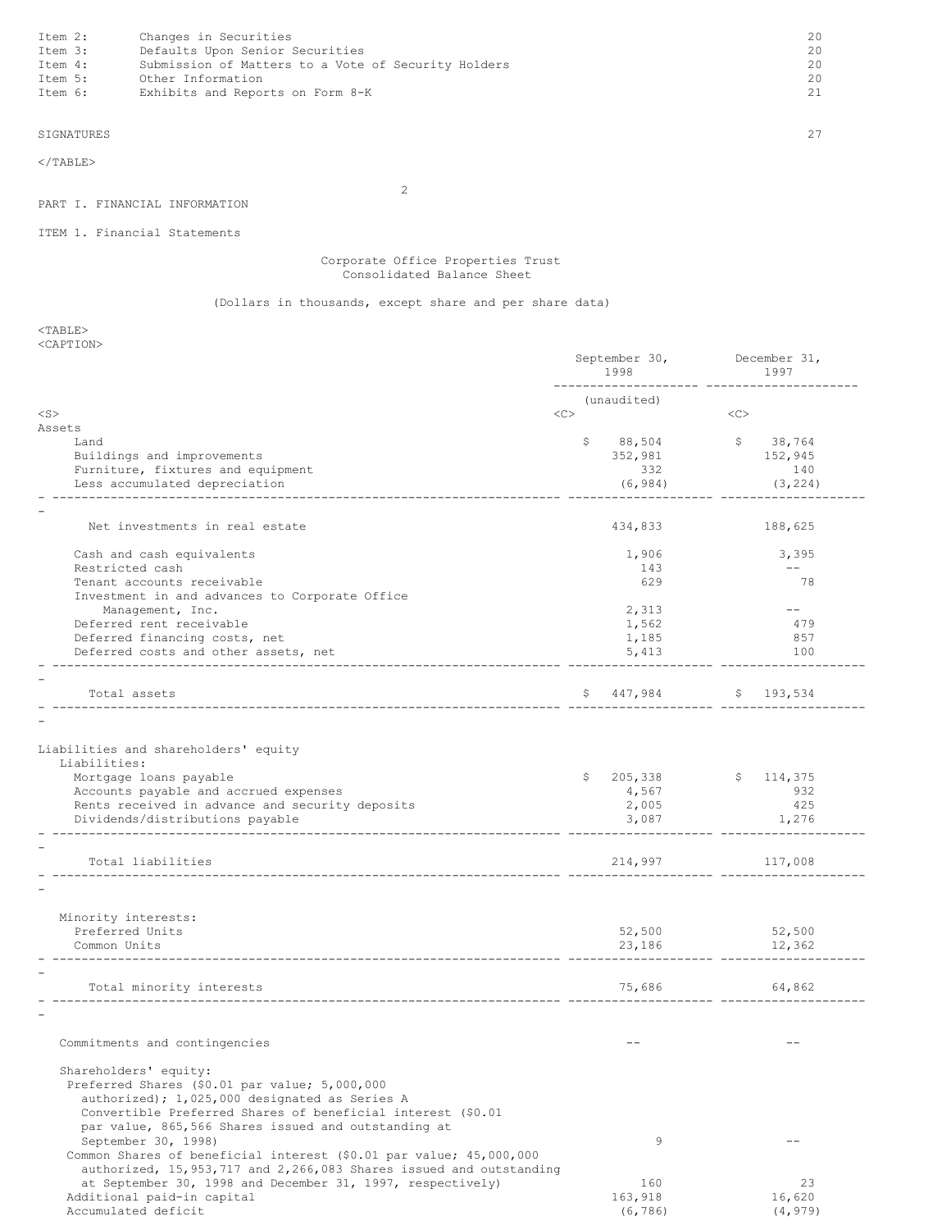SIGNATURES 27

 $\rm <$  /TABLE>

2

# PART I. FINANCIAL INFORMATION

### ITEM 1. Financial Statements

# Corporate Office Properties Trust Consolidated Balance Sheet

# (Dollars in thousands, except share and per share data)

<TABLE> <CAPTION>

|                                                                                                                                                                                                                                               | September 30,<br>1998       | December 31,<br>1997    |
|-----------------------------------------------------------------------------------------------------------------------------------------------------------------------------------------------------------------------------------------------|-----------------------------|-------------------------|
|                                                                                                                                                                                                                                               | (unaudited)                 | -- -------------        |
| $<$ S $>$                                                                                                                                                                                                                                     | <<                          | <<                      |
| Assets                                                                                                                                                                                                                                        |                             |                         |
| Land                                                                                                                                                                                                                                          | \$88,504                    | \$<br>38,764            |
| Buildings and improvements<br>Furniture, fixtures and equipment                                                                                                                                                                               | 352,981<br>332              | 152,945<br>140          |
| Less accumulated depreciation                                                                                                                                                                                                                 | (6, 984)                    | (3, 224)                |
|                                                                                                                                                                                                                                               |                             |                         |
| Net investments in real estate                                                                                                                                                                                                                | 434,833                     | 188,625                 |
| Cash and cash equivalents                                                                                                                                                                                                                     | 1,906                       | 3,395                   |
| Restricted cash                                                                                                                                                                                                                               | 143                         |                         |
| Tenant accounts receivable                                                                                                                                                                                                                    | 629                         | - 78                    |
| Investment in and advances to Corporate Office                                                                                                                                                                                                |                             |                         |
| Management, Inc.                                                                                                                                                                                                                              | 2,313                       | $--$                    |
| Deferred rent receivable                                                                                                                                                                                                                      | 1,562                       | 479                     |
| Deferred financing costs, net                                                                                                                                                                                                                 | 1,185                       | 857                     |
| Deferred costs and other assets, net                                                                                                                                                                                                          | 5,413                       | 100                     |
| Total assets                                                                                                                                                                                                                                  |                             | $$447,984$ $$193,534$   |
|                                                                                                                                                                                                                                               |                             |                         |
| Liabilities and shareholders' equity<br>Liabilities:<br>Mortgage loans payable<br>Accounts payable and accrued expenses<br>Rents received in advance and security deposits                                                                    | \$205,338<br>4,567<br>2,005 | \$114,375<br>932<br>425 |
| Dividends/distributions payable                                                                                                                                                                                                               | 3,087                       | 1,276                   |
| Total liabilities                                                                                                                                                                                                                             | 214,997                     | 117,008                 |
|                                                                                                                                                                                                                                               |                             |                         |
| Minority interests:                                                                                                                                                                                                                           |                             |                         |
| Preferred Units                                                                                                                                                                                                                               | 52,500                      | 52,500                  |
| Common Units                                                                                                                                                                                                                                  | 23,186                      | 12,362                  |
| Total minority interests<br>__________________________________                                                                                                                                                                                | 75,686                      | 64,862                  |
|                                                                                                                                                                                                                                               |                             |                         |
| Commitments and contingencies                                                                                                                                                                                                                 |                             |                         |
| Shareholders' equity:<br>Preferred Shares (\$0.01 par value; 5,000,000<br>authorized); 1,025,000 designated as Series A<br>Convertible Preferred Shares of beneficial interest (\$0.01<br>par value, 865,566 Shares issued and outstanding at |                             |                         |
| September 30, 1998)                                                                                                                                                                                                                           | 9                           |                         |
| Common Shares of beneficial interest (\$0.01 par value; 45,000,000                                                                                                                                                                            |                             |                         |
| authorized, 15, 953, 717 and 2, 266, 083 Shares issued and outstanding                                                                                                                                                                        |                             |                         |
| at September 30, 1998 and December 31, 1997, respectively)                                                                                                                                                                                    | 160                         | 23                      |
| Additional paid-in capital<br>Accumulated deficit                                                                                                                                                                                             | 163,918<br>(6, 786)         | 16,620<br>(4, 979)      |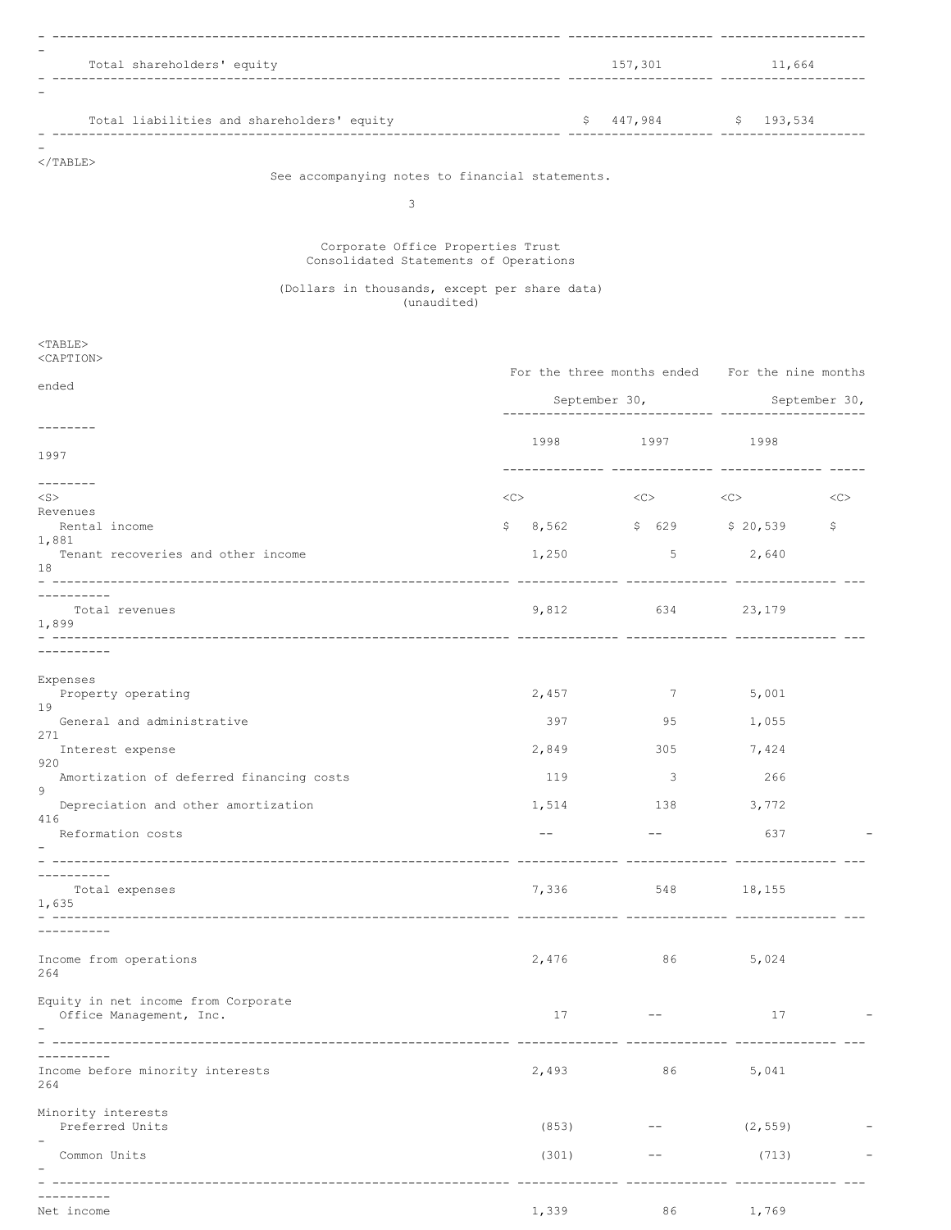| Total shareholders' equity                 |    | 157,301 |    | 11,664  |
|--------------------------------------------|----|---------|----|---------|
|                                            |    |         |    |         |
|                                            |    |         |    |         |
| Total liabilities and shareholders' equity | S. | 447,984 | S. | 193,534 |
|                                            |    |         |    |         |

</TABLE>

See accompanying notes to financial statements.

3

#### Corporate Office Properties Trust Consolidated Statements of Operations

(Dollars in thousands, except per share data) (unaudited)

| $TABLE$<br><caption></caption>                                 |          | For the three months ended For the nine months |                                                             |               |
|----------------------------------------------------------------|----------|------------------------------------------------|-------------------------------------------------------------|---------------|
| ended                                                          |          | September 30,                                  | ------------- ---------                                     | September 30, |
| --------                                                       |          | 1998 1997 1998                                 |                                                             |               |
| 1997                                                           |          |                                                |                                                             |               |
| --------<br><s></s>                                            | $<<$ $>$ |                                                | $\langle C \rangle$ $\langle C \rangle$ $\langle C \rangle$ |               |
| Revenues<br>Rental income                                      | Ş.       | 8,562 \$ 629 \$ 20,539                         |                                                             | -\$           |
| 1,881<br>Tenant recoveries and other income<br>18              | 1,250    |                                                | $5 \t 2,640$                                                |               |
| ----------<br>Total revenues<br>1,899                          |          | 9,812                                          | 634 23,179                                                  |               |
| - ----------<br>----------                                     |          |                                                |                                                             |               |
| Expenses<br>Property operating<br>19                           | 2,457    | 7                                              | 5,001                                                       |               |
| General and administrative                                     | 397      | 95                                             | 1,055                                                       |               |
| 271<br>Interest expense                                        | 2,849    | 305                                            | 7,424                                                       |               |
| 920<br>Amortization of deferred financing costs                | 119      | $\sim$ 3                                       | 266                                                         |               |
| 9<br>Depreciation and other amortization                       |          | 1,514 138                                      | 3,772                                                       |               |
| 416<br>Reformation costs                                       | $--$     | $\qquad \qquad - \qquad$                       | 637                                                         |               |
| - ----------<br>--------                                       |          |                                                |                                                             |               |
| Total expenses<br>1,635                                        |          | 7,336 548 18,155                               |                                                             |               |
| ----------                                                     |          |                                                |                                                             |               |
| Income from operations<br>264                                  |          | 2,476 86                                       | 5,024                                                       |               |
| Equity in net income from Corporate<br>Office Management, Inc. | 17       | $--$                                           | 17                                                          |               |
| Income before minority interests<br>264                        | 2,493    | 86                                             | 5,041                                                       |               |
| Minority interests<br>Preferred Units                          | (853)    | $\qquad \qquad - -$                            | (2, 559)                                                    |               |
| Common Units<br>-                                              | (301)    | $--$                                           | (713)                                                       |               |
| Net income                                                     | 1,339    | 86                                             | 1,769                                                       |               |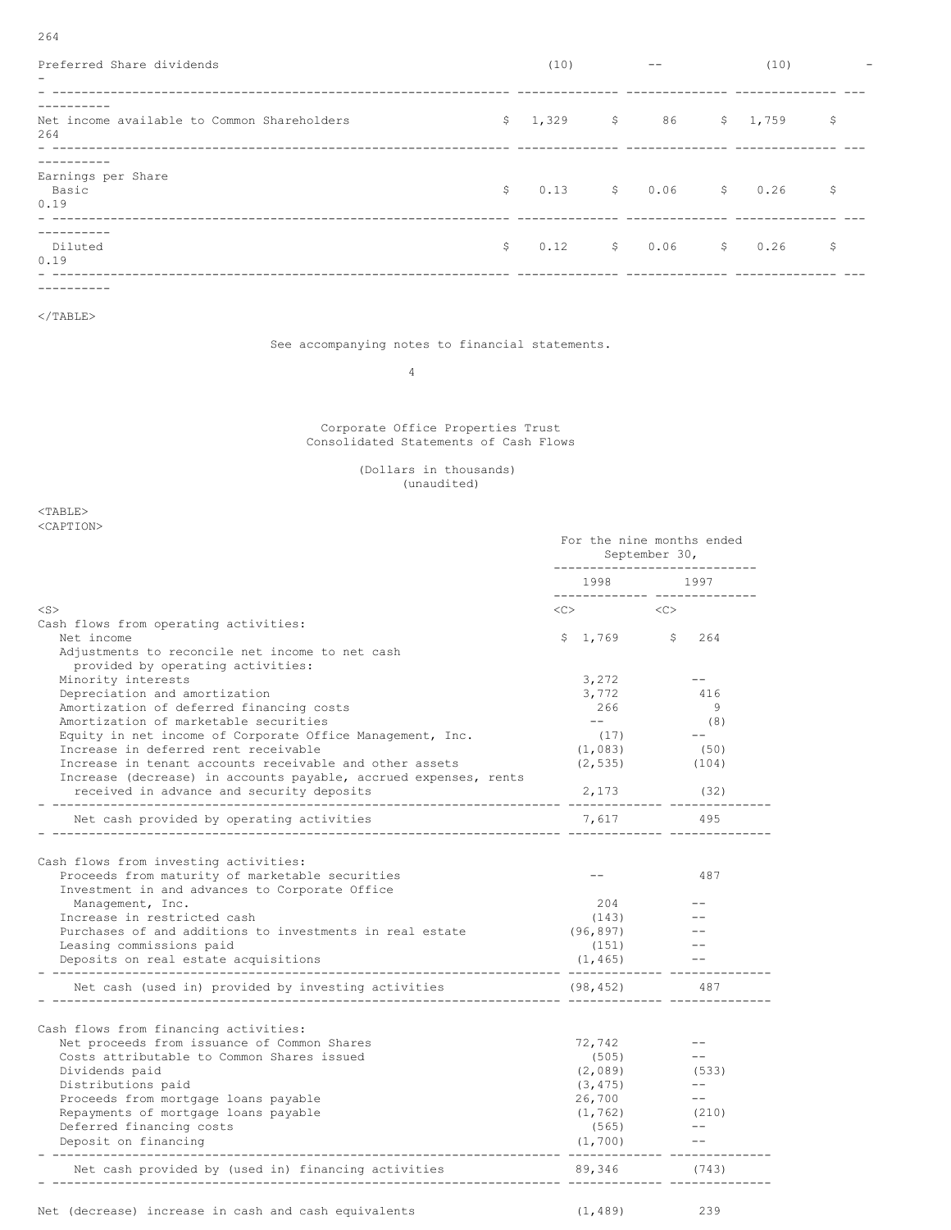| Preferred Share dividends                          | (10) |                             | $\sim$ $-$ |  | (10) |           |  |  |
|----------------------------------------------------|------|-----------------------------|------------|--|------|-----------|--|--|
| Net income available to Common Shareholders<br>264 |      | $$1,329$ $$86$ $$1,759$ $$$ |            |  |      |           |  |  |
| ----------<br>Earnings per Share<br>Basic<br>0.19  |      | $$0.13$ $$0.06$ $$0.26$ \$  |            |  |      |           |  |  |
| ----------<br>Diluted<br>0.19                      |      | $$0.12$ $$0.06$ $$$         |            |  |      | $0.26$ \$ |  |  |
| ----------                                         |      |                             |            |  |      |           |  |  |

 $<$ /TABLE>

See accompanying notes to financial statements.

4

#### Corporate Office Properties Trust Consolidated Statements of Cash Flows

(Dollars in thousands) (unaudited)

 $<sub>TABLE</sub>$ </sub> <CAPTION>

| <caption></caption>                                                                                                                                                                                                                                                                                                           | For the nine months ended<br>September 30,              |                              |
|-------------------------------------------------------------------------------------------------------------------------------------------------------------------------------------------------------------------------------------------------------------------------------------------------------------------------------|---------------------------------------------------------|------------------------------|
|                                                                                                                                                                                                                                                                                                                               |                                                         | ---------------------------- |
| $<$ S $>$                                                                                                                                                                                                                                                                                                                     | $\langle$ C> $\rangle$                                  | < <c></c>                    |
| Cash flows from operating activities:<br>Net income<br>Adjustments to reconcile net income to net cash                                                                                                                                                                                                                        | $$1,769$ \$                                             | 264                          |
| provided by operating activities:<br>Minority interests                                                                                                                                                                                                                                                                       | 3,272                                                   | $- -$                        |
| Depreciation and amortization                                                                                                                                                                                                                                                                                                 | 3,772                                                   | 416                          |
| Amortization of deferred financing costs                                                                                                                                                                                                                                                                                      | 266                                                     | - 9                          |
| Amortization of marketable securities                                                                                                                                                                                                                                                                                         | $   \,$                                                 | (8)                          |
| Equity in net income of Corporate Office Management, Inc.                                                                                                                                                                                                                                                                     | (17)                                                    | $- -$                        |
| Increase in deferred rent receivable                                                                                                                                                                                                                                                                                          | (1,083)                                                 | (50)                         |
| Increase in tenant accounts receivable and other assets<br>Increase (decrease) in accounts payable, accrued expenses, rents                                                                                                                                                                                                   | (2, 535)                                                | (104)                        |
| received in advance and security deposits                                                                                                                                                                                                                                                                                     | 2,173                                                   | (32)                         |
| Net cash provided by operating activities<br>------------------------------                                                                                                                                                                                                                                                   | 7,617                                                   | 495                          |
| Cash flows from investing activities:<br>Proceeds from maturity of marketable securities<br>Investment in and advances to Corporate Office<br>Management, Inc.<br>Increase in restricted cash<br>Purchases of and additions to investments in real estate<br>Leasing commissions paid<br>Deposits on real estate acquisitions | $- -$<br>204<br>(143)<br>(96, 897)<br>(151)<br>(1, 465) | 487                          |
| Net cash (used in) provided by investing activities                                                                                                                                                                                                                                                                           | (98, 452)                                               | 487                          |
| Cash flows from financing activities:<br>Net proceeds from issuance of Common Shares                                                                                                                                                                                                                                          | 72,742                                                  |                              |
| Costs attributable to Common Shares issued                                                                                                                                                                                                                                                                                    | (505)                                                   | $--$                         |
| Dividends paid                                                                                                                                                                                                                                                                                                                | (2,089)                                                 | (533)                        |
| Distributions paid                                                                                                                                                                                                                                                                                                            | (3, 475)                                                | $- -$                        |
| Proceeds from mortgage loans payable                                                                                                                                                                                                                                                                                          | 26,700                                                  | $ -$                         |
| Repayments of mortgage loans payable                                                                                                                                                                                                                                                                                          | (1, 762)                                                | (210)                        |
| Deferred financing costs                                                                                                                                                                                                                                                                                                      | (565)                                                   | $- -$                        |
| Deposit on financing                                                                                                                                                                                                                                                                                                          | (1, 700)                                                |                              |
| Net cash provided by (used in) financing activities                                                                                                                                                                                                                                                                           | 89,346                                                  | (743)                        |
| Net (decrease) increase in cash and cash equivalents                                                                                                                                                                                                                                                                          | (1, 489)                                                | 239                          |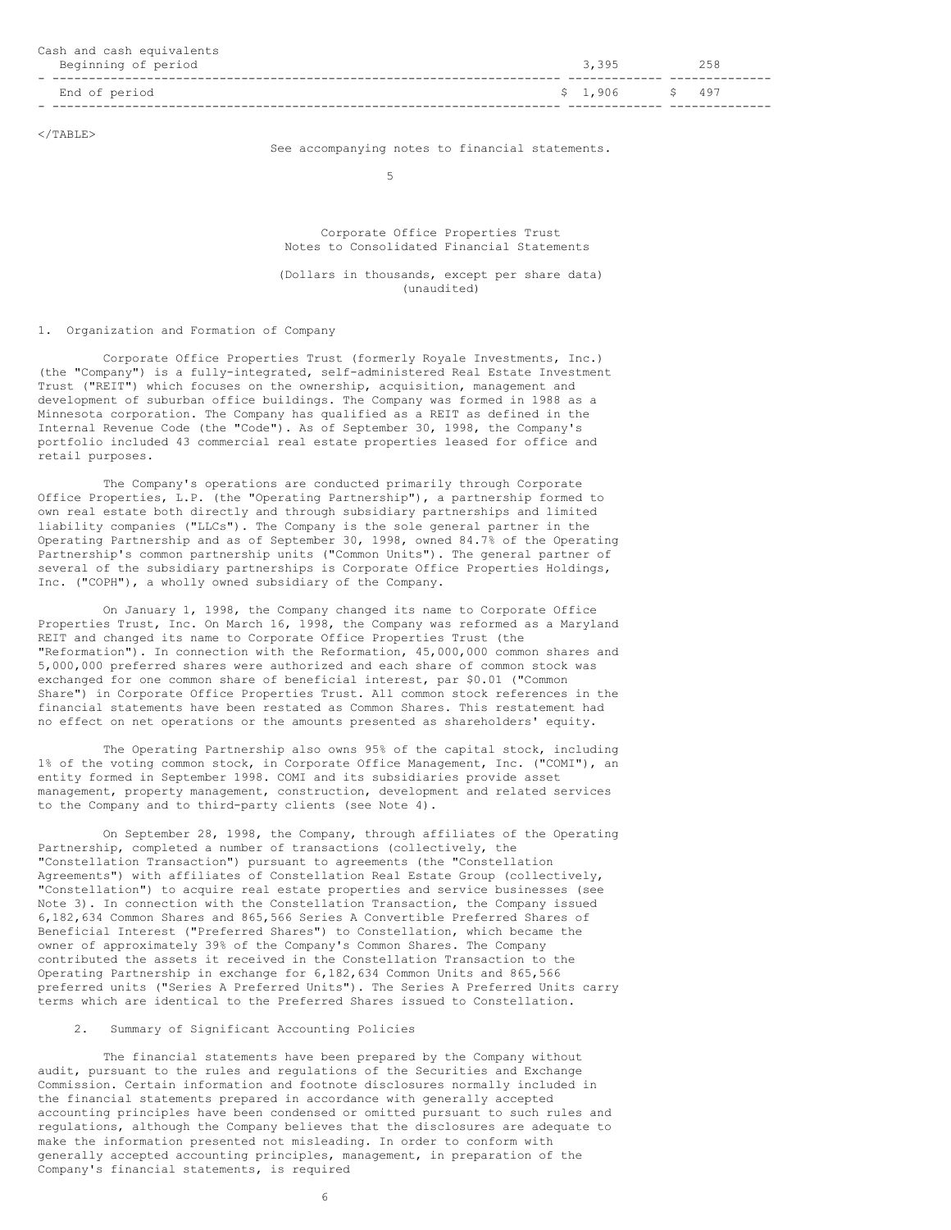| Cash and cash equivalents<br>Beginning of period | 3,395         | 2.58 |
|--------------------------------------------------|---------------|------|
| End of period                                    | \$1,906 \$497 |      |

 $\langle$ /TABLE>

See accompanying notes to financial statements.

5

Corporate Office Properties Trust Notes to Consolidated Financial Statements

(Dollars in thousands, except per share data) (unaudited)

# 1. Organization and Formation of Company

Corporate Office Properties Trust (formerly Royale Investments, Inc.) (the "Company") is a fully-integrated, self-administered Real Estate Investment Trust ("REIT") which focuses on the ownership, acquisition, management and development of suburban office buildings. The Company was formed in 1988 as a Minnesota corporation. The Company has qualified as a REIT as defined in the Internal Revenue Code (the "Code"). As of September 30, 1998, the Company's portfolio included 43 commercial real estate properties leased for office and retail purposes.

The Company's operations are conducted primarily through Corporate Office Properties, L.P. (the "Operating Partnership"), a partnership formed to own real estate both directly and through subsidiary partnerships and limited liability companies ("LLCs"). The Company is the sole general partner in the Operating Partnership and as of September 30, 1998, owned 84.7% of the Operating Partnership's common partnership units ("Common Units"). The general partner of several of the subsidiary partnerships is Corporate Office Properties Holdings, Inc. ("COPH"), a wholly owned subsidiary of the Company.

On January 1, 1998, the Company changed its name to Corporate Office Properties Trust, Inc. On March 16, 1998, the Company was reformed as a Maryland REIT and changed its name to Corporate Office Properties Trust (the "Reformation"). In connection with the Reformation, 45,000,000 common shares and 5,000,000 preferred shares were authorized and each share of common stock was exchanged for one common share of beneficial interest, par \$0.01 ("Common Share") in Corporate Office Properties Trust. All common stock references in the financial statements have been restated as Common Shares. This restatement had no effect on net operations or the amounts presented as shareholders' equity.

The Operating Partnership also owns 95% of the capital stock, including 1% of the voting common stock, in Corporate Office Management, Inc. ("COMI"), an entity formed in September 1998. COMI and its subsidiaries provide asset management, property management, construction, development and related services to the Company and to third-party clients (see Note 4).

On September 28, 1998, the Company, through affiliates of the Operating Partnership, completed a number of transactions (collectively, the "Constellation Transaction") pursuant to agreements (the "Constellation Agreements") with affiliates of Constellation Real Estate Group (collectively, "Constellation") to acquire real estate properties and service businesses (see Note 3). In connection with the Constellation Transaction, the Company issued 6,182,634 Common Shares and 865,566 Series A Convertible Preferred Shares of Beneficial Interest ("Preferred Shares") to Constellation, which became the owner of approximately 39% of the Company's Common Shares. The Company contributed the assets it received in the Constellation Transaction to the Operating Partnership in exchange for 6,182,634 Common Units and 865,566 preferred units ("Series A Preferred Units"). The Series A Preferred Units carry terms which are identical to the Preferred Shares issued to Constellation.

# 2. Summary of Significant Accounting Policies

The financial statements have been prepared by the Company without audit, pursuant to the rules and regulations of the Securities and Exchange Commission. Certain information and footnote disclosures normally included in the financial statements prepared in accordance with generally accepted accounting principles have been condensed or omitted pursuant to such rules and regulations, although the Company believes that the disclosures are adequate to make the information presented not misleading. In order to conform with generally accepted accounting principles, management, in preparation of the Company's financial statements, is required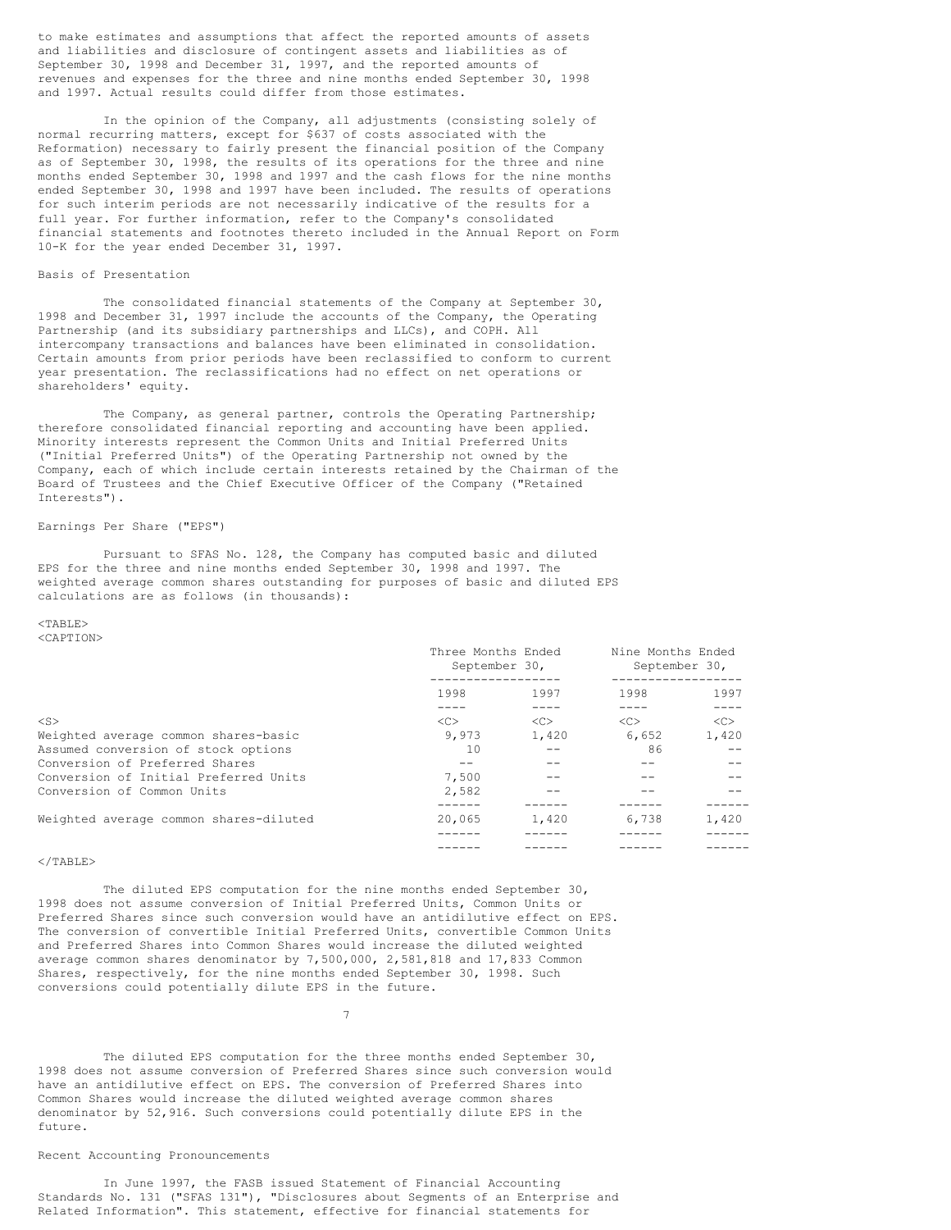to make estimates and assumptions that affect the reported amounts of assets and liabilities and disclosure of contingent assets and liabilities as of September 30, 1998 and December 31, 1997, and the reported amounts of revenues and expenses for the three and nine months ended September 30, 1998 and 1997. Actual results could differ from those estimates.

In the opinion of the Company, all adjustments (consisting solely of normal recurring matters, except for \$637 of costs associated with the Reformation) necessary to fairly present the financial position of the Company as of September 30, 1998, the results of its operations for the three and nine months ended September 30, 1998 and 1997 and the cash flows for the nine months ended September 30, 1998 and 1997 have been included. The results of operations for such interim periods are not necessarily indicative of the results for a full year. For further information, refer to the Company's consolidated financial statements and footnotes thereto included in the Annual Report on Form 10-K for the year ended December 31, 1997.

#### Basis of Presentation

The consolidated financial statements of the Company at September 30, 1998 and December 31, 1997 include the accounts of the Company, the Operating Partnership (and its subsidiary partnerships and LLCs), and COPH. All intercompany transactions and balances have been eliminated in consolidation. Certain amounts from prior periods have been reclassified to conform to current year presentation. The reclassifications had no effect on net operations or shareholders' equity.

The Company, as general partner, controls the Operating Partnership; therefore consolidated financial reporting and accounting have been applied. Minority interests represent the Common Units and Initial Preferred Units ("Initial Preferred Units") of the Operating Partnership not owned by the Company, each of which include certain interests retained by the Chairman of the Board of Trustees and the Chief Executive Officer of the Company ("Retained Interests").

#### Earnings Per Share ("EPS")

Pursuant to SFAS No. 128, the Company has computed basic and diluted EPS for the three and nine months ended September 30, 1998 and 1997. The weighted average common shares outstanding for purposes of basic and diluted EPS calculations are as follows (in thousands):

#### $<$ TABLE> <CAPTION>

|                                        | Three Months Ended<br>September 30, |               | Nine Months Ended<br>September 30, |       |
|----------------------------------------|-------------------------------------|---------------|------------------------------------|-------|
|                                        | 1998<br>1997                        |               | 1998                               | 1997  |
|                                        |                                     |               |                                    |       |
| $<$ S>                                 | < <sub></sub>                       | < <sub></sub> | < <sub></sub>                      | <<    |
| Weighted average common shares-basic   | 9,973                               | 1,420         | 6,652                              | 1,420 |
| Assumed conversion of stock options    | 10                                  |               | 86                                 |       |
| Conversion of Preferred Shares         | $ -$                                |               |                                    |       |
| Conversion of Initial Preferred Units  | 7,500                               |               |                                    |       |
| Conversion of Common Units             | 2,582                               |               |                                    |       |
|                                        |                                     |               |                                    |       |
| Weighted average common shares-diluted | 20,065                              | 1,420         | 6,738                              | 1,420 |
|                                        |                                     |               |                                    |       |
|                                        |                                     |               |                                    |       |

### $\langle$ /TABLE>

The diluted EPS computation for the nine months ended September 30, 1998 does not assume conversion of Initial Preferred Units, Common Units or Preferred Shares since such conversion would have an antidilutive effect on EPS. The conversion of convertible Initial Preferred Units, convertible Common Units and Preferred Shares into Common Shares would increase the diluted weighted average common shares denominator by 7,500,000, 2,581,818 and 17,833 Common Shares, respectively, for the nine months ended September 30, 1998. Such conversions could potentially dilute EPS in the future.

7

The diluted EPS computation for the three months ended September 30, 1998 does not assume conversion of Preferred Shares since such conversion would have an antidilutive effect on EPS. The conversion of Preferred Shares into Common Shares would increase the diluted weighted average common shares denominator by 52,916. Such conversions could potentially dilute EPS in the future.

### Recent Accounting Pronouncements

In June 1997, the FASB issued Statement of Financial Accounting Standards No. 131 ("SFAS 131"), "Disclosures about Segments of an Enterprise and Related Information". This statement, effective for financial statements for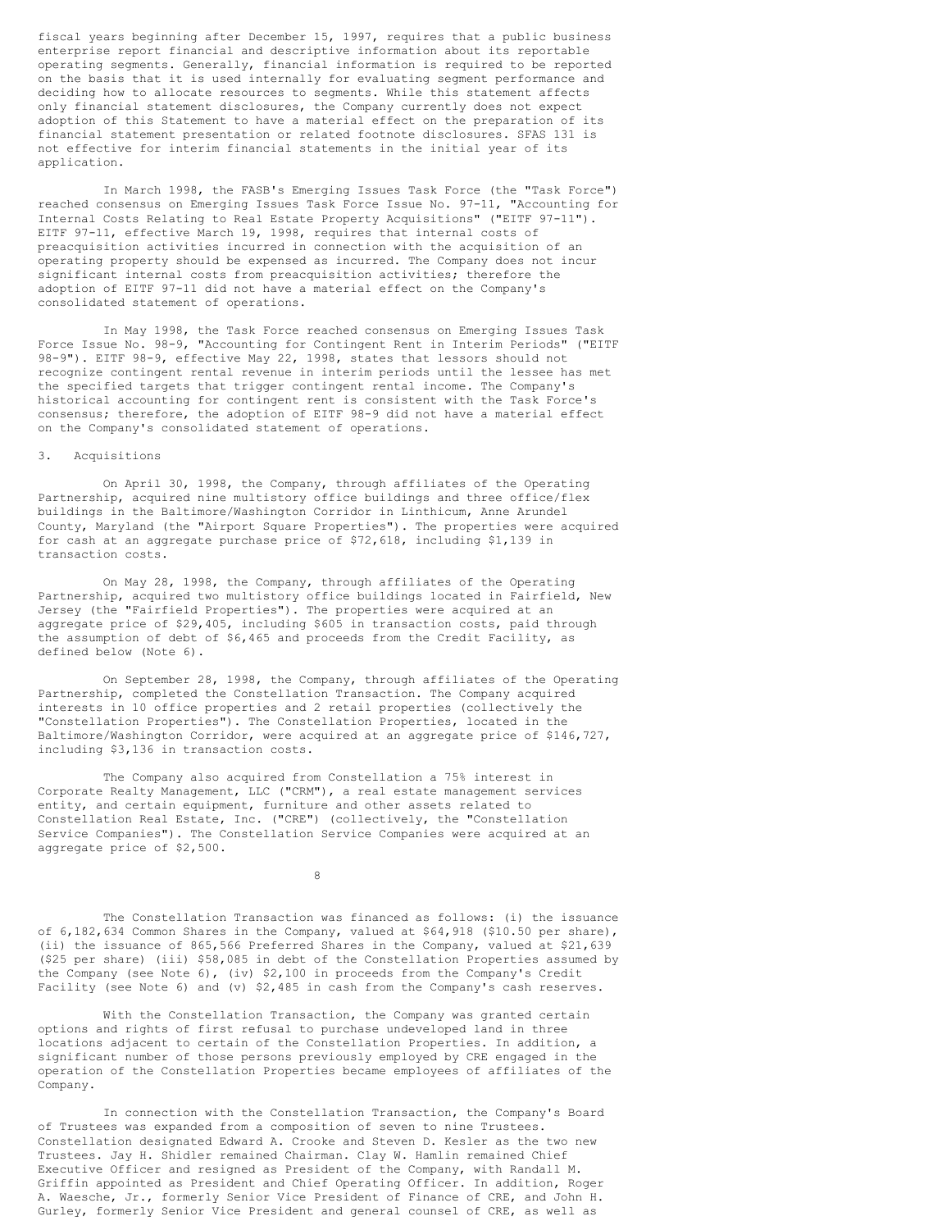fiscal years beginning after December 15, 1997, requires that a public business enterprise report financial and descriptive information about its reportable operating segments. Generally, financial information is required to be reported on the basis that it is used internally for evaluating segment performance and deciding how to allocate resources to segments. While this statement affects only financial statement disclosures, the Company currently does not expect adoption of this Statement to have a material effect on the preparation of its financial statement presentation or related footnote disclosures. SFAS 131 is not effective for interim financial statements in the initial year of its application.

In March 1998, the FASB's Emerging Issues Task Force (the "Task Force") reached consensus on Emerging Issues Task Force Issue No. 97-11, "Accounting for Internal Costs Relating to Real Estate Property Acquisitions" ("EITF 97-11"). EITF 97-11, effective March 19, 1998, requires that internal costs of preacquisition activities incurred in connection with the acquisition of an operating property should be expensed as incurred. The Company does not incur significant internal costs from preacquisition activities; therefore the adoption of EITF 97-11 did not have a material effect on the Company's consolidated statement of operations.

In May 1998, the Task Force reached consensus on Emerging Issues Task Force Issue No. 98-9, "Accounting for Contingent Rent in Interim Periods" ("EITF 98-9"). EITF 98-9, effective May 22, 1998, states that lessors should not recognize contingent rental revenue in interim periods until the lessee has met the specified targets that trigger contingent rental income. The Company's historical accounting for contingent rent is consistent with the Task Force's consensus; therefore, the adoption of EITF 98-9 did not have a material effect on the Company's consolidated statement of operations.

#### 3. Acquisitions

On April 30, 1998, the Company, through affiliates of the Operating Partnership, acquired nine multistory office buildings and three office/flex buildings in the Baltimore/Washington Corridor in Linthicum, Anne Arundel County, Maryland (the "Airport Square Properties"). The properties were acquired for cash at an aggregate purchase price of \$72,618, including \$1,139 in transaction costs.

On May 28, 1998, the Company, through affiliates of the Operating Partnership, acquired two multistory office buildings located in Fairfield, New Jersey (the "Fairfield Properties"). The properties were acquired at an aggregate price of \$29,405, including \$605 in transaction costs, paid through the assumption of debt of \$6,465 and proceeds from the Credit Facility, as defined below (Note 6).

On September 28, 1998, the Company, through affiliates of the Operating Partnership, completed the Constellation Transaction. The Company acquired interests in 10 office properties and 2 retail properties (collectively the "Constellation Properties"). The Constellation Properties, located in the Baltimore/Washington Corridor, were acquired at an aggregate price of \$146,727, including \$3,136 in transaction costs.

The Company also acquired from Constellation a 75% interest in Corporate Realty Management, LLC ("CRM"), a real estate management services entity, and certain equipment, furniture and other assets related to Constellation Real Estate, Inc. ("CRE") (collectively, the "Constellation Service Companies"). The Constellation Service Companies were acquired at an aggregate price of \$2,500.

8

The Constellation Transaction was financed as follows: (i) the issuance of 6,182,634 Common Shares in the Company, valued at \$64,918 (\$10.50 per share), (ii) the issuance of 865,566 Preferred Shares in the Company, valued at \$21,639 (\$25 per share) (iii) \$58,085 in debt of the Constellation Properties assumed by the Company (see Note 6), (iv) \$2,100 in proceeds from the Company's Credit Facility (see Note 6) and (v) \$2,485 in cash from the Company's cash reserves.

With the Constellation Transaction, the Company was granted certain options and rights of first refusal to purchase undeveloped land in three locations adjacent to certain of the Constellation Properties. In addition, a significant number of those persons previously employed by CRE engaged in the operation of the Constellation Properties became employees of affiliates of the Company.

In connection with the Constellation Transaction, the Company's Board of Trustees was expanded from a composition of seven to nine Trustees. Constellation designated Edward A. Crooke and Steven D. Kesler as the two new Trustees. Jay H. Shidler remained Chairman. Clay W. Hamlin remained Chief Executive Officer and resigned as President of the Company, with Randall M. Griffin appointed as President and Chief Operating Officer. In addition, Roger A. Waesche, Jr., formerly Senior Vice President of Finance of CRE, and John H. Gurley, formerly Senior Vice President and general counsel of CRE, as well as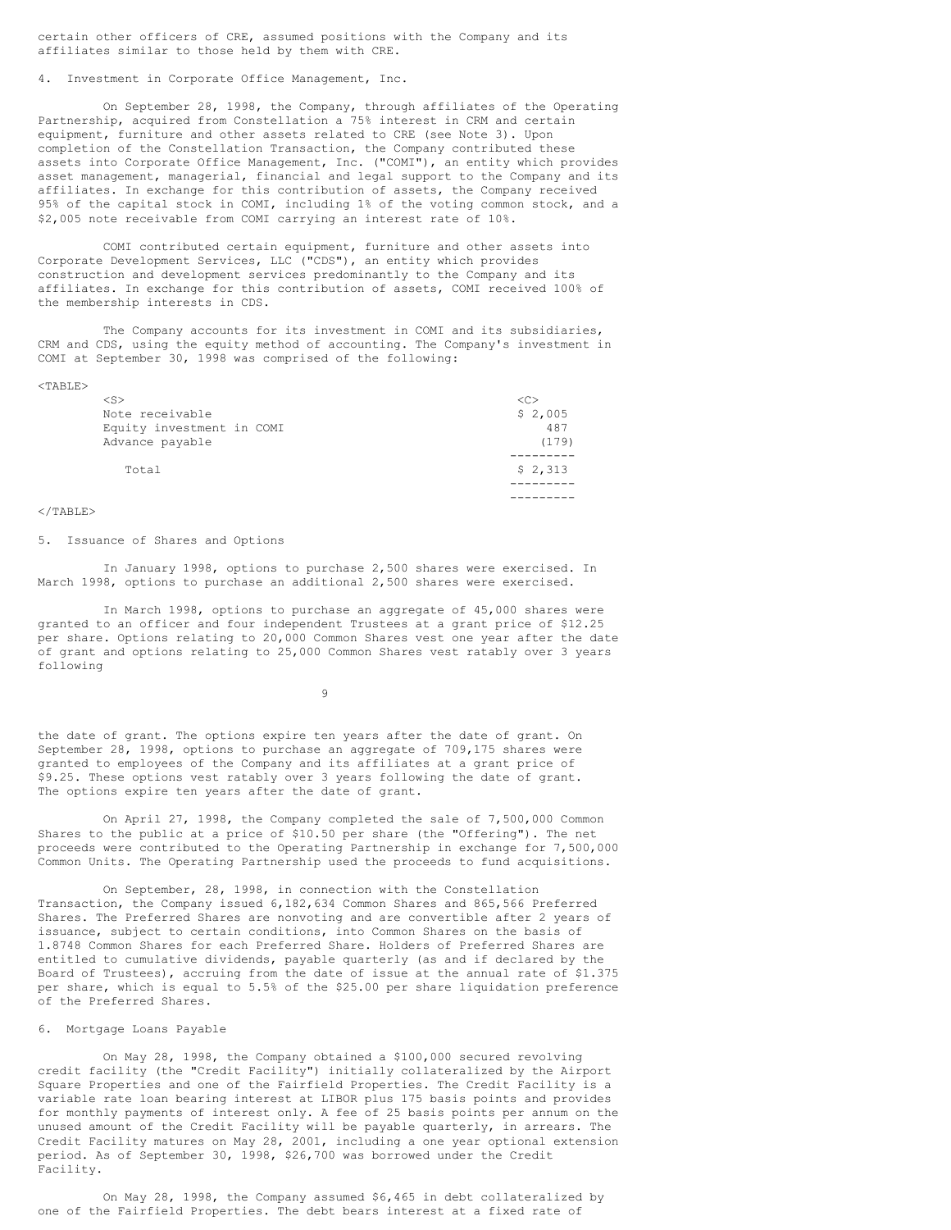certain other officers of CRE, assumed positions with the Company and its affiliates similar to those held by them with CRE.

4. Investment in Corporate Office Management, Inc.

On September 28, 1998, the Company, through affiliates of the Operating Partnership, acquired from Constellation a 75% interest in CRM and certain equipment, furniture and other assets related to CRE (see Note 3). Upon completion of the Constellation Transaction, the Company contributed these assets into Corporate Office Management, Inc. ("COMI"), an entity which provides asset management, managerial, financial and legal support to the Company and its affiliates. In exchange for this contribution of assets, the Company received 95% of the capital stock in COMI, including 1% of the voting common stock, and a \$2,005 note receivable from COMI carrying an interest rate of 10%.

COMI contributed certain equipment, furniture and other assets into Corporate Development Services, LLC ("CDS"), an entity which provides construction and development services predominantly to the Company and its affiliates. In exchange for this contribution of assets, COMI received 100% of the membership interests in CDS.

The Company accounts for its investment in COMI and its subsidiaries, CRM and CDS, using the equity method of accounting. The Company's investment in COMI at September 30, 1998 was comprised of the following:

| $<$ TABLE $>$             |         |
|---------------------------|---------|
| $<$ S>                    | <<      |
| Note receivable           | \$2,005 |
| Equity investment in COMI | 487     |
| Advance payable           | (179)   |
|                           |         |
| Total                     | \$2,313 |
|                           |         |
|                           |         |

### $<$ /TABLE>

#### 5. Issuance of Shares and Options

In January 1998, options to purchase 2,500 shares were exercised. In March 1998, options to purchase an additional 2,500 shares were exercised.

In March 1998, options to purchase an aggregate of 45,000 shares were granted to an officer and four independent Trustees at a grant price of \$12.25 per share. Options relating to 20,000 Common Shares vest one year after the date of grant and options relating to 25,000 Common Shares vest ratably over 3 years following

9

the date of grant. The options expire ten years after the date of grant. On September 28, 1998, options to purchase an aggregate of 709,175 shares were granted to employees of the Company and its affiliates at a grant price of \$9.25. These options vest ratably over 3 years following the date of grant. The options expire ten years after the date of grant.

On April 27, 1998, the Company completed the sale of 7,500,000 Common Shares to the public at a price of \$10.50 per share (the "Offering"). The net proceeds were contributed to the Operating Partnership in exchange for 7,500,000 Common Units. The Operating Partnership used the proceeds to fund acquisitions.

On September, 28, 1998, in connection with the Constellation Transaction, the Company issued 6,182,634 Common Shares and 865,566 Preferred Shares. The Preferred Shares are nonvoting and are convertible after 2 years of issuance, subject to certain conditions, into Common Shares on the basis of 1.8748 Common Shares for each Preferred Share. Holders of Preferred Shares are entitled to cumulative dividends, payable quarterly (as and if declared by the Board of Trustees), accruing from the date of issue at the annual rate of \$1.375 per share, which is equal to 5.5% of the \$25.00 per share liquidation preference of the Preferred Shares.

### 6. Mortgage Loans Payable

On May 28, 1998, the Company obtained a \$100,000 secured revolving credit facility (the "Credit Facility") initially collateralized by the Airport Square Properties and one of the Fairfield Properties. The Credit Facility is a variable rate loan bearing interest at LIBOR plus 175 basis points and provides for monthly payments of interest only. A fee of 25 basis points per annum on the unused amount of the Credit Facility will be payable quarterly, in arrears. The Credit Facility matures on May 28, 2001, including a one year optional extension period. As of September 30, 1998, \$26,700 was borrowed under the Credit Facility.

On May 28, 1998, the Company assumed \$6,465 in debt collateralized by one of the Fairfield Properties. The debt bears interest at a fixed rate of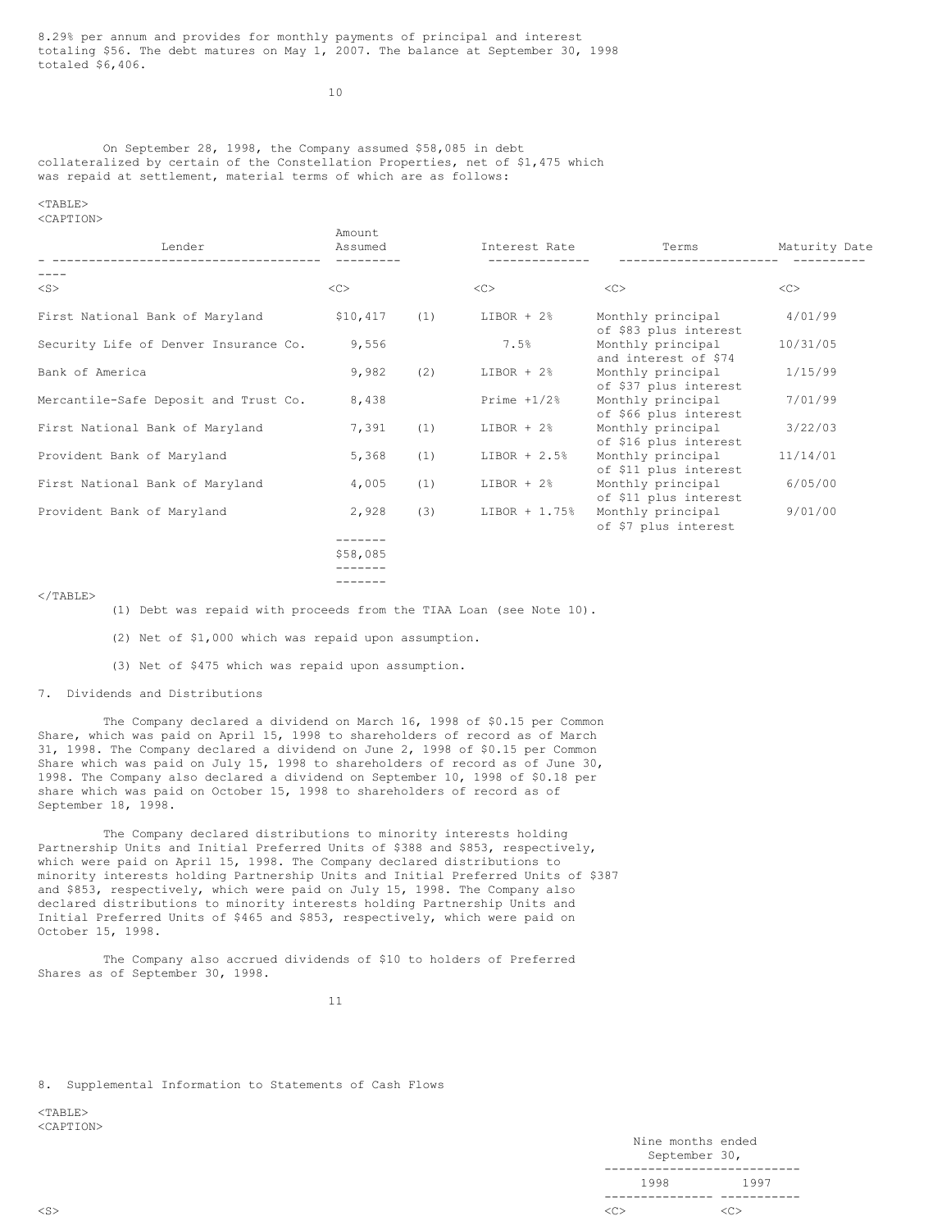8.29% per annum and provides for monthly payments of principal and interest totaling \$56. The debt matures on May 1, 2007. The balance at September 30, 1998 totaled \$6,406.

 $10$ 

On September 28, 1998, the Company assumed \$58,085 in debt collateralized by certain of the Constellation Properties, net of \$1,475 which was repaid at settlement, material terms of which are as follows:

<TABLE> <CAPTION>

| Lender                                | Amount<br>Assumed |     | Interest Rate  | Terms                                      | Maturity Date |
|---------------------------------------|-------------------|-----|----------------|--------------------------------------------|---------------|
| $<$ S $>$                             | <<                |     | <<             | <<                                         | <<            |
| First National Bank of Maryland       | \$10,417          | (1) | $LIBOR + 2%$   | Monthly principal<br>of \$83 plus interest | 4/01/99       |
| Security Life of Denver Insurance Co. | 9,556             |     | 7.5%           | Monthly principal<br>and interest of \$74  | 10/31/05      |
| Bank of America                       | 9,982             | (2) | $LIBOR + 2%$   | Monthly principal<br>of \$37 plus interest | 1/15/99       |
| Mercantile-Safe Deposit and Trust Co. | 8,438             |     | Prime $+1/2$ % | Monthly principal<br>of \$66 plus interest | 7/01/99       |
| First National Bank of Maryland       | 7,391             | (1) | $LIBOR + 2%$   | Monthly principal<br>of \$16 plus interest | 3/22/03       |
| Provident Bank of Maryland            | 5,368             | (1) | $LIBOR + 2.5%$ | Monthly principal<br>of \$11 plus interest | 11/14/01      |
| First National Bank of Maryland       | 4,005             | (1) | $LIBOR + 2%$   | Monthly principal<br>of \$11 plus interest | 6/05/00       |
| Provident Bank of Maryland            | 2,928             | (3) | LIBOR + 1.75%  | Monthly principal<br>of \$7 plus interest  | 9/01/00       |
|                                       | ------            |     |                |                                            |               |
|                                       | \$58,085          |     |                |                                            |               |
|                                       |                   |     |                |                                            |               |
|                                       | $- - - - - - -$   |     |                |                                            |               |

### $\langle$ /TABLE>

(1) Debt was repaid with proceeds from the TIAA Loan (see Note 10).

- (2) Net of \$1,000 which was repaid upon assumption.
- (3) Net of \$475 which was repaid upon assumption.
- 7. Dividends and Distributions

The Company declared a dividend on March 16, 1998 of \$0.15 per Common Share, which was paid on April 15, 1998 to shareholders of record as of March 31, 1998. The Company declared a dividend on June 2, 1998 of \$0.15 per Common Share which was paid on July 15, 1998 to shareholders of record as of June 30, 1998. The Company also declared a dividend on September 10, 1998 of \$0.18 per share which was paid on October 15, 1998 to shareholders of record as of September 18, 1998.

The Company declared distributions to minority interests holding Partnership Units and Initial Preferred Units of \$388 and \$853, respectively, which were paid on April 15, 1998. The Company declared distributions to minority interests holding Partnership Units and Initial Preferred Units of \$387 and \$853, respectively, which were paid on July 15, 1998. The Company also declared distributions to minority interests holding Partnership Units and Initial Preferred Units of \$465 and \$853, respectively, which were paid on October 15, 1998.

The Company also accrued dividends of \$10 to holders of Preferred Shares as of September 30, 1998.

11

8. Supplemental Information to Statements of Cash Flows

 $<$ TABLE> <CAPTION>

Nine months ended September 30, --------------------------- 1998 1997 --------------- ----------- <S> <C> <C>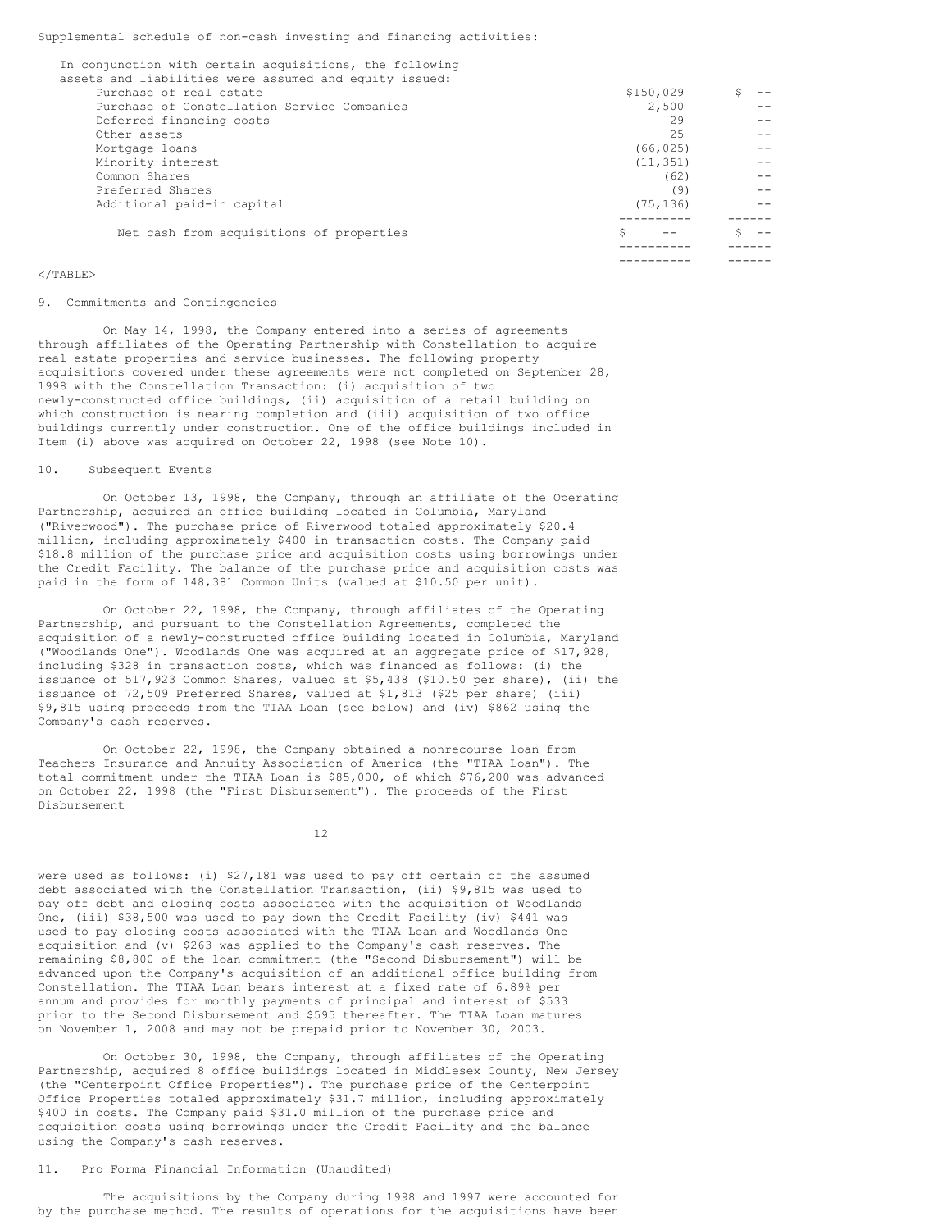Supplemental schedule of non-cash investing and financing activities:

| In conjunction with certain acquisitions, the following |           |  |
|---------------------------------------------------------|-----------|--|
| assets and liabilities were assumed and equity issued:  |           |  |
| Purchase of real estate                                 | \$150,029 |  |
| Purchase of Constellation Service Companies             | 2,500     |  |
| Deferred financing costs                                | 29        |  |
| Other assets                                            | 2.5       |  |
| Mortgage loans                                          | (66, 025) |  |
| Minority interest                                       | (11, 351) |  |
| Common Shares                                           | (62)      |  |
| Preferred Shares                                        | (9)       |  |
| Additional paid-in capital                              | (75, 136) |  |
|                                                         |           |  |
| Net cash from acquisitions of properties                | S         |  |
|                                                         |           |  |
|                                                         |           |  |

#### </TABLE>

9. Commitments and Contingencies

On May 14, 1998, the Company entered into a series of agreements through affiliates of the Operating Partnership with Constellation to acquire real estate properties and service businesses. The following property acquisitions covered under these agreements were not completed on September 28, 1998 with the Constellation Transaction: (i) acquisition of two newly-constructed office buildings, (ii) acquisition of a retail building on which construction is nearing completion and (iii) acquisition of two office buildings currently under construction. One of the office buildings included in Item (i) above was acquired on October 22, 1998 (see Note 10).

### 10. Subsequent Events

On October 13, 1998, the Company, through an affiliate of the Operating Partnership, acquired an office building located in Columbia, Maryland ("Riverwood"). The purchase price of Riverwood totaled approximately \$20.4 million, including approximately \$400 in transaction costs. The Company paid \$18.8 million of the purchase price and acquisition costs using borrowings under the Credit Facility. The balance of the purchase price and acquisition costs was paid in the form of 148,381 Common Units (valued at \$10.50 per unit).

On October 22, 1998, the Company, through affiliates of the Operating Partnership, and pursuant to the Constellation Agreements, completed the acquisition of a newly-constructed office building located in Columbia, Maryland ("Woodlands One"). Woodlands One was acquired at an aggregate price of \$17,928, including \$328 in transaction costs, which was financed as follows: (i) the issuance of 517,923 Common Shares, valued at \$5,438 (\$10.50 per share), (ii) the issuance of 72,509 Preferred Shares, valued at \$1,813 (\$25 per share) (iii) \$9,815 using proceeds from the TIAA Loan (see below) and (iv) \$862 using the Company's cash reserves.

On October 22, 1998, the Company obtained a nonrecourse loan from Teachers Insurance and Annuity Association of America (the "TIAA Loan"). The total commitment under the TIAA Loan is \$85,000, of which \$76,200 was advanced on October 22, 1998 (the "First Disbursement"). The proceeds of the First Disbursement

12

were used as follows: (i) \$27,181 was used to pay off certain of the assumed debt associated with the Constellation Transaction, (ii) \$9,815 was used to pay off debt and closing costs associated with the acquisition of Woodlands One, (iii) \$38,500 was used to pay down the Credit Facility (iv) \$441 was used to pay closing costs associated with the TIAA Loan and Woodlands One acquisition and (v) \$263 was applied to the Company's cash reserves. The remaining \$8,800 of the loan commitment (the "Second Disbursement") will be advanced upon the Company's acquisition of an additional office building from Constellation. The TIAA Loan bears interest at a fixed rate of 6.89% per annum and provides for monthly payments of principal and interest of \$533 prior to the Second Disbursement and \$595 thereafter. The TIAA Loan matures on November 1, 2008 and may not be prepaid prior to November 30, 2003.

On October 30, 1998, the Company, through affiliates of the Operating Partnership, acquired 8 office buildings located in Middlesex County, New Jersey (the "Centerpoint Office Properties"). The purchase price of the Centerpoint Office Properties totaled approximately \$31.7 million, including approximately \$400 in costs. The Company paid \$31.0 million of the purchase price and acquisition costs using borrowings under the Credit Facility and the balance using the Company's cash reserves.

### 11. Pro Forma Financial Information (Unaudited)

The acquisitions by the Company during 1998 and 1997 were accounted for by the purchase method. The results of operations for the acquisitions have been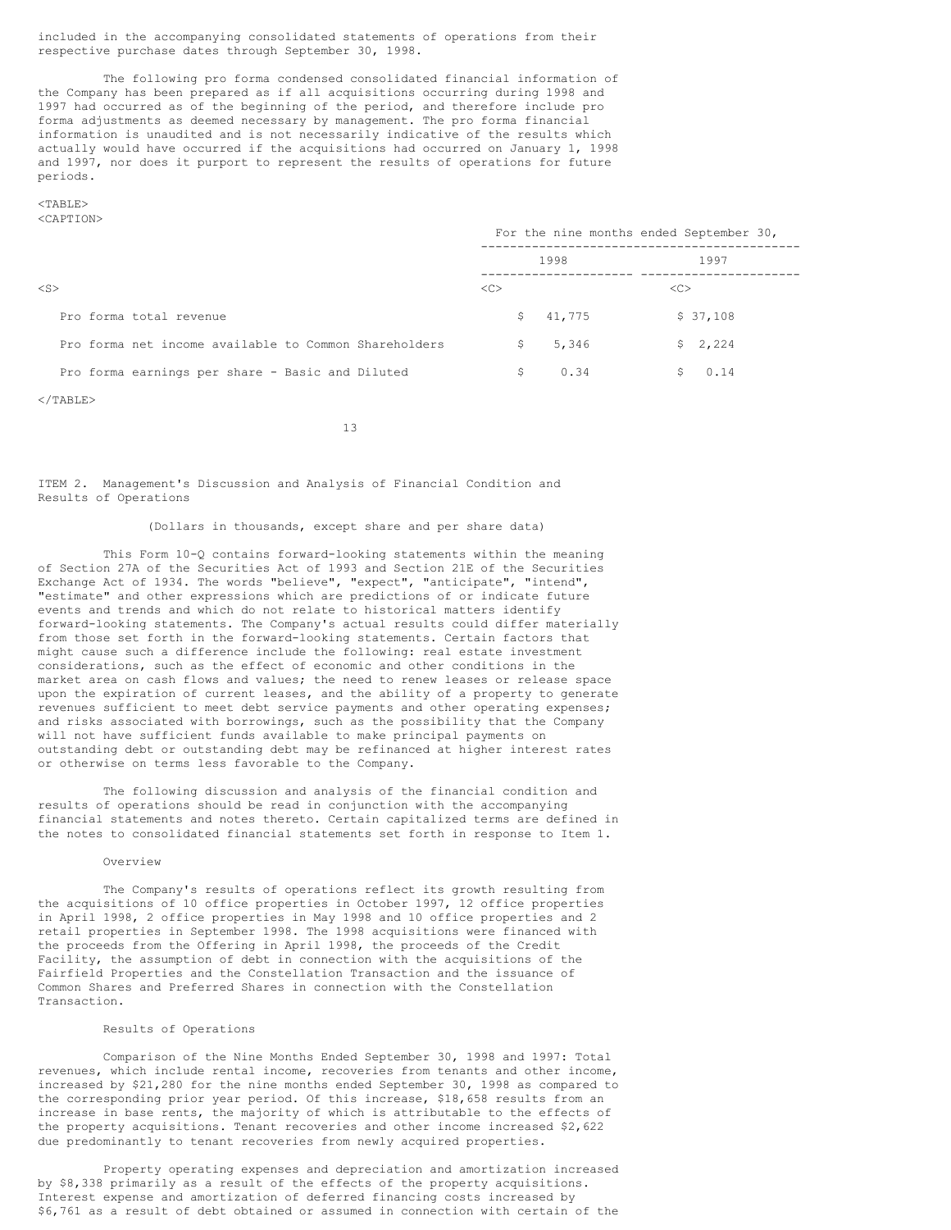included in the accompanying consolidated statements of operations from their respective purchase dates through September 30, 1998.

The following pro forma condensed consolidated financial information of the Company has been prepared as if all acquisitions occurring during 1998 and 1997 had occurred as of the beginning of the period, and therefore include pro forma adjustments as deemed necessary by management. The pro forma financial information is unaudited and is not necessarily indicative of the results which actually would have occurred if the acquisitions had occurred on January 1, 1998 and 1997, nor does it purport to represent the results of operations for future periods.

#### <TABLE> <CAPTION>

|                                                       | For the nine months ended September 30, |        |          |  |
|-------------------------------------------------------|-----------------------------------------|--------|----------|--|
|                                                       |                                         | 1998   | 1997     |  |
| $<$ S>                                                | < <sub></sub>                           |        | <<       |  |
| Pro forma total revenue                               | S.                                      | 41,775 | \$37,108 |  |
| Pro forma net income available to Common Shareholders | S                                       | 5,346  | \$2,224  |  |
| Pro forma earnings per share - Basic and Diluted      |                                         | 0.34   | 0.14     |  |

 $\langle$ /TABLE>

13

ITEM 2. Management's Discussion and Analysis of Financial Condition and Results of Operations

(Dollars in thousands, except share and per share data)

This Form 10-Q contains forward-looking statements within the meaning of Section 27A of the Securities Act of 1993 and Section 21E of the Securities Exchange Act of 1934. The words "believe", "expect", "anticipate", "intend", "estimate" and other expressions which are predictions of or indicate future events and trends and which do not relate to historical matters identify forward-looking statements. The Company's actual results could differ materially from those set forth in the forward-looking statements. Certain factors that might cause such a difference include the following: real estate investment considerations, such as the effect of economic and other conditions in the market area on cash flows and values; the need to renew leases or release space upon the expiration of current leases, and the ability of a property to generate revenues sufficient to meet debt service payments and other operating expenses; and risks associated with borrowings, such as the possibility that the Company will not have sufficient funds available to make principal payments on outstanding debt or outstanding debt may be refinanced at higher interest rates or otherwise on terms less favorable to the Company.

The following discussion and analysis of the financial condition and results of operations should be read in conjunction with the accompanying financial statements and notes thereto. Certain capitalized terms are defined in the notes to consolidated financial statements set forth in response to Item 1.

### Overview

The Company's results of operations reflect its growth resulting from the acquisitions of 10 office properties in October 1997, 12 office properties in April 1998, 2 office properties in May 1998 and 10 office properties and 2 retail properties in September 1998. The 1998 acquisitions were financed with the proceeds from the Offering in April 1998, the proceeds of the Credit Facility, the assumption of debt in connection with the acquisitions of the Fairfield Properties and the Constellation Transaction and the issuance of Common Shares and Preferred Shares in connection with the Constellation Transaction.

#### Results of Operations

Comparison of the Nine Months Ended September 30, 1998 and 1997: Total revenues, which include rental income, recoveries from tenants and other income, increased by \$21,280 for the nine months ended September 30, 1998 as compared to the corresponding prior year period. Of this increase, \$18,658 results from an increase in base rents, the majority of which is attributable to the effects of the property acquisitions. Tenant recoveries and other income increased \$2,622 due predominantly to tenant recoveries from newly acquired properties.

Property operating expenses and depreciation and amortization increased by \$8,338 primarily as a result of the effects of the property acquisitions. Interest expense and amortization of deferred financing costs increased by \$6,761 as a result of debt obtained or assumed in connection with certain of the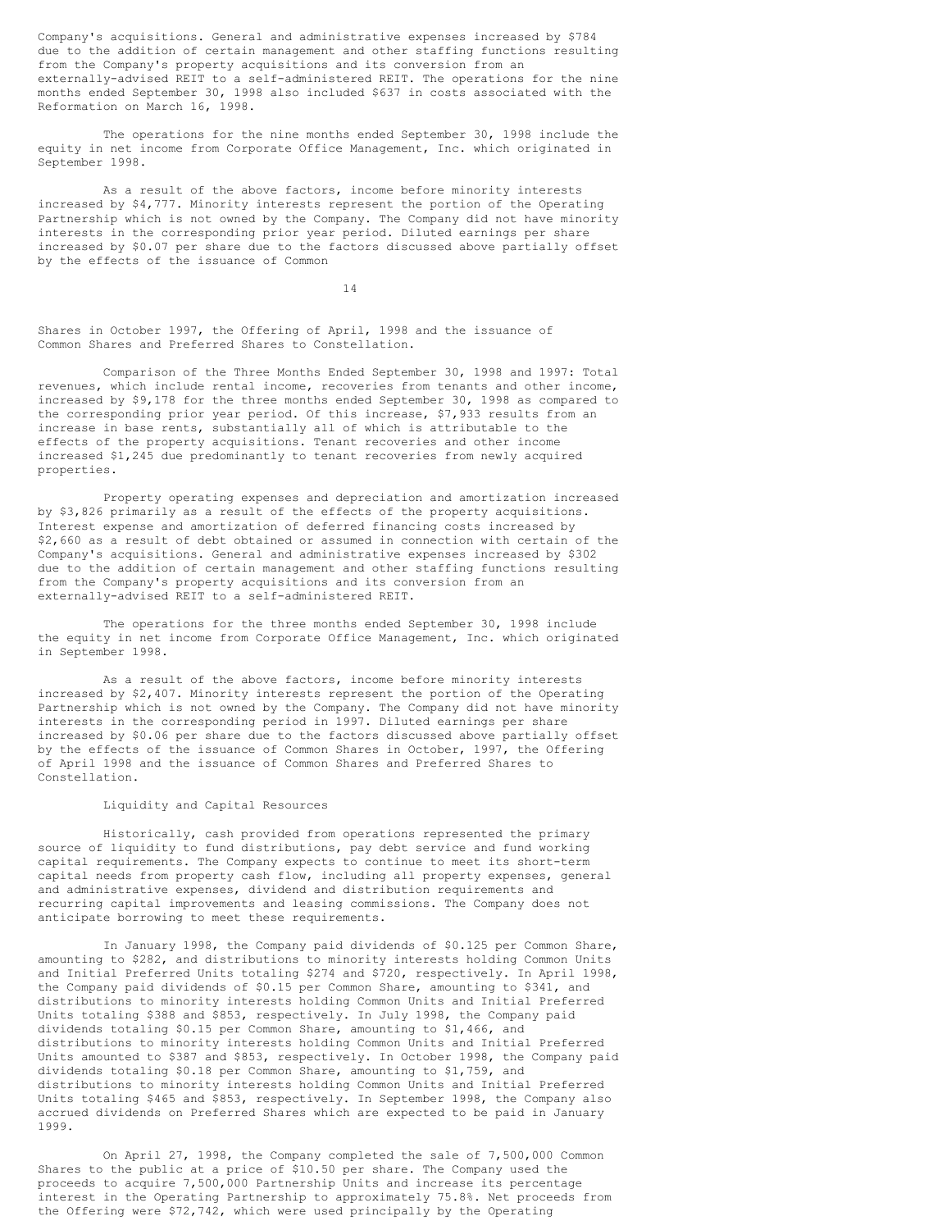Company's acquisitions. General and administrative expenses increased by \$784 due to the addition of certain management and other staffing functions resulting from the Company's property acquisitions and its conversion from an externally-advised REIT to a self-administered REIT. The operations for the nine months ended September 30, 1998 also included \$637 in costs associated with the Reformation on March 16, 1998.

The operations for the nine months ended September 30, 1998 include the equity in net income from Corporate Office Management, Inc. which originated in September 1998.

As a result of the above factors, income before minority interests increased by \$4,777. Minority interests represent the portion of the Operating Partnership which is not owned by the Company. The Company did not have minority interests in the corresponding prior year period. Diluted earnings per share increased by \$0.07 per share due to the factors discussed above partially offset by the effects of the issuance of Common

14

Shares in October 1997, the Offering of April, 1998 and the issuance of Common Shares and Preferred Shares to Constellation.

Comparison of the Three Months Ended September 30, 1998 and 1997: Total revenues, which include rental income, recoveries from tenants and other income, increased by \$9,178 for the three months ended September 30, 1998 as compared to the corresponding prior year period. Of this increase, \$7,933 results from an increase in base rents, substantially all of which is attributable to the effects of the property acquisitions. Tenant recoveries and other income increased \$1,245 due predominantly to tenant recoveries from newly acquired properties.

Property operating expenses and depreciation and amortization increased by \$3,826 primarily as a result of the effects of the property acquisitions. Interest expense and amortization of deferred financing costs increased by \$2,660 as a result of debt obtained or assumed in connection with certain of the Company's acquisitions. General and administrative expenses increased by \$302 due to the addition of certain management and other staffing functions resulting from the Company's property acquisitions and its conversion from an externally-advised REIT to a self-administered REIT.

The operations for the three months ended September 30, 1998 include the equity in net income from Corporate Office Management, Inc. which originated in September 1998.

As a result of the above factors, income before minority interests increased by \$2,407. Minority interests represent the portion of the Operating Partnership which is not owned by the Company. The Company did not have minority interests in the corresponding period in 1997. Diluted earnings per share increased by \$0.06 per share due to the factors discussed above partially offset by the effects of the issuance of Common Shares in October, 1997, the Offering of April 1998 and the issuance of Common Shares and Preferred Shares to Constellation.

#### Liquidity and Capital Resources

Historically, cash provided from operations represented the primary source of liquidity to fund distributions, pay debt service and fund working capital requirements. The Company expects to continue to meet its short-term capital needs from property cash flow, including all property expenses, general and administrative expenses, dividend and distribution requirements and recurring capital improvements and leasing commissions. The Company does not anticipate borrowing to meet these requirements.

In January 1998, the Company paid dividends of \$0.125 per Common Share, amounting to \$282, and distributions to minority interests holding Common Units and Initial Preferred Units totaling \$274 and \$720, respectively. In April 1998, the Company paid dividends of \$0.15 per Common Share, amounting to \$341, and distributions to minority interests holding Common Units and Initial Preferred Units totaling \$388 and \$853, respectively. In July 1998, the Company paid dividends totaling \$0.15 per Common Share, amounting to \$1,466, and distributions to minority interests holding Common Units and Initial Preferred Units amounted to \$387 and \$853, respectively. In October 1998, the Company paid dividends totaling \$0.18 per Common Share, amounting to \$1,759, and distributions to minority interests holding Common Units and Initial Preferred Units totaling \$465 and \$853, respectively. In September 1998, the Company also accrued dividends on Preferred Shares which are expected to be paid in January 1999.

On April 27, 1998, the Company completed the sale of 7,500,000 Common Shares to the public at a price of \$10.50 per share. The Company used the proceeds to acquire 7,500,000 Partnership Units and increase its percentage interest in the Operating Partnership to approximately 75.8%. Net proceeds from the Offering were \$72,742, which were used principally by the Operating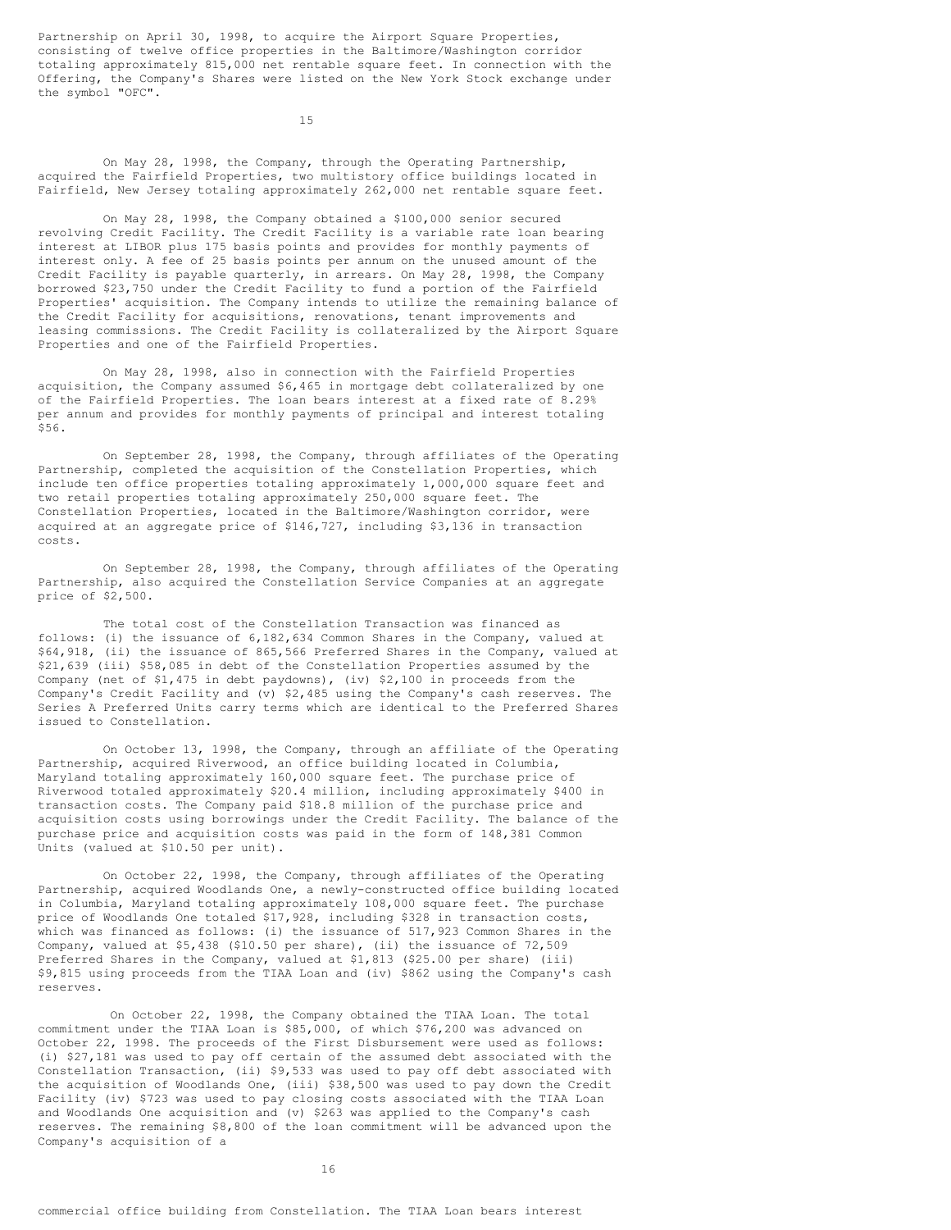Partnership on April 30, 1998, to acquire the Airport Square Properties, consisting of twelve office properties in the Baltimore/Washington corridor totaling approximately 815,000 net rentable square feet. In connection with the Offering, the Company's Shares were listed on the New York Stock exchange under the symbol "OFC".

15

On May 28, 1998, the Company, through the Operating Partnership, acquired the Fairfield Properties, two multistory office buildings located in Fairfield, New Jersey totaling approximately 262,000 net rentable square feet.

On May 28, 1998, the Company obtained a \$100,000 senior secured revolving Credit Facility. The Credit Facility is a variable rate loan bearing interest at LIBOR plus 175 basis points and provides for monthly payments of interest only. A fee of 25 basis points per annum on the unused amount of the Credit Facility is payable quarterly, in arrears. On May 28, 1998, the Company borrowed \$23,750 under the Credit Facility to fund a portion of the Fairfield Properties' acquisition. The Company intends to utilize the remaining balance of the Credit Facility for acquisitions, renovations, tenant improvements and leasing commissions. The Credit Facility is collateralized by the Airport Square Properties and one of the Fairfield Properties.

On May 28, 1998, also in connection with the Fairfield Properties acquisition, the Company assumed \$6,465 in mortgage debt collateralized by one of the Fairfield Properties. The loan bears interest at a fixed rate of 8.29% per annum and provides for monthly payments of principal and interest totaling \$56.

On September 28, 1998, the Company, through affiliates of the Operating Partnership, completed the acquisition of the Constellation Properties, which include ten office properties totaling approximately 1,000,000 square feet and two retail properties totaling approximately 250,000 square feet. The Constellation Properties, located in the Baltimore/Washington corridor, were acquired at an aggregate price of \$146,727, including \$3,136 in transaction costs.

On September 28, 1998, the Company, through affiliates of the Operating Partnership, also acquired the Constellation Service Companies at an aggregate price of \$2,500.

The total cost of the Constellation Transaction was financed as follows: (i) the issuance of 6,182,634 Common Shares in the Company, valued at \$64,918, (ii) the issuance of 865,566 Preferred Shares in the Company, valued at \$21,639 (iii) \$58,085 in debt of the Constellation Properties assumed by the Company (net of \$1,475 in debt paydowns), (iv) \$2,100 in proceeds from the Company's Credit Facility and (v) \$2,485 using the Company's cash reserves. The Series A Preferred Units carry terms which are identical to the Preferred Shares issued to Constellation.

On October 13, 1998, the Company, through an affiliate of the Operating Partnership, acquired Riverwood, an office building located in Columbia, Maryland totaling approximately 160,000 square feet. The purchase price of Riverwood totaled approximately \$20.4 million, including approximately \$400 in transaction costs. The Company paid \$18.8 million of the purchase price and acquisition costs using borrowings under the Credit Facility. The balance of the purchase price and acquisition costs was paid in the form of 148,381 Common Units (valued at \$10.50 per unit).

On October 22, 1998, the Company, through affiliates of the Operating Partnership, acquired Woodlands One, a newly-constructed office building located in Columbia, Maryland totaling approximately 108,000 square feet. The purchase price of Woodlands One totaled \$17,928, including \$328 in transaction costs, which was financed as follows: (i) the issuance of 517,923 Common Shares in the Company, valued at \$5,438 (\$10.50 per share), (ii) the issuance of 72,509 Preferred Shares in the Company, valued at \$1,813 (\$25.00 per share) (iii) \$9,815 using proceeds from the TIAA Loan and (iv) \$862 using the Company's cash reserves.

On October 22, 1998, the Company obtained the TIAA Loan. The total commitment under the TIAA Loan is \$85,000, of which \$76,200 was advanced on October 22, 1998. The proceeds of the First Disbursement were used as follows: (i) \$27,181 was used to pay off certain of the assumed debt associated with the Constellation Transaction, (ii) \$9,533 was used to pay off debt associated with the acquisition of Woodlands One, (iii) \$38,500 was used to pay down the Credit Facility (iv) \$723 was used to pay closing costs associated with the TIAA Loan and Woodlands One acquisition and (v) \$263 was applied to the Company's cash reserves. The remaining \$8,800 of the loan commitment will be advanced upon the Company's acquisition of a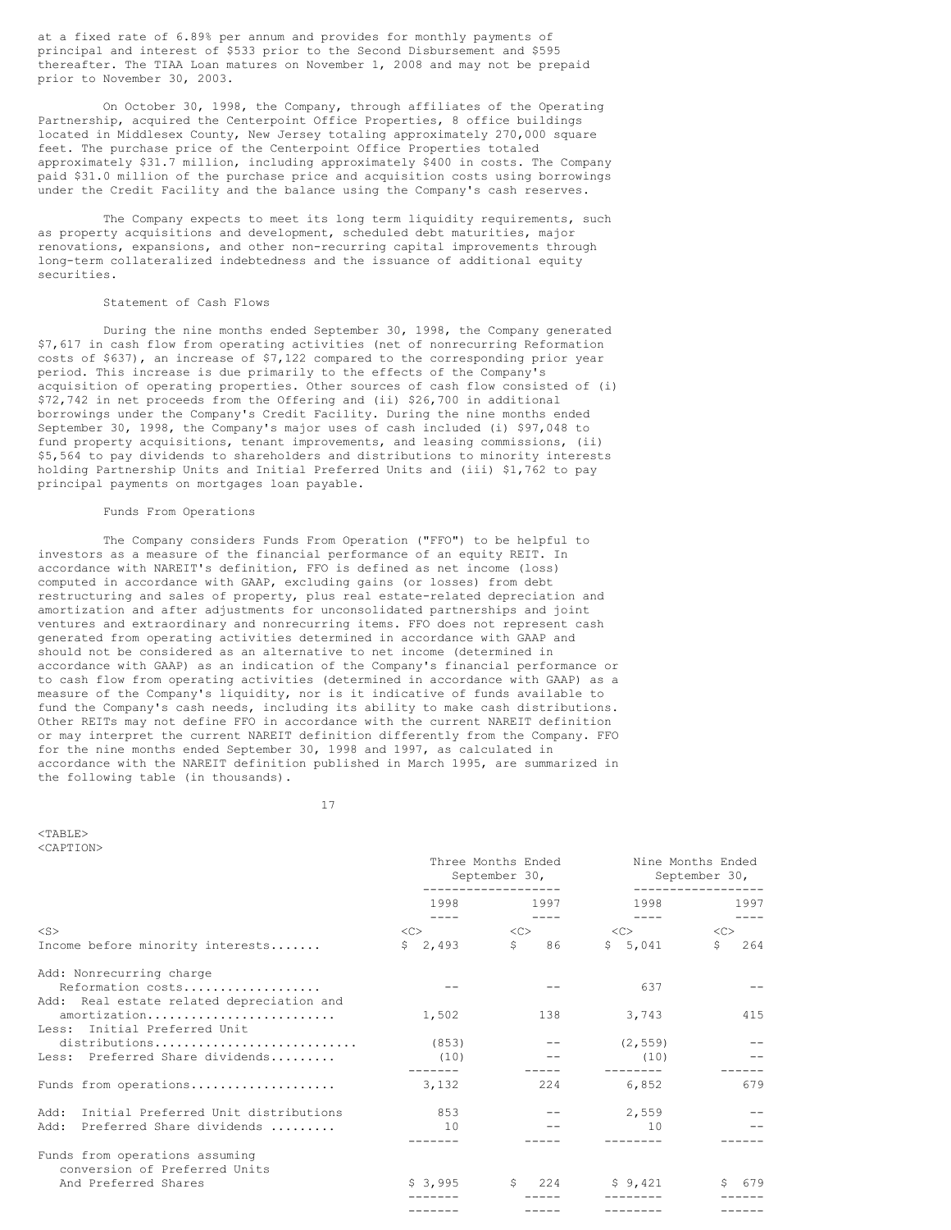at a fixed rate of 6.89% per annum and provides for monthly payments of principal and interest of \$533 prior to the Second Disbursement and \$595 thereafter. The TIAA Loan matures on November 1, 2008 and may not be prepaid prior to November 30, 2003.

On October 30, 1998, the Company, through affiliates of the Operating Partnership, acquired the Centerpoint Office Properties, 8 office buildings located in Middlesex County, New Jersey totaling approximately 270,000 square feet. The purchase price of the Centerpoint Office Properties totaled approximately \$31.7 million, including approximately \$400 in costs. The Company paid \$31.0 million of the purchase price and acquisition costs using borrowings under the Credit Facility and the balance using the Company's cash reserves.

The Company expects to meet its long term liquidity requirements, such as property acquisitions and development, scheduled debt maturities, major renovations, expansions, and other non-recurring capital improvements through long-term collateralized indebtedness and the issuance of additional equity securities.

### Statement of Cash Flows

During the nine months ended September 30, 1998, the Company generated \$7,617 in cash flow from operating activities (net of nonrecurring Reformation costs of \$637), an increase of \$7,122 compared to the corresponding prior year period. This increase is due primarily to the effects of the Company's acquisition of operating properties. Other sources of cash flow consisted of (i) \$72,742 in net proceeds from the Offering and (ii) \$26,700 in additional borrowings under the Company's Credit Facility. During the nine months ended September 30, 1998, the Company's major uses of cash included (i) \$97,048 to fund property acquisitions, tenant improvements, and leasing commissions, (ii) \$5,564 to pay dividends to shareholders and distributions to minority interests holding Partnership Units and Initial Preferred Units and (iii) \$1,762 to pay principal payments on mortgages loan payable.

### Funds From Operations

The Company considers Funds From Operation ("FFO") to be helpful to investors as a measure of the financial performance of an equity REIT. In accordance with NAREIT's definition, FFO is defined as net income (loss) computed in accordance with GAAP, excluding gains (or losses) from debt restructuring and sales of property, plus real estate-related depreciation and amortization and after adjustments for unconsolidated partnerships and joint ventures and extraordinary and nonrecurring items. FFO does not represent cash generated from operating activities determined in accordance with GAAP and should not be considered as an alternative to net income (determined in accordance with GAAP) as an indication of the Company's financial performance or to cash flow from operating activities (determined in accordance with GAAP) as a measure of the Company's liquidity, nor is it indicative of funds available to fund the Company's cash needs, including its ability to make cash distributions. Other REITs may not define FFO in accordance with the current NAREIT definition or may interpret the current NAREIT definition differently from the Company. FFO for the nine months ended September 30, 1998 and 1997, as calculated in accordance with the NAREIT definition published in March 1995, are summarized in the following table (in thousands).

| l'ARI.      |  |
|-------------|--|
| CA P'I' LON |  |

|                                                                 | Three Months Ended<br>September 30,<br>-------------- |                         | Nine Months Ended<br>September 30, |           |
|-----------------------------------------------------------------|-------------------------------------------------------|-------------------------|------------------------------------|-----------|
|                                                                 | 1998                                                  | 1997                    | 1998                               | 1997      |
| $<$ S $>$                                                       | $<<$ $>>$                                             | <<                      | $\langle$ C>                       | <<        |
| Income before minority interests                                | \$2,493                                               | $\mathsf{S}$<br>86 - 10 | \$5,041                            | S.<br>264 |
| Add: Nonrecurring charge                                        |                                                       |                         |                                    |           |
| Reformation costs<br>Add: Real estate related depreciation and  |                                                       |                         | 637                                |           |
| amortization<br>Less: Initial Preferred Unit                    | 1,502                                                 | 138                     | 3.743                              | 415       |
| distributions                                                   | (853)                                                 |                         | (2, 559)                           |           |
| Less: Preferred Share dividends                                 | (10)                                                  |                         | (10)                               |           |
| Funds from operations                                           | 3,132                                                 | 224                     | 6,852                              | 679       |
| Add: Initial Preferred Unit distributions                       | 853                                                   |                         | 2,559                              |           |
| Preferred Share dividends<br>Add:                               | 10                                                    |                         | 10                                 |           |
| Funds from operations assuming<br>conversion of Preferred Units |                                                       |                         |                                    |           |
| And Preferred Shares                                            | \$3,995                                               | 224<br>S.               | \$9,421                            | 5679      |
|                                                                 |                                                       |                         |                                    |           |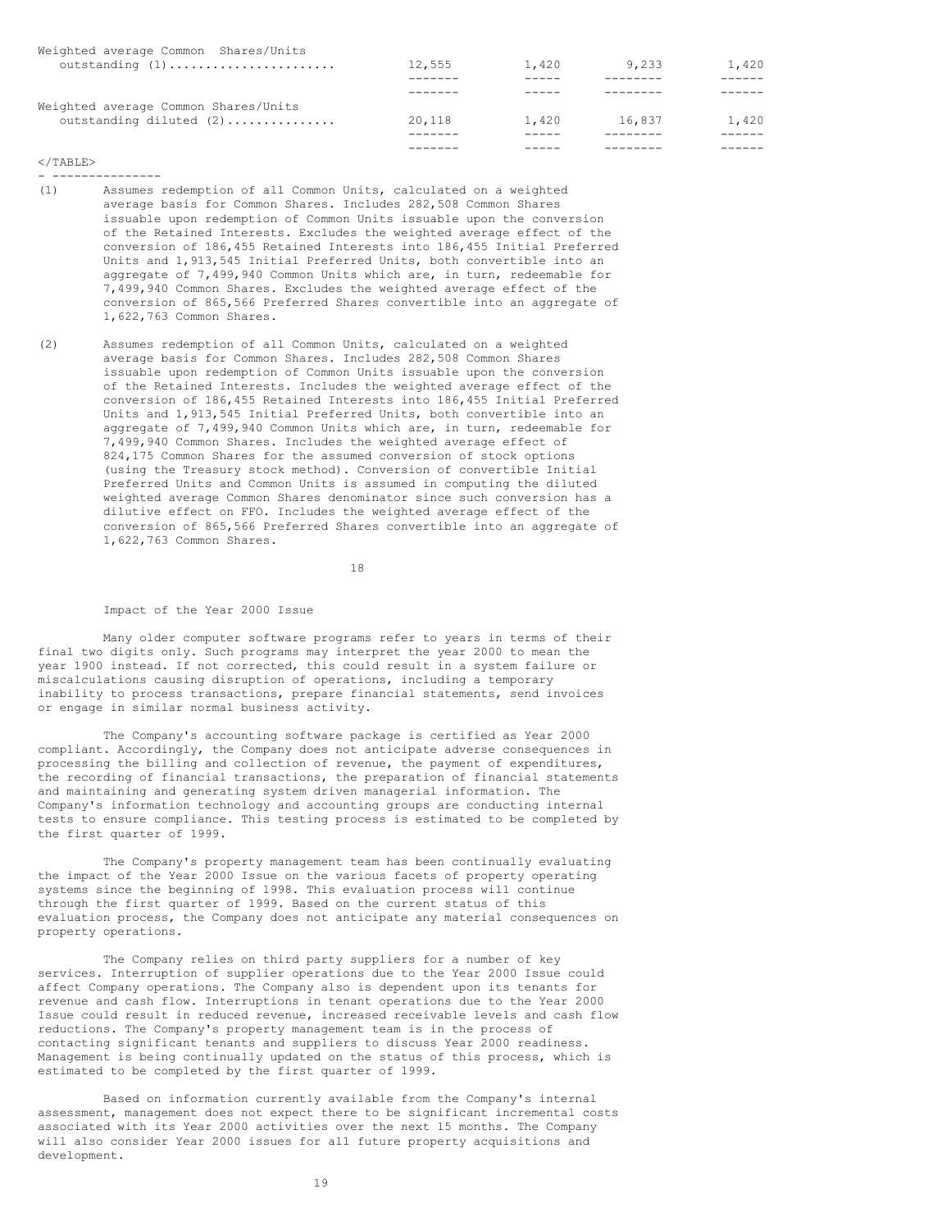| Weighted average Common Shares/Units |        |       |        |             |
|--------------------------------------|--------|-------|--------|-------------|
| outstanding $(1)$                    | 12,555 | 1.420 | 9.233  | 1,420       |
|                                      |        |       |        | $- - - - -$ |
|                                      |        |       |        |             |
| Weighted average Common Shares/Units |        |       |        |             |
| outstanding diluted (2)              | 20,118 | 1.420 | 16.837 | 1,420       |
|                                      |        |       |        |             |
|                                      |        |       |        |             |

 $<$ /TABLE>

- --------------- (1) Assumes redemption of all Common Units, calculated on a weighted average basis for Common Shares. Includes 282,508 Common Shares issuable upon redemption of Common Units issuable upon the conversion of the Retained Interests. Excludes the weighted average effect of the conversion of 186,455 Retained Interests into 186,455 Initial Preferred Units and 1,913,545 Initial Preferred Units, both convertible into an aggregate of 7,499,940 Common Units which are, in turn, redeemable for 7,499,940 Common Shares. Excludes the weighted average effect of the conversion of 865,566 Preferred Shares convertible into an aggregate of 1,622,763 Common Shares.
- (2) Assumes redemption of all Common Units, calculated on a weighted average basis for Common Shares. Includes 282,508 Common Shares issuable upon redemption of Common Units issuable upon the conversion of the Retained Interests. Includes the weighted average effect of the conversion of 186,455 Retained Interests into 186,455 Initial Preferred Units and 1,913,545 Initial Preferred Units, both convertible into an aggregate of 7,499,940 Common Units which are, in turn, redeemable for 7,499,940 Common Shares. Includes the weighted average effect of 824,175 Common Shares for the assumed conversion of stock options (using the Treasury stock method). Conversion of convertible Initial Preferred Units and Common Units is assumed in computing the diluted weighted average Common Shares denominator since such conversion has a dilutive effect on FFO. Includes the weighted average effect of the conversion of 865,566 Preferred Shares convertible into an aggregate of 1,622,763 Common Shares.

18

#### Impact of the Year 2000 Issue

Many older computer software programs refer to years in terms of their final two digits only. Such programs may interpret the year 2000 to mean the year 1900 instead. If not corrected, this could result in a system failure or miscalculations causing disruption of operations, including a temporary inability to process transactions, prepare financial statements, send invoices or engage in similar normal business activity.

The Company's accounting software package is certified as Year 2000 compliant. Accordingly, the Company does not anticipate adverse consequences in processing the billing and collection of revenue, the payment of expenditures, the recording of financial transactions, the preparation of financial statements and maintaining and generating system driven managerial information. The Company's information technology and accounting groups are conducting internal tests to ensure compliance. This testing process is estimated to be completed by the first quarter of 1999.

The Company's property management team has been continually evaluating the impact of the Year 2000 Issue on the various facets of property operating systems since the beginning of 1998. This evaluation process will continue through the first quarter of 1999. Based on the current status of this evaluation process, the Company does not anticipate any material consequences on property operations.

The Company relies on third party suppliers for a number of key services. Interruption of supplier operations due to the Year 2000 Issue could affect Company operations. The Company also is dependent upon its tenants for revenue and cash flow. Interruptions in tenant operations due to the Year 2000 Issue could result in reduced revenue, increased receivable levels and cash flow reductions. The Company's property management team is in the process of contacting significant tenants and suppliers to discuss Year 2000 readiness. Management is being continually updated on the status of this process, which is estimated to be completed by the first quarter of 1999.

Based on information currently available from the Company's internal assessment, management does not expect there to be significant incremental costs associated with its Year 2000 activities over the next 15 months. The Company will also consider Year 2000 issues for all future property acquisitions and development.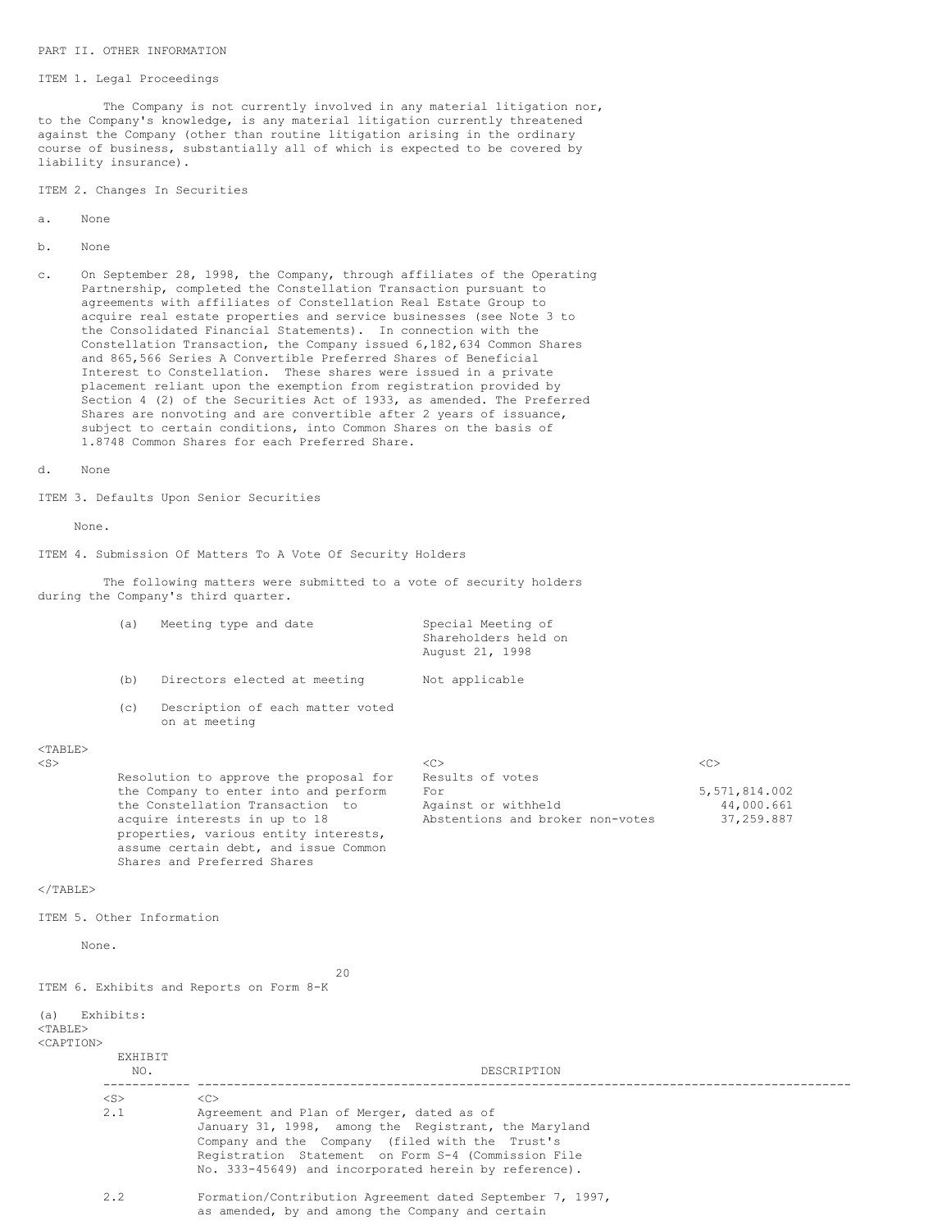### ITEM 1. Legal Proceedings

The Company is not currently involved in any material litigation nor, to the Company's knowledge, is any material litigation currently threatened against the Company (other than routine litigation arising in the ordinary course of business, substantially all of which is expected to be covered by liability insurance).

ITEM 2. Changes In Securities

a. None

b. None

c. On September 28, 1998, the Company, through affiliates of the Operating Partnership, completed the Constellation Transaction pursuant to agreements with affiliates of Constellation Real Estate Group to acquire real estate properties and service businesses (see Note 3 to the Consolidated Financial Statements). In connection with the Constellation Transaction, the Company issued 6,182,634 Common Shares and 865,566 Series A Convertible Preferred Shares of Beneficial Interest to Constellation. These shares were issued in a private placement reliant upon the exemption from registration provided by Section 4 (2) of the Securities Act of 1933, as amended. The Preferred Shares are nonvoting and are convertible after 2 years of issuance, subject to certain conditions, into Common Shares on the basis of 1.8748 Common Shares for each Preferred Share.

#### d. None

ITEM 3. Defaults Upon Senior Securities

None.

ITEM 4. Submission Of Matters To A Vote Of Security Holders

The following matters were submitted to a vote of security holders during the Company's third quarter.

|           | (a)                                    | Meeting type and date                                                                                                                          | Special Meeting of<br>Shareholders held on<br>August 21, 1998 |                 |
|-----------|----------------------------------------|------------------------------------------------------------------------------------------------------------------------------------------------|---------------------------------------------------------------|-----------------|
|           | (b)                                    | Directors elected at meeting                                                                                                                   | Not applicable                                                |                 |
|           | $\left( \circ \right)$                 | Description of each matter voted<br>on at meeting                                                                                              |                                                               |                 |
| $TABLE$   |                                        |                                                                                                                                                |                                                               |                 |
| $<$ S $>$ |                                        |                                                                                                                                                | <<                                                            | <<              |
|           | Resolution to approve the proposal for |                                                                                                                                                | Results of votes                                              |                 |
|           |                                        | the Company to enter into and perform                                                                                                          | For                                                           | 5, 571, 814.002 |
|           |                                        | the Constellation Transaction to                                                                                                               | Against or withheld                                           | 44,000.661      |
|           |                                        | acquire interests in up to 18<br>properties, various entity interests,<br>assume certain debt, and issue Common<br>Shares and Preferred Shares | Abstentions and broker non-votes                              | 37,259.887      |

#### $<$ /TABLE>

ITEM 5. Other Information

None.  $20$ ITEM 6. Exhibits and Reports on Form 8-K (a) Exhibits: <TABLE> <CAPTION> EXHIBIT NO. DESCRIPTION ------------ ------------------------------------------------------------------------------------------  $\langle$ C> 2.1 Agreement and Plan of Merger, dated as of January 31, 1998, among the Registrant, the Maryland Company and the Company (filed with the Trust's Registration Statement on Form S-4 (Commission File No. 333-45649) and incorporated herein by reference). 2.2 Formation/Contribution Agreement dated September 7, 1997, as amended, by and among the Company and certain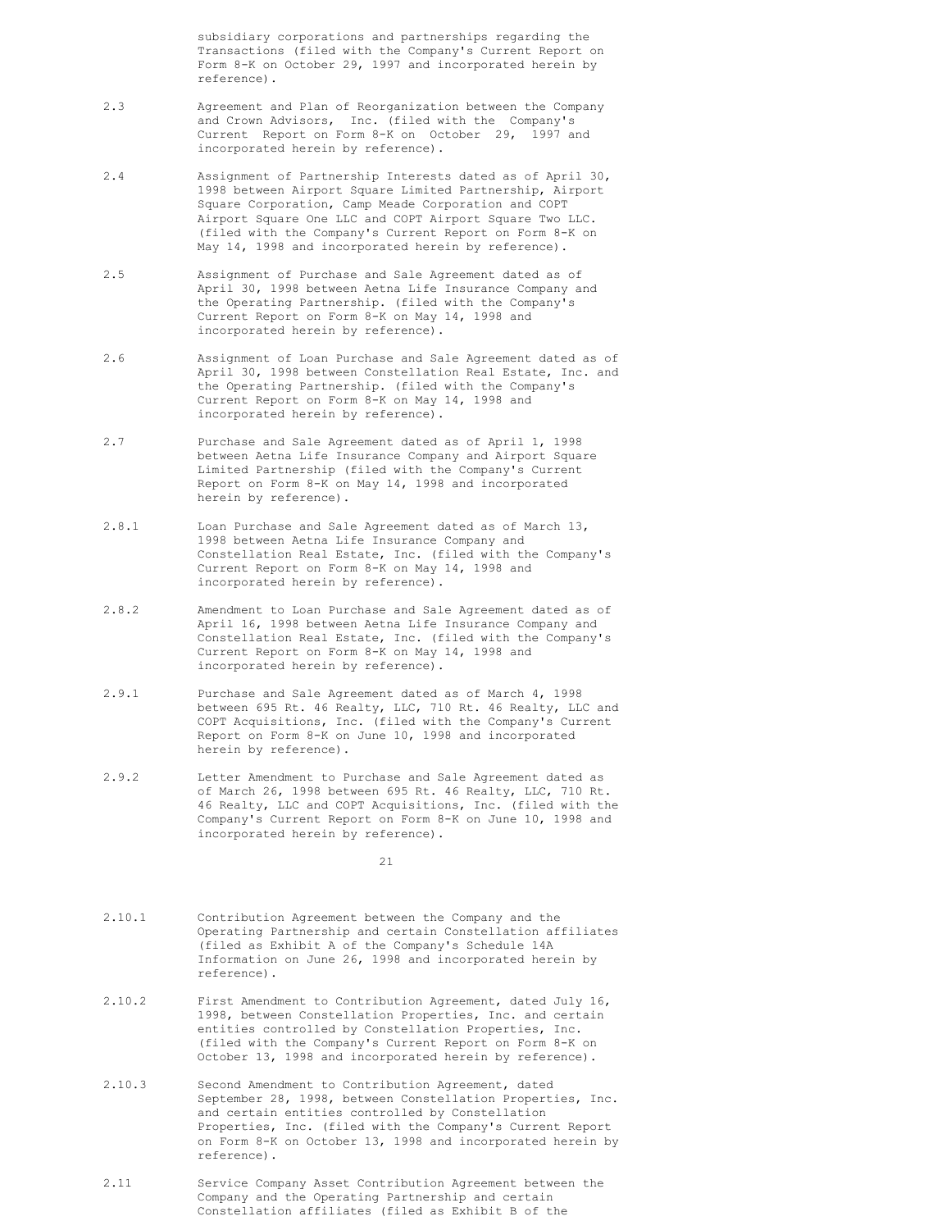subsidiary corporations and partnerships regarding the Transactions (filed with the Company's Current Report on Form 8-K on October 29, 1997 and incorporated herein by reference).

- 2.3 Agreement and Plan of Reorganization between the Company and Crown Advisors, Inc. (filed with the Company's Current Report on Form 8-K on October 29, 1997 and incorporated herein by reference).
- 2.4 Assignment of Partnership Interests dated as of April 30, 1998 between Airport Square Limited Partnership, Airport Square Corporation, Camp Meade Corporation and COPT Airport Square One LLC and COPT Airport Square Two LLC. (filed with the Company's Current Report on Form 8-K on May 14, 1998 and incorporated herein by reference).
- 2.5 Assignment of Purchase and Sale Agreement dated as of April 30, 1998 between Aetna Life Insurance Company and the Operating Partnership. (filed with the Company's Current Report on Form 8-K on May 14, 1998 and incorporated herein by reference).
- 2.6 Assignment of Loan Purchase and Sale Agreement dated as of April 30, 1998 between Constellation Real Estate, Inc. and the Operating Partnership. (filed with the Company's Current Report on Form 8-K on May 14, 1998 and incorporated herein by reference).
- 2.7 Purchase and Sale Agreement dated as of April 1, 1998 between Aetna Life Insurance Company and Airport Square Limited Partnership (filed with the Company's Current Report on Form 8-K on May 14, 1998 and incorporated herein by reference).
- 2.8.1 Loan Purchase and Sale Agreement dated as of March 13, 1998 between Aetna Life Insurance Company and Constellation Real Estate, Inc. (filed with the Company's Current Report on Form 8-K on May 14, 1998 and incorporated herein by reference).
- 2.8.2 Amendment to Loan Purchase and Sale Agreement dated as of April 16, 1998 between Aetna Life Insurance Company and Constellation Real Estate, Inc. (filed with the Company's Current Report on Form 8-K on May 14, 1998 and incorporated herein by reference).
- 2.9.1 Purchase and Sale Agreement dated as of March 4, 1998 between 695 Rt. 46 Realty, LLC, 710 Rt. 46 Realty, LLC and COPT Acquisitions, Inc. (filed with the Company's Current Report on Form 8-K on June 10, 1998 and incorporated herein by reference).
- 2.9.2 Letter Amendment to Purchase and Sale Agreement dated as of March 26, 1998 between 695 Rt. 46 Realty, LLC, 710 Rt. 46 Realty, LLC and COPT Acquisitions, Inc. (filed with the Company's Current Report on Form 8-K on June 10, 1998 and incorporated herein by reference).

- 2.10.1 Contribution Agreement between the Company and the Operating Partnership and certain Constellation affiliates (filed as Exhibit A of the Company's Schedule 14A Information on June 26, 1998 and incorporated herein by reference).
- 2.10.2 First Amendment to Contribution Agreement, dated July 16, 1998, between Constellation Properties, Inc. and certain entities controlled by Constellation Properties, Inc. (filed with the Company's Current Report on Form 8-K on October 13, 1998 and incorporated herein by reference).
- 2.10.3 Second Amendment to Contribution Agreement, dated September 28, 1998, between Constellation Properties, Inc. and certain entities controlled by Constellation Properties, Inc. (filed with the Company's Current Report on Form 8-K on October 13, 1998 and incorporated herein by reference).
- 2.11 Service Company Asset Contribution Agreement between the Company and the Operating Partnership and certain Constellation affiliates (filed as Exhibit B of the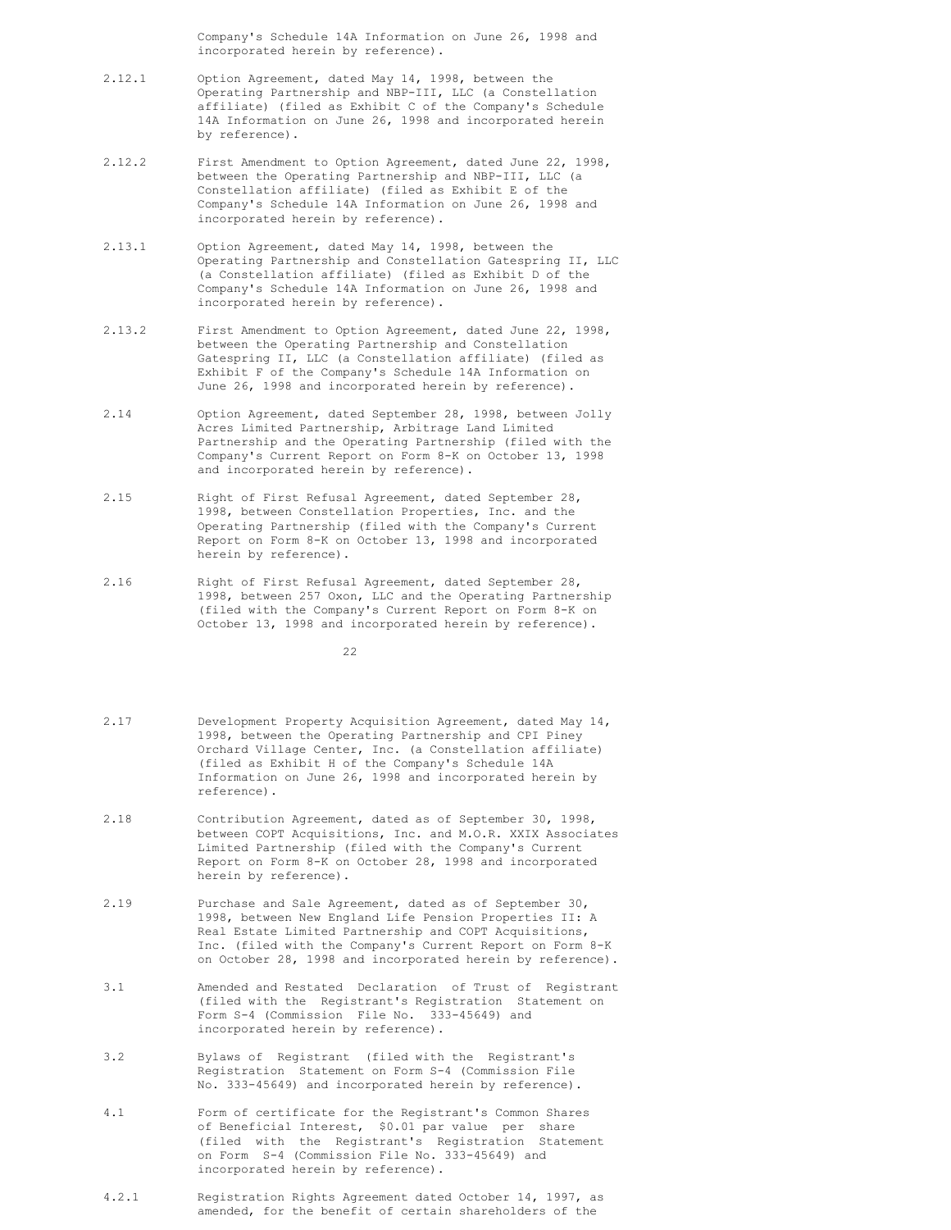Company's Schedule 14A Information on June 26, 1998 and incorporated herein by reference).

- 2.12.1 Option Agreement, dated May 14, 1998, between the Operating Partnership and NBP-III, LLC (a Constellation affiliate) (filed as Exhibit C of the Company's Schedule 14A Information on June 26, 1998 and incorporated herein by reference).
- 2.12.2 First Amendment to Option Agreement, dated June 22, 1998, between the Operating Partnership and NBP-III, LLC (a Constellation affiliate) (filed as Exhibit E of the Company's Schedule 14A Information on June 26, 1998 and incorporated herein by reference).
- 2.13.1 Option Agreement, dated May 14, 1998, between the Operating Partnership and Constellation Gatespring II, LLC (a Constellation affiliate) (filed as Exhibit D of the Company's Schedule 14A Information on June 26, 1998 and incorporated herein by reference).
- 2.13.2 First Amendment to Option Agreement, dated June 22, 1998, between the Operating Partnership and Constellation Gatespring II, LLC (a Constellation affiliate) (filed as Exhibit F of the Company's Schedule 14A Information on June 26, 1998 and incorporated herein by reference).
- 2.14 Option Agreement, dated September 28, 1998, between Jolly Acres Limited Partnership, Arbitrage Land Limited Partnership and the Operating Partnership (filed with the Company's Current Report on Form 8-K on October 13, 1998 and incorporated herein by reference).
- 2.15 Right of First Refusal Agreement, dated September 28, 1998, between Constellation Properties, Inc. and the Operating Partnership (filed with the Company's Current Report on Form 8-K on October 13, 1998 and incorporated herein by reference).
- 2.16 Right of First Refusal Agreement, dated September 28, 1998, between 257 Oxon, LLC and the Operating Partnership (filed with the Company's Current Report on Form 8-K on October 13, 1998 and incorporated herein by reference).

- 2.17 Development Property Acquisition Agreement, dated May 14, 1998, between the Operating Partnership and CPI Piney Orchard Village Center, Inc. (a Constellation affiliate) (filed as Exhibit H of the Company's Schedule 14A Information on June 26, 1998 and incorporated herein by reference).
- 2.18 Contribution Agreement, dated as of September 30, 1998, between COPT Acquisitions, Inc. and M.O.R. XXIX Associates Limited Partnership (filed with the Company's Current Report on Form 8-K on October 28, 1998 and incorporated herein by reference).
- 2.19 Purchase and Sale Agreement, dated as of September 30, 1998, between New England Life Pension Properties II: A Real Estate Limited Partnership and COPT Acquisitions, Inc. (filed with the Company's Current Report on Form 8-K on October 28, 1998 and incorporated herein by reference).
- 3.1 Amended and Restated Declaration of Trust of Registrant (filed with the Registrant's Registration Statement on Form S-4 (Commission File No. 333-45649) and incorporated herein by reference).
- 3.2 Bylaws of Registrant (filed with the Registrant's Registration Statement on Form S-4 (Commission File No. 333-45649) and incorporated herein by reference).
- 4.1 Form of certificate for the Registrant's Common Shares of Beneficial Interest, \$0.01 par value per share (filed with the Registrant's Registration Statement on Form S-4 (Commission File No. 333-45649) and incorporated herein by reference).
- 4.2.1 Registration Rights Agreement dated October 14, 1997, as amended, for the benefit of certain shareholders of the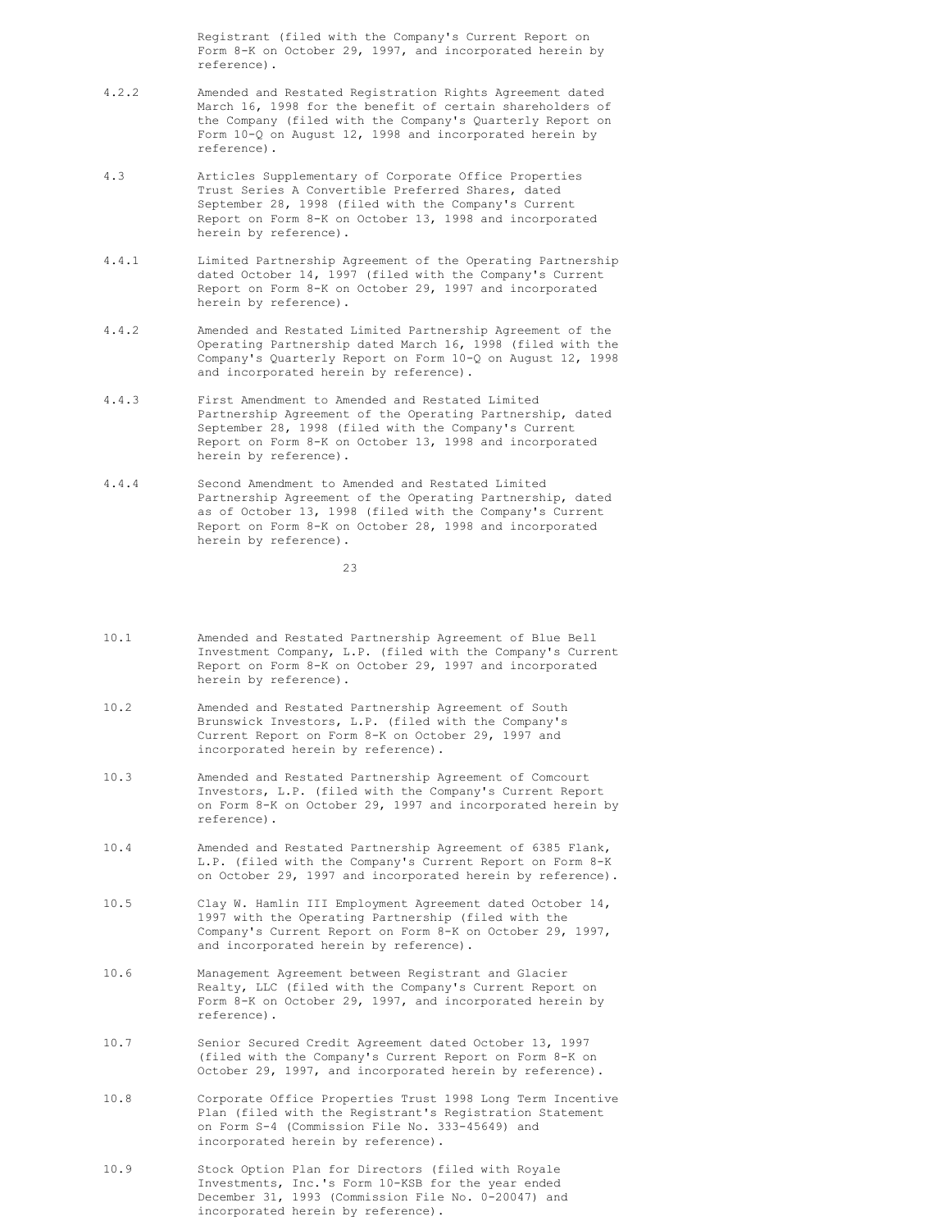Registrant (filed with the Company's Current Report on Form 8-K on October 29, 1997, and incorporated herein by reference).

- 4.2.2 Amended and Restated Registration Rights Agreement dated March 16, 1998 for the benefit of certain shareholders of the Company (filed with the Company's Quarterly Report on Form 10-Q on August 12, 1998 and incorporated herein by reference).
- 4.3 Articles Supplementary of Corporate Office Properties Trust Series A Convertible Preferred Shares, dated September 28, 1998 (filed with the Company's Current Report on Form 8-K on October 13, 1998 and incorporated herein by reference).
- 4.4.1 Limited Partnership Agreement of the Operating Partnership dated October 14, 1997 (filed with the Company's Current Report on Form 8-K on October 29, 1997 and incorporated herein by reference).
- 4.4.2 Amended and Restated Limited Partnership Agreement of the Operating Partnership dated March 16, 1998 (filed with the Company's Quarterly Report on Form 10-Q on August 12, 1998 and incorporated herein by reference).
- 4.4.3 First Amendment to Amended and Restated Limited Partnership Agreement of the Operating Partnership, dated September 28, 1998 (filed with the Company's Current Report on Form 8-K on October 13, 1998 and incorporated herein by reference).
- 4.4.4 Second Amendment to Amended and Restated Limited Partnership Agreement of the Operating Partnership, dated as of October 13, 1998 (filed with the Company's Current Report on Form 8-K on October 28, 1998 and incorporated herein by reference).

- 10.1 Amended and Restated Partnership Agreement of Blue Bell Investment Company, L.P. (filed with the Company's Current Report on Form 8-K on October 29, 1997 and incorporated herein by reference).
- 10.2 Amended and Restated Partnership Agreement of South Brunswick Investors, L.P. (filed with the Company's Current Report on Form 8-K on October 29, 1997 and incorporated herein by reference).
- 10.3 Amended and Restated Partnership Agreement of Comcourt Investors, L.P. (filed with the Company's Current Report on Form 8-K on October 29, 1997 and incorporated herein by reference).
- 10.4 Amended and Restated Partnership Agreement of 6385 Flank, L.P. (filed with the Company's Current Report on Form 8-K on October 29, 1997 and incorporated herein by reference).
- 10.5 Clay W. Hamlin III Employment Agreement dated October 14, 1997 with the Operating Partnership (filed with the Company's Current Report on Form 8-K on October 29, 1997, and incorporated herein by reference).
- 10.6 Management Agreement between Registrant and Glacier Realty, LLC (filed with the Company's Current Report on Form 8-K on October 29, 1997, and incorporated herein by reference).
- 10.7 Senior Secured Credit Agreement dated October 13, 1997 (filed with the Company's Current Report on Form 8-K on October 29, 1997, and incorporated herein by reference).
- 10.8 Corporate Office Properties Trust 1998 Long Term Incentive Plan (filed with the Registrant's Registration Statement on Form S-4 (Commission File No. 333-45649) and incorporated herein by reference).
- 10.9 Stock Option Plan for Directors (filed with Royale Investments, Inc.'s Form 10-KSB for the year ended December 31, 1993 (Commission File No. 0-20047) and incorporated herein by reference).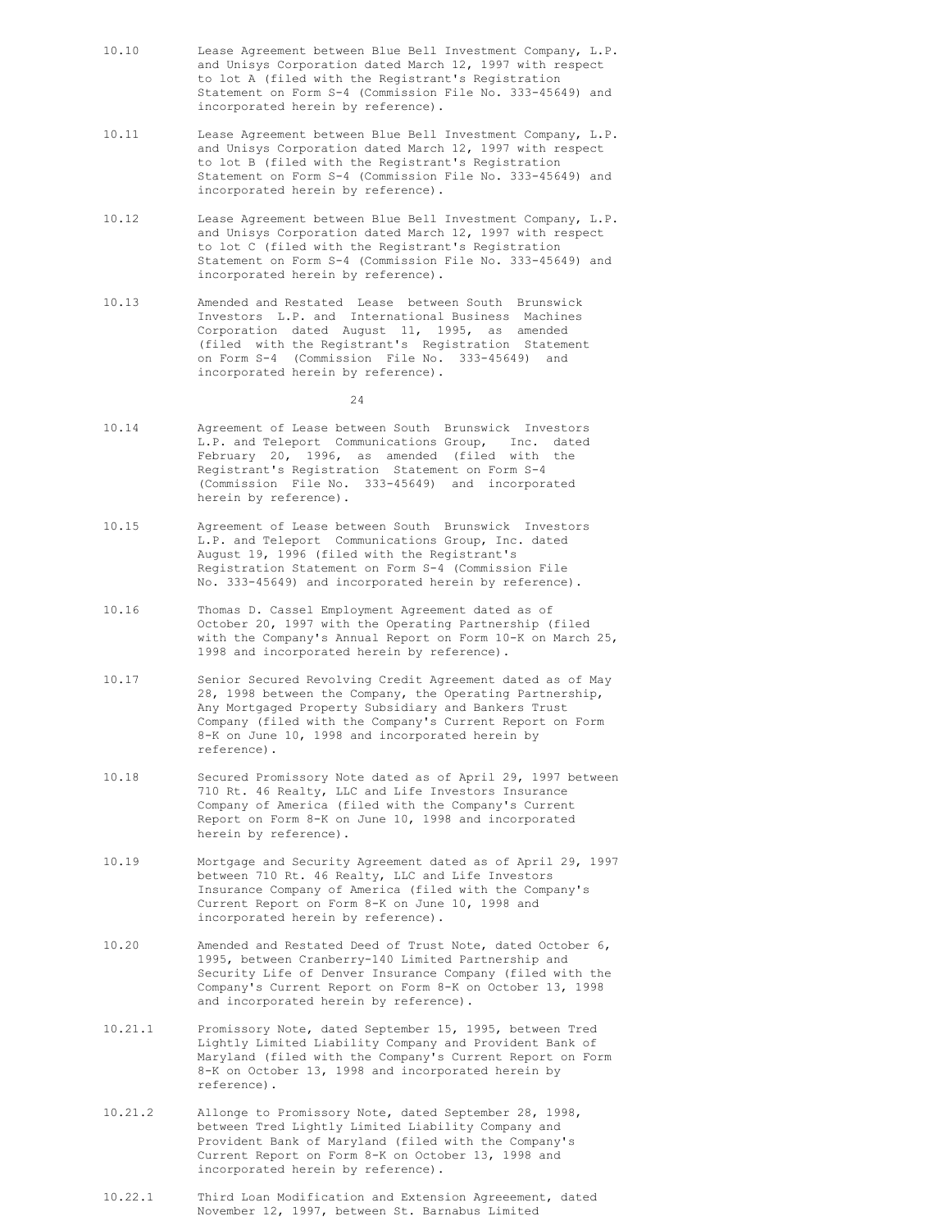- 10.10 Lease Agreement between Blue Bell Investment Company, L.P. and Unisys Corporation dated March 12, 1997 with respect to lot A (filed with the Registrant's Registration Statement on Form S-4 (Commission File No. 333-45649) and incorporated herein by reference).
- 10.11 Lease Agreement between Blue Bell Investment Company, L.P. and Unisys Corporation dated March 12, 1997 with respect to lot B (filed with the Registrant's Registration Statement on Form S-4 (Commission File No. 333-45649) and incorporated herein by reference).
- 10.12 Lease Agreement between Blue Bell Investment Company, L.P. and Unisys Corporation dated March 12, 1997 with respect to lot C (filed with the Registrant's Registration Statement on Form S-4 (Commission File No. 333-45649) and incorporated herein by reference).
- 10.13 Amended and Restated Lease between South Brunswick Investors L.P. and International Business Machines Corporation dated August 11, 1995, as amended (filed with the Registrant's Registration Statement on Form S-4 (Commission File No. 333-45649) and incorporated herein by reference).

- 10.14 Agreement of Lease between South Brunswick Investors L.P. and Teleport Communications Group, Inc. dated February 20, 1996, as amended (filed with the Registrant's Registration Statement on Form S-4 (Commission File No. 333-45649) and incorporated herein by reference).
- 10.15 Agreement of Lease between South Brunswick Investors L.P. and Teleport Communications Group, Inc. dated August 19, 1996 (filed with the Registrant's Registration Statement on Form S-4 (Commission File No. 333-45649) and incorporated herein by reference).
- 10.16 Thomas D. Cassel Employment Agreement dated as of October 20, 1997 with the Operating Partnership (filed with the Company's Annual Report on Form 10-K on March 25, 1998 and incorporated herein by reference).
- 10.17 Senior Secured Revolving Credit Agreement dated as of May 28, 1998 between the Company, the Operating Partnership, Any Mortgaged Property Subsidiary and Bankers Trust Company (filed with the Company's Current Report on Form 8-K on June 10, 1998 and incorporated herein by reference).
- 10.18 Secured Promissory Note dated as of April 29, 1997 between 710 Rt. 46 Realty, LLC and Life Investors Insurance Company of America (filed with the Company's Current Report on Form 8-K on June 10, 1998 and incorporated herein by reference).
- 10.19 Mortgage and Security Agreement dated as of April 29, 1997 between 710 Rt. 46 Realty, LLC and Life Investors Insurance Company of America (filed with the Company's Current Report on Form 8-K on June 10, 1998 and incorporated herein by reference).
- 10.20 Amended and Restated Deed of Trust Note, dated October 6, 1995, between Cranberry-140 Limited Partnership and Security Life of Denver Insurance Company (filed with the Company's Current Report on Form 8-K on October 13, 1998 and incorporated herein by reference).
- 10.21.1 Promissory Note, dated September 15, 1995, between Tred Lightly Limited Liability Company and Provident Bank of Maryland (filed with the Company's Current Report on Form 8-K on October 13, 1998 and incorporated herein by reference).
- 10.21.2 Allonge to Promissory Note, dated September 28, 1998, between Tred Lightly Limited Liability Company and Provident Bank of Maryland (filed with the Company's Current Report on Form 8-K on October 13, 1998 and incorporated herein by reference).
- 10.22.1 Third Loan Modification and Extension Agreeement, dated November 12, 1997, between St. Barnabus Limited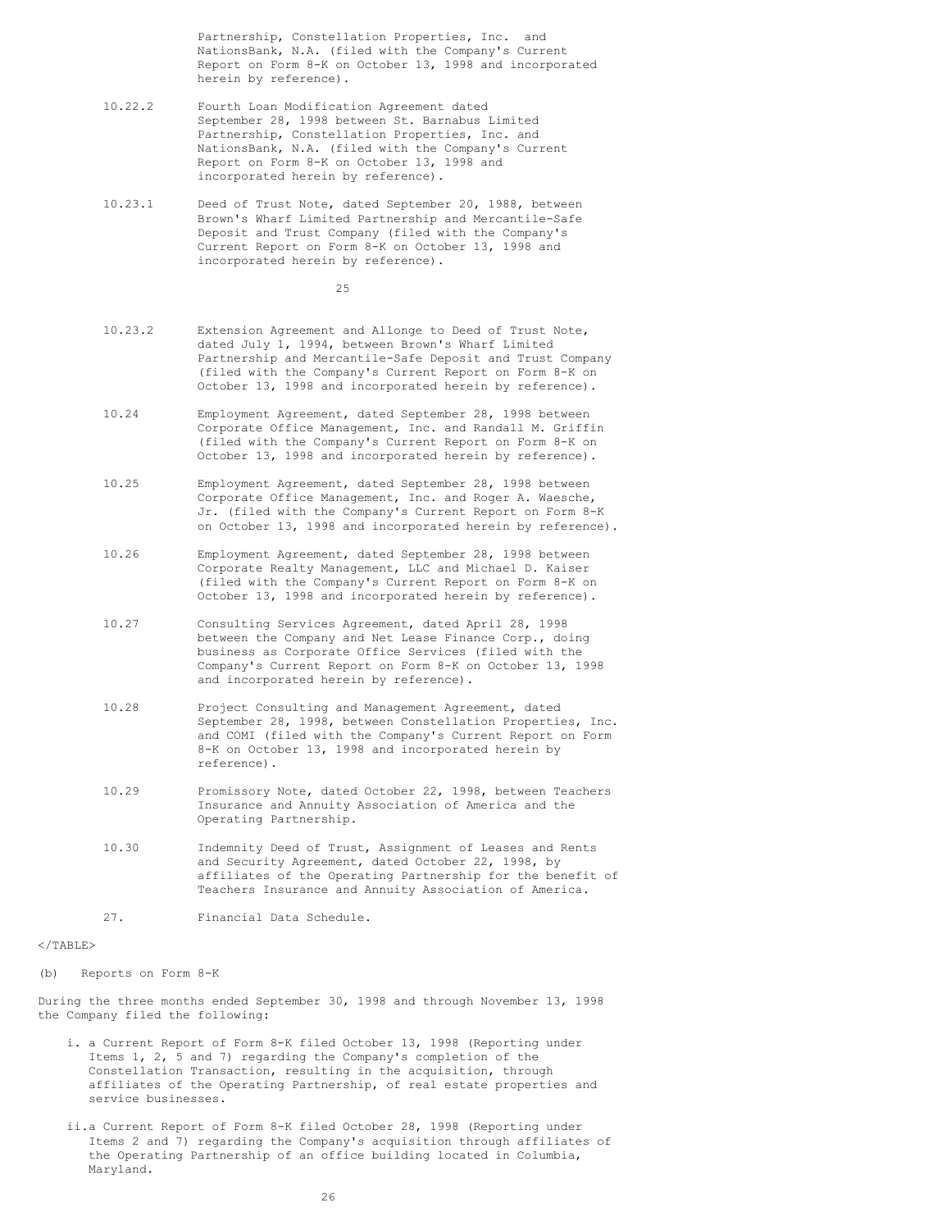Partnership, Constellation Properties, Inc. and NationsBank, N.A. (filed with the Company's Current Report on Form 8-K on October 13, 1998 and incorporated herein by reference).

- 10.22.2 Fourth Loan Modification Agreement dated September 28, 1998 between St. Barnabus Limited Partnership, Constellation Properties, Inc. and NationsBank, N.A. (filed with the Company's Current Report on Form 8-K on October 13, 1998 and incorporated herein by reference).
- 10.23.1 Deed of Trust Note, dated September 20, 1988, between Brown's Wharf Limited Partnership and Mercantile-Safe Deposit and Trust Company (filed with the Company's Current Report on Form 8-K on October 13, 1998 and incorporated herein by reference).

25

- 10.23.2 Extension Agreement and Allonge to Deed of Trust Note, dated July 1, 1994, between Brown's Wharf Limited Partnership and Mercantile-Safe Deposit and Trust Company (filed with the Company's Current Report on Form 8-K on October 13, 1998 and incorporated herein by reference).
- 10.24 Employment Agreement, dated September 28, 1998 between Corporate Office Management, Inc. and Randall M. Griffin (filed with the Company's Current Report on Form 8-K on October 13, 1998 and incorporated herein by reference).
- 10.25 Employment Agreement, dated September 28, 1998 between Corporate Office Management, Inc. and Roger A. Waesche, Jr. (filed with the Company's Current Report on Form 8-K on October 13, 1998 and incorporated herein by reference).
- 10.26 Employment Agreement, dated September 28, 1998 between Corporate Realty Management, LLC and Michael D. Kaiser (filed with the Company's Current Report on Form 8-K on October 13, 1998 and incorporated herein by reference).
- 10.27 Consulting Services Agreement, dated April 28, 1998 between the Company and Net Lease Finance Corp., doing business as Corporate Office Services (filed with the Company's Current Report on Form 8-K on October 13, 1998 and incorporated herein by reference).
- 10.28 Project Consulting and Management Agreement, dated September 28, 1998, between Constellation Properties, Inc. and COMI (filed with the Company's Current Report on Form 8-K on October 13, 1998 and incorporated herein by reference).
- 10.29 Promissory Note, dated October 22, 1998, between Teachers Insurance and Annuity Association of America and the Operating Partnership.
- 10.30 Indemnity Deed of Trust, Assignment of Leases and Rents and Security Agreement, dated October 22, 1998, by affiliates of the Operating Partnership for the benefit of Teachers Insurance and Annuity Association of America.

27. Financial Data Schedule.

#### $\langle$ /TABLE>

(b) Reports on Form 8-K

During the three months ended September 30, 1998 and through November 13, 1998 the Company filed the following:

- i. a Current Report of Form 8-K filed October 13, 1998 (Reporting under Items 1, 2, 5 and 7) regarding the Company's completion of the Constellation Transaction, resulting in the acquisition, through affiliates of the Operating Partnership, of real estate properties and service businesses.
- ii.a Current Report of Form 8-K filed October 28, 1998 (Reporting under Items 2 and 7) regarding the Company's acquisition through affiliates of the Operating Partnership of an office building located in Columbia, Maryland.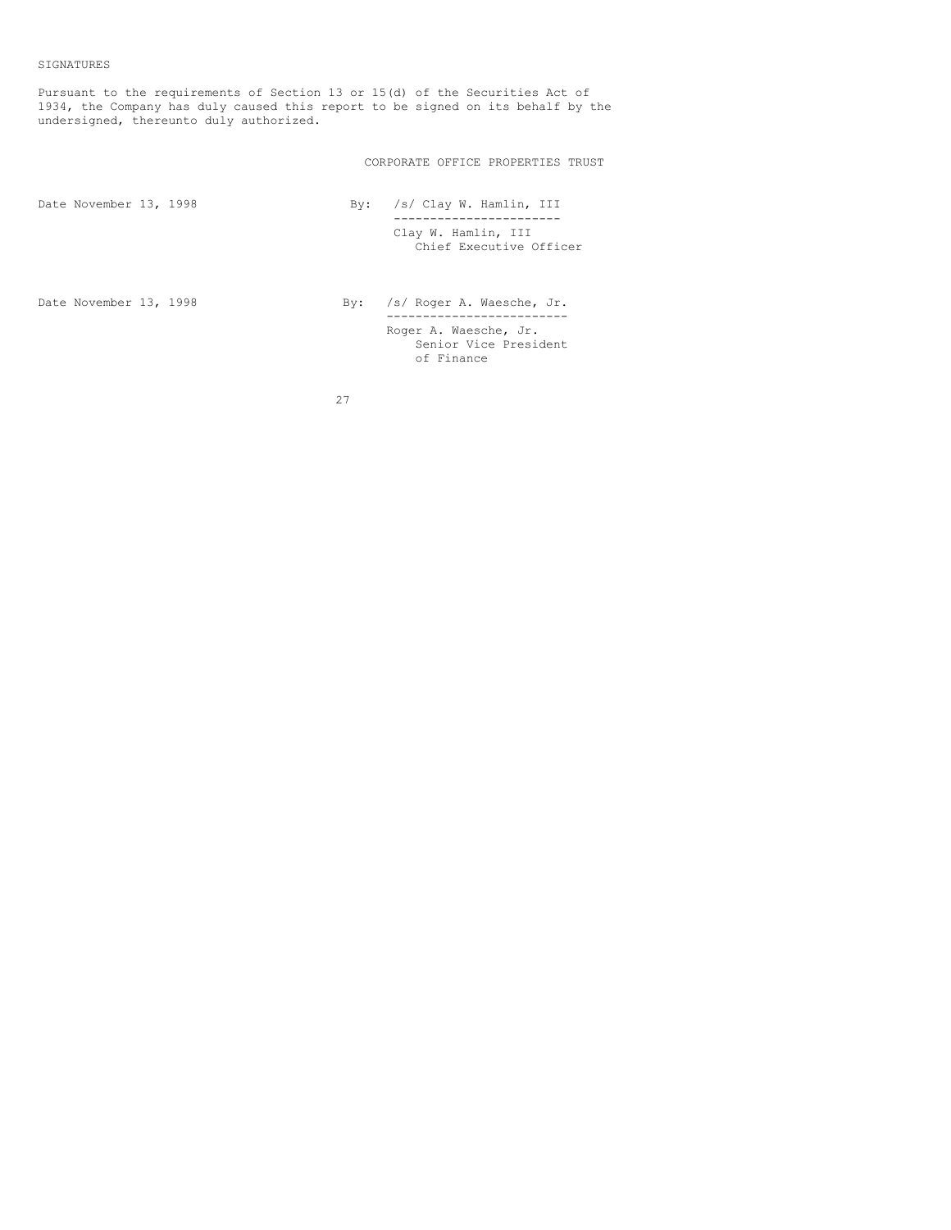SIGNATURES

Pursuant to the requirements of Section 13 or 15(d) of the Securities Act of 1934, the Company has duly caused this report to be signed on its behalf by the undersigned, thereunto duly authorized.

CORPORATE OFFICE PROPERTIES TRUST

| Date November 13, 1998 |  | Bv: | /s/ Clay W. Hamlin, III                                      |
|------------------------|--|-----|--------------------------------------------------------------|
|                        |  |     | Clay W. Hamlin, III<br>Chief Executive Officer               |
| Date November 13, 1998 |  | By: | /s/ Roger A. Waesche, Jr.                                    |
|                        |  |     | Roger A. Waesche, Jr.<br>Senior Vice President<br>of Finance |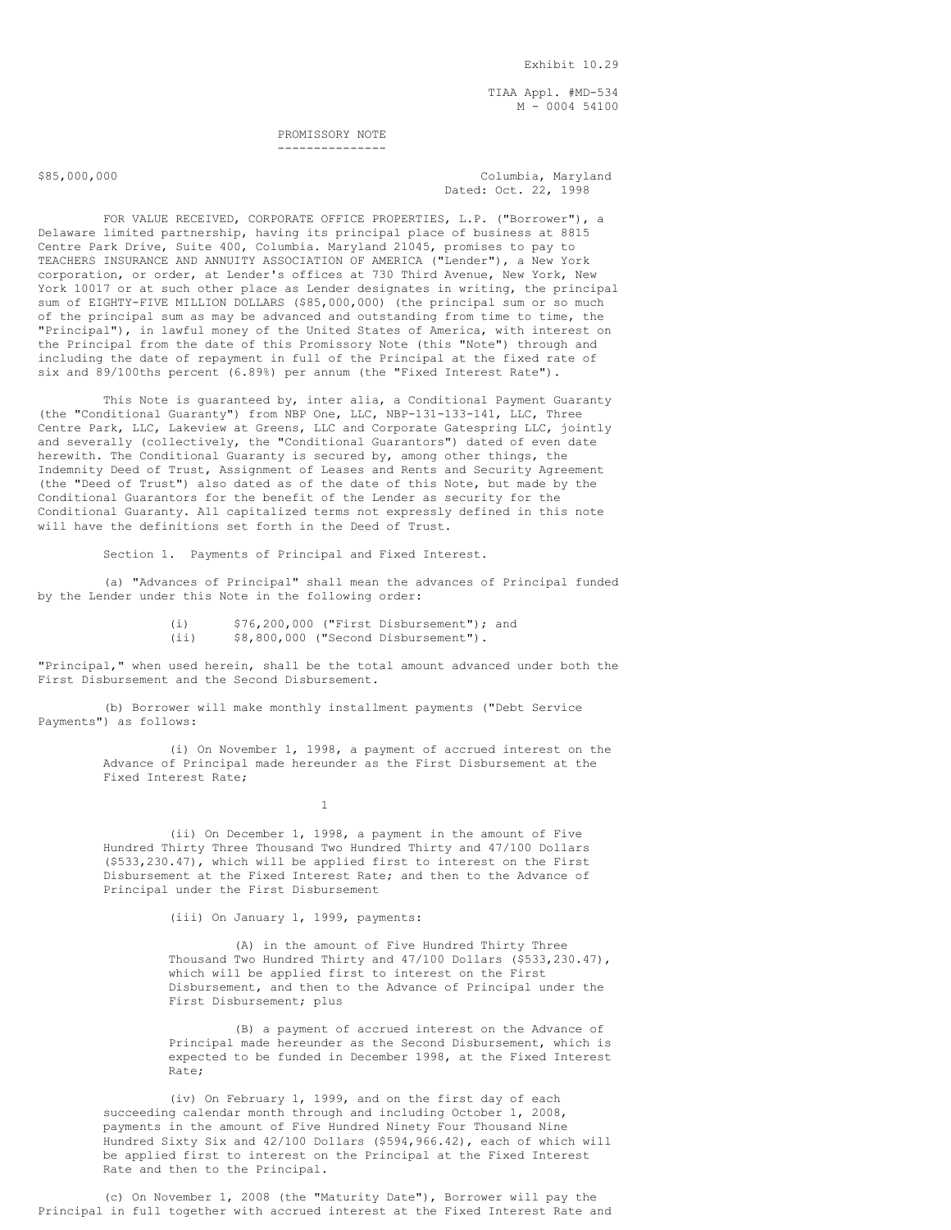Exhibit 10.29

TIAA Appl. #MD-534 M - 0004 54100

PROMISSORY NOTE ---------------

\$85,000,000 Columbia, Maryland Dated: Oct. 22, 1998

FOR VALUE RECEIVED, CORPORATE OFFICE PROPERTIES, L.P. ("Borrower"), a Delaware limited partnership, having its principal place of business at 8815 Centre Park Drive, Suite 400, Columbia. Maryland 21045, promises to pay to TEACHERS INSURANCE AND ANNUITY ASSOCIATION OF AMERICA ("Lender"), a New York corporation, or order, at Lender's offices at 730 Third Avenue, New York, New York 10017 or at such other place as Lender designates in writing, the principal sum of EIGHTY-FIVE MILLION DOLLARS (\$85,000,000) (the principal sum or so much of the principal sum as may be advanced and outstanding from time to time, the "Principal"), in lawful money of the United States of America, with interest on the Principal from the date of this Promissory Note (this "Note") through and including the date of repayment in full of the Principal at the fixed rate of six and 89/100ths percent (6.89%) per annum (the "Fixed Interest Rate").

This Note is guaranteed by, inter alia, a Conditional Payment Guaranty (the "Conditional Guaranty") from NBP One, LLC, NBP-131-133-141, LLC, Three Centre Park, LLC, Lakeview at Greens, LLC and Corporate Gatespring LLC, jointly and severally (collectively, the "Conditional Guarantors") dated of even date herewith. The Conditional Guaranty is secured by, among other things, the Indemnity Deed of Trust, Assignment of Leases and Rents and Security Agreement (the "Deed of Trust") also dated as of the date of this Note, but made by the Conditional Guarantors for the benefit of the Lender as security for the Conditional Guaranty. All capitalized terms not expressly defined in this note will have the definitions set forth in the Deed of Trust.

Section 1. Payments of Principal and Fixed Interest.

(a) "Advances of Principal" shall mean the advances of Principal funded by the Lender under this Note in the following order:

> (i) \$76,200,000 ("First Disbursement"); and (ii) \$8,800,000 ("Second Disbursement").

"Principal," when used herein, shall be the total amount advanced under both the First Disbursement and the Second Disbursement.

(b) Borrower will make monthly installment payments ("Debt Service Payments") as follows:

> (i) On November 1, 1998, a payment of accrued interest on the Advance of Principal made hereunder as the First Disbursement at the Fixed Interest Rate;

> > 1

(ii) On December 1, 1998, a payment in the amount of Five Hundred Thirty Three Thousand Two Hundred Thirty and 47/100 Dollars (\$533,230.47), which will be applied first to interest on the First Disbursement at the Fixed Interest Rate; and then to the Advance of Principal under the First Disbursement

(iii) On January 1, 1999, payments:

(A) in the amount of Five Hundred Thirty Three Thousand Two Hundred Thirty and 47/100 Dollars (\$533,230.47), which will be applied first to interest on the First Disbursement, and then to the Advance of Principal under the First Disbursement; plus

(B) a payment of accrued interest on the Advance of Principal made hereunder as the Second Disbursement, which is expected to be funded in December 1998, at the Fixed Interest Rate;

(iv) On February 1, 1999, and on the first day of each succeeding calendar month through and including October 1, 2008, payments in the amount of Five Hundred Ninety Four Thousand Nine Hundred Sixty Six and 42/100 Dollars (\$594,966.42), each of which will be applied first to interest on the Principal at the Fixed Interest Rate and then to the Principal.

(c) On November 1, 2008 (the "Maturity Date"), Borrower will pay the Principal in full together with accrued interest at the Fixed Interest Rate and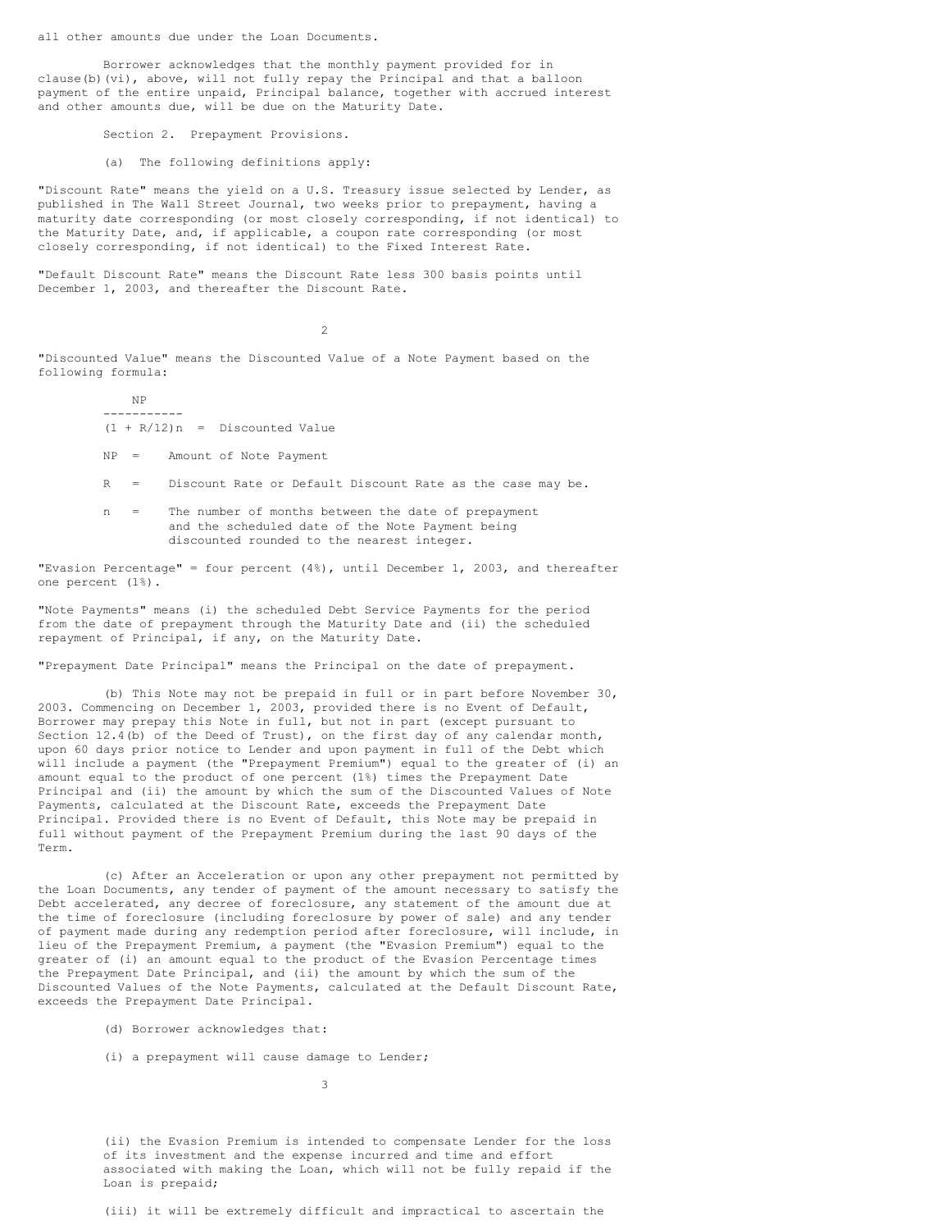all other amounts due under the Loan Documents.

Borrower acknowledges that the monthly payment provided for in clause(b)(vi), above, will not fully repay the Principal and that a balloon payment of the entire unpaid, Principal balance, together with accrued interest and other amounts due, will be due on the Maturity Date.

Section 2. Prepayment Provisions.

(a) The following definitions apply:

"Discount Rate" means the yield on a U.S. Treasury issue selected by Lender, as published in The Wall Street Journal, two weeks prior to prepayment, having a maturity date corresponding (or most closely corresponding, if not identical) to the Maturity Date, and, if applicable, a coupon rate corresponding (or most closely corresponding, if not identical) to the Fixed Interest Rate.

"Default Discount Rate" means the Discount Rate less 300 basis points until December 1, 2003, and thereafter the Discount Rate.

 $\overline{2}$ 

"Discounted Value" means the Discounted Value of a Note Payment based on the following formula:

> NP -----------  $(1 + R/12)n$  = Discounted Value

NP = Amount of Note Payment

R = Discount Rate or Default Discount Rate as the case may be.

n = The number of months between the date of prepayment and the scheduled date of the Note Payment being discounted rounded to the nearest integer.

"Evasion Percentage" = four percent (4%), until December 1, 2003, and thereafter one percent (1%).

"Note Payments" means (i) the scheduled Debt Service Payments for the period from the date of prepayment through the Maturity Date and (ii) the scheduled repayment of Principal, if any, on the Maturity Date.

"Prepayment Date Principal" means the Principal on the date of prepayment.

(b) This Note may not be prepaid in full or in part before November 30, 2003. Commencing on December 1, 2003, provided there is no Event of Default, Borrower may prepay this Note in full, but not in part (except pursuant to Section 12.4(b) of the Deed of Trust), on the first day of any calendar month, upon 60 days prior notice to Lender and upon payment in full of the Debt which will include a payment (the "Prepayment Premium") equal to the greater of (i) an amount equal to the product of one percent (1%) times the Prepayment Date Principal and (ii) the amount by which the sum of the Discounted Values of Note Payments, calculated at the Discount Rate, exceeds the Prepayment Date Principal. Provided there is no Event of Default, this Note may be prepaid in full without payment of the Prepayment Premium during the last 90 days of the Term.

(c) After an Acceleration or upon any other prepayment not permitted by the Loan Documents, any tender of payment of the amount necessary to satisfy the Debt accelerated, any decree of foreclosure, any statement of the amount due at the time of foreclosure (including foreclosure by power of sale) and any tender of payment made during any redemption period after foreclosure, will include, in lieu of the Prepayment Premium, a payment (the "Evasion Premium") equal to the greater of (i) an amount equal to the product of the Evasion Percentage times the Prepayment Date Principal, and (ii) the amount by which the sum of the Discounted Values of the Note Payments, calculated at the Default Discount Rate, exceeds the Prepayment Date Principal.

- (d) Borrower acknowledges that:
- (i) a prepayment will cause damage to Lender;

3

(ii) the Evasion Premium is intended to compensate Lender for the loss of its investment and the expense incurred and time and effort associated with making the Loan, which will not be fully repaid if the Loan is prepaid;

(iii) it will be extremely difficult and impractical to ascertain the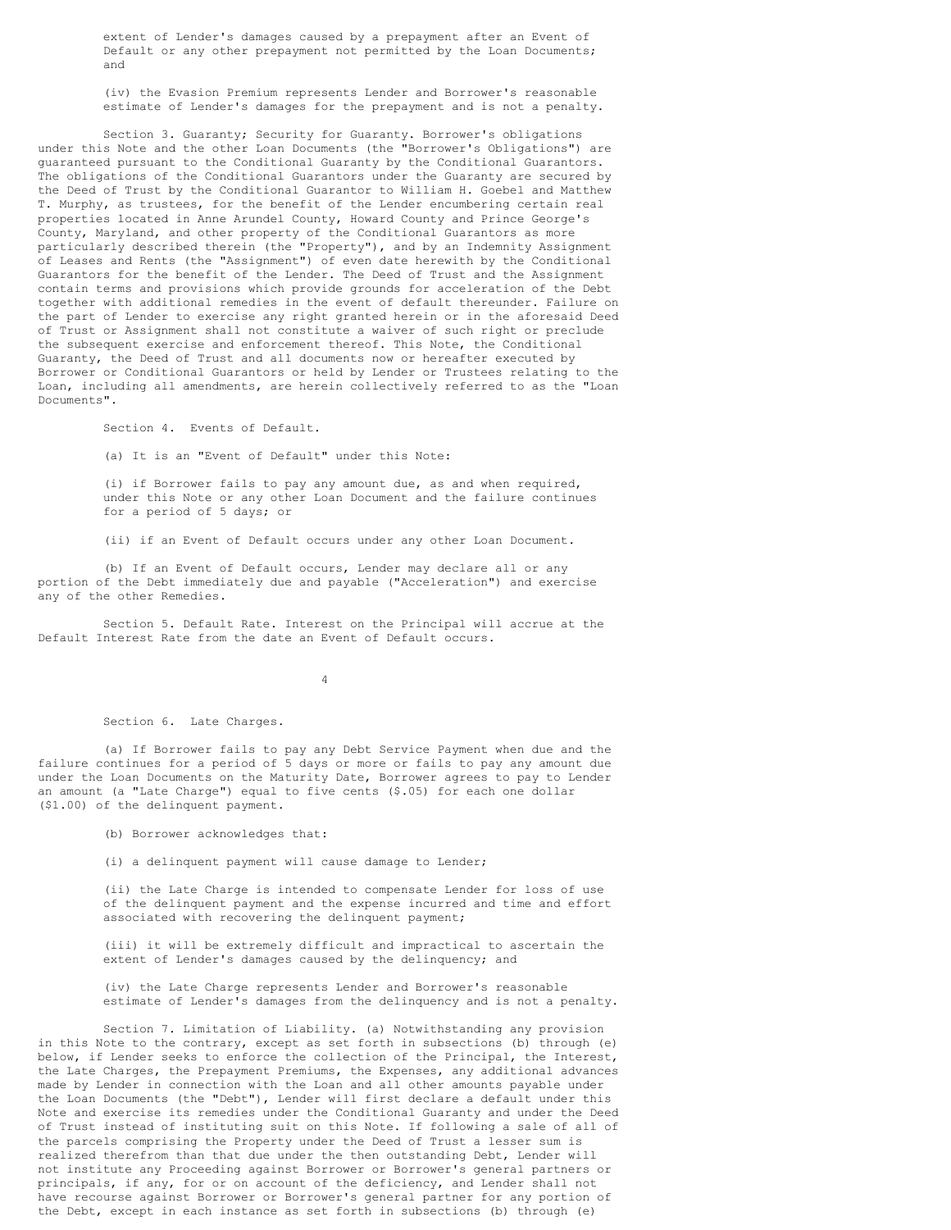extent of Lender's damages caused by a prepayment after an Event of Default or any other prepayment not permitted by the Loan Documents; and

(iv) the Evasion Premium represents Lender and Borrower's reasonable estimate of Lender's damages for the prepayment and is not a penalty.

Section 3. Guaranty; Security for Guaranty. Borrower's obligations under this Note and the other Loan Documents (the "Borrower's Obligations") are guaranteed pursuant to the Conditional Guaranty by the Conditional Guarantors. The obligations of the Conditional Guarantors under the Guaranty are secured by the Deed of Trust by the Conditional Guarantor to William H. Goebel and Matthew T. Murphy, as trustees, for the benefit of the Lender encumbering certain real properties located in Anne Arundel County, Howard County and Prince George's County, Maryland, and other property of the Conditional Guarantors as more particularly described therein (the "Property"), and by an Indemnity Assignment of Leases and Rents (the "Assignment") of even date herewith by the Conditional Guarantors for the benefit of the Lender. The Deed of Trust and the Assignment contain terms and provisions which provide grounds for acceleration of the Debt together with additional remedies in the event of default thereunder. Failure on the part of Lender to exercise any right granted herein or in the aforesaid Deed of Trust or Assignment shall not constitute a waiver of such right or preclude the subsequent exercise and enforcement thereof. This Note, the Conditional Guaranty, the Deed of Trust and all documents now or hereafter executed by Borrower or Conditional Guarantors or held by Lender or Trustees relating to the Loan, including all amendments, are herein collectively referred to as the "Loan Documents".

Section 4. Events of Default.

(a) It is an "Event of Default" under this Note:

(i) if Borrower fails to pay any amount due, as and when required, under this Note or any other Loan Document and the failure continues for a period of 5 days; or

(ii) if an Event of Default occurs under any other Loan Document.

(b) If an Event of Default occurs, Lender may declare all or any portion of the Debt immediately due and payable ("Acceleration") and exercise any of the other Remedies.

Section 5. Default Rate. Interest on the Principal will accrue at the Default Interest Rate from the date an Event of Default occurs.

4

Section 6. Late Charges.

(a) If Borrower fails to pay any Debt Service Payment when due and the failure continues for a period of 5 days or more or fails to pay any amount due under the Loan Documents on the Maturity Date, Borrower agrees to pay to Lender an amount (a "Late Charge") equal to five cents (\$.05) for each one dollar (\$1.00) of the delinquent payment.

(b) Borrower acknowledges that:

(i) a delinquent payment will cause damage to Lender;

(ii) the Late Charge is intended to compensate Lender for loss of use of the delinquent payment and the expense incurred and time and effort associated with recovering the delinquent payment;

(iii) it will be extremely difficult and impractical to ascertain the extent of Lender's damages caused by the delinquency; and

(iv) the Late Charge represents Lender and Borrower's reasonable estimate of Lender's damages from the delinquency and is not a penalty.

Section 7. Limitation of Liability. (a) Notwithstanding any provision in this Note to the contrary, except as set forth in subsections (b) through (e) below, if Lender seeks to enforce the collection of the Principal, the Interest, the Late Charges, the Prepayment Premiums, the Expenses, any additional advances made by Lender in connection with the Loan and all other amounts payable under the Loan Documents (the "Debt"), Lender will first declare a default under this Note and exercise its remedies under the Conditional Guaranty and under the Deed of Trust instead of instituting suit on this Note. If following a sale of all of the parcels comprising the Property under the Deed of Trust a lesser sum is realized therefrom than that due under the then outstanding Debt, Lender will not institute any Proceeding against Borrower or Borrower's general partners or principals, if any, for or on account of the deficiency, and Lender shall not have recourse against Borrower or Borrower's general partner for any portion of the Debt, except in each instance as set forth in subsections (b) through (e)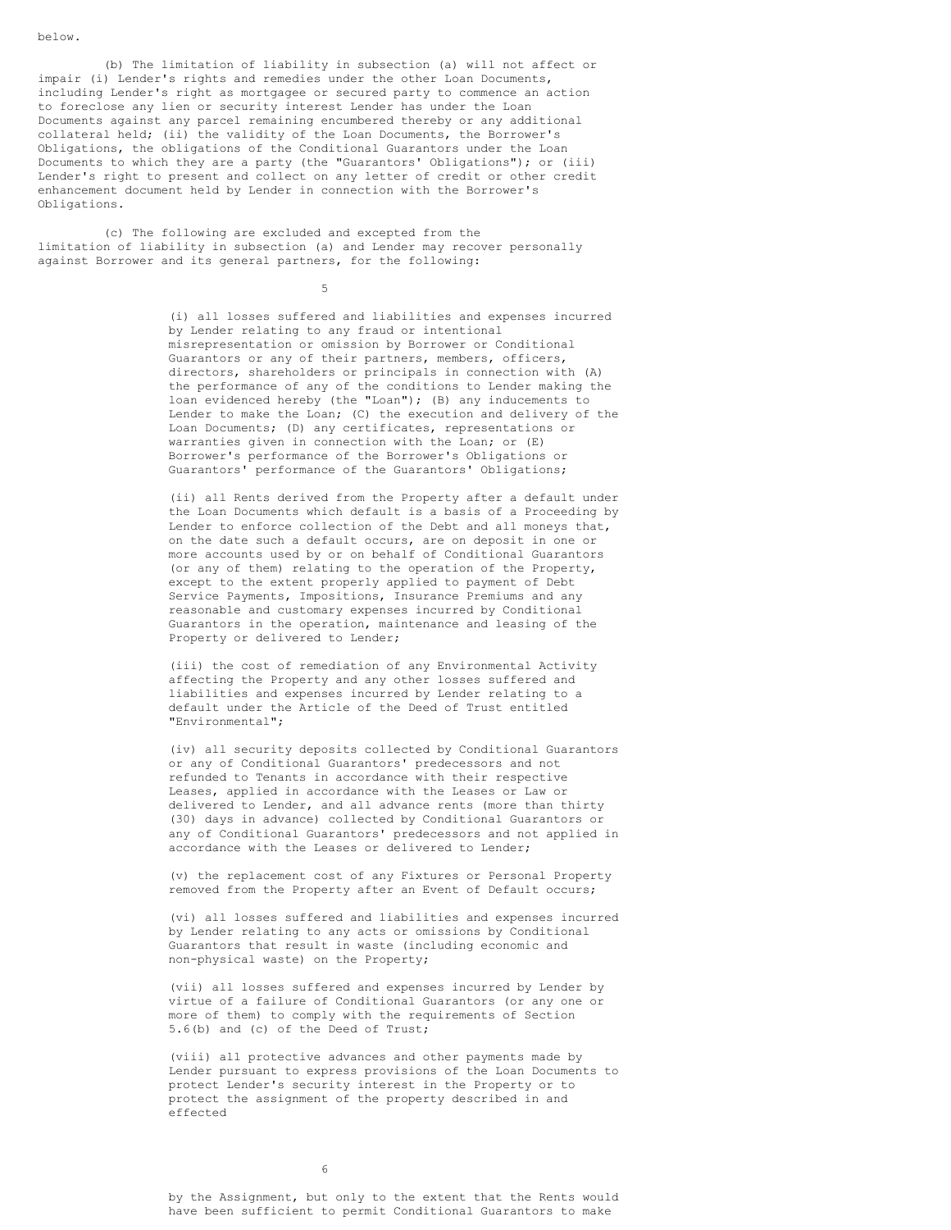(b) The limitation of liability in subsection (a) will not affect or impair (i) Lender's rights and remedies under the other Loan Documents, including Lender's right as mortgagee or secured party to commence an action to foreclose any lien or security interest Lender has under the Loan Documents against any parcel remaining encumbered thereby or any additional collateral held; (ii) the validity of the Loan Documents, the Borrower's Obligations, the obligations of the Conditional Guarantors under the Loan Documents to which they are a party (the "Guarantors' Obligations"); or (iii) Lender's right to present and collect on any letter of credit or other credit enhancement document held by Lender in connection with the Borrower's Obligations.

(c) The following are excluded and excepted from the limitation of liability in subsection (a) and Lender may recover personally against Borrower and its general partners, for the following:

5

(i) all losses suffered and liabilities and expenses incurred by Lender relating to any fraud or intentional misrepresentation or omission by Borrower or Conditional Guarantors or any of their partners, members, officers, directors, shareholders or principals in connection with (A) the performance of any of the conditions to Lender making the loan evidenced hereby (the "Loan"); (B) any inducements to Lender to make the Loan; (C) the execution and delivery of the Loan Documents; (D) any certificates, representations or warranties given in connection with the Loan; or (E) Borrower's performance of the Borrower's Obligations or Guarantors' performance of the Guarantors' Obligations;

(ii) all Rents derived from the Property after a default under the Loan Documents which default is a basis of a Proceeding by Lender to enforce collection of the Debt and all moneys that, on the date such a default occurs, are on deposit in one or more accounts used by or on behalf of Conditional Guarantors (or any of them) relating to the operation of the Property, except to the extent properly applied to payment of Debt Service Payments, Impositions, Insurance Premiums and any reasonable and customary expenses incurred by Conditional Guarantors in the operation, maintenance and leasing of the Property or delivered to Lender;

(iii) the cost of remediation of any Environmental Activity affecting the Property and any other losses suffered and liabilities and expenses incurred by Lender relating to a default under the Article of the Deed of Trust entitled "Environmental";

(iv) all security deposits collected by Conditional Guarantors or any of Conditional Guarantors' predecessors and not refunded to Tenants in accordance with their respective Leases, applied in accordance with the Leases or Law or delivered to Lender, and all advance rents (more than thirty (30) days in advance) collected by Conditional Guarantors or any of Conditional Guarantors' predecessors and not applied in accordance with the Leases or delivered to Lender;

(v) the replacement cost of any Fixtures or Personal Property removed from the Property after an Event of Default occurs;

(vi) all losses suffered and liabilities and expenses incurred by Lender relating to any acts or omissions by Conditional Guarantors that result in waste (including economic and non-physical waste) on the Property;

(vii) all losses suffered and expenses incurred by Lender by virtue of a failure of Conditional Guarantors (or any one or more of them) to comply with the requirements of Section 5.6(b) and (c) of the Deed of Trust;

(viii) all protective advances and other payments made by Lender pursuant to express provisions of the Loan Documents to protect Lender's security interest in the Property or to protect the assignment of the property described in and effected

6

by the Assignment, but only to the extent that the Rents would have been sufficient to permit Conditional Guarantors to make

below.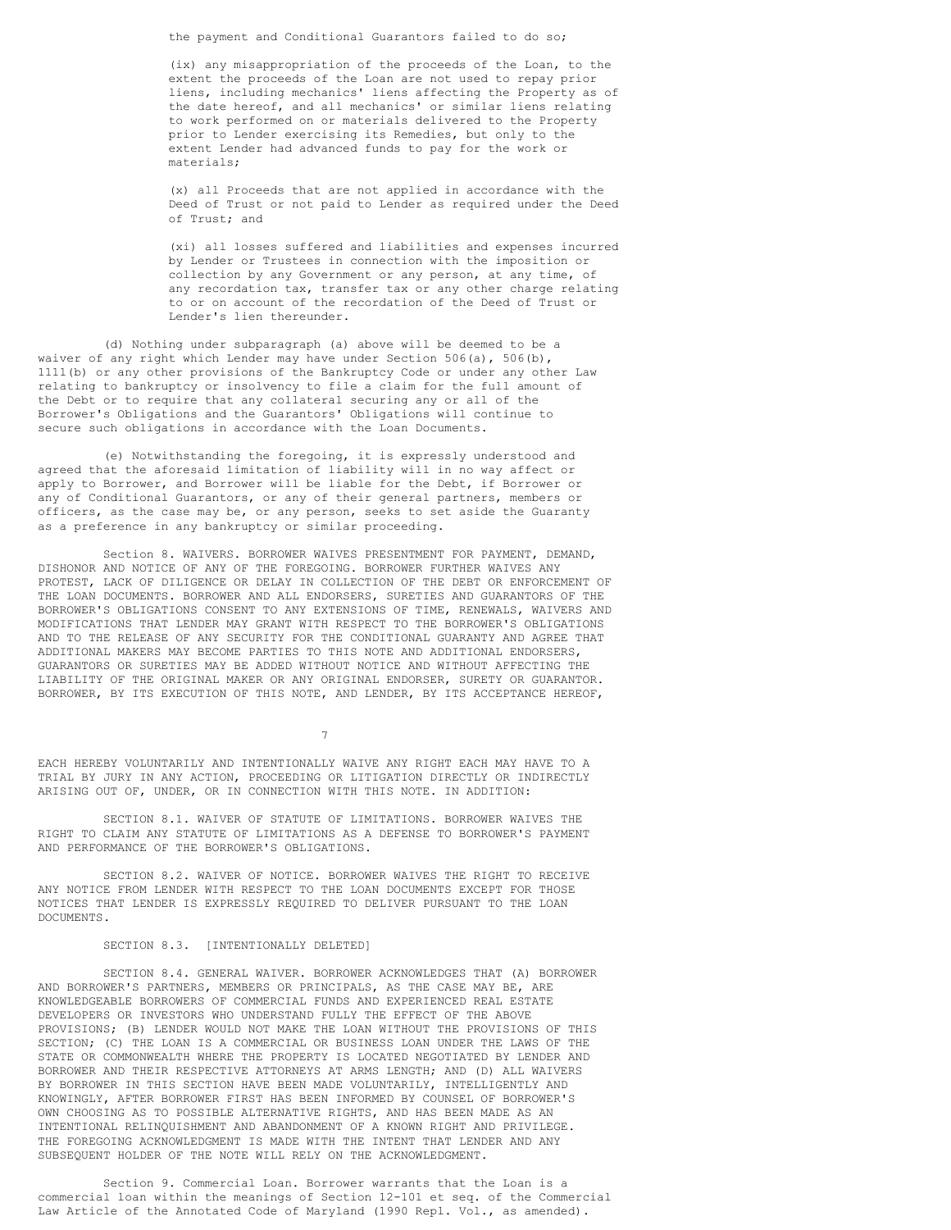the payment and Conditional Guarantors failed to do so;

(ix) any misappropriation of the proceeds of the Loan, to the extent the proceeds of the Loan are not used to repay prior liens, including mechanics' liens affecting the Property as of the date hereof, and all mechanics' or similar liens relating to work performed on or materials delivered to the Property prior to Lender exercising its Remedies, but only to the extent Lender had advanced funds to pay for the work or materials;

(x) all Proceeds that are not applied in accordance with the Deed of Trust or not paid to Lender as required under the Deed of Trust; and

(xi) all losses suffered and liabilities and expenses incurred by Lender or Trustees in connection with the imposition or collection by any Government or any person, at any time, of any recordation tax, transfer tax or any other charge relating to or on account of the recordation of the Deed of Trust or Lender's lien thereunder.

(d) Nothing under subparagraph (a) above will be deemed to be a waiver of any right which Lender may have under Section 506(a), 506(b), 1111(b) or any other provisions of the Bankruptcy Code or under any other Law relating to bankruptcy or insolvency to file a claim for the full amount of the Debt or to require that any collateral securing any or all of the Borrower's Obligations and the Guarantors' Obligations will continue to secure such obligations in accordance with the Loan Documents.

(e) Notwithstanding the foregoing, it is expressly understood and agreed that the aforesaid limitation of liability will in no way affect or apply to Borrower, and Borrower will be liable for the Debt, if Borrower or any of Conditional Guarantors, or any of their general partners, members or officers, as the case may be, or any person, seeks to set aside the Guaranty as a preference in any bankruptcy or similar proceeding.

Section 8. WAIVERS. BORROWER WAIVES PRESENTMENT FOR PAYMENT, DEMAND, DISHONOR AND NOTICE OF ANY OF THE FOREGOING. BORROWER FURTHER WAIVES ANY PROTEST, LACK OF DILIGENCE OR DELAY IN COLLECTION OF THE DEBT OR ENFORCEMENT OF THE LOAN DOCUMENTS. BORROWER AND ALL ENDORSERS, SURETIES AND GUARANTORS OF THE BORROWER'S OBLIGATIONS CONSENT TO ANY EXTENSIONS OF TIME, RENEWALS, WAIVERS AND MODIFICATIONS THAT LENDER MAY GRANT WITH RESPECT TO THE BORROWER'S OBLIGATIONS AND TO THE RELEASE OF ANY SECURITY FOR THE CONDITIONAL GUARANTY AND AGREE THAT ADDITIONAL MAKERS MAY BECOME PARTIES TO THIS NOTE AND ADDITIONAL ENDORSERS, GUARANTORS OR SURETIES MAY BE ADDED WITHOUT NOTICE AND WITHOUT AFFECTING THE LIABILITY OF THE ORIGINAL MAKER OR ANY ORIGINAL ENDORSER, SURETY OR GUARANTOR. BORROWER, BY ITS EXECUTION OF THIS NOTE, AND LENDER, BY ITS ACCEPTANCE HEREOF,

EACH HEREBY VOLUNTARILY AND INTENTIONALLY WAIVE ANY RIGHT EACH MAY HAVE TO A TRIAL BY JURY IN ANY ACTION, PROCEEDING OR LITIGATION DIRECTLY OR INDIRECTLY ARISING OUT OF, UNDER, OR IN CONNECTION WITH THIS NOTE. IN ADDITION:

7

SECTION 8.1. WAIVER OF STATUTE OF LIMITATIONS. BORROWER WAIVES THE RIGHT TO CLAIM ANY STATUTE OF LIMITATIONS AS A DEFENSE TO BORROWER'S PAYMENT AND PERFORMANCE OF THE BORROWER'S OBLIGATIONS.

SECTION 8.2. WAIVER OF NOTICE. BORROWER WAIVES THE RIGHT TO RECEIVE ANY NOTICE FROM LENDER WITH RESPECT TO THE LOAN DOCUMENTS EXCEPT FOR THOSE NOTICES THAT LENDER IS EXPRESSLY REQUIRED TO DELIVER PURSUANT TO THE LOAN DOCUMENTS.

#### SECTION 8.3. [INTENTIONALLY DELETED]

SECTION 8.4. GENERAL WAIVER. BORROWER ACKNOWLEDGES THAT (A) BORROWER AND BORROWER'S PARTNERS, MEMBERS OR PRINCIPALS, AS THE CASE MAY BE, ARE KNOWLEDGEABLE BORROWERS OF COMMERCIAL FUNDS AND EXPERIENCED REAL ESTATE DEVELOPERS OR INVESTORS WHO UNDERSTAND FULLY THE EFFECT OF THE ABOVE PROVISIONS; (B) LENDER WOULD NOT MAKE THE LOAN WITHOUT THE PROVISIONS OF THIS SECTION; (C) THE LOAN IS A COMMERCIAL OR BUSINESS LOAN UNDER THE LAWS OF THE STATE OR COMMONWEALTH WHERE THE PROPERTY IS LOCATED NEGOTIATED BY LENDER AND BORROWER AND THEIR RESPECTIVE ATTORNEYS AT ARMS LENGTH; AND (D) ALL WAIVERS BY BORROWER IN THIS SECTION HAVE BEEN MADE VOLUNTARILY, INTELLIGENTLY AND KNOWINGLY, AFTER BORROWER FIRST HAS BEEN INFORMED BY COUNSEL OF BORROWER'S OWN CHOOSING AS TO POSSIBLE ALTERNATIVE RIGHTS, AND HAS BEEN MADE AS AN INTENTIONAL RELINQUISHMENT AND ABANDONMENT OF A KNOWN RIGHT AND PRIVILEGE. THE FOREGOING ACKNOWLEDGMENT IS MADE WITH THE INTENT THAT LENDER AND ANY SUBSEQUENT HOLDER OF THE NOTE WILL RELY ON THE ACKNOWLEDGMENT.

Section 9. Commercial Loan. Borrower warrants that the Loan is a commercial loan within the meanings of Section 12-101 et seq. of the Commercial Law Article of the Annotated Code of Maryland (1990 Repl. Vol., as amended).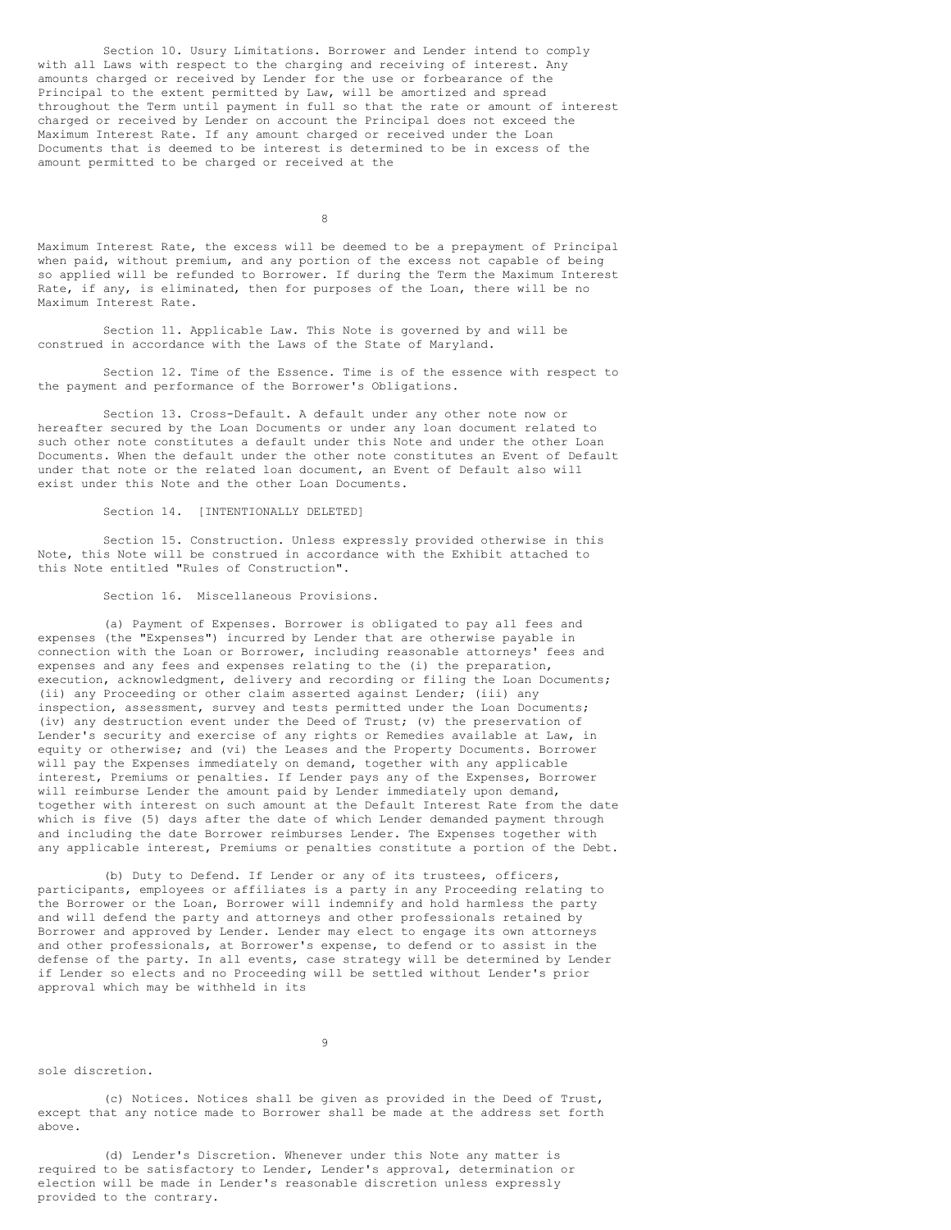Section 10. Usury Limitations. Borrower and Lender intend to comply with all Laws with respect to the charging and receiving of interest. Any amounts charged or received by Lender for the use or forbearance of the Principal to the extent permitted by Law, will be amortized and spread throughout the Term until payment in full so that the rate or amount of interest charged or received by Lender on account the Principal does not exceed the Maximum Interest Rate. If any amount charged or received under the Loan Documents that is deemed to be interest is determined to be in excess of the amount permitted to be charged or received at the

8

Maximum Interest Rate, the excess will be deemed to be a prepayment of Principal when paid, without premium, and any portion of the excess not capable of being so applied will be refunded to Borrower. If during the Term the Maximum Interest Rate, if any, is eliminated, then for purposes of the Loan, there will be no Maximum Interest Rate.

Section 11. Applicable Law. This Note is governed by and will be construed in accordance with the Laws of the State of Maryland.

Section 12. Time of the Essence. Time is of the essence with respect to the payment and performance of the Borrower's Obligations.

Section 13. Cross-Default. A default under any other note now or hereafter secured by the Loan Documents or under any loan document related to such other note constitutes a default under this Note and under the other Loan Documents. When the default under the other note constitutes an Event of Default under that note or the related loan document, an Event of Default also will exist under this Note and the other Loan Documents.

Section 14. [INTENTIONALLY DELETED]

Section 15. Construction. Unless expressly provided otherwise in this Note, this Note will be construed in accordance with the Exhibit attached to this Note entitled "Rules of Construction".

Section 16. Miscellaneous Provisions.

(a) Payment of Expenses. Borrower is obligated to pay all fees and expenses (the "Expenses") incurred by Lender that are otherwise payable in connection with the Loan or Borrower, including reasonable attorneys' fees and expenses and any fees and expenses relating to the (i) the preparation, execution, acknowledgment, delivery and recording or filing the Loan Documents; (ii) any Proceeding or other claim asserted against Lender; (iii) any inspection, assessment, survey and tests permitted under the Loan Documents; (iv) any destruction event under the Deed of Trust; (v) the preservation of Lender's security and exercise of any rights or Remedies available at Law, in equity or otherwise; and (vi) the Leases and the Property Documents. Borrower will pay the Expenses immediately on demand, together with any applicable interest, Premiums or penalties. If Lender pays any of the Expenses, Borrower will reimburse Lender the amount paid by Lender immediately upon demand, together with interest on such amount at the Default Interest Rate from the date which is five (5) days after the date of which Lender demanded payment through and including the date Borrower reimburses Lender. The Expenses together with any applicable interest, Premiums or penalties constitute a portion of the Debt.

(b) Duty to Defend. If Lender or any of its trustees, officers, participants, employees or affiliates is a party in any Proceeding relating to the Borrower or the Loan, Borrower will indemnify and hold harmless the party and will defend the party and attorneys and other professionals retained by Borrower and approved by Lender. Lender may elect to engage its own attorneys and other professionals, at Borrower's expense, to defend or to assist in the defense of the party. In all events, case strategy will be determined by Lender if Lender so elects and no Proceeding will be settled without Lender's prior approval which may be withheld in its

sole discretion.

(c) Notices. Notices shall be given as provided in the Deed of Trust, except that any notice made to Borrower shall be made at the address set forth above.

9

(d) Lender's Discretion. Whenever under this Note any matter is required to be satisfactory to Lender, Lender's approval, determination or election will be made in Lender's reasonable discretion unless expressly provided to the contrary.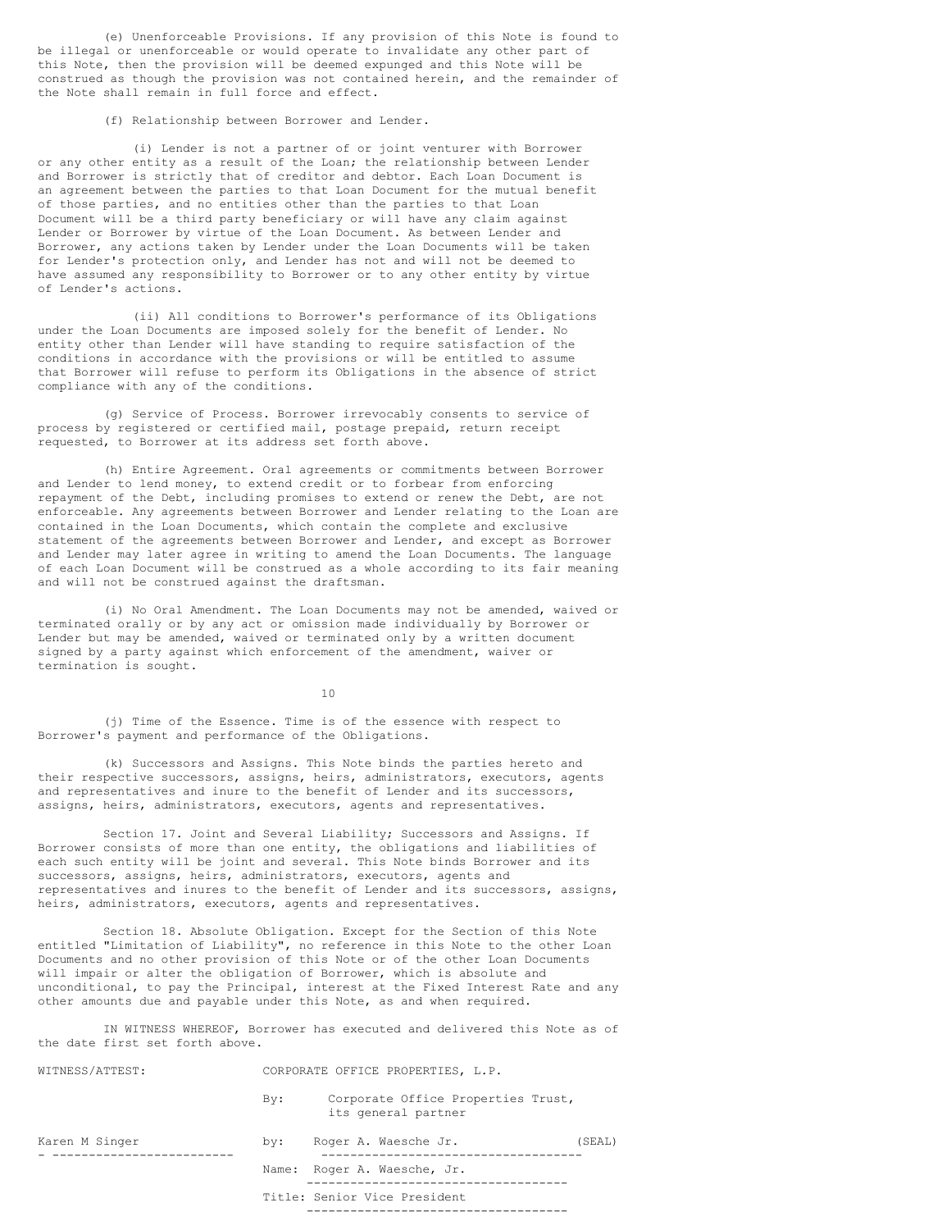(e) Unenforceable Provisions. If any provision of this Note is found to be illegal or unenforceable or would operate to invalidate any other part of this Note, then the provision will be deemed expunged and this Note will be construed as though the provision was not contained herein, and the remainder of the Note shall remain in full force and effect.

(f) Relationship between Borrower and Lender.

(i) Lender is not a partner of or joint venturer with Borrower or any other entity as a result of the Loan; the relationship between Lender and Borrower is strictly that of creditor and debtor. Each Loan Document is an agreement between the parties to that Loan Document for the mutual benefit of those parties, and no entities other than the parties to that Loan Document will be a third party beneficiary or will have any claim against Lender or Borrower by virtue of the Loan Document. As between Lender and Borrower, any actions taken by Lender under the Loan Documents will be taken for Lender's protection only, and Lender has not and will not be deemed to have assumed any responsibility to Borrower or to any other entity by virtue of Lender's actions.

(ii) All conditions to Borrower's performance of its Obligations under the Loan Documents are imposed solely for the benefit of Lender. No entity other than Lender will have standing to require satisfaction of the conditions in accordance with the provisions or will be entitled to assume that Borrower will refuse to perform its Obligations in the absence of strict compliance with any of the conditions.

(g) Service of Process. Borrower irrevocably consents to service of process by registered or certified mail, postage prepaid, return receipt requested, to Borrower at its address set forth above.

(h) Entire Agreement. Oral agreements or commitments between Borrower and Lender to lend money, to extend credit or to forbear from enforcing repayment of the Debt, including promises to extend or renew the Debt, are not enforceable. Any agreements between Borrower and Lender relating to the Loan are contained in the Loan Documents, which contain the complete and exclusive statement of the agreements between Borrower and Lender, and except as Borrower and Lender may later agree in writing to amend the Loan Documents. The language of each Loan Document will be construed as a whole according to its fair meaning and will not be construed against the draftsman.

(i) No Oral Amendment. The Loan Documents may not be amended, waived or terminated orally or by any act or omission made individually by Borrower or Lender but may be amended, waived or terminated only by a written document signed by a party against which enforcement of the amendment, waiver or termination is sought.

10

(j) Time of the Essence. Time is of the essence with respect to Borrower's payment and performance of the Obligations.

(k) Successors and Assigns. This Note binds the parties hereto and their respective successors, assigns, heirs, administrators, executors, agents and representatives and inure to the benefit of Lender and its successors, assigns, heirs, administrators, executors, agents and representatives.

Section 17. Joint and Several Liability; Successors and Assigns. If Borrower consists of more than one entity, the obligations and liabilities of each such entity will be joint and several. This Note binds Borrower and its successors, assigns, heirs, administrators, executors, agents and representatives and inures to the benefit of Lender and its successors, assigns, heirs, administrators, executors, agents and representatives.

Section 18. Absolute Obligation. Except for the Section of this Note entitled "Limitation of Liability", no reference in this Note to the other Loan Documents and no other provision of this Note or of the other Loan Documents will impair or alter the obligation of Borrower, which is absolute and unconditional, to pay the Principal, interest at the Fixed Interest Rate and any other amounts due and payable under this Note, as and when required.

IN WITNESS WHEREOF, Borrower has executed and delivered this Note as of the date first set forth above.

WITHESS/ATTEST: CORPORATE OFFICE PROPERTIES, L.P.

| WIINDOO/AIIDOI. | CONFORAIE OFFICE FROFERIIES, B.F. |                                                           |        |  |
|-----------------|-----------------------------------|-----------------------------------------------------------|--------|--|
|                 | By:                               | Corporate Office Properties Trust,<br>its general partner |        |  |
| Karen M Singer  | by:                               | Roger A. Waesche Jr.                                      | (SEAL) |  |
|                 |                                   | Name: Roger A. Waesche, Jr.                               |        |  |
|                 |                                   | Title: Senior Vice President                              |        |  |
|                 |                                   |                                                           |        |  |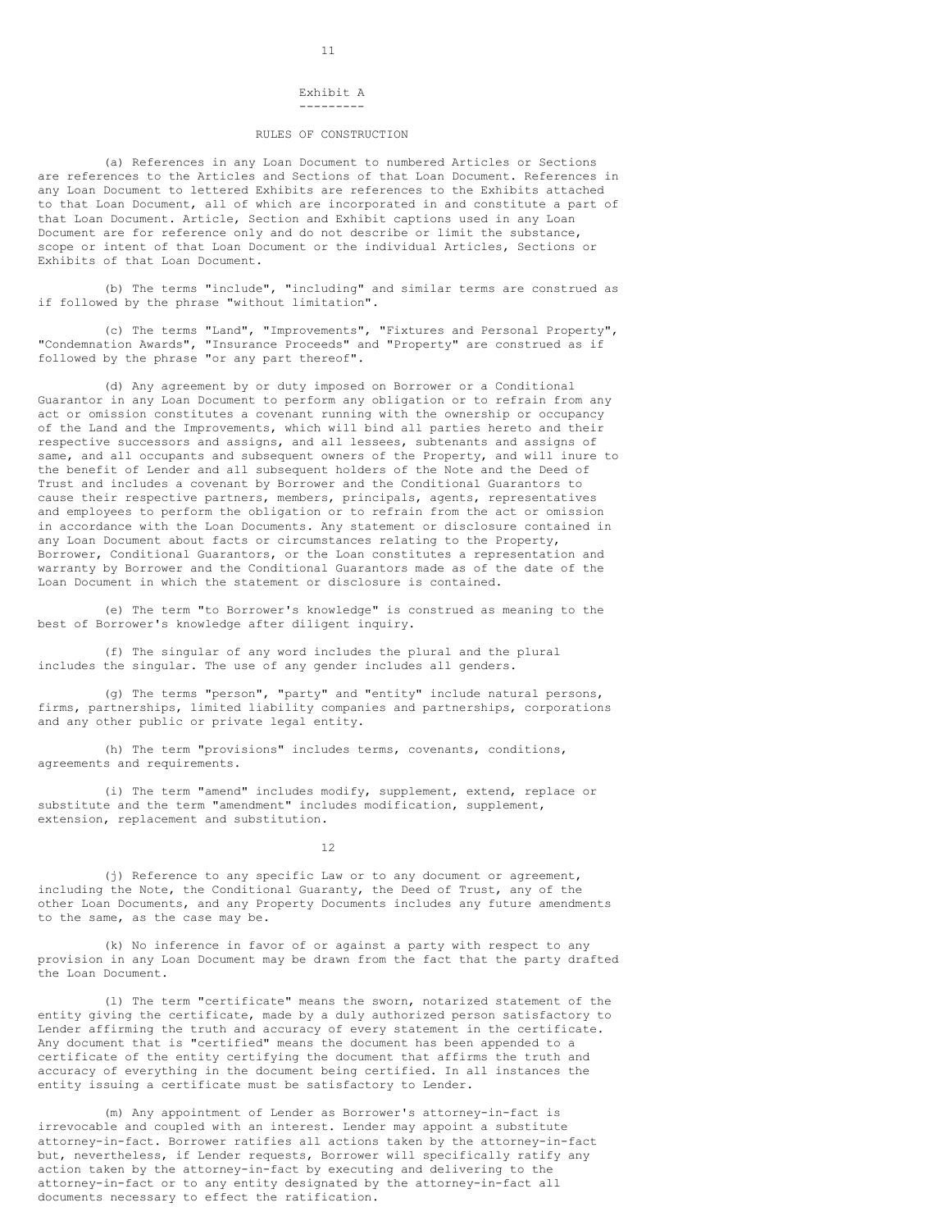#### Exhibit A ---------

### RULES OF CONSTRUCTION

(a) References in any Loan Document to numbered Articles or Sections are references to the Articles and Sections of that Loan Document. References in any Loan Document to lettered Exhibits are references to the Exhibits attached to that Loan Document, all of which are incorporated in and constitute a part of that Loan Document. Article, Section and Exhibit captions used in any Loan Document are for reference only and do not describe or limit the substance, scope or intent of that Loan Document or the individual Articles, Sections or Exhibits of that Loan Document.

(b) The terms "include", "including" and similar terms are construed as if followed by the phrase "without limitation".

(c) The terms "Land", "Improvements", "Fixtures and Personal Property", "Condemnation Awards", "Insurance Proceeds" and "Property" are construed as if followed by the phrase "or any part thereof".

(d) Any agreement by or duty imposed on Borrower or a Conditional Guarantor in any Loan Document to perform any obligation or to refrain from any act or omission constitutes a covenant running with the ownership or occupancy of the Land and the Improvements, which will bind all parties hereto and their respective successors and assigns, and all lessees, subtenants and assigns of same, and all occupants and subsequent owners of the Property, and will inure to the benefit of Lender and all subsequent holders of the Note and the Deed of Trust and includes a covenant by Borrower and the Conditional Guarantors to cause their respective partners, members, principals, agents, representatives and employees to perform the obligation or to refrain from the act or omission in accordance with the Loan Documents. Any statement or disclosure contained in any Loan Document about facts or circumstances relating to the Property, Borrower, Conditional Guarantors, or the Loan constitutes a representation and warranty by Borrower and the Conditional Guarantors made as of the date of the Loan Document in which the statement or disclosure is contained.

(e) The term "to Borrower's knowledge" is construed as meaning to the best of Borrower's knowledge after diligent inquiry.

(f) The singular of any word includes the plural and the plural includes the singular. The use of any gender includes all genders.

(g) The terms "person", "party" and "entity" include natural persons, firms, partnerships, limited liability companies and partnerships, corporations and any other public or private legal entity.

(h) The term "provisions" includes terms, covenants, conditions, agreements and requirements.

(i) The term "amend" includes modify, supplement, extend, replace or substitute and the term "amendment" includes modification, supplement, extension, replacement and substitution.

12

(j) Reference to any specific Law or to any document or agreement, including the Note, the Conditional Guaranty, the Deed of Trust, any of the other Loan Documents, and any Property Documents includes any future amendments to the same, as the case may be.

(k) No inference in favor of or against a party with respect to any provision in any Loan Document may be drawn from the fact that the party drafted the Loan Document.

(l) The term "certificate" means the sworn, notarized statement of the entity giving the certificate, made by a duly authorized person satisfactory to Lender affirming the truth and accuracy of every statement in the certificate. Any document that is "certified" means the document has been appended to a certificate of the entity certifying the document that affirms the truth and accuracy of everything in the document being certified. In all instances the entity issuing a certificate must be satisfactory to Lender.

(m) Any appointment of Lender as Borrower's attorney-in-fact is irrevocable and coupled with an interest. Lender may appoint a substitute attorney-in-fact. Borrower ratifies all actions taken by the attorney-in-fact but, nevertheless, if Lender requests, Borrower will specifically ratify any action taken by the attorney-in-fact by executing and delivering to the attorney-in-fact or to any entity designated by the attorney-in-fact all documents necessary to effect the ratification.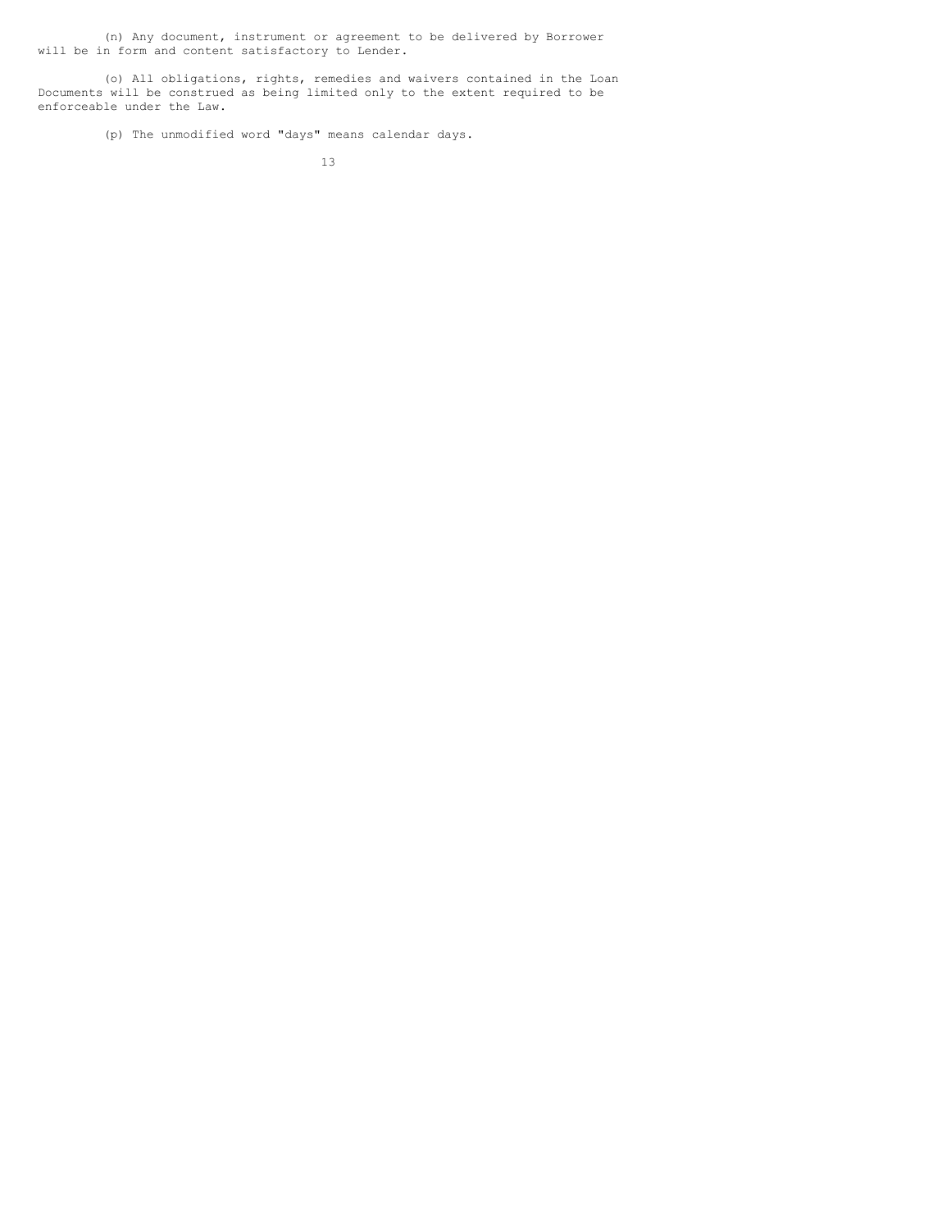(n) Any document, instrument or agreement to be delivered by Borrower will be in form and content satisfactory to Lender.

(o) All obligations, rights, remedies and waivers contained in the Loan Documents will be construed as being limited only to the extent required to be enforceable under the Law.

(p) The unmodified word "days" means calendar days.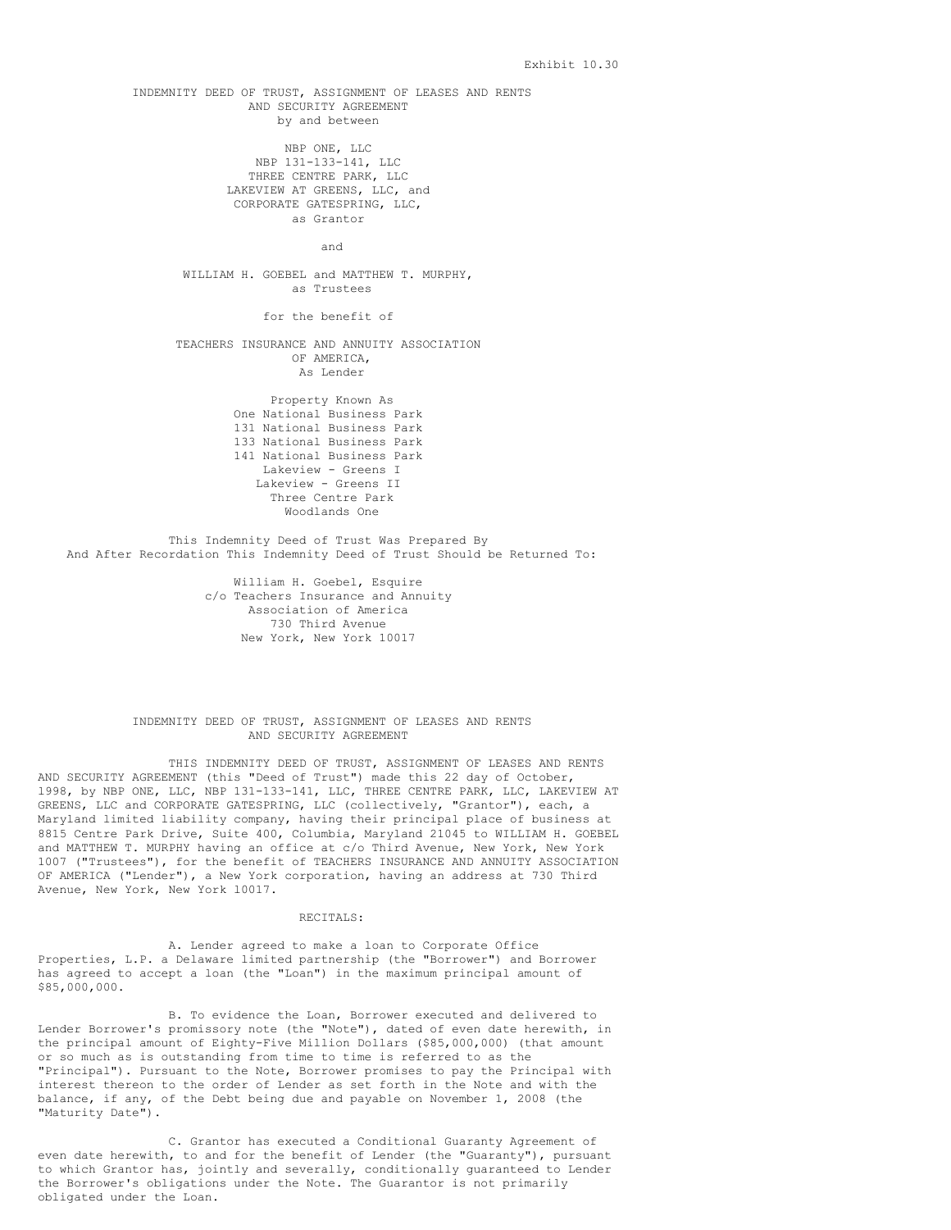INDEMNITY DEED OF TRUST, ASSIGNMENT OF LEASES AND RENTS AND SECURITY AGREEMENT by and between NBP ONE, LLC NBP 131-133-141, LLC THREE CENTRE PARK, LLC LAKEVIEW AT GREENS, LLC, and CORPORATE GATESPRING, LLC, as Grantor and WILLIAM H. GOEBEL and MATTHEW T. MURPHY, as Trustees for the benefit of TEACHERS INSURANCE AND ANNUITY ASSOCIATION OF AMERICA, As Lender Property Known As One National Business Park 131 National Business Park 133 National Business Park 141 National Business Park Lakeview - Greens I Lakeview - Greens II Three Centre Park Woodlands One This Indemnity Deed of Trust Was Prepared By And After Recordation This Indemnity Deed of Trust Should be Returned To: William H. Goebel, Esquire c/o Teachers Insurance and Annuity

Association of America 730 Third Avenue New York, New York 10017

INDEMNITY DEED OF TRUST, ASSIGNMENT OF LEASES AND RENTS AND SECURITY AGREEMENT

THIS INDEMNITY DEED OF TRUST, ASSIGNMENT OF LEASES AND RENTS AND SECURITY AGREEMENT (this "Deed of Trust") made this 22 day of October, l998, by NBP ONE, LLC, NBP 131-133-141, LLC, THREE CENTRE PARK, LLC, LAKEVIEW AT GREENS, LLC and CORPORATE GATESPRING, LLC (collectively, "Grantor"), each, a Maryland limited liability company, having their principal place of business at 8815 Centre Park Drive, Suite 400, Columbia, Maryland 21045 to WILLIAM H. GOEBEL and MATTHEW T. MURPHY having an office at c/o Third Avenue, New York, New York 1007 ("Trustees"), for the benefit of TEACHERS INSURANCE AND ANNUITY ASSOCIATION OF AMERICA ("Lender"), a New York corporation, having an address at 730 Third Avenue, New York, New York l0017.

# RECITALS:

A. Lender agreed to make a loan to Corporate Office Properties, L.P. a Delaware limited partnership (the "Borrower") and Borrower has agreed to accept a loan (the "Loan") in the maximum principal amount of \$85,000,000.

B. To evidence the Loan, Borrower executed and delivered to Lender Borrower's promissory note (the "Note"), dated of even date herewith, in the principal amount of Eighty-Five Million Dollars (\$85,000,000) (that amount or so much as is outstanding from time to time is referred to as the "Principal"). Pursuant to the Note, Borrower promises to pay the Principal with interest thereon to the order of Lender as set forth in the Note and with the balance, if any, of the Debt being due and payable on November 1, 2008 (the "Maturity Date").

C. Grantor has executed a Conditional Guaranty Agreement of even date herewith, to and for the benefit of Lender (the "Guaranty"), pursuant to which Grantor has, jointly and severally, conditionally guaranteed to Lender the Borrower's obligations under the Note. The Guarantor is not primarily obligated under the Loan.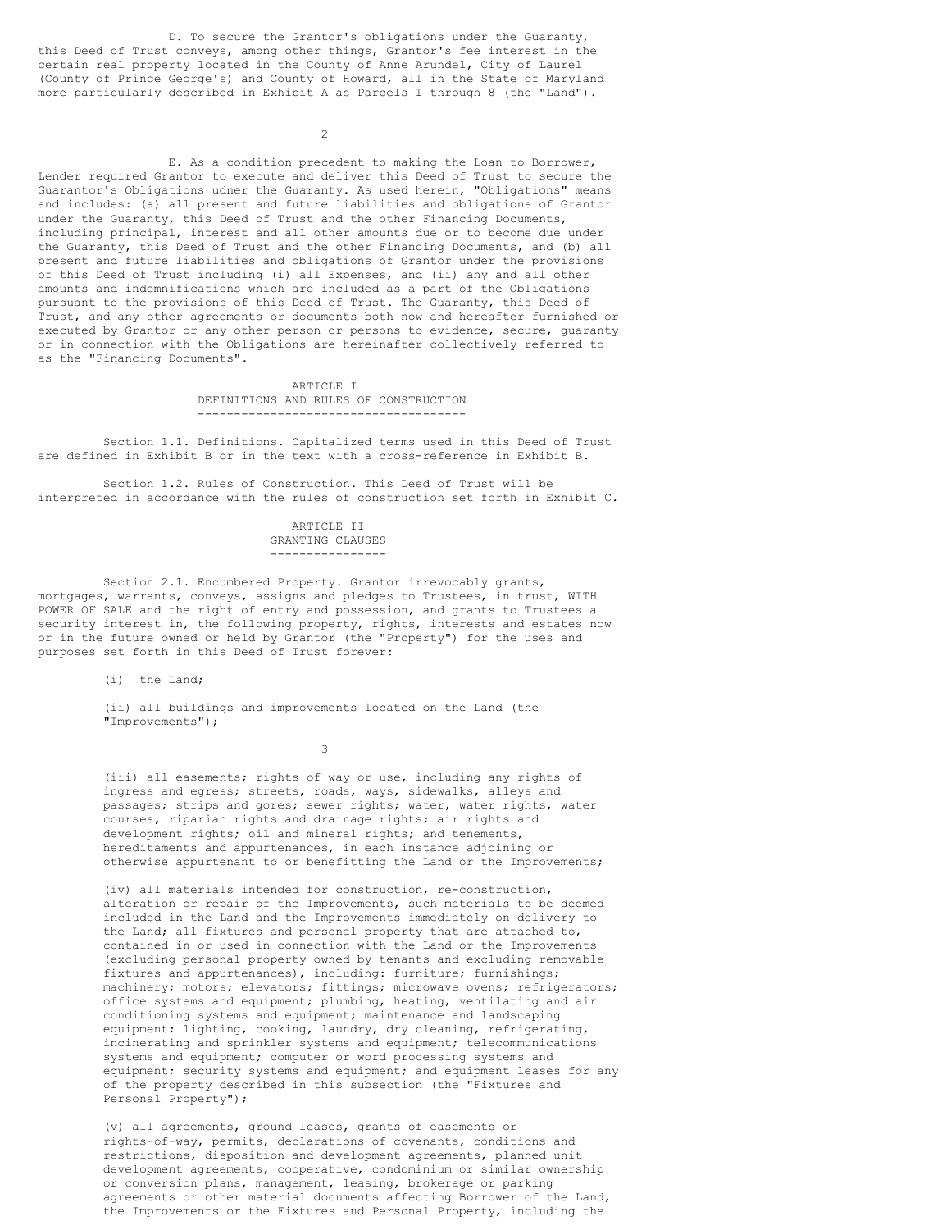D. To secure the Grantor's obligations under the Guaranty, this Deed of Trust conveys, among other things, Grantor's fee interest in the certain real property located in the County of Anne Arundel, City of Laurel (County of Prince George's) and County of Howard, all in the State of Maryland more particularly described in Exhibit A as Parcels 1 through 8 (the "Land").

 $\overline{2}$ 

E. As a condition precedent to making the Loan to Borrower, Lender required Grantor to execute and deliver this Deed of Trust to secure the Guarantor's Obligations udner the Guaranty. As used herein, "Obligations" means and includes: (a) all present and future liabilities and obligations of Grantor under the Guaranty, this Deed of Trust and the other Financing Documents, including principal, interest and all other amounts due or to become due under the Guaranty, this Deed of Trust and the other Financing Documents, and (b) all present and future liabilities and obligations of Grantor under the provisions of this Deed of Trust including (i) all Expenses, and (ii) any and all other amounts and indemnifications which are included as a part of the Obligations pursuant to the provisions of this Deed of Trust. The Guaranty, this Deed of Trust, and any other agreements or documents both now and hereafter furnished or executed by Grantor or any other person or persons to evidence, secure, guaranty or in connection with the Obligations are hereinafter collectively referred to as the "Financing Documents".

> ARTICLE I DEFINITIONS AND RULES OF CONSTRUCTION -------------------------------------

Section 1.1. Definitions. Capitalized terms used in this Deed of Trust are defined in Exhibit B or in the text with a cross-reference in Exhibit B.

Section 1.2. Rules of Construction. This Deed of Trust will be interpreted in accordance with the rules of construction set forth in Exhibit C.

> ARTICLE II GRANTING CLAUSES ----------------

Section 2.1. Encumbered Property. Grantor irrevocably grants, mortgages, warrants, conveys, assigns and pledges to Trustees, in trust, WITH POWER OF SALE and the right of entry and possession, and grants to Trustees a security interest in, the following property, rights, interests and estates now or in the future owned or held by Grantor (the "Property") for the uses and purposes set forth in this Deed of Trust forever:

(i) the Land;

(ii) all buildings and improvements located on the Land (the "Improvements");

3

(iii) all easements; rights of way or use, including any rights of ingress and egress; streets, roads, ways, sidewalks, alleys and passages; strips and gores; sewer rights; water, water rights, water courses, riparian rights and drainage rights; air rights and development rights; oil and mineral rights; and tenements, hereditaments and appurtenances, in each instance adjoining or otherwise appurtenant to or benefitting the Land or the Improvements;

(iv) all materials intended for construction, re-construction, alteration or repair of the Improvements, such materials to be deemed included in the Land and the Improvements immediately on delivery to the Land; all fixtures and personal property that are attached to, contained in or used in connection with the Land or the Improvements (excluding personal property owned by tenants and excluding removable fixtures and appurtenances), including: furniture; furnishings; machinery; motors; elevators; fittings; microwave ovens; refrigerators; office systems and equipment; plumbing, heating, ventilating and air conditioning systems and equipment; maintenance and landscaping equipment; lighting, cooking, laundry, dry cleaning, refrigerating, incinerating and sprinkler systems and equipment; telecommunications systems and equipment; computer or word processing systems and equipment; security systems and equipment; and equipment leases for any of the property described in this subsection (the "Fixtures and Personal Property");

(v) all agreements, ground leases, grants of easements or rights-of-way, permits, declarations of covenants, conditions and restrictions, disposition and development agreements, planned unit development agreements, cooperative, condominium or similar ownership or conversion plans, management, leasing, brokerage or parking agreements or other material documents affecting Borrower of the Land, the Improvements or the Fixtures and Personal Property, including the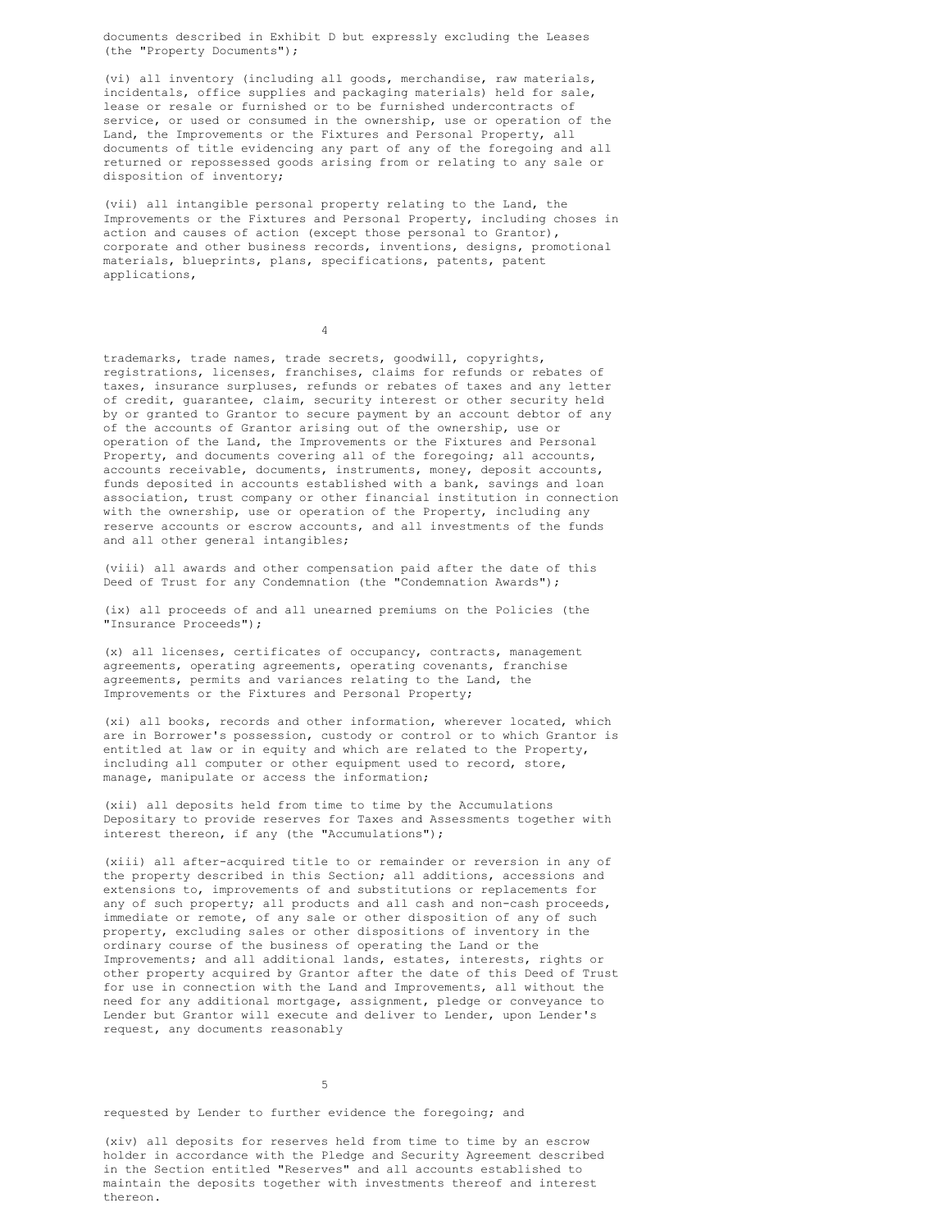documents described in Exhibit D but expressly excluding the Leases (the "Property Documents");

(vi) all inventory (including all goods, merchandise, raw materials, incidentals, office supplies and packaging materials) held for sale, lease or resale or furnished or to be furnished undercontracts of service, or used or consumed in the ownership, use or operation of the Land, the Improvements or the Fixtures and Personal Property, all documents of title evidencing any part of any of the foregoing and all returned or repossessed goods arising from or relating to any sale or disposition of inventory;

(vii) all intangible personal property relating to the Land, the Improvements or the Fixtures and Personal Property, including choses in action and causes of action (except those personal to Grantor), corporate and other business records, inventions, designs, promotional materials, blueprints, plans, specifications, patents, patent applications,

4

trademarks, trade names, trade secrets, goodwill, copyrights, registrations, licenses, franchises, claims for refunds or rebates of taxes, insurance surpluses, refunds or rebates of taxes and any letter of credit, guarantee, claim, security interest or other security held by or granted to Grantor to secure payment by an account debtor of any of the accounts of Grantor arising out of the ownership, use or operation of the Land, the Improvements or the Fixtures and Personal Property, and documents covering all of the foregoing; all accounts, accounts receivable, documents, instruments, money, deposit accounts, funds deposited in accounts established with a bank, savings and loan association, trust company or other financial institution in connection with the ownership, use or operation of the Property, including any reserve accounts or escrow accounts, and all investments of the funds and all other general intangibles;

(viii) all awards and other compensation paid after the date of this Deed of Trust for any Condemnation (the "Condemnation Awards");

(ix) all proceeds of and all unearned premiums on the Policies (the "Insurance Proceeds");

(x) all licenses, certificates of occupancy, contracts, management agreements, operating agreements, operating covenants, franchise agreements, permits and variances relating to the Land, the Improvements or the Fixtures and Personal Property;

(xi) all books, records and other information, wherever located, which are in Borrower's possession, custody or control or to which Grantor is entitled at law or in equity and which are related to the Property, including all computer or other equipment used to record, store, manage, manipulate or access the information;

(xii) all deposits held from time to time by the Accumulations Depositary to provide reserves for Taxes and Assessments together with interest thereon, if any (the "Accumulations");

(xiii) all after-acquired title to or remainder or reversion in any of the property described in this Section; all additions, accessions and extensions to, improvements of and substitutions or replacements for any of such property; all products and all cash and non-cash proceeds, immediate or remote, of any sale or other disposition of any of such property, excluding sales or other dispositions of inventory in the ordinary course of the business of operating the Land or the Improvements; and all additional lands, estates, interests, rights or other property acquired by Grantor after the date of this Deed of Trust for use in connection with the Land and Improvements, all without the need for any additional mortgage, assignment, pledge or conveyance to Lender but Grantor will execute and deliver to Lender, upon Lender's request, any documents reasonably

5

requested by Lender to further evidence the foregoing; and

(xiv) all deposits for reserves held from time to time by an escrow holder in accordance with the Pledge and Security Agreement described in the Section entitled "Reserves" and all accounts established to maintain the deposits together with investments thereof and interest thereon.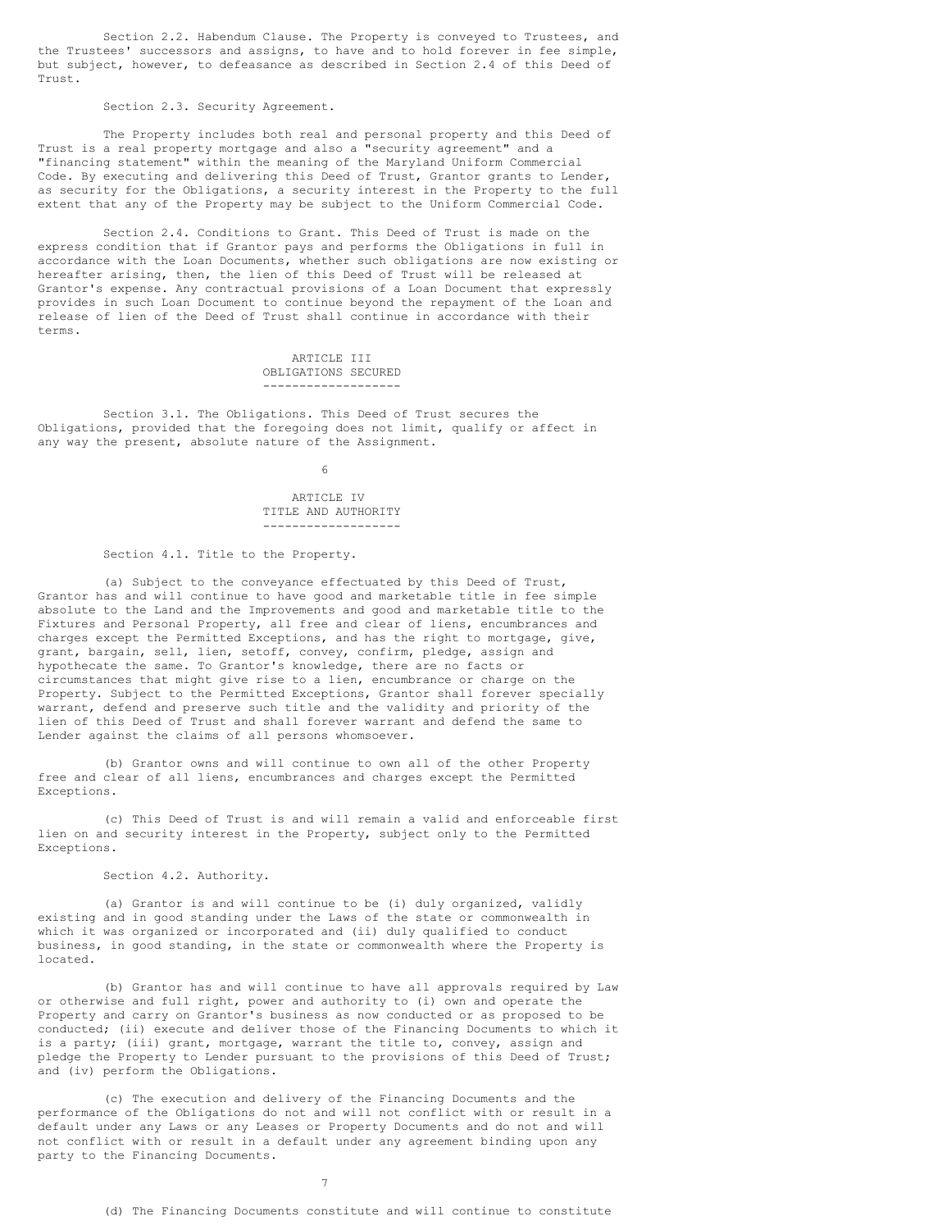Section 2.2. Habendum Clause. The Property is conveyed to Trustees, and the Trustees' successors and assigns, to have and to hold forever in fee simple, but subject, however, to defeasance as described in Section 2.4 of this Deed of Trust.

Section 2.3. Security Agreement.

The Property includes both real and personal property and this Deed of Trust is a real property mortgage and also a "security agreement" and a "financing statement" within the meaning of the Maryland Uniform Commercial Code. By executing and delivering this Deed of Trust, Grantor grants to Lender, as security for the Obligations, a security interest in the Property to the full extent that any of the Property may be subject to the Uniform Commercial Code.

Section 2.4. Conditions to Grant. This Deed of Trust is made on the express condition that if Grantor pays and performs the Obligations in full in accordance with the Loan Documents, whether such obligations are now existing or hereafter arising, then, the lien of this Deed of Trust will be released at Grantor's expense. Any contractual provisions of a Loan Document that expressly provides in such Loan Document to continue beyond the repayment of the Loan and release of lien of the Deed of Trust shall continue in accordance with their terms.

> ARTICLE III OBLIGATIONS SECURED -------------------

Section 3.1. The Obligations. This Deed of Trust secures the Obligations, provided that the foregoing does not limit, qualify or affect in any way the present, absolute nature of the Assignment.

6

ARTICLE IV TITLE AND AUTHORITY -------------------

Section 4.1. Title to the Property.

(a) Subject to the conveyance effectuated by this Deed of Trust, Grantor has and will continue to have good and marketable title in fee simple absolute to the Land and the Improvements and good and marketable title to the Fixtures and Personal Property, all free and clear of liens, encumbrances and charges except the Permitted Exceptions, and has the right to mortgage, give, grant, bargain, sell, lien, setoff, convey, confirm, pledge, assign and hypothecate the same. To Grantor's knowledge, there are no facts or circumstances that might give rise to a lien, encumbrance or charge on the Property. Subject to the Permitted Exceptions, Grantor shall forever specially warrant, defend and preserve such title and the validity and priority of the lien of this Deed of Trust and shall forever warrant and defend the same to Lender against the claims of all persons whomsoever.

(b) Grantor owns and will continue to own all of the other Property free and clear of all liens, encumbrances and charges except the Permitted Exceptions.

(c) This Deed of Trust is and will remain a valid and enforceable first lien on and security interest in the Property, subject only to the Permitted Exceptions.

Section 4.2. Authority.

(a) Grantor is and will continue to be (i) duly organized, validly existing and in good standing under the Laws of the state or commonwealth in which it was organized or incorporated and (ii) duly qualified to conduct business, in good standing, in the state or commonwealth where the Property is located.

(b) Grantor has and will continue to have all approvals required by Law or otherwise and full right, power and authority to (i) own and operate the Property and carry on Grantor's business as now conducted or as proposed to be conducted; (ii) execute and deliver those of the Financing Documents to which it is a party; (iii) grant, mortgage, warrant the title to, convey, assign and pledge the Property to Lender pursuant to the provisions of this Deed of Trust; and (iv) perform the Obligations.

(c) The execution and delivery of the Financing Documents and the performance of the Obligations do not and will not conflict with or result in a default under any Laws or any Leases or Property Documents and do not and will not conflict with or result in a default under any agreement binding upon any party to the Financing Documents.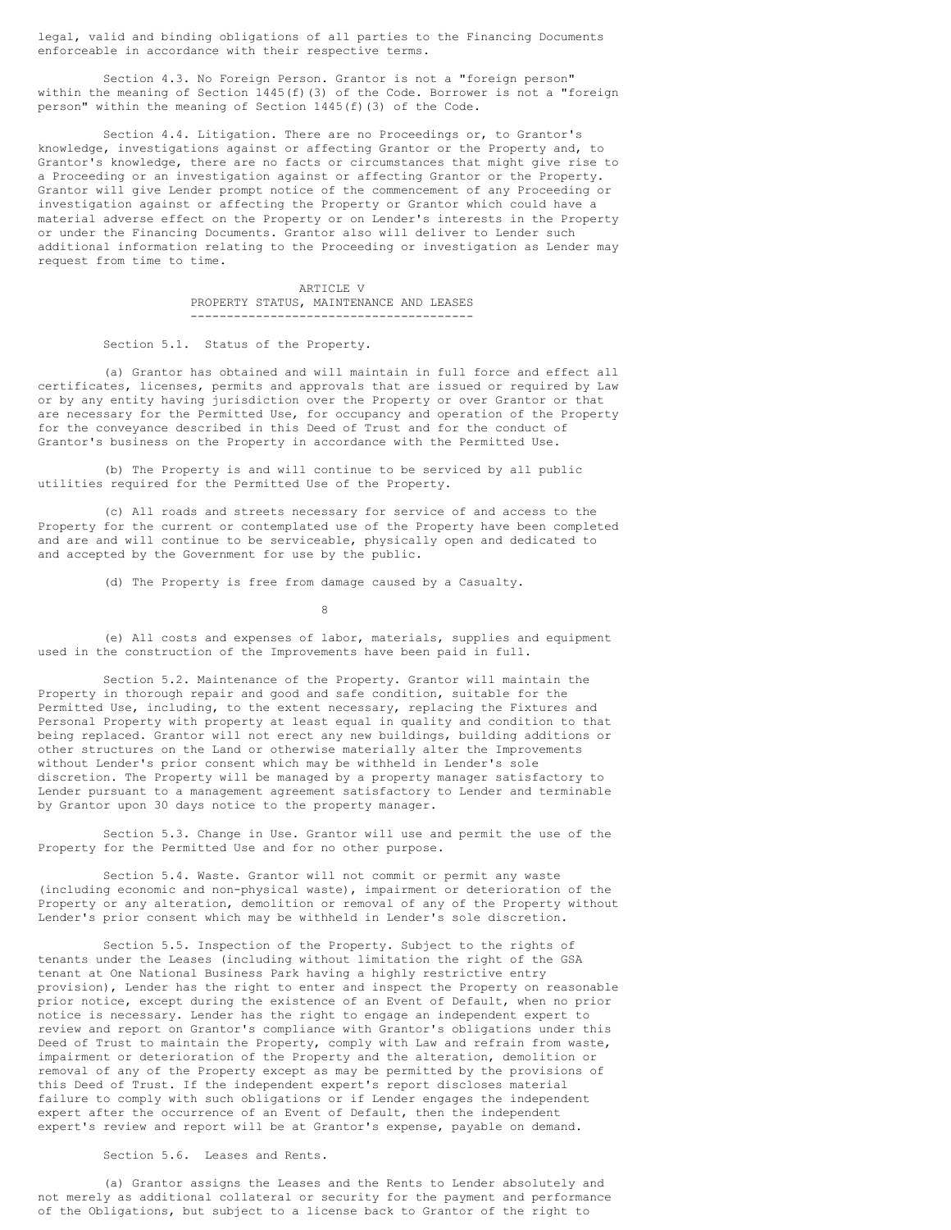legal, valid and binding obligations of all parties to the Financing Documents enforceable in accordance with their respective terms.

Section 4.3. No Foreign Person. Grantor is not a "foreign person" within the meaning of Section 1445(f)(3) of the Code. Borrower is not a "foreign person" within the meaning of Section 1445(f)(3) of the Code.

Section 4.4. Litigation. There are no Proceedings or, to Grantor's knowledge, investigations against or affecting Grantor or the Property and, to Grantor's knowledge, there are no facts or circumstances that might give rise to a Proceeding or an investigation against or affecting Grantor or the Property. Grantor will give Lender prompt notice of the commencement of any Proceeding or investigation against or affecting the Property or Grantor which could have a material adverse effect on the Property or on Lender's interests in the Property or under the Financing Documents. Grantor also will deliver to Lender such additional information relating to the Proceeding or investigation as Lender may request from time to time.

> ARTICLE V PROPERTY STATUS, MAINTENANCE AND LEASES ---------------------------------------

Section 5.1. Status of the Property.

(a) Grantor has obtained and will maintain in full force and effect all certificates, licenses, permits and approvals that are issued or required by Law or by any entity having jurisdiction over the Property or over Grantor or that are necessary for the Permitted Use, for occupancy and operation of the Property for the conveyance described in this Deed of Trust and for the conduct of Grantor's business on the Property in accordance with the Permitted Use.

(b) The Property is and will continue to be serviced by all public utilities required for the Permitted Use of the Property.

(c) All roads and streets necessary for service of and access to the Property for the current or contemplated use of the Property have been completed and are and will continue to be serviceable, physically open and dedicated to and accepted by the Government for use by the public.

(d) The Property is free from damage caused by a Casualty.

8

(e) All costs and expenses of labor, materials, supplies and equipment used in the construction of the Improvements have been paid in full.

Section 5.2. Maintenance of the Property. Grantor will maintain the Property in thorough repair and good and safe condition, suitable for the Permitted Use, including, to the extent necessary, replacing the Fixtures and Personal Property with property at least equal in quality and condition to that being replaced. Grantor will not erect any new buildings, building additions or other structures on the Land or otherwise materially alter the Improvements without Lender's prior consent which may be withheld in Lender's sole discretion. The Property will be managed by a property manager satisfactory to Lender pursuant to a management agreement satisfactory to Lender and terminable by Grantor upon 30 days notice to the property manager.

Section 5.3. Change in Use. Grantor will use and permit the use of the Property for the Permitted Use and for no other purpose.

Section 5.4. Waste. Grantor will not commit or permit any waste (including economic and non-physical waste), impairment or deterioration of the Property or any alteration, demolition or removal of any of the Property without Lender's prior consent which may be withheld in Lender's sole discretion.

Section 5.5. Inspection of the Property. Subject to the rights of tenants under the Leases (including without limitation the right of the GSA tenant at One National Business Park having a highly restrictive entry provision), Lender has the right to enter and inspect the Property on reasonable prior notice, except during the existence of an Event of Default, when no prior notice is necessary. Lender has the right to engage an independent expert to review and report on Grantor's compliance with Grantor's obligations under this Deed of Trust to maintain the Property, comply with Law and refrain from waste, impairment or deterioration of the Property and the alteration, demolition or removal of any of the Property except as may be permitted by the provisions of this Deed of Trust. If the independent expert's report discloses material failure to comply with such obligations or if Lender engages the independent expert after the occurrence of an Event of Default, then the independent expert's review and report will be at Grantor's expense, payable on demand.

Section 5.6. Leases and Rents.

(a) Grantor assigns the Leases and the Rents to Lender absolutely and not merely as additional collateral or security for the payment and performance of the Obligations, but subject to a license back to Grantor of the right to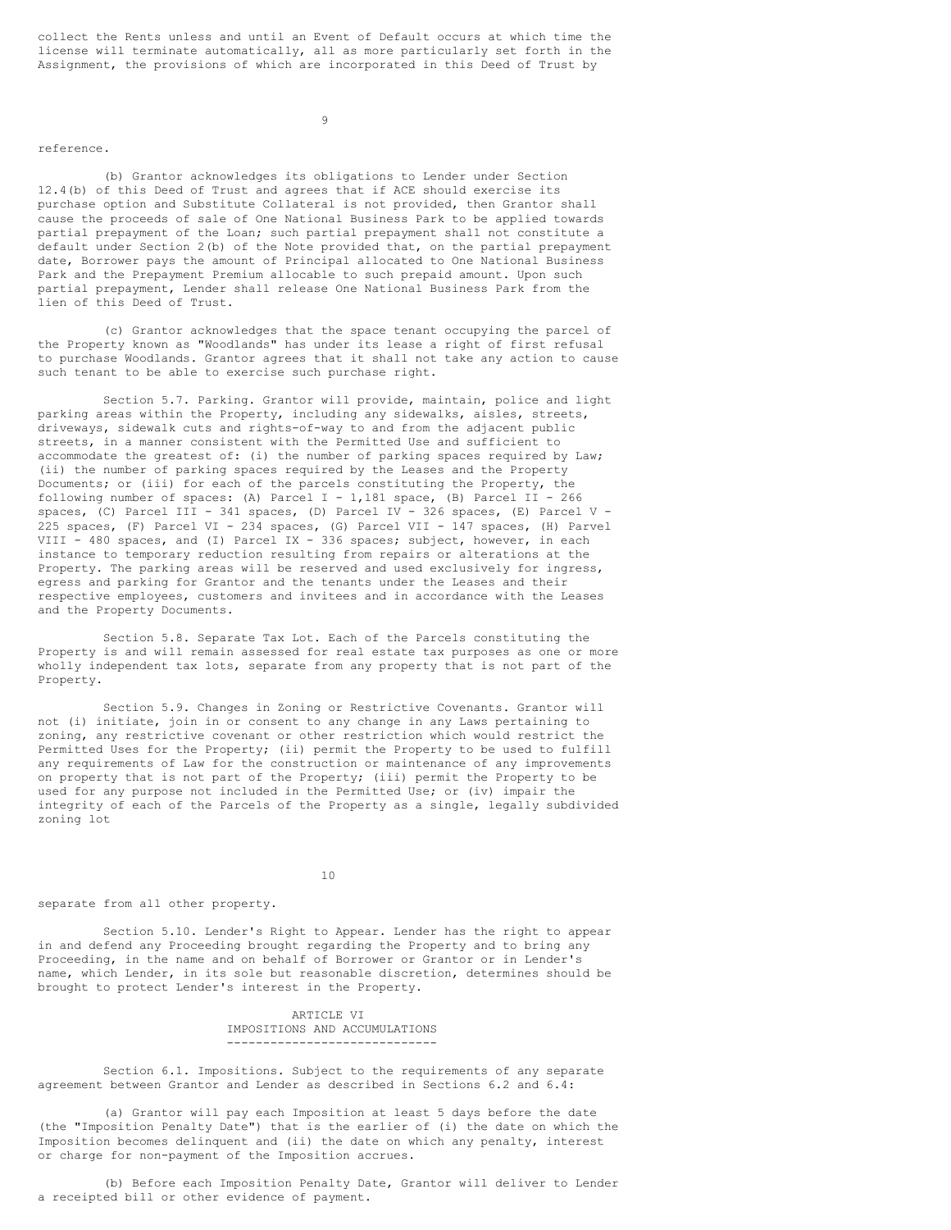collect the Rents unless and until an Event of Default occurs at which time the license will terminate automatically, all as more particularly set forth in the Assignment, the provisions of which are incorporated in this Deed of Trust by

9

#### reference.

(b) Grantor acknowledges its obligations to Lender under Section 12.4(b) of this Deed of Trust and agrees that if ACE should exercise its purchase option and Substitute Collateral is not provided, then Grantor shall cause the proceeds of sale of One National Business Park to be applied towards partial prepayment of the Loan; such partial prepayment shall not constitute a default under Section 2(b) of the Note provided that, on the partial prepayment date, Borrower pays the amount of Principal allocated to One National Business Park and the Prepayment Premium allocable to such prepaid amount. Upon such partial prepayment, Lender shall release One National Business Park from the lien of this Deed of Trust.

(c) Grantor acknowledges that the space tenant occupying the parcel of the Property known as "Woodlands" has under its lease a right of first refusal to purchase Woodlands. Grantor agrees that it shall not take any action to cause such tenant to be able to exercise such purchase right.

Section 5.7. Parking. Grantor will provide, maintain, police and light parking areas within the Property, including any sidewalks, aisles, streets, driveways, sidewalk cuts and rights-of-way to and from the adjacent public streets, in a manner consistent with the Permitted Use and sufficient to accommodate the greatest of: (i) the number of parking spaces required by Law; (ii) the number of parking spaces required by the Leases and the Property Documents; or (iii) for each of the parcels constituting the Property, the following number of spaces: (A) Parcel  $I - 1,181$  space, (B) Parcel II - 266 spaces, (C) Parcel III - 341 spaces, (D) Parcel IV - 326 spaces, (E) Parcel V - 225 spaces, (F) Parcel VI - 234 spaces, (G) Parcel VII - 147 spaces, (H) Parvel VIII - 480 spaces, and (I) Parcel IX - 336 spaces; subject, however, in each instance to temporary reduction resulting from repairs or alterations at the Property. The parking areas will be reserved and used exclusively for ingress, egress and parking for Grantor and the tenants under the Leases and their respective employees, customers and invitees and in accordance with the Leases and the Property Documents.

Section 5.8. Separate Tax Lot. Each of the Parcels constituting the Property is and will remain assessed for real estate tax purposes as one or more wholly independent tax lots, separate from any property that is not part of the Property.

Section 5.9. Changes in Zoning or Restrictive Covenants. Grantor will not (i) initiate, join in or consent to any change in any Laws pertaining to zoning, any restrictive covenant or other restriction which would restrict the Permitted Uses for the Property; (ii) permit the Property to be used to fulfill any requirements of Law for the construction or maintenance of any improvements on property that is not part of the Property; (iii) permit the Property to be used for any purpose not included in the Permitted Use; or (iv) impair the integrity of each of the Parcels of the Property as a single, legally subdivided zoning lot

#### 10

# separate from all other property.

Section 5.10. Lender's Right to Appear. Lender has the right to appear in and defend any Proceeding brought regarding the Property and to bring any Proceeding, in the name and on behalf of Borrower or Grantor or in Lender's name, which Lender, in its sole but reasonable discretion, determines should be brought to protect Lender's interest in the Property.

> ARTICLE VI IMPOSITIONS AND ACCUMULATIONS -----------------------------

Section 6.1. Impositions. Subject to the requirements of any separate agreement between Grantor and Lender as described in Sections 6.2 and 6.4:

(a) Grantor will pay each Imposition at least 5 days before the date (the "Imposition Penalty Date") that is the earlier of (i) the date on which the Imposition becomes delinquent and (ii) the date on which any penalty, interest or charge for non-payment of the Imposition accrues.

(b) Before each Imposition Penalty Date, Grantor will deliver to Lender a receipted bill or other evidence of payment.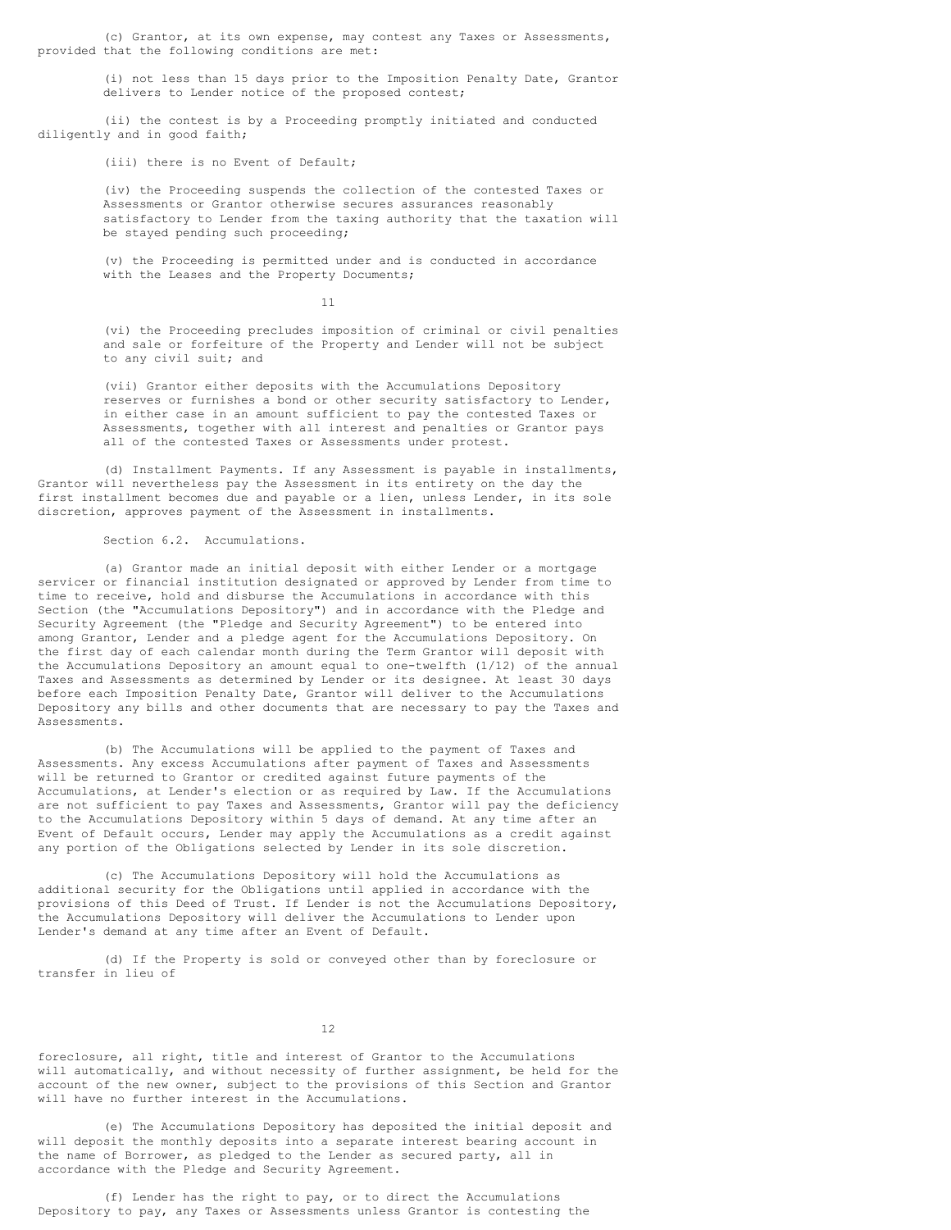(c) Grantor, at its own expense, may contest any Taxes or Assessments, provided that the following conditions are met:

> (i) not less than 15 days prior to the Imposition Penalty Date, Grantor delivers to Lender notice of the proposed contest;

(ii) the contest is by a Proceeding promptly initiated and conducted diligently and in good faith;

(iii) there is no Event of Default;

(iv) the Proceeding suspends the collection of the contested Taxes or Assessments or Grantor otherwise secures assurances reasonably satisfactory to Lender from the taxing authority that the taxation will be stayed pending such proceeding;

(v) the Proceeding is permitted under and is conducted in accordance with the Leases and the Property Documents;

11

(vi) the Proceeding precludes imposition of criminal or civil penalties and sale or forfeiture of the Property and Lender will not be subject to any civil suit; and

(vii) Grantor either deposits with the Accumulations Depository reserves or furnishes a bond or other security satisfactory to Lender, in either case in an amount sufficient to pay the contested Taxes or Assessments, together with all interest and penalties or Grantor pays all of the contested Taxes or Assessments under protest.

(d) Installment Payments. If any Assessment is payable in installments, Grantor will nevertheless pay the Assessment in its entirety on the day the first installment becomes due and payable or a lien, unless Lender, in its sole discretion, approves payment of the Assessment in installments.

Section 6.2. Accumulations.

(a) Grantor made an initial deposit with either Lender or a mortgage servicer or financial institution designated or approved by Lender from time to time to receive, hold and disburse the Accumulations in accordance with this Section (the "Accumulations Depository") and in accordance with the Pledge and Security Agreement (the "Pledge and Security Agreement") to be entered into among Grantor, Lender and a pledge agent for the Accumulations Depository. On the first day of each calendar month during the Term Grantor will deposit with the Accumulations Depository an amount equal to one-twelfth (1/12) of the annual Taxes and Assessments as determined by Lender or its designee. At least 30 days before each Imposition Penalty Date, Grantor will deliver to the Accumulations Depository any bills and other documents that are necessary to pay the Taxes and Assessments.

(b) The Accumulations will be applied to the payment of Taxes and Assessments. Any excess Accumulations after payment of Taxes and Assessments will be returned to Grantor or credited against future payments of the Accumulations, at Lender's election or as required by Law. If the Accumulations are not sufficient to pay Taxes and Assessments, Grantor will pay the deficiency to the Accumulations Depository within 5 days of demand. At any time after an Event of Default occurs, Lender may apply the Accumulations as a credit against any portion of the Obligations selected by Lender in its sole discretion.

(c) The Accumulations Depository will hold the Accumulations as additional security for the Obligations until applied in accordance with the provisions of this Deed of Trust. If Lender is not the Accumulations Depository, the Accumulations Depository will deliver the Accumulations to Lender upon Lender's demand at any time after an Event of Default.

(d) If the Property is sold or conveyed other than by foreclosure or transfer in lieu of

12

foreclosure, all right, title and interest of Grantor to the Accumulations will automatically, and without necessity of further assignment, be held for the account of the new owner, subject to the provisions of this Section and Grantor will have no further interest in the Accumulations.

(e) The Accumulations Depository has deposited the initial deposit and will deposit the monthly deposits into a separate interest bearing account in the name of Borrower, as pledged to the Lender as secured party, all in accordance with the Pledge and Security Agreement.

(f) Lender has the right to pay, or to direct the Accumulations Depository to pay, any Taxes or Assessments unless Grantor is contesting the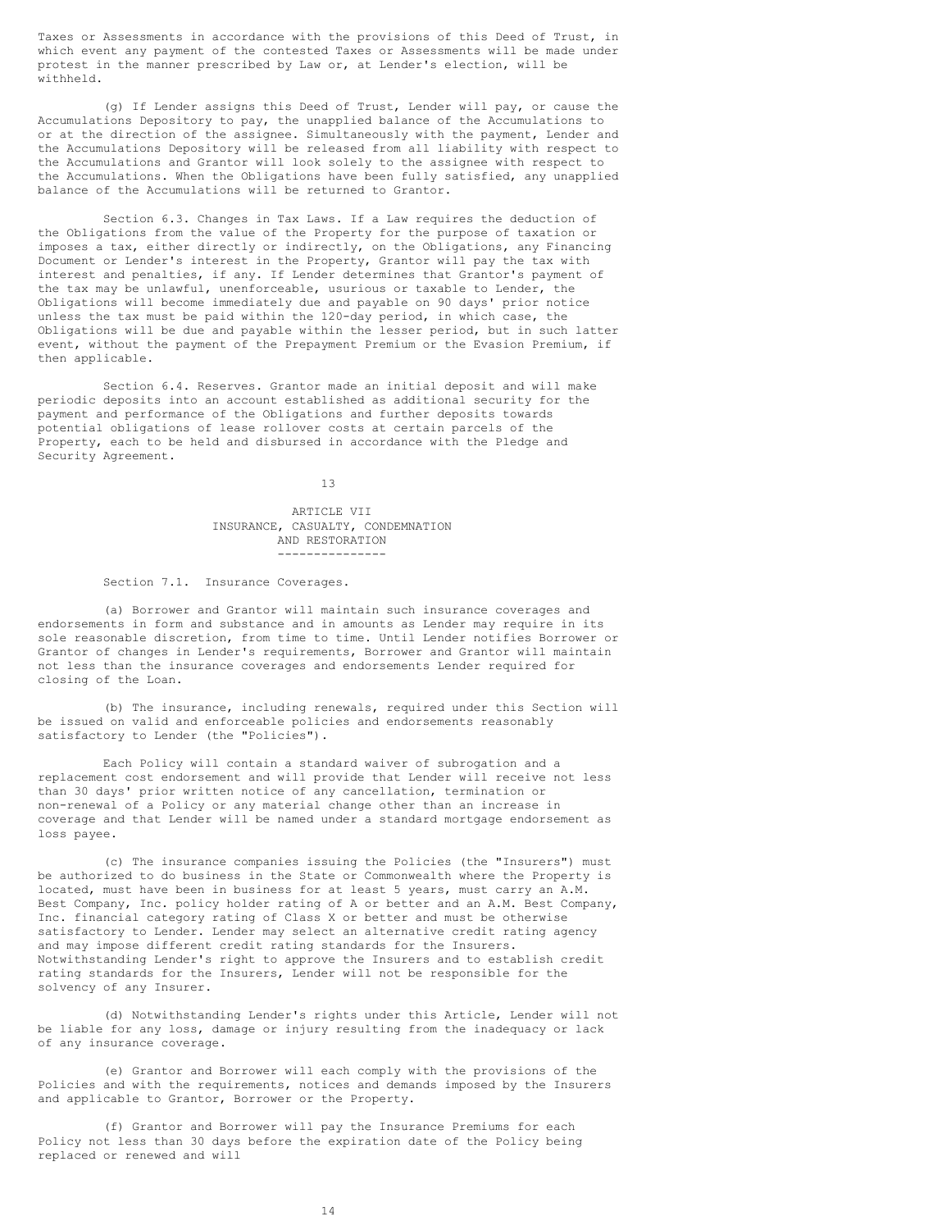Taxes or Assessments in accordance with the provisions of this Deed of Trust, in which event any payment of the contested Taxes or Assessments will be made under protest in the manner prescribed by Law or, at Lender's election, will be withheld.

(g) If Lender assigns this Deed of Trust, Lender will pay, or cause the Accumulations Depository to pay, the unapplied balance of the Accumulations to or at the direction of the assignee. Simultaneously with the payment, Lender and the Accumulations Depository will be released from all liability with respect to the Accumulations and Grantor will look solely to the assignee with respect to the Accumulations. When the Obligations have been fully satisfied, any unapplied balance of the Accumulations will be returned to Grantor.

Section 6.3. Changes in Tax Laws. If a Law requires the deduction of the Obligations from the value of the Property for the purpose of taxation or imposes a tax, either directly or indirectly, on the Obligations, any Financing Document or Lender's interest in the Property, Grantor will pay the tax with interest and penalties, if any. If Lender determines that Grantor's payment of the tax may be unlawful, unenforceable, usurious or taxable to Lender, the Obligations will become immediately due and payable on 90 days' prior notice unless the tax must be paid within the 120-day period, in which case, the Obligations will be due and payable within the lesser period, but in such latter event, without the payment of the Prepayment Premium or the Evasion Premium, if then applicable.

Section 6.4. Reserves. Grantor made an initial deposit and will make periodic deposits into an account established as additional security for the payment and performance of the Obligations and further deposits towards potential obligations of lease rollover costs at certain parcels of the Property, each to be held and disbursed in accordance with the Pledge and Security Agreement.

13

ARTICLE VII INSURANCE, CASUALTY, CONDEMNATION AND RESTORATION ---------------

Section 7.1. Insurance Coverages.

(a) Borrower and Grantor will maintain such insurance coverages and endorsements in form and substance and in amounts as Lender may require in its sole reasonable discretion, from time to time. Until Lender notifies Borrower or Grantor of changes in Lender's requirements, Borrower and Grantor will maintain not less than the insurance coverages and endorsements Lender required for closing of the Loan.

(b) The insurance, including renewals, required under this Section will be issued on valid and enforceable policies and endorsements reasonably satisfactory to Lender (the "Policies").

Each Policy will contain a standard waiver of subrogation and a replacement cost endorsement and will provide that Lender will receive not less than 30 days' prior written notice of any cancellation, termination or non-renewal of a Policy or any material change other than an increase in coverage and that Lender will be named under a standard mortgage endorsement as loss payee.

(c) The insurance companies issuing the Policies (the "Insurers") must be authorized to do business in the State or Commonwealth where the Property is located, must have been in business for at least 5 years, must carry an A.M. Best Company, Inc. policy holder rating of A or better and an A.M. Best Company, Inc. financial category rating of Class X or better and must be otherwise satisfactory to Lender. Lender may select an alternative credit rating agency and may impose different credit rating standards for the Insurers. Notwithstanding Lender's right to approve the Insurers and to establish credit rating standards for the Insurers, Lender will not be responsible for the solvency of any Insurer.

(d) Notwithstanding Lender's rights under this Article, Lender will not be liable for any loss, damage or injury resulting from the inadequacy or lack of any insurance coverage.

(e) Grantor and Borrower will each comply with the provisions of the Policies and with the requirements, notices and demands imposed by the Insurers and applicable to Grantor, Borrower or the Property.

(f) Grantor and Borrower will pay the Insurance Premiums for each Policy not less than 30 days before the expiration date of the Policy being replaced or renewed and will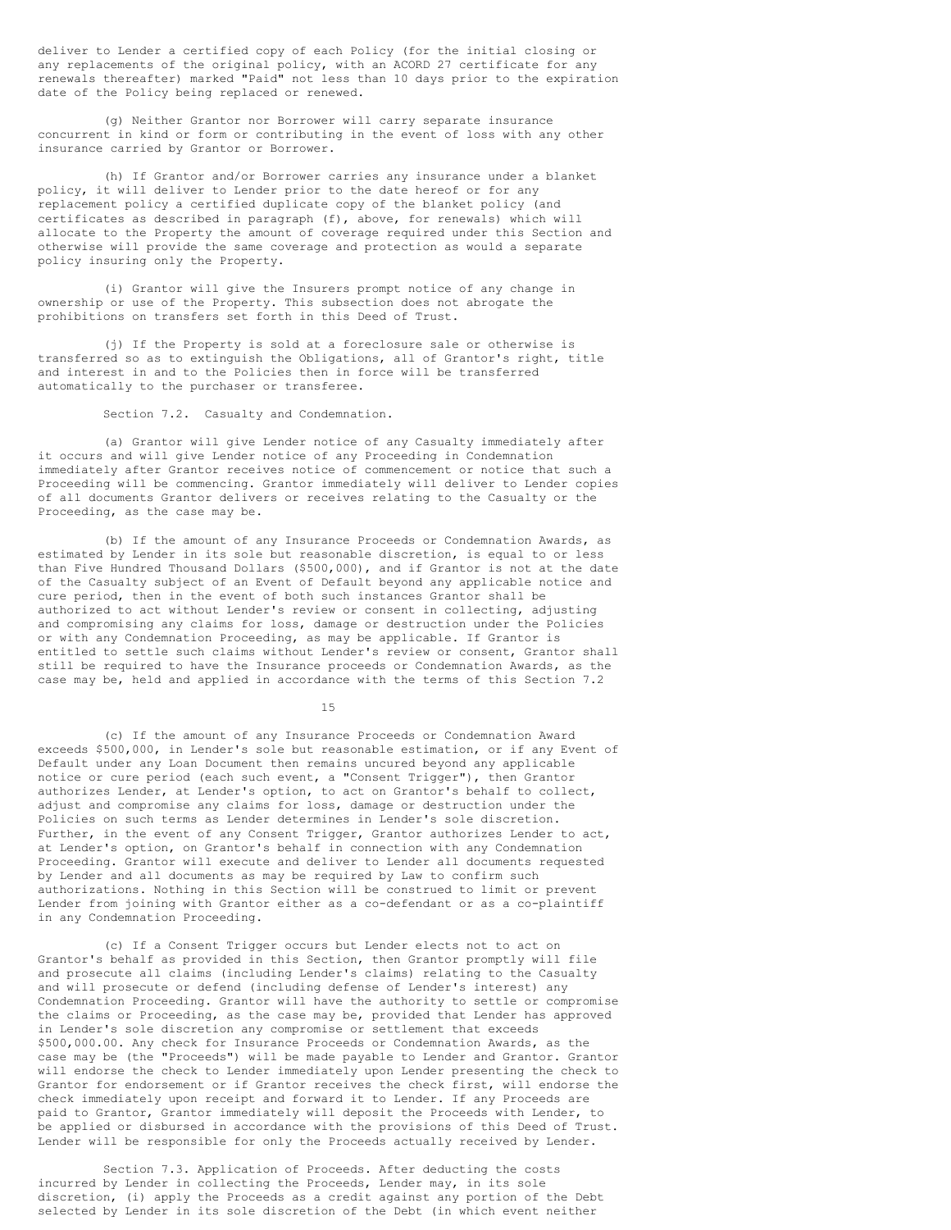deliver to Lender a certified copy of each Policy (for the initial closing or any replacements of the original policy, with an ACORD 27 certificate for any renewals thereafter) marked "Paid" not less than 10 days prior to the expiration date of the Policy being replaced or renewed.

(g) Neither Grantor nor Borrower will carry separate insurance concurrent in kind or form or contributing in the event of loss with any other insurance carried by Grantor or Borrower.

(h) If Grantor and/or Borrower carries any insurance under a blanket policy, it will deliver to Lender prior to the date hereof or for any replacement policy a certified duplicate copy of the blanket policy (and certificates as described in paragraph (f), above, for renewals) which will allocate to the Property the amount of coverage required under this Section and otherwise will provide the same coverage and protection as would a separate policy insuring only the Property.

(i) Grantor will give the Insurers prompt notice of any change in ownership or use of the Property. This subsection does not abrogate the prohibitions on transfers set forth in this Deed of Trust.

(j) If the Property is sold at a foreclosure sale or otherwise is transferred so as to extinguish the Obligations, all of Grantor's right, title and interest in and to the Policies then in force will be transferred automatically to the purchaser or transferee.

Section 7.2. Casualty and Condemnation.

(a) Grantor will give Lender notice of any Casualty immediately after it occurs and will give Lender notice of any Proceeding in Condemnation immediately after Grantor receives notice of commencement or notice that such a Proceeding will be commencing. Grantor immediately will deliver to Lender copies of all documents Grantor delivers or receives relating to the Casualty or the Proceeding, as the case may be.

(b) If the amount of any Insurance Proceeds or Condemnation Awards, as estimated by Lender in its sole but reasonable discretion, is equal to or less than Five Hundred Thousand Dollars (\$500,000), and if Grantor is not at the date of the Casualty subject of an Event of Default beyond any applicable notice and cure period, then in the event of both such instances Grantor shall be authorized to act without Lender's review or consent in collecting, adjusting and compromising any claims for loss, damage or destruction under the Policies or with any Condemnation Proceeding, as may be applicable. If Grantor is entitled to settle such claims without Lender's review or consent, Grantor shall still be required to have the Insurance proceeds or Condemnation Awards, as the case may be, held and applied in accordance with the terms of this Section 7.2

15

(c) If the amount of any Insurance Proceeds or Condemnation Award exceeds \$500,000, in Lender's sole but reasonable estimation, or if any Event of Default under any Loan Document then remains uncured beyond any applicable notice or cure period (each such event, a "Consent Trigger"), then Grantor authorizes Lender, at Lender's option, to act on Grantor's behalf to collect, adjust and compromise any claims for loss, damage or destruction under the Policies on such terms as Lender determines in Lender's sole discretion. Further, in the event of any Consent Trigger, Grantor authorizes Lender to act, at Lender's option, on Grantor's behalf in connection with any Condemnation Proceeding. Grantor will execute and deliver to Lender all documents requested by Lender and all documents as may be required by Law to confirm such authorizations. Nothing in this Section will be construed to limit or prevent Lender from joining with Grantor either as a co-defendant or as a co-plaintiff in any Condemnation Proceeding.

(c) If a Consent Trigger occurs but Lender elects not to act on Grantor's behalf as provided in this Section, then Grantor promptly will file and prosecute all claims (including Lender's claims) relating to the Casualty and will prosecute or defend (including defense of Lender's interest) any Condemnation Proceeding. Grantor will have the authority to settle or compromise the claims or Proceeding, as the case may be, provided that Lender has approved in Lender's sole discretion any compromise or settlement that exceeds \$500,000.00. Any check for Insurance Proceeds or Condemnation Awards, as the case may be (the "Proceeds") will be made payable to Lender and Grantor. Grantor will endorse the check to Lender immediately upon Lender presenting the check to Grantor for endorsement or if Grantor receives the check first, will endorse the check immediately upon receipt and forward it to Lender. If any Proceeds are paid to Grantor, Grantor immediately will deposit the Proceeds with Lender, to be applied or disbursed in accordance with the provisions of this Deed of Trust. Lender will be responsible for only the Proceeds actually received by Lender.

Section 7.3. Application of Proceeds. After deducting the costs incurred by Lender in collecting the Proceeds, Lender may, in its sole discretion, (i) apply the Proceeds as a credit against any portion of the Debt selected by Lender in its sole discretion of the Debt (in which event neither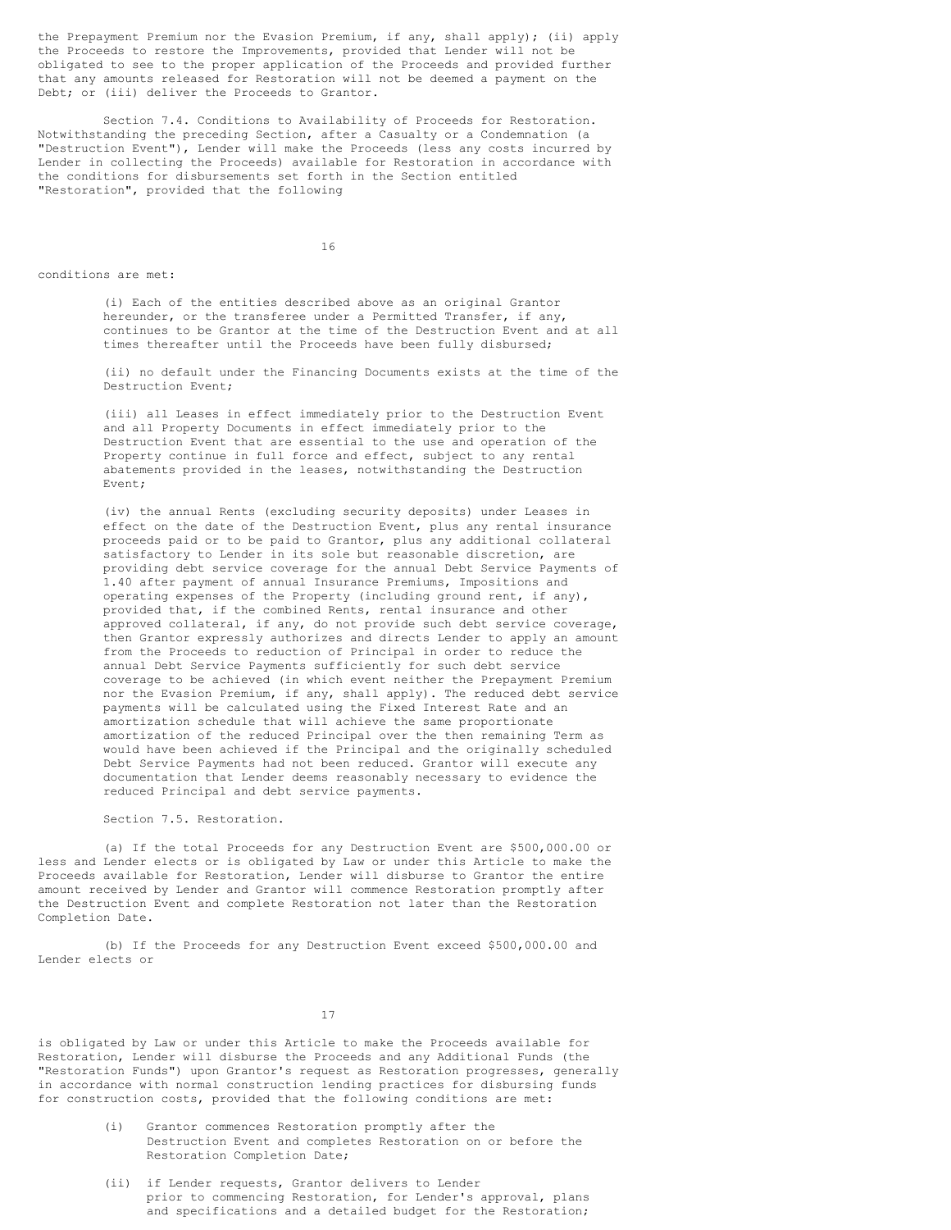the Prepayment Premium nor the Evasion Premium, if any, shall apply); (ii) apply the Proceeds to restore the Improvements, provided that Lender will not be obligated to see to the proper application of the Proceeds and provided further that any amounts released for Restoration will not be deemed a payment on the Debt; or (iii) deliver the Proceeds to Grantor.

Section 7.4. Conditions to Availability of Proceeds for Restoration. Notwithstanding the preceding Section, after a Casualty or a Condemnation (a "Destruction Event"), Lender will make the Proceeds (less any costs incurred by Lender in collecting the Proceeds) available for Restoration in accordance with the conditions for disbursements set forth in the Section entitled "Restoration", provided that the following

16

conditions are met:

(i) Each of the entities described above as an original Grantor hereunder, or the transferee under a Permitted Transfer, if any, continues to be Grantor at the time of the Destruction Event and at all times thereafter until the Proceeds have been fully disbursed;

(ii) no default under the Financing Documents exists at the time of the Destruction Event;

(iii) all Leases in effect immediately prior to the Destruction Event and all Property Documents in effect immediately prior to the Destruction Event that are essential to the use and operation of the Property continue in full force and effect, subject to any rental abatements provided in the leases, notwithstanding the Destruction Event;

(iv) the annual Rents (excluding security deposits) under Leases in effect on the date of the Destruction Event, plus any rental insurance proceeds paid or to be paid to Grantor, plus any additional collateral satisfactory to Lender in its sole but reasonable discretion, are providing debt service coverage for the annual Debt Service Payments of 1.40 after payment of annual Insurance Premiums, Impositions and operating expenses of the Property (including ground rent, if any), provided that, if the combined Rents, rental insurance and other approved collateral, if any, do not provide such debt service coverage, then Grantor expressly authorizes and directs Lender to apply an amount from the Proceeds to reduction of Principal in order to reduce the annual Debt Service Payments sufficiently for such debt service coverage to be achieved (in which event neither the Prepayment Premium nor the Evasion Premium, if any, shall apply). The reduced debt service payments will be calculated using the Fixed Interest Rate and an amortization schedule that will achieve the same proportionate amortization of the reduced Principal over the then remaining Term as would have been achieved if the Principal and the originally scheduled Debt Service Payments had not been reduced. Grantor will execute any documentation that Lender deems reasonably necessary to evidence the reduced Principal and debt service payments.

Section 7.5. Restoration.

(a) If the total Proceeds for any Destruction Event are \$500,000.00 or less and Lender elects or is obligated by Law or under this Article to make the Proceeds available for Restoration, Lender will disburse to Grantor the entire amount received by Lender and Grantor will commence Restoration promptly after the Destruction Event and complete Restoration not later than the Restoration Completion Date.

(b) If the Proceeds for any Destruction Event exceed \$500,000.00 and Lender elects or

17

is obligated by Law or under this Article to make the Proceeds available for Restoration, Lender will disburse the Proceeds and any Additional Funds (the "Restoration Funds") upon Grantor's request as Restoration progresses, generally in accordance with normal construction lending practices for disbursing funds for construction costs, provided that the following conditions are met:

- Grantor commences Restoration promptly after the Destruction Event and completes Restoration on or before the Restoration Completion Date;
- (ii) if Lender requests, Grantor delivers to Lender prior to commencing Restoration, for Lender's approval, plans and specifications and a detailed budget for the Restoration;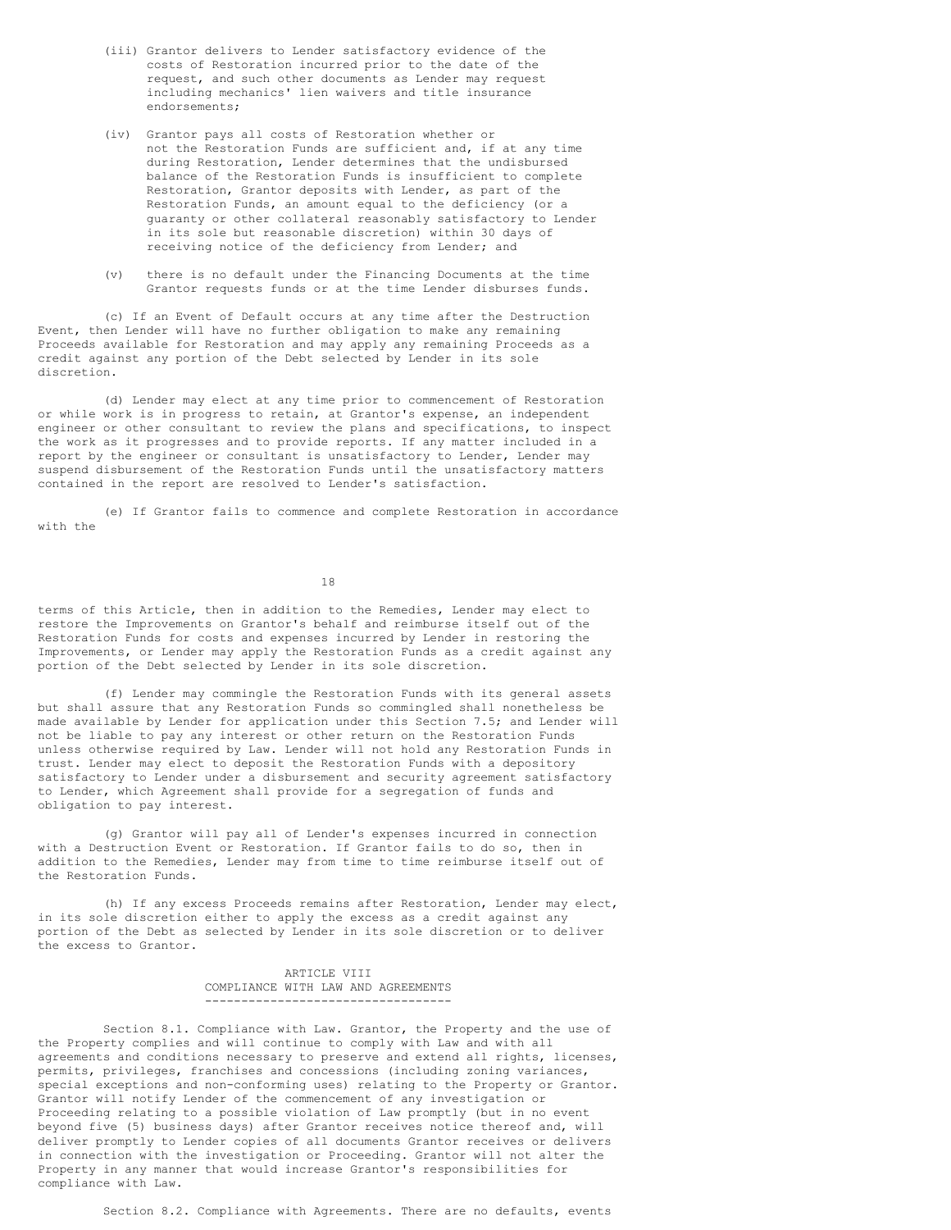- (iii) Grantor delivers to Lender satisfactory evidence of the costs of Restoration incurred prior to the date of the request, and such other documents as Lender may request including mechanics' lien waivers and title insurance endorsements;
- (iv) Grantor pays all costs of Restoration whether or not the Restoration Funds are sufficient and, if at any time during Restoration, Lender determines that the undisbursed balance of the Restoration Funds is insufficient to complete Restoration, Grantor deposits with Lender, as part of the Restoration Funds, an amount equal to the deficiency (or a guaranty or other collateral reasonably satisfactory to Lender in its sole but reasonable discretion) within 30 days of receiving notice of the deficiency from Lender; and
- (v) there is no default under the Financing Documents at the time Grantor requests funds or at the time Lender disburses funds.

(c) If an Event of Default occurs at any time after the Destruction Event, then Lender will have no further obligation to make any remaining Proceeds available for Restoration and may apply any remaining Proceeds as a credit against any portion of the Debt selected by Lender in its sole discretion.

(d) Lender may elect at any time prior to commencement of Restoration or while work is in progress to retain, at Grantor's expense, an independent engineer or other consultant to review the plans and specifications, to inspect the work as it progresses and to provide reports. If any matter included in a report by the engineer or consultant is unsatisfactory to Lender, Lender may suspend disbursement of the Restoration Funds until the unsatisfactory matters contained in the report are resolved to Lender's satisfaction.

(e) If Grantor fails to commence and complete Restoration in accordance with the

18

terms of this Article, then in addition to the Remedies, Lender may elect to restore the Improvements on Grantor's behalf and reimburse itself out of the Restoration Funds for costs and expenses incurred by Lender in restoring the Improvements, or Lender may apply the Restoration Funds as a credit against any portion of the Debt selected by Lender in its sole discretion.

(f) Lender may commingle the Restoration Funds with its general assets but shall assure that any Restoration Funds so commingled shall nonetheless be made available by Lender for application under this Section 7.5; and Lender will not be liable to pay any interest or other return on the Restoration Funds unless otherwise required by Law. Lender will not hold any Restoration Funds in trust. Lender may elect to deposit the Restoration Funds with a depository satisfactory to Lender under a disbursement and security agreement satisfactory to Lender, which Agreement shall provide for a segregation of funds and obligation to pay interest.

(g) Grantor will pay all of Lender's expenses incurred in connection with a Destruction Event or Restoration. If Grantor fails to do so, then in addition to the Remedies, Lender may from time to time reimburse itself out of the Restoration Funds.

(h) If any excess Proceeds remains after Restoration, Lender may elect, in its sole discretion either to apply the excess as a credit against any portion of the Debt as selected by Lender in its sole discretion or to deliver the excess to Grantor.

> ARTICLE VIII COMPLIANCE WITH LAW AND AGREEMENTS ----------------------------------

Section 8.1. Compliance with Law. Grantor, the Property and the use of the Property complies and will continue to comply with Law and with all agreements and conditions necessary to preserve and extend all rights, licenses, permits, privileges, franchises and concessions (including zoning variances, special exceptions and non-conforming uses) relating to the Property or Grantor. Grantor will notify Lender of the commencement of any investigation or Proceeding relating to a possible violation of Law promptly (but in no event beyond five (5) business days) after Grantor receives notice thereof and, will deliver promptly to Lender copies of all documents Grantor receives or delivers in connection with the investigation or Proceeding. Grantor will not alter the Property in any manner that would increase Grantor's responsibilities for compliance with Law.

Section 8.2. Compliance with Agreements. There are no defaults, events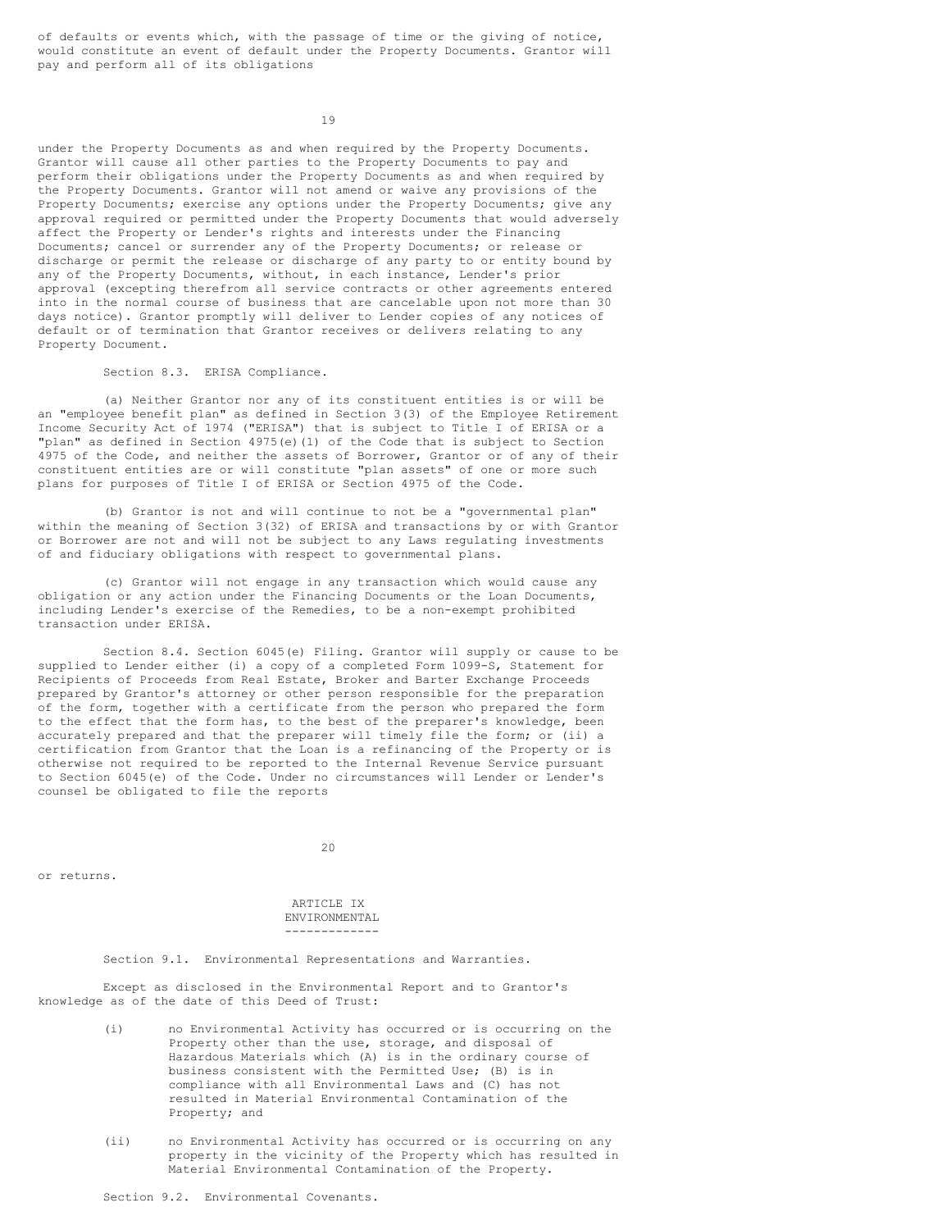of defaults or events which, with the passage of time or the giving of notice, would constitute an event of default under the Property Documents. Grantor will pay and perform all of its obligations

19

under the Property Documents as and when required by the Property Documents. Grantor will cause all other parties to the Property Documents to pay and perform their obligations under the Property Documents as and when required by the Property Documents. Grantor will not amend or waive any provisions of the Property Documents; exercise any options under the Property Documents; give any approval required or permitted under the Property Documents that would adversely affect the Property or Lender's rights and interests under the Financing Documents; cancel or surrender any of the Property Documents; or release or discharge or permit the release or discharge of any party to or entity bound by any of the Property Documents, without, in each instance, Lender's prior approval (excepting therefrom all service contracts or other agreements entered into in the normal course of business that are cancelable upon not more than 30 days notice). Grantor promptly will deliver to Lender copies of any notices of default or of termination that Grantor receives or delivers relating to any Property Document.

Section 8.3. ERISA Compliance.

(a) Neither Grantor nor any of its constituent entities is or will be an "employee benefit plan" as defined in Section 3(3) of the Employee Retirement Income Security Act of 1974 ("ERISA") that is subject to Title I of ERISA or a "plan" as defined in Section 4975(e)(1) of the Code that is subject to Section 4975 of the Code, and neither the assets of Borrower, Grantor or of any of their constituent entities are or will constitute "plan assets" of one or more such plans for purposes of Title I of ERISA or Section 4975 of the Code.

(b) Grantor is not and will continue to not be a "governmental plan" within the meaning of Section 3(32) of ERISA and transactions by or with Grantor or Borrower are not and will not be subject to any Laws regulating investments of and fiduciary obligations with respect to governmental plans.

(c) Grantor will not engage in any transaction which would cause any obligation or any action under the Financing Documents or the Loan Documents, including Lender's exercise of the Remedies, to be a non-exempt prohibited transaction under ERISA.

Section 8.4. Section 6045(e) Filing. Grantor will supply or cause to be supplied to Lender either (i) a copy of a completed Form 1099-S, Statement for Recipients of Proceeds from Real Estate, Broker and Barter Exchange Proceeds prepared by Grantor's attorney or other person responsible for the preparation of the form, together with a certificate from the person who prepared the form to the effect that the form has, to the best of the preparer's knowledge, been accurately prepared and that the preparer will timely file the form; or (ii) a certification from Grantor that the Loan is a refinancing of the Property or is otherwise not required to be reported to the Internal Revenue Service pursuant to Section 6045(e) of the Code. Under no circumstances will Lender or Lender's counsel be obligated to file the reports

 $20$ 

or returns.

ARTICLE IX ENVIRONMENTAL -------------

Section 9.1. Environmental Representations and Warranties.

Except as disclosed in the Environmental Report and to Grantor's knowledge as of the date of this Deed of Trust:

- (i) no Environmental Activity has occurred or is occurring on the Property other than the use, storage, and disposal of Hazardous Materials which (A) is in the ordinary course of business consistent with the Permitted Use; (B) is in compliance with all Environmental Laws and (C) has not resulted in Material Environmental Contamination of the Property; and
- (ii) no Environmental Activity has occurred or is occurring on any property in the vicinity of the Property which has resulted in Material Environmental Contamination of the Property.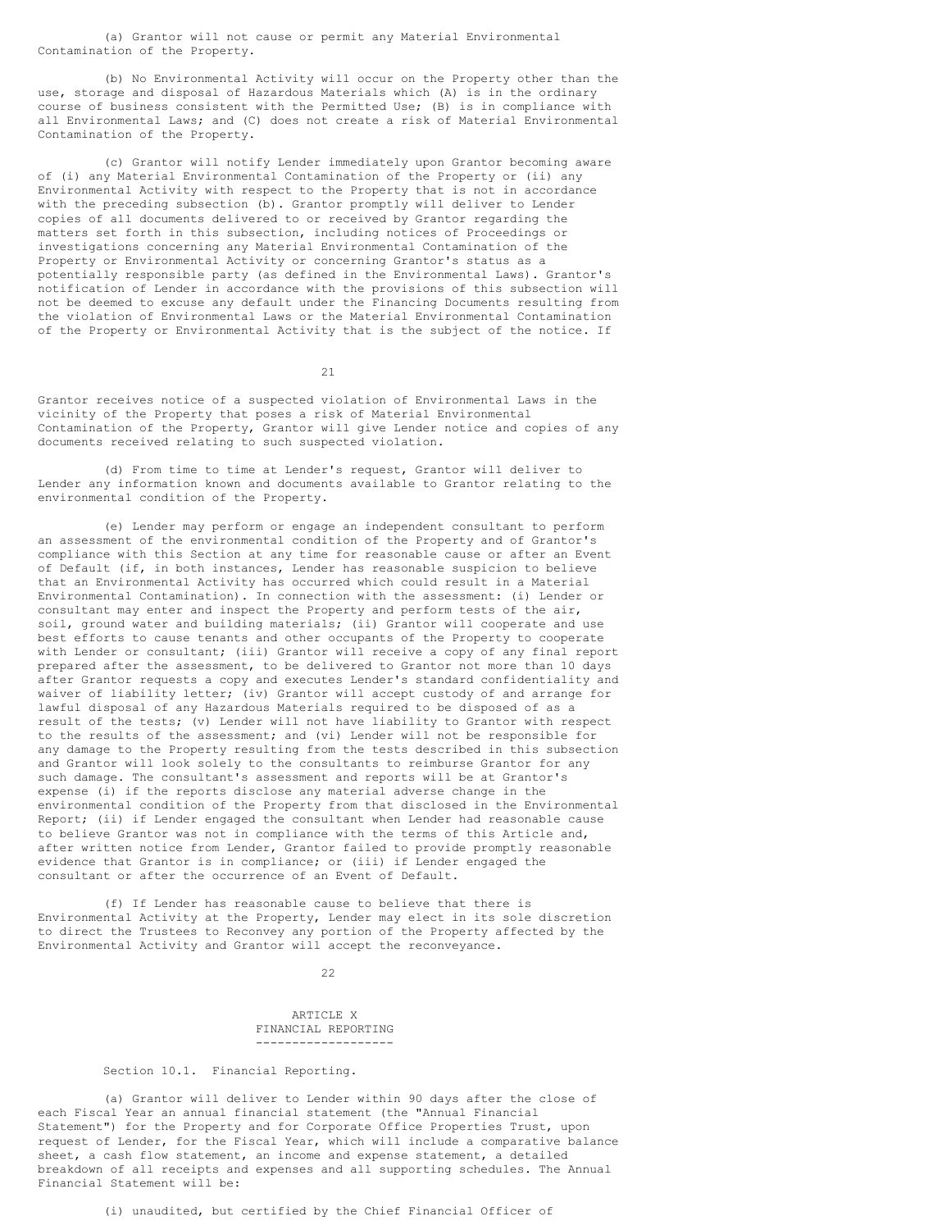(a) Grantor will not cause or permit any Material Environmental Contamination of the Property.

(b) No Environmental Activity will occur on the Property other than the use, storage and disposal of Hazardous Materials which (A) is in the ordinary course of business consistent with the Permitted Use; (B) is in compliance with all Environmental Laws; and (C) does not create a risk of Material Environmental Contamination of the Property.

(c) Grantor will notify Lender immediately upon Grantor becoming aware of (i) any Material Environmental Contamination of the Property or (ii) any Environmental Activity with respect to the Property that is not in accordance with the preceding subsection (b). Grantor promptly will deliver to Lender copies of all documents delivered to or received by Grantor regarding the matters set forth in this subsection, including notices of Proceedings or investigations concerning any Material Environmental Contamination of the Property or Environmental Activity or concerning Grantor's status as a potentially responsible party (as defined in the Environmental Laws). Grantor's notification of Lender in accordance with the provisions of this subsection will not be deemed to excuse any default under the Financing Documents resulting from the violation of Environmental Laws or the Material Environmental Contamination of the Property or Environmental Activity that is the subject of the notice. If

21

Grantor receives notice of a suspected violation of Environmental Laws in the vicinity of the Property that poses a risk of Material Environmental Contamination of the Property, Grantor will give Lender notice and copies of any documents received relating to such suspected violation.

(d) From time to time at Lender's request, Grantor will deliver to Lender any information known and documents available to Grantor relating to the environmental condition of the Property.

(e) Lender may perform or engage an independent consultant to perform an assessment of the environmental condition of the Property and of Grantor's compliance with this Section at any time for reasonable cause or after an Event of Default (if, in both instances, Lender has reasonable suspicion to believe that an Environmental Activity has occurred which could result in a Material Environmental Contamination). In connection with the assessment: (i) Lender or consultant may enter and inspect the Property and perform tests of the air, soil, ground water and building materials; (ii) Grantor will cooperate and use best efforts to cause tenants and other occupants of the Property to cooperate with Lender or consultant; (iii) Grantor will receive a copy of any final report prepared after the assessment, to be delivered to Grantor not more than 10 days after Grantor requests a copy and executes Lender's standard confidentiality and waiver of liability letter; (iv) Grantor will accept custody of and arrange for lawful disposal of any Hazardous Materials required to be disposed of as a result of the tests; (v) Lender will not have liability to Grantor with respect to the results of the assessment; and (vi) Lender will not be responsible for any damage to the Property resulting from the tests described in this subsection and Grantor will look solely to the consultants to reimburse Grantor for any such damage. The consultant's assessment and reports will be at Grantor's expense (i) if the reports disclose any material adverse change in the environmental condition of the Property from that disclosed in the Environmental Report; (ii) if Lender engaged the consultant when Lender had reasonable cause to believe Grantor was not in compliance with the terms of this Article and, after written notice from Lender, Grantor failed to provide promptly reasonable evidence that Grantor is in compliance; or (iii) if Lender engaged the consultant or after the occurrence of an Event of Default.

(f) If Lender has reasonable cause to believe that there is Environmental Activity at the Property, Lender may elect in its sole discretion to direct the Trustees to Reconvey any portion of the Property affected by the Environmental Activity and Grantor will accept the reconveyance.

22

ARTICLE X FINANCIAL REPORTING -------------------

Section 10.1. Financial Reporting.

(a) Grantor will deliver to Lender within 90 days after the close of each Fiscal Year an annual financial statement (the "Annual Financial Statement") for the Property and for Corporate Office Properties Trust, upon request of Lender, for the Fiscal Year, which will include a comparative balance sheet, a cash flow statement, an income and expense statement, a detailed breakdown of all receipts and expenses and all supporting schedules. The Annual Financial Statement will be:

(i) unaudited, but certified by the Chief Financial Officer of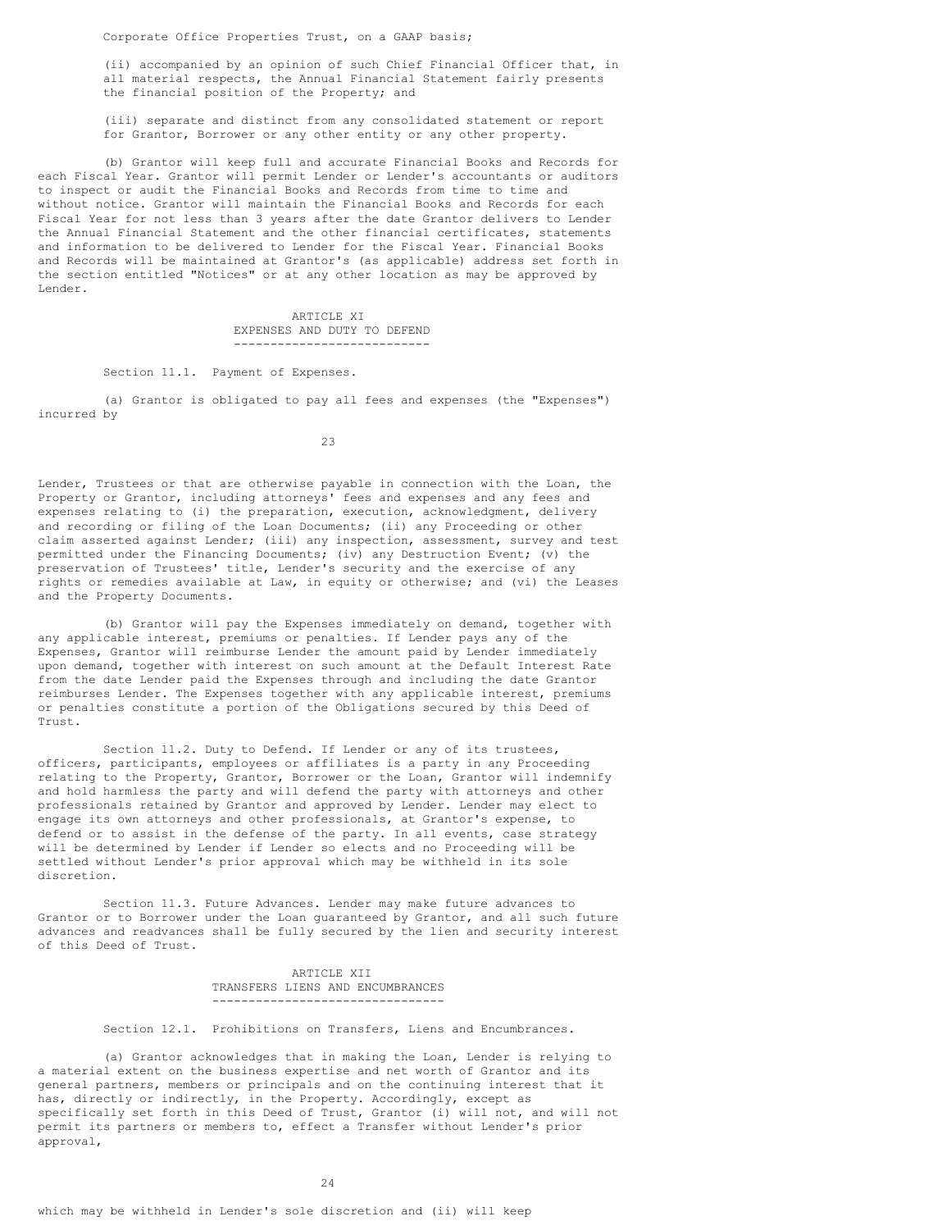(ii) accompanied by an opinion of such Chief Financial Officer that, in all material respects, the Annual Financial Statement fairly presents the financial position of the Property; and

(iii) separate and distinct from any consolidated statement or report for Grantor, Borrower or any other entity or any other property.

(b) Grantor will keep full and accurate Financial Books and Records for each Fiscal Year. Grantor will permit Lender or Lender's accountants or auditors to inspect or audit the Financial Books and Records from time to time and without notice. Grantor will maintain the Financial Books and Records for each Fiscal Year for not less than 3 years after the date Grantor delivers to Lender the Annual Financial Statement and the other financial certificates, statements and information to be delivered to Lender for the Fiscal Year. Financial Books and Records will be maintained at Grantor's (as applicable) address set forth in the section entitled "Notices" or at any other location as may be approved by Lender.

> ARTICLE XI EXPENSES AND DUTY TO DEFEND ---------------------------

#### Section 11.1. Payment of Expenses.

(a) Grantor is obligated to pay all fees and expenses (the "Expenses") incurred by

 $23$ 

Lender, Trustees or that are otherwise payable in connection with the Loan, the Property or Grantor, including attorneys' fees and expenses and any fees and expenses relating to (i) the preparation, execution, acknowledgment, delivery and recording or filing of the Loan Documents; (ii) any Proceeding or other claim asserted against Lender; (iii) any inspection, assessment, survey and test permitted under the Financing Documents; (iv) any Destruction Event; (v) the preservation of Trustees' title, Lender's security and the exercise of any rights or remedies available at Law, in equity or otherwise; and (vi) the Leases and the Property Documents.

(b) Grantor will pay the Expenses immediately on demand, together with any applicable interest, premiums or penalties. If Lender pays any of the Expenses, Grantor will reimburse Lender the amount paid by Lender immediately upon demand, together with interest on such amount at the Default Interest Rate from the date Lender paid the Expenses through and including the date Grantor reimburses Lender. The Expenses together with any applicable interest, premiums or penalties constitute a portion of the Obligations secured by this Deed of Trust.

Section 11.2. Duty to Defend. If Lender or any of its trustees, officers, participants, employees or affiliates is a party in any Proceeding relating to the Property, Grantor, Borrower or the Loan, Grantor will indemnify and hold harmless the party and will defend the party with attorneys and other professionals retained by Grantor and approved by Lender. Lender may elect to engage its own attorneys and other professionals, at Grantor's expense, to defend or to assist in the defense of the party. In all events, case strategy will be determined by Lender if Lender so elects and no Proceeding will be settled without Lender's prior approval which may be withheld in its sole discretion.

Section 11.3. Future Advances. Lender may make future advances to Grantor or to Borrower under the Loan guaranteed by Grantor, and all such future advances and readvances shall be fully secured by the lien and security interest of this Deed of Trust.

> ARTICLE XII TRANSFERS LIENS AND ENCUMBRANCES --------------------------------

# Section 12.1. Prohibitions on Transfers, Liens and Encumbrances.

(a) Grantor acknowledges that in making the Loan, Lender is relying to a material extent on the business expertise and net worth of Grantor and its general partners, members or principals and on the continuing interest that it has, directly or indirectly, in the Property. Accordingly, except as specifically set forth in this Deed of Trust, Grantor (i) will not, and will not permit its partners or members to, effect a Transfer without Lender's prior approval,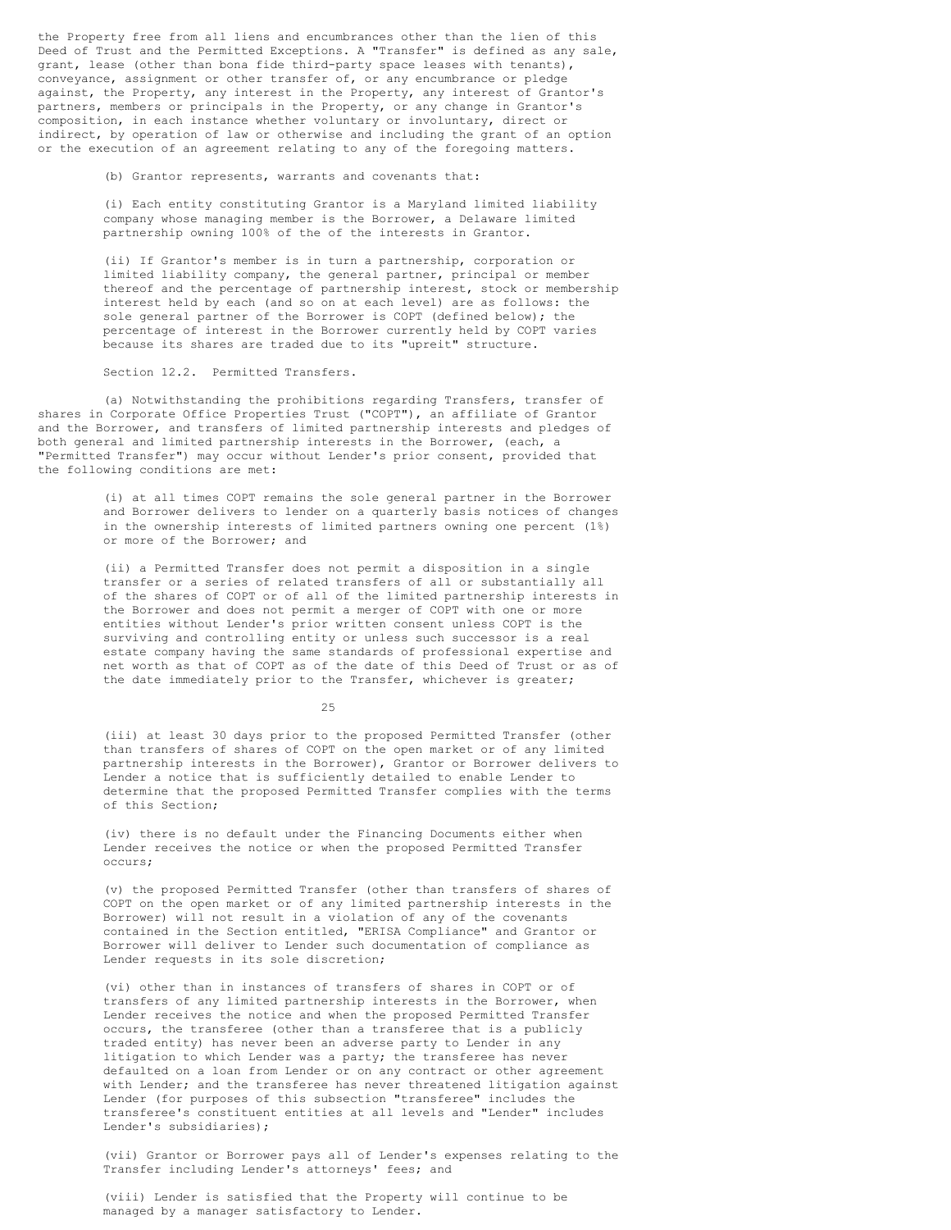the Property free from all liens and encumbrances other than the lien of this Deed of Trust and the Permitted Exceptions. A "Transfer" is defined as any sale, grant, lease (other than bona fide third-party space leases with tenants), conveyance, assignment or other transfer of, or any encumbrance or pledge against, the Property, any interest in the Property, any interest of Grantor's partners, members or principals in the Property, or any change in Grantor's composition, in each instance whether voluntary or involuntary, direct or indirect, by operation of law or otherwise and including the grant of an option or the execution of an agreement relating to any of the foregoing matters.

(b) Grantor represents, warrants and covenants that:

(i) Each entity constituting Grantor is a Maryland limited liability company whose managing member is the Borrower, a Delaware limited partnership owning 100% of the of the interests in Grantor.

(ii) If Grantor's member is in turn a partnership, corporation or limited liability company, the general partner, principal or member thereof and the percentage of partnership interest, stock or membership interest held by each (and so on at each level) are as follows: the sole general partner of the Borrower is COPT (defined below); the percentage of interest in the Borrower currently held by COPT varies because its shares are traded due to its "upreit" structure.

Section 12.2. Permitted Transfers.

(a) Notwithstanding the prohibitions regarding Transfers, transfer of shares in Corporate Office Properties Trust ("COPT"), an affiliate of Grantor and the Borrower, and transfers of limited partnership interests and pledges of both general and limited partnership interests in the Borrower, (each, a "Permitted Transfer") may occur without Lender's prior consent, provided that the following conditions are met:

> (i) at all times COPT remains the sole general partner in the Borrower and Borrower delivers to lender on a quarterly basis notices of changes in the ownership interests of limited partners owning one percent (1%) or more of the Borrower; and

> (ii) a Permitted Transfer does not permit a disposition in a single transfer or a series of related transfers of all or substantially all of the shares of COPT or of all of the limited partnership interests in the Borrower and does not permit a merger of COPT with one or more entities without Lender's prior written consent unless COPT is the surviving and controlling entity or unless such successor is a real estate company having the same standards of professional expertise and net worth as that of COPT as of the date of this Deed of Trust or as of the date immediately prior to the Transfer, whichever is greater;

> > 25

(iii) at least 30 days prior to the proposed Permitted Transfer (other than transfers of shares of COPT on the open market or of any limited partnership interests in the Borrower), Grantor or Borrower delivers to Lender a notice that is sufficiently detailed to enable Lender to determine that the proposed Permitted Transfer complies with the terms of this Section;

(iv) there is no default under the Financing Documents either when Lender receives the notice or when the proposed Permitted Transfer occurs;

(v) the proposed Permitted Transfer (other than transfers of shares of COPT on the open market or of any limited partnership interests in the Borrower) will not result in a violation of any of the covenants contained in the Section entitled, "ERISA Compliance" and Grantor or Borrower will deliver to Lender such documentation of compliance as Lender requests in its sole discretion;

(vi) other than in instances of transfers of shares in COPT or of transfers of any limited partnership interests in the Borrower, when Lender receives the notice and when the proposed Permitted Transfer occurs, the transferee (other than a transferee that is a publicly traded entity) has never been an adverse party to Lender in any litigation to which Lender was a party; the transferee has never defaulted on a loan from Lender or on any contract or other agreement with Lender; and the transferee has never threatened litigation against Lender (for purposes of this subsection "transferee" includes the transferee's constituent entities at all levels and "Lender" includes Lender's subsidiaries);

(vii) Grantor or Borrower pays all of Lender's expenses relating to the Transfer including Lender's attorneys' fees; and

(viii) Lender is satisfied that the Property will continue to be managed by a manager satisfactory to Lender.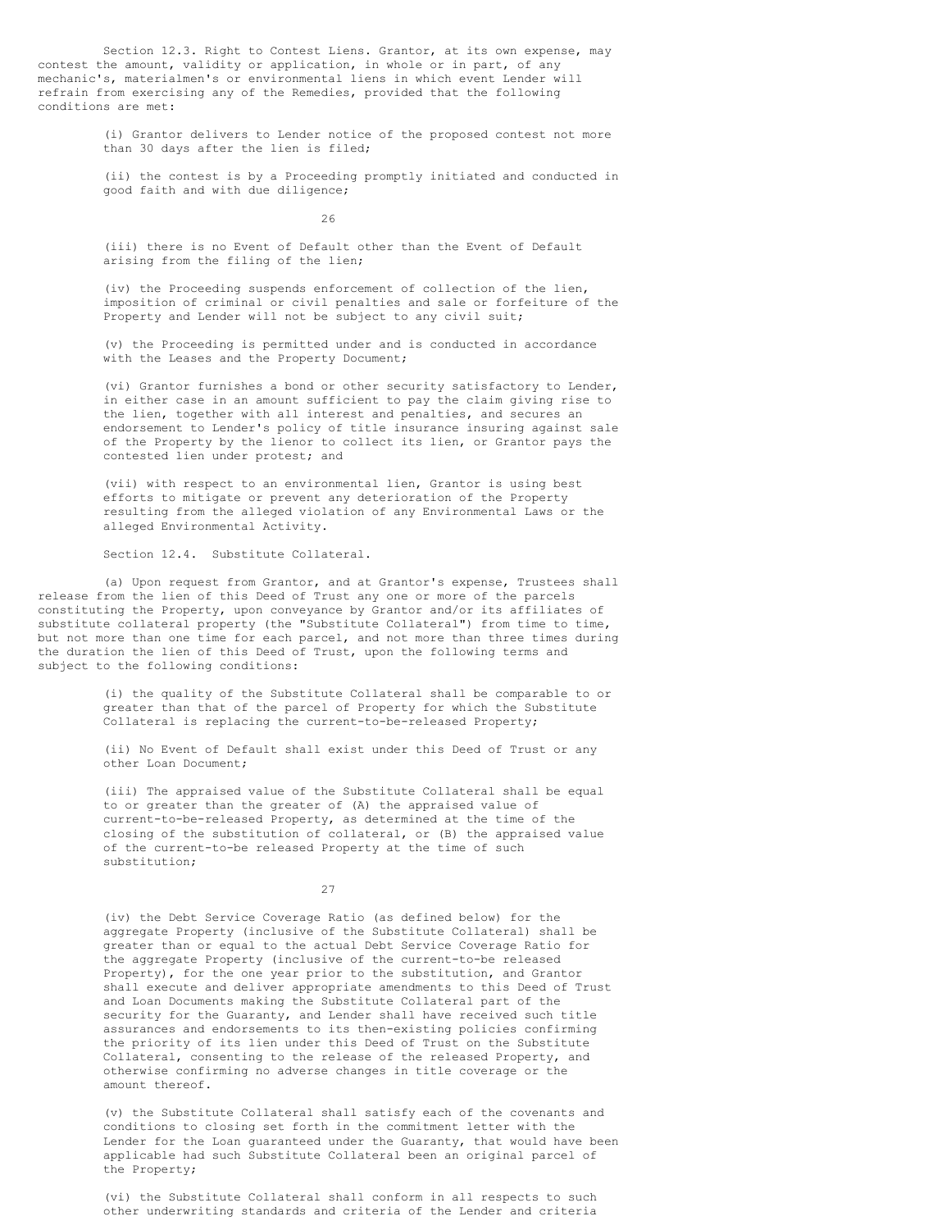Section 12.3. Right to Contest Liens. Grantor, at its own expense, may contest the amount, validity or application, in whole or in part, of any mechanic's, materialmen's or environmental liens in which event Lender will refrain from exercising any of the Remedies, provided that the following conditions are met:

> (i) Grantor delivers to Lender notice of the proposed contest not more than 30 days after the lien is filed;

(ii) the contest is by a Proceeding promptly initiated and conducted in good faith and with due diligence;

26

(iii) there is no Event of Default other than the Event of Default arising from the filing of the lien;

(iv) the Proceeding suspends enforcement of collection of the lien, imposition of criminal or civil penalties and sale or forfeiture of the Property and Lender will not be subject to any civil suit;

(v) the Proceeding is permitted under and is conducted in accordance with the Leases and the Property Document;

(vi) Grantor furnishes a bond or other security satisfactory to Lender, in either case in an amount sufficient to pay the claim giving rise to the lien, together with all interest and penalties, and secures an endorsement to Lender's policy of title insurance insuring against sale of the Property by the lienor to collect its lien, or Grantor pays the contested lien under protest; and

(vii) with respect to an environmental lien, Grantor is using best efforts to mitigate or prevent any deterioration of the Property resulting from the alleged violation of any Environmental Laws or the alleged Environmental Activity.

Section 12.4. Substitute Collateral.

(a) Upon request from Grantor, and at Grantor's expense, Trustees shall release from the lien of this Deed of Trust any one or more of the parcels constituting the Property, upon conveyance by Grantor and/or its affiliates of substitute collateral property (the "Substitute Collateral") from time to time, but not more than one time for each parcel, and not more than three times during the duration the lien of this Deed of Trust, upon the following terms and subject to the following conditions:

> (i) the quality of the Substitute Collateral shall be comparable to or greater than that of the parcel of Property for which the Substitute Collateral is replacing the current-to-be-released Property;

(ii) No Event of Default shall exist under this Deed of Trust or any other Loan Document;

(iii) The appraised value of the Substitute Collateral shall be equal to or greater than the greater of (A) the appraised value of current-to-be-released Property, as determined at the time of the closing of the substitution of collateral, or (B) the appraised value of the current-to-be released Property at the time of such substitution;

27

(iv) the Debt Service Coverage Ratio (as defined below) for the aggregate Property (inclusive of the Substitute Collateral) shall be greater than or equal to the actual Debt Service Coverage Ratio for the aggregate Property (inclusive of the current-to-be released Property), for the one year prior to the substitution, and Grantor shall execute and deliver appropriate amendments to this Deed of Trust and Loan Documents making the Substitute Collateral part of the security for the Guaranty, and Lender shall have received such title assurances and endorsements to its then-existing policies confirming the priority of its lien under this Deed of Trust on the Substitute Collateral, consenting to the release of the released Property, and otherwise confirming no adverse changes in title coverage or the amount thereof.

(v) the Substitute Collateral shall satisfy each of the covenants and conditions to closing set forth in the commitment letter with the Lender for the Loan guaranteed under the Guaranty, that would have been applicable had such Substitute Collateral been an original parcel of the Property;

(vi) the Substitute Collateral shall conform in all respects to such other underwriting standards and criteria of the Lender and criteria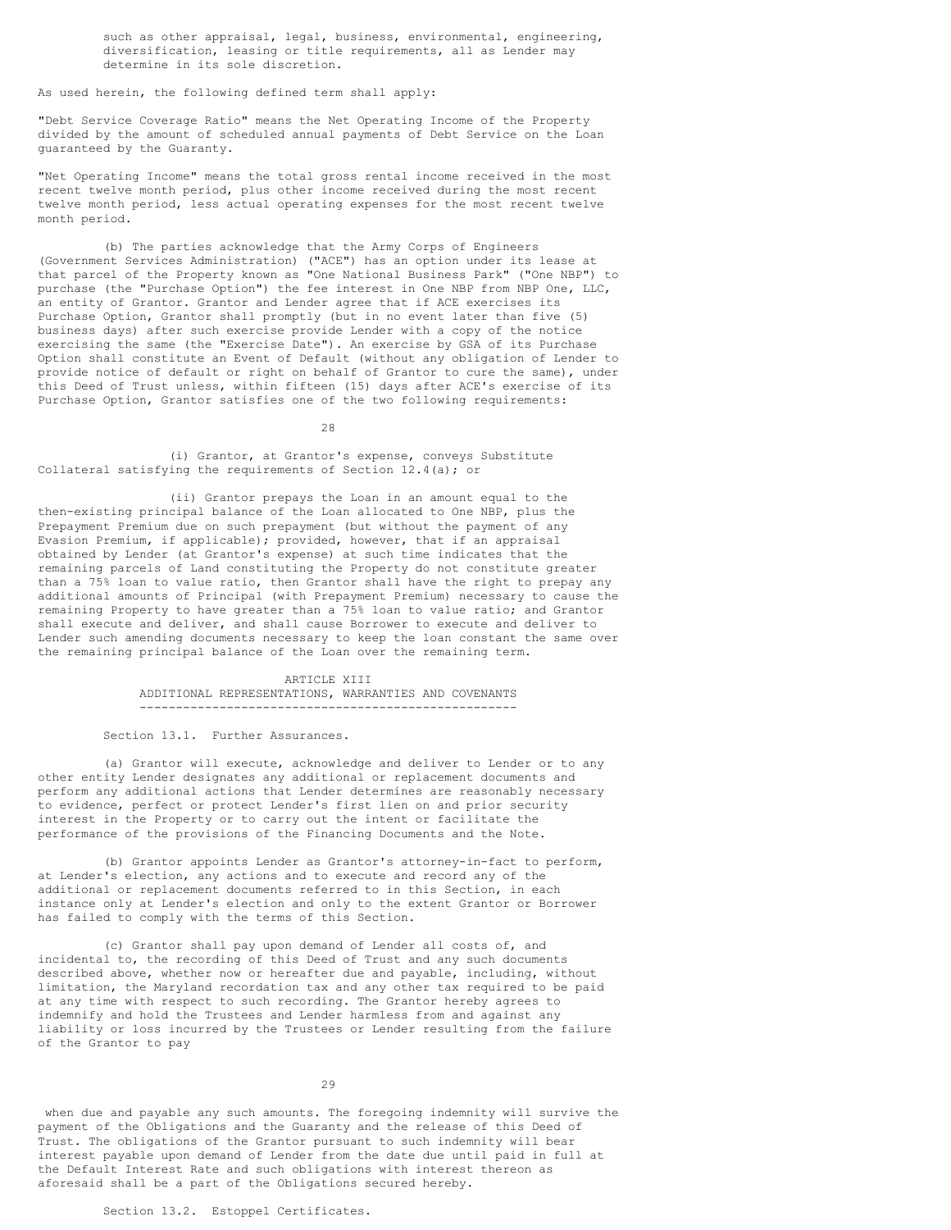such as other appraisal, legal, business, environmental, engineering, diversification, leasing or title requirements, all as Lender may determine in its sole discretion.

As used herein, the following defined term shall apply:

"Debt Service Coverage Ratio" means the Net Operating Income of the Property divided by the amount of scheduled annual payments of Debt Service on the Loan guaranteed by the Guaranty.

"Net Operating Income" means the total gross rental income received in the most recent twelve month period, plus other income received during the most recent twelve month period, less actual operating expenses for the most recent twelve month period.

(b) The parties acknowledge that the Army Corps of Engineers (Government Services Administration) ("ACE") has an option under its lease at that parcel of the Property known as "One National Business Park" ("One NBP") to purchase (the "Purchase Option") the fee interest in One NBP from NBP One, LLC, an entity of Grantor. Grantor and Lender agree that if ACE exercises its Purchase Option, Grantor shall promptly (but in no event later than five (5) business days) after such exercise provide Lender with a copy of the notice exercising the same (the "Exercise Date"). An exercise by GSA of its Purchase Option shall constitute an Event of Default (without any obligation of Lender to provide notice of default or right on behalf of Grantor to cure the same), under this Deed of Trust unless, within fifteen (15) days after ACE's exercise of its Purchase Option, Grantor satisfies one of the two following requirements:

28

## (i) Grantor, at Grantor's expense, conveys Substitute Collateral satisfying the requirements of Section 12.4(a); or

(ii) Grantor prepays the Loan in an amount equal to the then-existing principal balance of the Loan allocated to One NBP, plus the Prepayment Premium due on such prepayment (but without the payment of any Evasion Premium, if applicable); provided, however, that if an appraisal obtained by Lender (at Grantor's expense) at such time indicates that the remaining parcels of Land constituting the Property do not constitute greater than a 75% loan to value ratio, then Grantor shall have the right to prepay any additional amounts of Principal (with Prepayment Premium) necessary to cause the remaining Property to have greater than a 75% loan to value ratio; and Grantor shall execute and deliver, and shall cause Borrower to execute and deliver to Lender such amending documents necessary to keep the loan constant the same over the remaining principal balance of the Loan over the remaining term.

> ARTICLE XIII ADDITIONAL REPRESENTATIONS, WARRANTIES AND COVENANTS ----------------------------------------------------

Section 13.1. Further Assurances.

(a) Grantor will execute, acknowledge and deliver to Lender or to any other entity Lender designates any additional or replacement documents and perform any additional actions that Lender determines are reasonably necessary to evidence, perfect or protect Lender's first lien on and prior security interest in the Property or to carry out the intent or facilitate the performance of the provisions of the Financing Documents and the Note.

(b) Grantor appoints Lender as Grantor's attorney-in-fact to perform, at Lender's election, any actions and to execute and record any of the additional or replacement documents referred to in this Section, in each instance only at Lender's election and only to the extent Grantor or Borrower has failed to comply with the terms of this Section.

(c) Grantor shall pay upon demand of Lender all costs of, and incidental to, the recording of this Deed of Trust and any such documents described above, whether now or hereafter due and payable, including, without limitation, the Maryland recordation tax and any other tax required to be paid at any time with respect to such recording. The Grantor hereby agrees to indemnify and hold the Trustees and Lender harmless from and against any liability or loss incurred by the Trustees or Lender resulting from the failure of the Grantor to pay

 $29$ 

when due and payable any such amounts. The foregoing indemnity will survive the payment of the Obligations and the Guaranty and the release of this Deed of Trust. The obligations of the Grantor pursuant to such indemnity will bear interest payable upon demand of Lender from the date due until paid in full at the Default Interest Rate and such obligations with interest thereon as aforesaid shall be a part of the Obligations secured hereby.

## Section 13.2. Estoppel Certificates.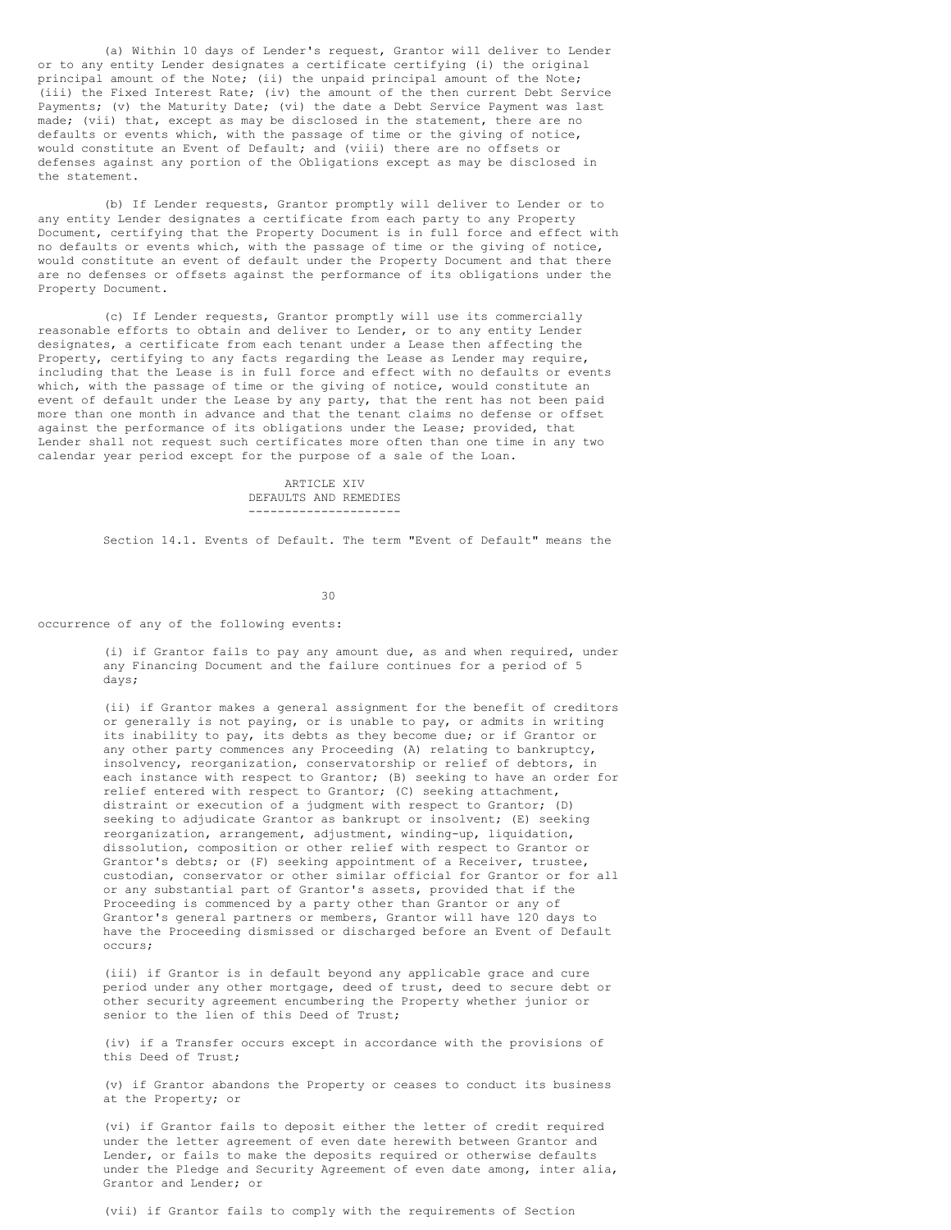(a) Within 10 days of Lender's request, Grantor will deliver to Lender or to any entity Lender designates a certificate certifying (i) the original principal amount of the Note; (ii) the unpaid principal amount of the Note; (iii) the Fixed Interest Rate; (iv) the amount of the then current Debt Service Payments; (v) the Maturity Date; (vi) the date a Debt Service Payment was last made; (vii) that, except as may be disclosed in the statement, there are no defaults or events which, with the passage of time or the giving of notice, would constitute an Event of Default; and (viii) there are no offsets or defenses against any portion of the Obligations except as may be disclosed in the statement.

(b) If Lender requests, Grantor promptly will deliver to Lender or to any entity Lender designates a certificate from each party to any Property Document, certifying that the Property Document is in full force and effect with no defaults or events which, with the passage of time or the giving of notice, would constitute an event of default under the Property Document and that there are no defenses or offsets against the performance of its obligations under the Property Document.

(c) If Lender requests, Grantor promptly will use its commercially reasonable efforts to obtain and deliver to Lender, or to any entity Lender designates, a certificate from each tenant under a Lease then affecting the Property, certifying to any facts regarding the Lease as Lender may require, including that the Lease is in full force and effect with no defaults or events which, with the passage of time or the giving of notice, would constitute an event of default under the Lease by any party, that the rent has not been paid more than one month in advance and that the tenant claims no defense or offset against the performance of its obligations under the Lease; provided, that Lender shall not request such certificates more often than one time in any two calendar year period except for the purpose of a sale of the Loan.

> ARTICLE XIV DEFAULTS AND REMEDIES ---------------------

Section 14.1. Events of Default. The term "Event of Default" means the

30

occurrence of any of the following events:

(i) if Grantor fails to pay any amount due, as and when required, under any Financing Document and the failure continues for a period of 5 days;

(ii) if Grantor makes a general assignment for the benefit of creditors or generally is not paying, or is unable to pay, or admits in writing its inability to pay, its debts as they become due; or if Grantor or any other party commences any Proceeding (A) relating to bankruptcy, insolvency, reorganization, conservatorship or relief of debtors, in each instance with respect to Grantor; (B) seeking to have an order for relief entered with respect to Grantor; (C) seeking attachment, distraint or execution of a judgment with respect to Grantor; (D) seeking to adjudicate Grantor as bankrupt or insolvent; (E) seeking reorganization, arrangement, adjustment, winding-up, liquidation, dissolution, composition or other relief with respect to Grantor or Grantor's debts; or (F) seeking appointment of a Receiver, trustee, custodian, conservator or other similar official for Grantor or for all or any substantial part of Grantor's assets, provided that if the Proceeding is commenced by a party other than Grantor or any of Grantor's general partners or members, Grantor will have 120 days to have the Proceeding dismissed or discharged before an Event of Default occurs;

(iii) if Grantor is in default beyond any applicable grace and cure period under any other mortgage, deed of trust, deed to secure debt or other security agreement encumbering the Property whether junior or senior to the lien of this Deed of Trust;

(iv) if a Transfer occurs except in accordance with the provisions of this Deed of Trust;

(v) if Grantor abandons the Property or ceases to conduct its business at the Property; or

(vi) if Grantor fails to deposit either the letter of credit required under the letter agreement of even date herewith between Grantor and Lender, or fails to make the deposits required or otherwise defaults under the Pledge and Security Agreement of even date among, inter alia, Grantor and Lender; or

(vii) if Grantor fails to comply with the requirements of Section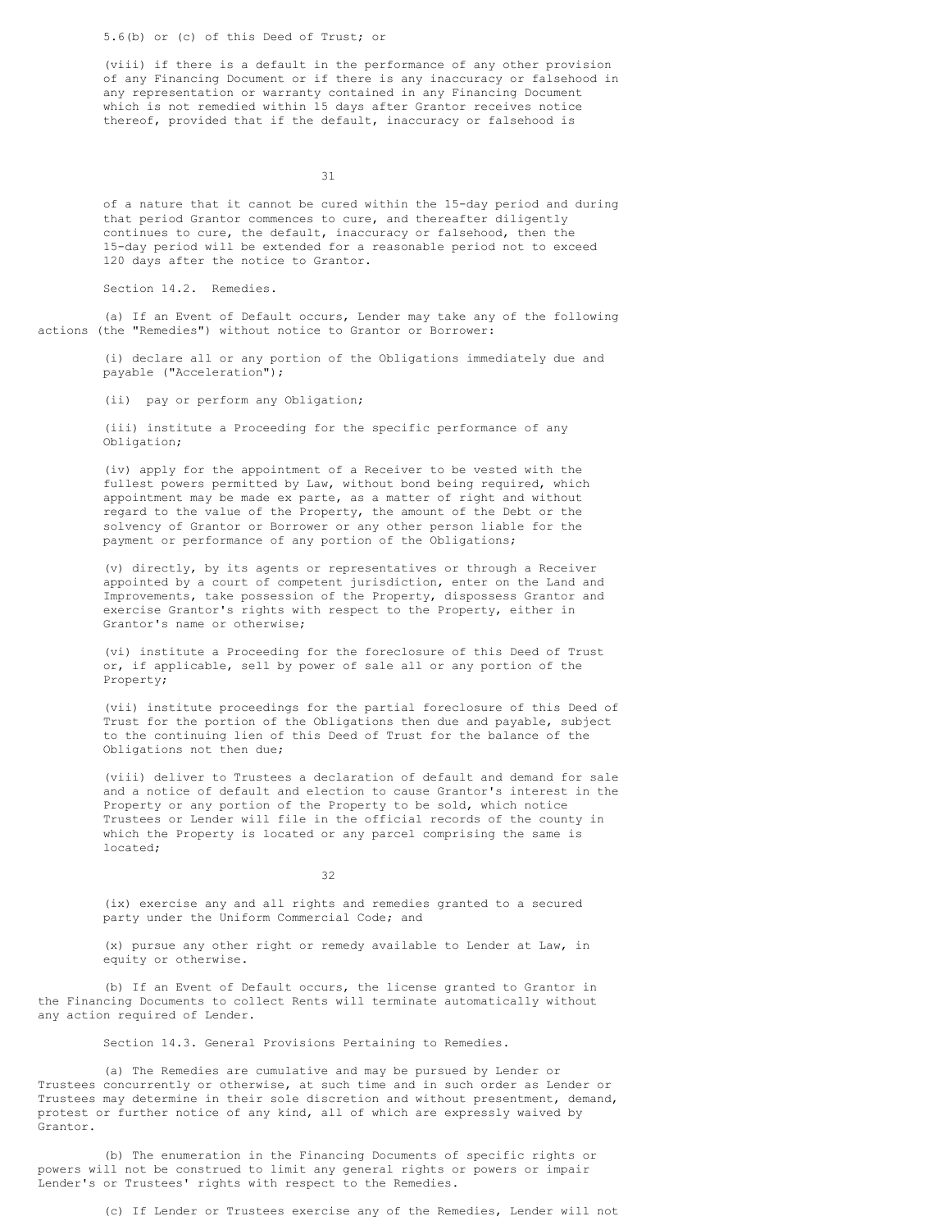5.6(b) or (c) of this Deed of Trust; or

(viii) if there is a default in the performance of any other provision of any Financing Document or if there is any inaccuracy or falsehood in any representation or warranty contained in any Financing Document which is not remedied within 15 days after Grantor receives notice thereof, provided that if the default, inaccuracy or falsehood is

31

of a nature that it cannot be cured within the 15-day period and during that period Grantor commences to cure, and thereafter diligently continues to cure, the default, inaccuracy or falsehood, then the 15-day period will be extended for a reasonable period not to exceed 120 days after the notice to Grantor.

Section 14.2. Remedies.

(a) If an Event of Default occurs, Lender may take any of the following actions (the "Remedies") without notice to Grantor or Borrower:

> (i) declare all or any portion of the Obligations immediately due and payable ("Acceleration");

(ii) pay or perform any Obligation;

(iii) institute a Proceeding for the specific performance of any Obligation;

(iv) apply for the appointment of a Receiver to be vested with the fullest powers permitted by Law, without bond being required, which appointment may be made ex parte, as a matter of right and without regard to the value of the Property, the amount of the Debt or the solvency of Grantor or Borrower or any other person liable for the payment or performance of any portion of the Obligations;

(v) directly, by its agents or representatives or through a Receiver appointed by a court of competent jurisdiction, enter on the Land and Improvements, take possession of the Property, dispossess Grantor and exercise Grantor's rights with respect to the Property, either in Grantor's name or otherwise;

(vi) institute a Proceeding for the foreclosure of this Deed of Trust or, if applicable, sell by power of sale all or any portion of the Property;

(vii) institute proceedings for the partial foreclosure of this Deed of Trust for the portion of the Obligations then due and payable, subject to the continuing lien of this Deed of Trust for the balance of the Obligations not then due;

(viii) deliver to Trustees a declaration of default and demand for sale and a notice of default and election to cause Grantor's interest in the Property or any portion of the Property to be sold, which notice Trustees or Lender will file in the official records of the county in which the Property is located or any parcel comprising the same is located;

32

(ix) exercise any and all rights and remedies granted to a secured party under the Uniform Commercial Code; and

(x) pursue any other right or remedy available to Lender at Law, in equity or otherwise.

(b) If an Event of Default occurs, the license granted to Grantor in the Financing Documents to collect Rents will terminate automatically without any action required of Lender.

Section 14.3. General Provisions Pertaining to Remedies.

(a) The Remedies are cumulative and may be pursued by Lender or Trustees concurrently or otherwise, at such time and in such order as Lender or Trustees may determine in their sole discretion and without presentment, demand, protest or further notice of any kind, all of which are expressly waived by Grantor.

(b) The enumeration in the Financing Documents of specific rights or powers will not be construed to limit any general rights or powers or impair Lender's or Trustees' rights with respect to the Remedies.

(c) If Lender or Trustees exercise any of the Remedies, Lender will not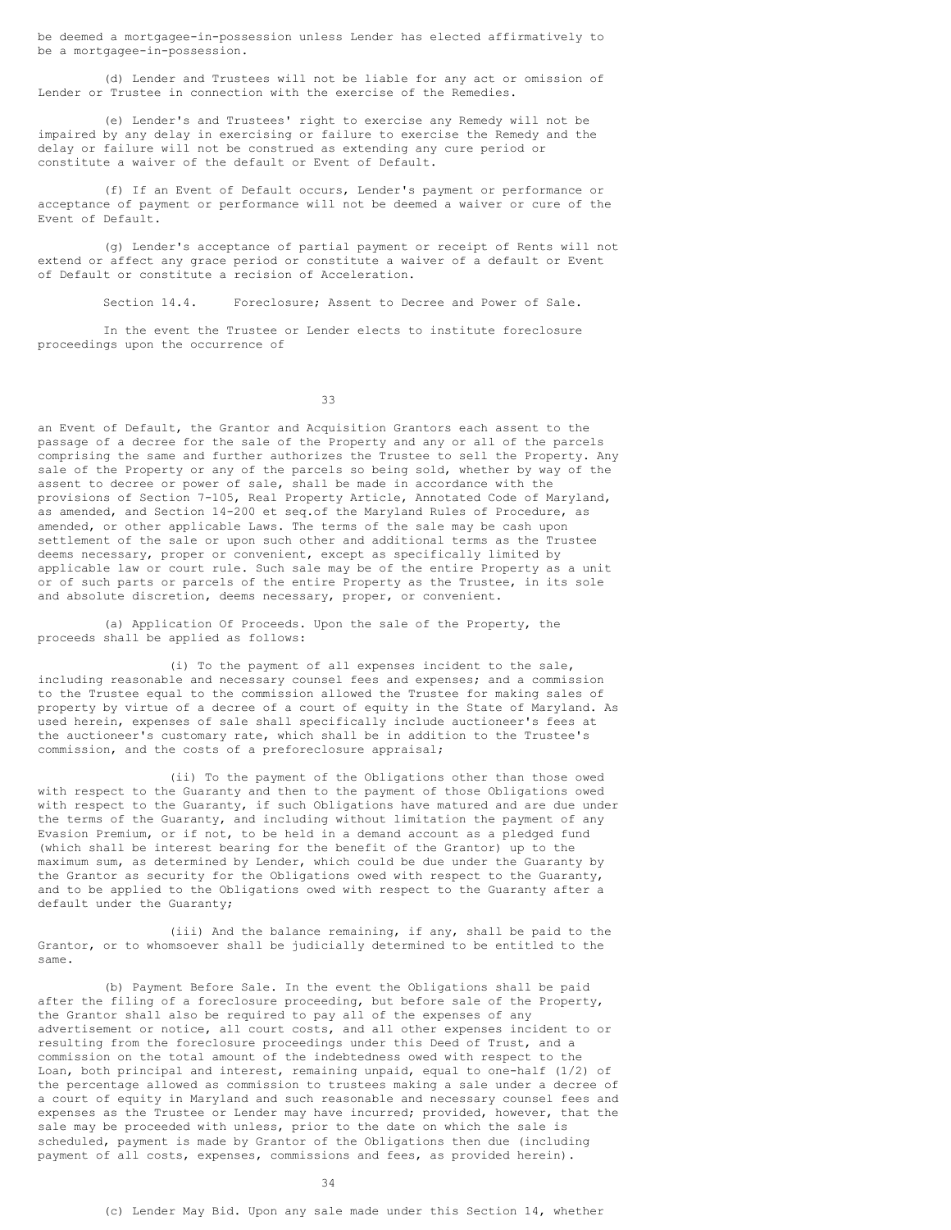be deemed a mortgagee-in-possession unless Lender has elected affirmatively to be a mortgagee-in-possession.

(d) Lender and Trustees will not be liable for any act or omission of Lender or Trustee in connection with the exercise of the Remedies.

(e) Lender's and Trustees' right to exercise any Remedy will not be impaired by any delay in exercising or failure to exercise the Remedy and the delay or failure will not be construed as extending any cure period or constitute a waiver of the default or Event of Default.

(f) If an Event of Default occurs, Lender's payment or performance or acceptance of payment or performance will not be deemed a waiver or cure of the Event of Default.

(g) Lender's acceptance of partial payment or receipt of Rents will not extend or affect any grace period or constitute a waiver of a default or Event of Default or constitute a recision of Acceleration.

Section 14.4. Foreclosure; Assent to Decree and Power of Sale.

In the event the Trustee or Lender elects to institute foreclosure proceedings upon the occurrence of

33

an Event of Default, the Grantor and Acquisition Grantors each assent to the passage of a decree for the sale of the Property and any or all of the parcels comprising the same and further authorizes the Trustee to sell the Property. Any sale of the Property or any of the parcels so being sold, whether by way of the assent to decree or power of sale, shall be made in accordance with the provisions of Section 7-105, Real Property Article, Annotated Code of Maryland, as amended, and Section 14-200 et seq.of the Maryland Rules of Procedure, as amended, or other applicable Laws. The terms of the sale may be cash upon settlement of the sale or upon such other and additional terms as the Trustee deems necessary, proper or convenient, except as specifically limited by applicable law or court rule. Such sale may be of the entire Property as a unit or of such parts or parcels of the entire Property as the Trustee, in its sole and absolute discretion, deems necessary, proper, or convenient.

(a) Application Of Proceeds. Upon the sale of the Property, the proceeds shall be applied as follows:

(i) To the payment of all expenses incident to the sale, including reasonable and necessary counsel fees and expenses; and a commission to the Trustee equal to the commission allowed the Trustee for making sales of property by virtue of a decree of a court of equity in the State of Maryland. As used herein, expenses of sale shall specifically include auctioneer's fees at the auctioneer's customary rate, which shall be in addition to the Trustee's commission, and the costs of a preforeclosure appraisal;

(ii) To the payment of the Obligations other than those owed with respect to the Guaranty and then to the payment of those Obligations owed with respect to the Guaranty, if such Obligations have matured and are due under the terms of the Guaranty, and including without limitation the payment of any Evasion Premium, or if not, to be held in a demand account as a pledged fund (which shall be interest bearing for the benefit of the Grantor) up to the maximum sum, as determined by Lender, which could be due under the Guaranty by the Grantor as security for the Obligations owed with respect to the Guaranty, and to be applied to the Obligations owed with respect to the Guaranty after a default under the Guaranty;

(iii) And the balance remaining, if any, shall be paid to the Grantor, or to whomsoever shall be judicially determined to be entitled to the same.

(b) Payment Before Sale. In the event the Obligations shall be paid after the filing of a foreclosure proceeding, but before sale of the Property, the Grantor shall also be required to pay all of the expenses of any advertisement or notice, all court costs, and all other expenses incident to or resulting from the foreclosure proceedings under this Deed of Trust, and a commission on the total amount of the indebtedness owed with respect to the Loan, both principal and interest, remaining unpaid, equal to one-half (1/2) of the percentage allowed as commission to trustees making a sale under a decree of a court of equity in Maryland and such reasonable and necessary counsel fees and expenses as the Trustee or Lender may have incurred; provided, however, that the sale may be proceeded with unless, prior to the date on which the sale is scheduled, payment is made by Grantor of the Obligations then due (including payment of all costs, expenses, commissions and fees, as provided herein).

34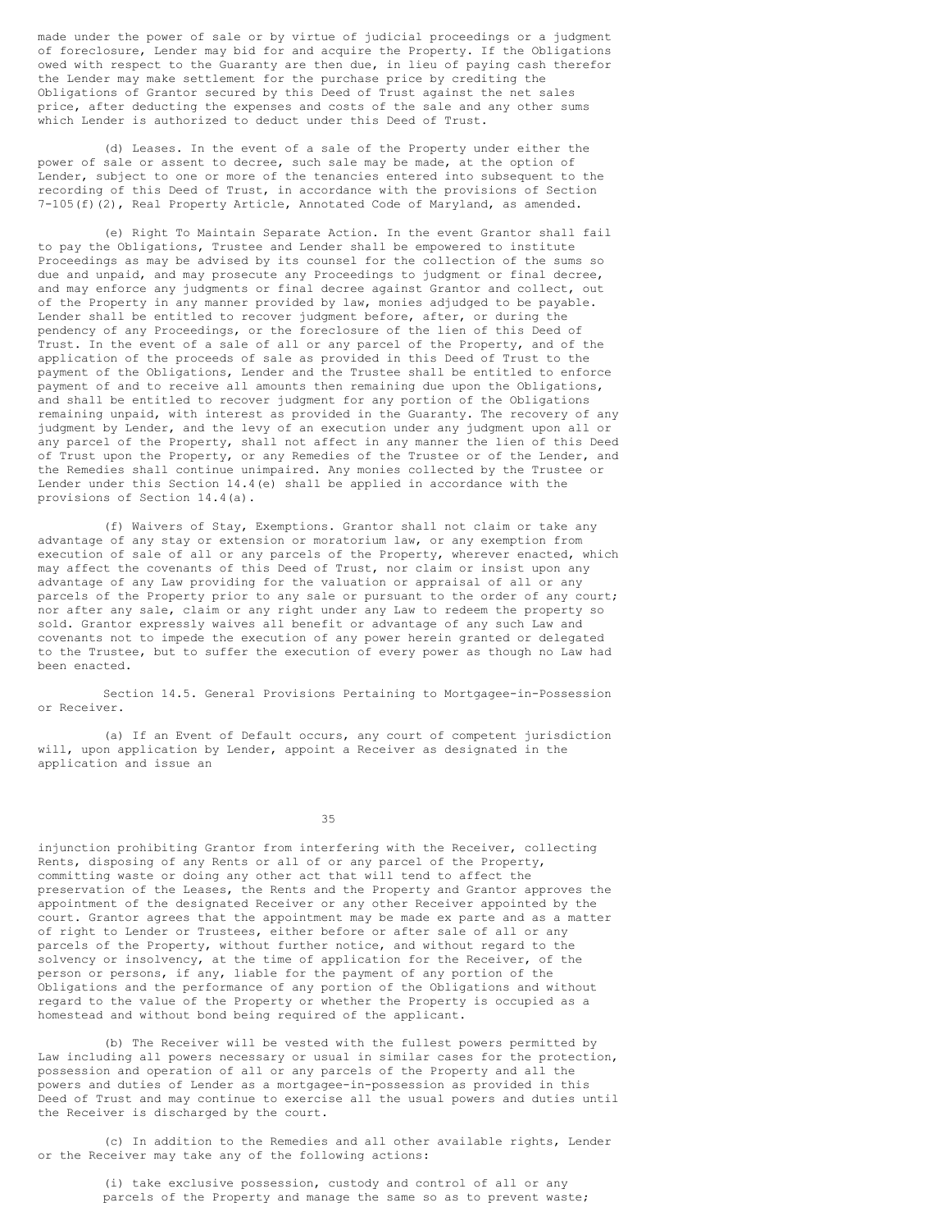made under the power of sale or by virtue of judicial proceedings or a judgment of foreclosure, Lender may bid for and acquire the Property. If the Obligations owed with respect to the Guaranty are then due, in lieu of paying cash therefor the Lender may make settlement for the purchase price by crediting the Obligations of Grantor secured by this Deed of Trust against the net sales price, after deducting the expenses and costs of the sale and any other sums which Lender is authorized to deduct under this Deed of Trust.

(d) Leases. In the event of a sale of the Property under either the power of sale or assent to decree, such sale may be made, at the option of Lender, subject to one or more of the tenancies entered into subsequent to the recording of this Deed of Trust, in accordance with the provisions of Section 7-105(f)(2), Real Property Article, Annotated Code of Maryland, as amended.

(e) Right To Maintain Separate Action. In the event Grantor shall fail to pay the Obligations, Trustee and Lender shall be empowered to institute Proceedings as may be advised by its counsel for the collection of the sums so due and unpaid, and may prosecute any Proceedings to judgment or final decree, and may enforce any judgments or final decree against Grantor and collect, out of the Property in any manner provided by law, monies adjudged to be payable. Lender shall be entitled to recover judgment before, after, or during the pendency of any Proceedings, or the foreclosure of the lien of this Deed of Trust. In the event of a sale of all or any parcel of the Property, and of the application of the proceeds of sale as provided in this Deed of Trust to the payment of the Obligations, Lender and the Trustee shall be entitled to enforce payment of and to receive all amounts then remaining due upon the Obligations, and shall be entitled to recover judgment for any portion of the Obligations remaining unpaid, with interest as provided in the Guaranty. The recovery of any judgment by Lender, and the levy of an execution under any judgment upon all or any parcel of the Property, shall not affect in any manner the lien of this Deed of Trust upon the Property, or any Remedies of the Trustee or of the Lender, and the Remedies shall continue unimpaired. Any monies collected by the Trustee or Lender under this Section  $14.4$  (e) shall be applied in accordance with the provisions of Section 14.4(a).

(f) Waivers of Stay, Exemptions. Grantor shall not claim or take any advantage of any stay or extension or moratorium law, or any exemption from execution of sale of all or any parcels of the Property, wherever enacted, which may affect the covenants of this Deed of Trust, nor claim or insist upon any advantage of any Law providing for the valuation or appraisal of all or any parcels of the Property prior to any sale or pursuant to the order of any court; nor after any sale, claim or any right under any Law to redeem the property so sold. Grantor expressly waives all benefit or advantage of any such Law and covenants not to impede the execution of any power herein granted or delegated to the Trustee, but to suffer the execution of every power as though no Law had been enacted.

Section 14.5. General Provisions Pertaining to Mortgagee-in-Possession or Receiver.

(a) If an Event of Default occurs, any court of competent jurisdiction will, upon application by Lender, appoint a Receiver as designated in the application and issue an

35

injunction prohibiting Grantor from interfering with the Receiver, collecting Rents, disposing of any Rents or all of or any parcel of the Property, committing waste or doing any other act that will tend to affect the preservation of the Leases, the Rents and the Property and Grantor approves the appointment of the designated Receiver or any other Receiver appointed by the court. Grantor agrees that the appointment may be made ex parte and as a matter of right to Lender or Trustees, either before or after sale of all or any parcels of the Property, without further notice, and without regard to the solvency or insolvency, at the time of application for the Receiver, of the person or persons, if any, liable for the payment of any portion of the Obligations and the performance of any portion of the Obligations and without regard to the value of the Property or whether the Property is occupied as a homestead and without bond being required of the applicant.

(b) The Receiver will be vested with the fullest powers permitted by Law including all powers necessary or usual in similar cases for the protection, possession and operation of all or any parcels of the Property and all the powers and duties of Lender as a mortgagee-in-possession as provided in this Deed of Trust and may continue to exercise all the usual powers and duties until the Receiver is discharged by the court.

(c) In addition to the Remedies and all other available rights, Lender or the Receiver may take any of the following actions:

> (i) take exclusive possession, custody and control of all or any parcels of the Property and manage the same so as to prevent waste;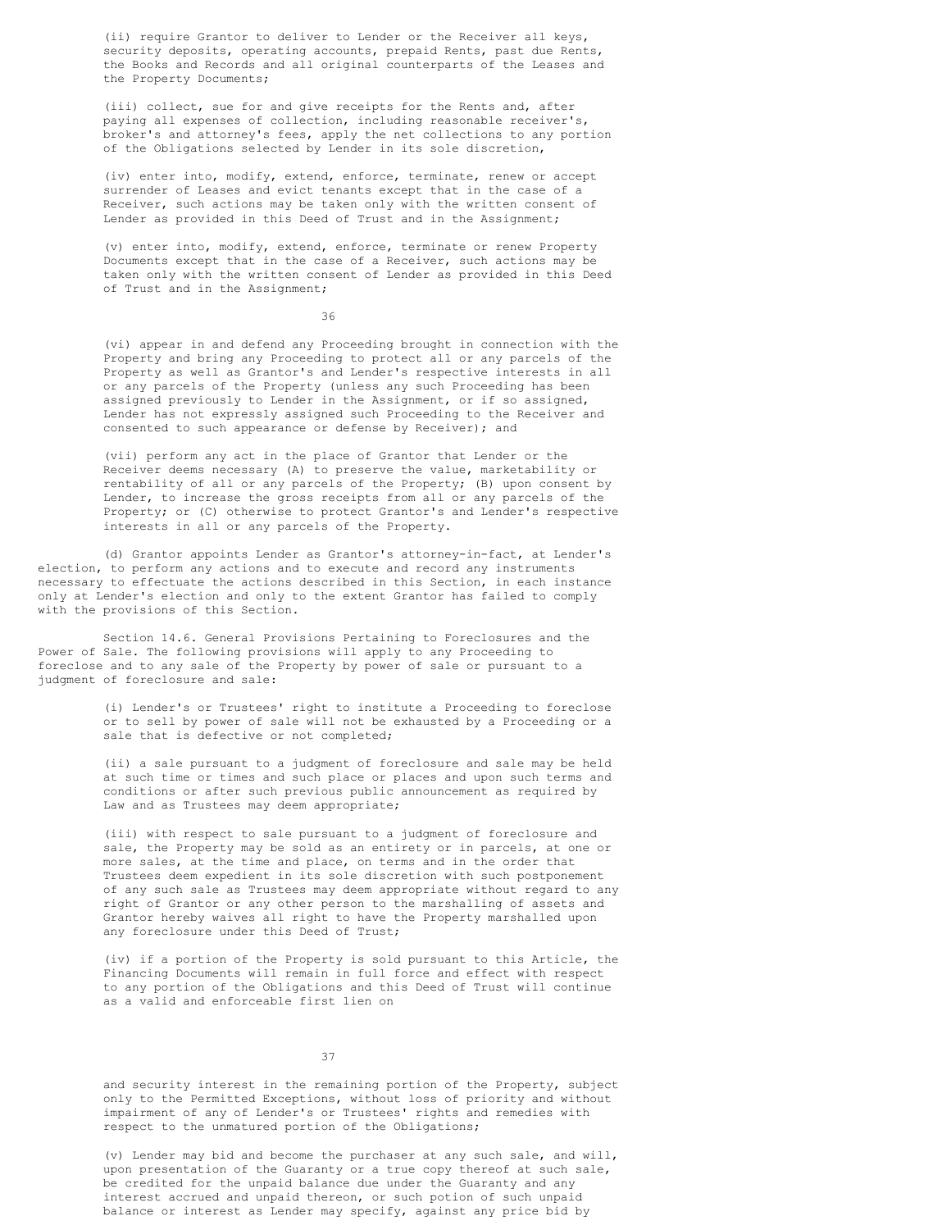(ii) require Grantor to deliver to Lender or the Receiver all keys, security deposits, operating accounts, prepaid Rents, past due Rents, the Books and Records and all original counterparts of the Leases and the Property Documents;

(iii) collect, sue for and give receipts for the Rents and, after paying all expenses of collection, including reasonable receiver's, broker's and attorney's fees, apply the net collections to any portion of the Obligations selected by Lender in its sole discretion,

(iv) enter into, modify, extend, enforce, terminate, renew or accept surrender of Leases and evict tenants except that in the case of a Receiver, such actions may be taken only with the written consent of Lender as provided in this Deed of Trust and in the Assignment;

(v) enter into, modify, extend, enforce, terminate or renew Property Documents except that in the case of a Receiver, such actions may be taken only with the written consent of Lender as provided in this Deed of Trust and in the Assignment;

36

(vi) appear in and defend any Proceeding brought in connection with the Property and bring any Proceeding to protect all or any parcels of the Property as well as Grantor's and Lender's respective interests in all or any parcels of the Property (unless any such Proceeding has been assigned previously to Lender in the Assignment, or if so assigned, Lender has not expressly assigned such Proceeding to the Receiver and consented to such appearance or defense by Receiver); and

(vii) perform any act in the place of Grantor that Lender or the Receiver deems necessary (A) to preserve the value, marketability or rentability of all or any parcels of the Property; (B) upon consent by Lender, to increase the gross receipts from all or any parcels of the Property; or (C) otherwise to protect Grantor's and Lender's respective interests in all or any parcels of the Property.

(d) Grantor appoints Lender as Grantor's attorney-in-fact, at Lender's election, to perform any actions and to execute and record any instruments necessary to effectuate the actions described in this Section, in each instance only at Lender's election and only to the extent Grantor has failed to comply with the provisions of this Section.

Section 14.6. General Provisions Pertaining to Foreclosures and the Power of Sale. The following provisions will apply to any Proceeding to foreclose and to any sale of the Property by power of sale or pursuant to a judgment of foreclosure and sale:

> (i) Lender's or Trustees' right to institute a Proceeding to foreclose or to sell by power of sale will not be exhausted by a Proceeding or a sale that is defective or not completed;

> (ii) a sale pursuant to a judgment of foreclosure and sale may be held at such time or times and such place or places and upon such terms and conditions or after such previous public announcement as required by Law and as Trustees may deem appropriate;

(iii) with respect to sale pursuant to a judgment of foreclosure and sale, the Property may be sold as an entirety or in parcels, at one or more sales, at the time and place, on terms and in the order that Trustees deem expedient in its sole discretion with such postponement of any such sale as Trustees may deem appropriate without regard to any right of Grantor or any other person to the marshalling of assets and Grantor hereby waives all right to have the Property marshalled upon any foreclosure under this Deed of Trust;

(iv) if a portion of the Property is sold pursuant to this Article, the Financing Documents will remain in full force and effect with respect to any portion of the Obligations and this Deed of Trust will continue as a valid and enforceable first lien on

37

and security interest in the remaining portion of the Property, subject only to the Permitted Exceptions, without loss of priority and without impairment of any of Lender's or Trustees' rights and remedies with respect to the unmatured portion of the Obligations;

(v) Lender may bid and become the purchaser at any such sale, and will, upon presentation of the Guaranty or a true copy thereof at such sale, be credited for the unpaid balance due under the Guaranty and any interest accrued and unpaid thereon, or such potion of such unpaid balance or interest as Lender may specify, against any price bid by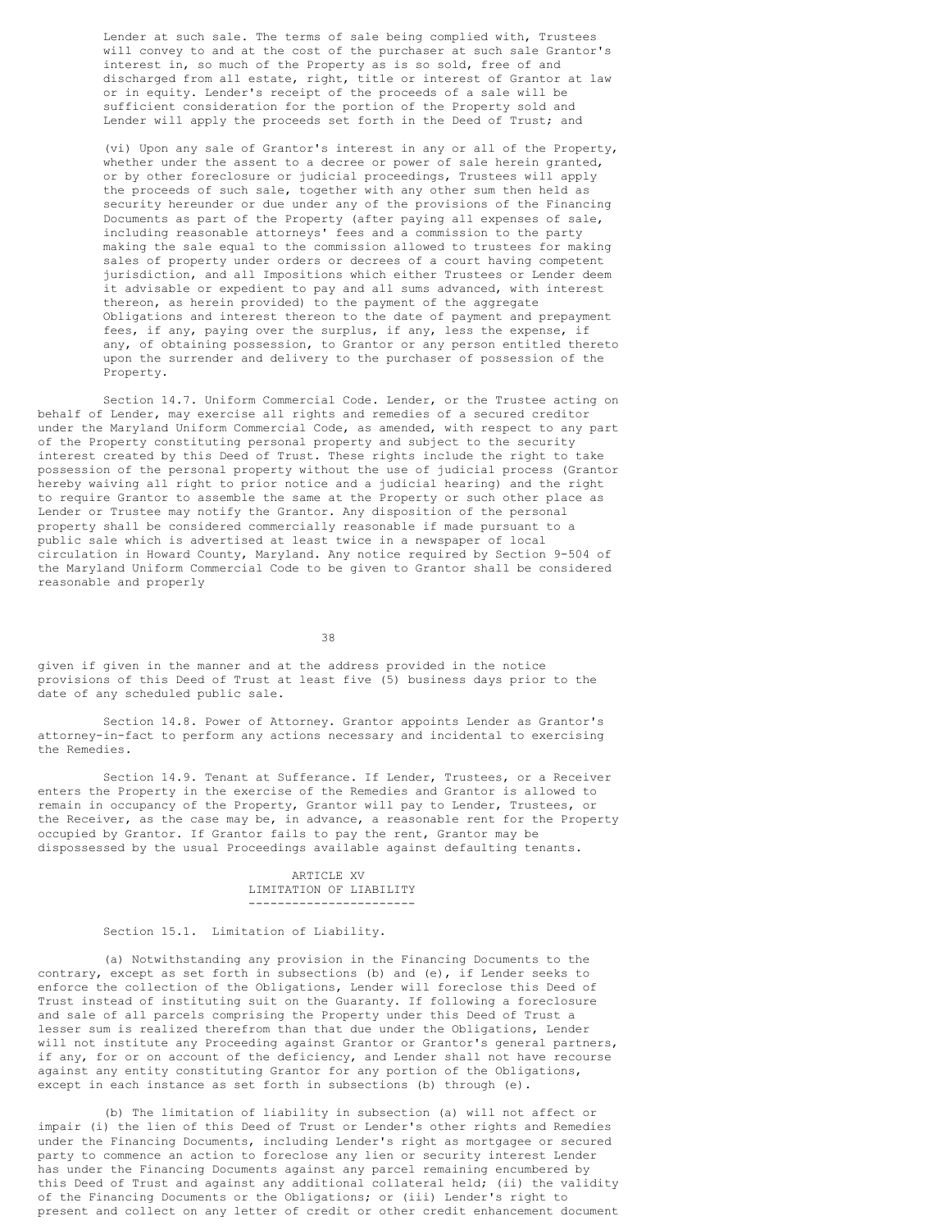Lender at such sale. The terms of sale being complied with, Trustees will convey to and at the cost of the purchaser at such sale Grantor's interest in, so much of the Property as is so sold, free of and discharged from all estate, right, title or interest of Grantor at law or in equity. Lender's receipt of the proceeds of a sale will be sufficient consideration for the portion of the Property sold and Lender will apply the proceeds set forth in the Deed of Trust; and

(vi) Upon any sale of Grantor's interest in any or all of the Property, whether under the assent to a decree or power of sale herein granted, or by other foreclosure or judicial proceedings, Trustees will apply the proceeds of such sale, together with any other sum then held as security hereunder or due under any of the provisions of the Financing Documents as part of the Property (after paying all expenses of sale, including reasonable attorneys' fees and a commission to the party making the sale equal to the commission allowed to trustees for making sales of property under orders or decrees of a court having competent jurisdiction, and all Impositions which either Trustees or Lender deem it advisable or expedient to pay and all sums advanced, with interest thereon, as herein provided) to the payment of the aggregate Obligations and interest thereon to the date of payment and prepayment fees, if any, paying over the surplus, if any, less the expense, if any, of obtaining possession, to Grantor or any person entitled thereto upon the surrender and delivery to the purchaser of possession of the Property.

Section 14.7. Uniform Commercial Code. Lender, or the Trustee acting on behalf of Lender, may exercise all rights and remedies of a secured creditor under the Maryland Uniform Commercial Code, as amended, with respect to any part of the Property constituting personal property and subject to the security interest created by this Deed of Trust. These rights include the right to take possession of the personal property without the use of judicial process (Grantor hereby waiving all right to prior notice and a judicial hearing) and the right to require Grantor to assemble the same at the Property or such other place as Lender or Trustee may notify the Grantor. Any disposition of the personal property shall be considered commercially reasonable if made pursuant to a public sale which is advertised at least twice in a newspaper of local circulation in Howard County, Maryland. Any notice required by Section 9-504 of the Maryland Uniform Commercial Code to be given to Grantor shall be considered reasonable and properly

38

given if given in the manner and at the address provided in the notice provisions of this Deed of Trust at least five (5) business days prior to the date of any scheduled public sale.

Section 14.8. Power of Attorney. Grantor appoints Lender as Grantor's attorney-in-fact to perform any actions necessary and incidental to exercising the Remedies.

Section 14.9. Tenant at Sufferance. If Lender, Trustees, or a Receiver enters the Property in the exercise of the Remedies and Grantor is allowed to remain in occupancy of the Property, Grantor will pay to Lender, Trustees, or the Receiver, as the case may be, in advance, a reasonable rent for the Property occupied by Grantor. If Grantor fails to pay the rent, Grantor may be dispossessed by the usual Proceedings available against defaulting tenants.

> ARTICLE XV LIMITATION OF LIABILITY -----------------------

# Section 15.1. Limitation of Liability.

(a) Notwithstanding any provision in the Financing Documents to the contrary, except as set forth in subsections (b) and (e), if Lender seeks to enforce the collection of the Obligations, Lender will foreclose this Deed of Trust instead of instituting suit on the Guaranty. If following a foreclosure and sale of all parcels comprising the Property under this Deed of Trust a lesser sum is realized therefrom than that due under the Obligations, Lender will not institute any Proceeding against Grantor or Grantor's general partners, if any, for or on account of the deficiency, and Lender shall not have recourse against any entity constituting Grantor for any portion of the Obligations, except in each instance as set forth in subsections (b) through (e).

(b) The limitation of liability in subsection (a) will not affect or impair (i) the lien of this Deed of Trust or Lender's other rights and Remedies under the Financing Documents, including Lender's right as mortgagee or secured party to commence an action to foreclose any lien or security interest Lender has under the Financing Documents against any parcel remaining encumbered by this Deed of Trust and against any additional collateral held; (ii) the validity of the Financing Documents or the Obligations; or (iii) Lender's right to present and collect on any letter of credit or other credit enhancement document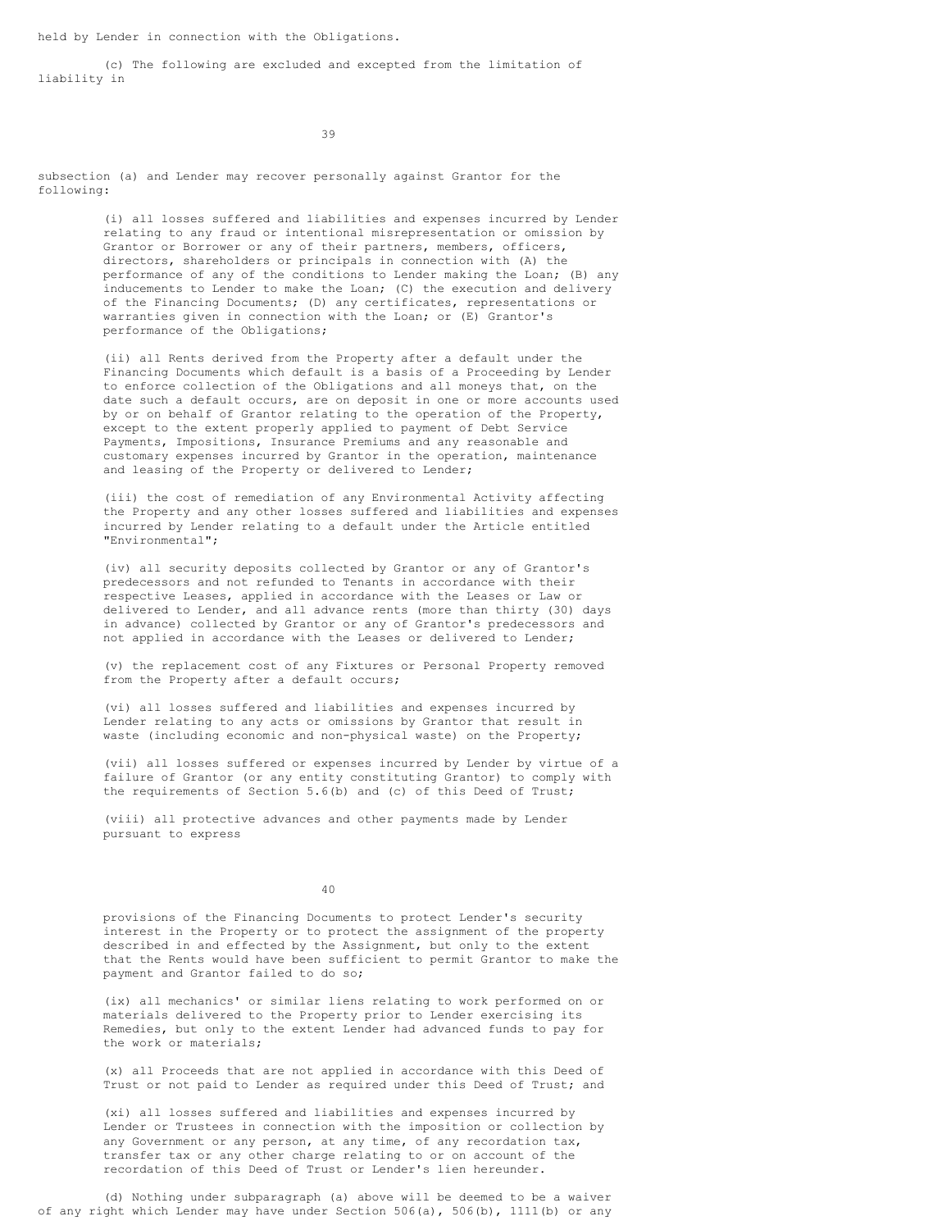held by Lender in connection with the Obligations.

(c) The following are excluded and excepted from the limitation of liability in

39

subsection (a) and Lender may recover personally against Grantor for the following:

> (i) all losses suffered and liabilities and expenses incurred by Lender relating to any fraud or intentional misrepresentation or omission by Grantor or Borrower or any of their partners, members, officers, directors, shareholders or principals in connection with (A) the performance of any of the conditions to Lender making the Loan; (B) any inducements to Lender to make the Loan; (C) the execution and delivery of the Financing Documents; (D) any certificates, representations or warranties given in connection with the Loan; or (E) Grantor's performance of the Obligations;

> (ii) all Rents derived from the Property after a default under the Financing Documents which default is a basis of a Proceeding by Lender to enforce collection of the Obligations and all moneys that, on the date such a default occurs, are on deposit in one or more accounts used by or on behalf of Grantor relating to the operation of the Property, except to the extent properly applied to payment of Debt Service Payments, Impositions, Insurance Premiums and any reasonable and customary expenses incurred by Grantor in the operation, maintenance and leasing of the Property or delivered to Lender;

> (iii) the cost of remediation of any Environmental Activity affecting the Property and any other losses suffered and liabilities and expenses incurred by Lender relating to a default under the Article entitled "Environmental";

(iv) all security deposits collected by Grantor or any of Grantor's predecessors and not refunded to Tenants in accordance with their respective Leases, applied in accordance with the Leases or Law or delivered to Lender, and all advance rents (more than thirty (30) days in advance) collected by Grantor or any of Grantor's predecessors and not applied in accordance with the Leases or delivered to Lender;

(v) the replacement cost of any Fixtures or Personal Property removed from the Property after a default occurs;

(vi) all losses suffered and liabilities and expenses incurred by Lender relating to any acts or omissions by Grantor that result in waste (including economic and non-physical waste) on the Property;

(vii) all losses suffered or expenses incurred by Lender by virtue of a failure of Grantor (or any entity constituting Grantor) to comply with the requirements of Section 5.6(b) and (c) of this Deed of Trust;

(viii) all protective advances and other payments made by Lender pursuant to express

40

provisions of the Financing Documents to protect Lender's security interest in the Property or to protect the assignment of the property described in and effected by the Assignment, but only to the extent that the Rents would have been sufficient to permit Grantor to make the payment and Grantor failed to do so;

(ix) all mechanics' or similar liens relating to work performed on or materials delivered to the Property prior to Lender exercising its Remedies, but only to the extent Lender had advanced funds to pay for the work or materials;

(x) all Proceeds that are not applied in accordance with this Deed of Trust or not paid to Lender as required under this Deed of Trust; and

(xi) all losses suffered and liabilities and expenses incurred by Lender or Trustees in connection with the imposition or collection by any Government or any person, at any time, of any recordation tax, transfer tax or any other charge relating to or on account of the recordation of this Deed of Trust or Lender's lien hereunder.

(d) Nothing under subparagraph (a) above will be deemed to be a waiver of any right which Lender may have under Section 506(a), 506(b), 1111(b) or any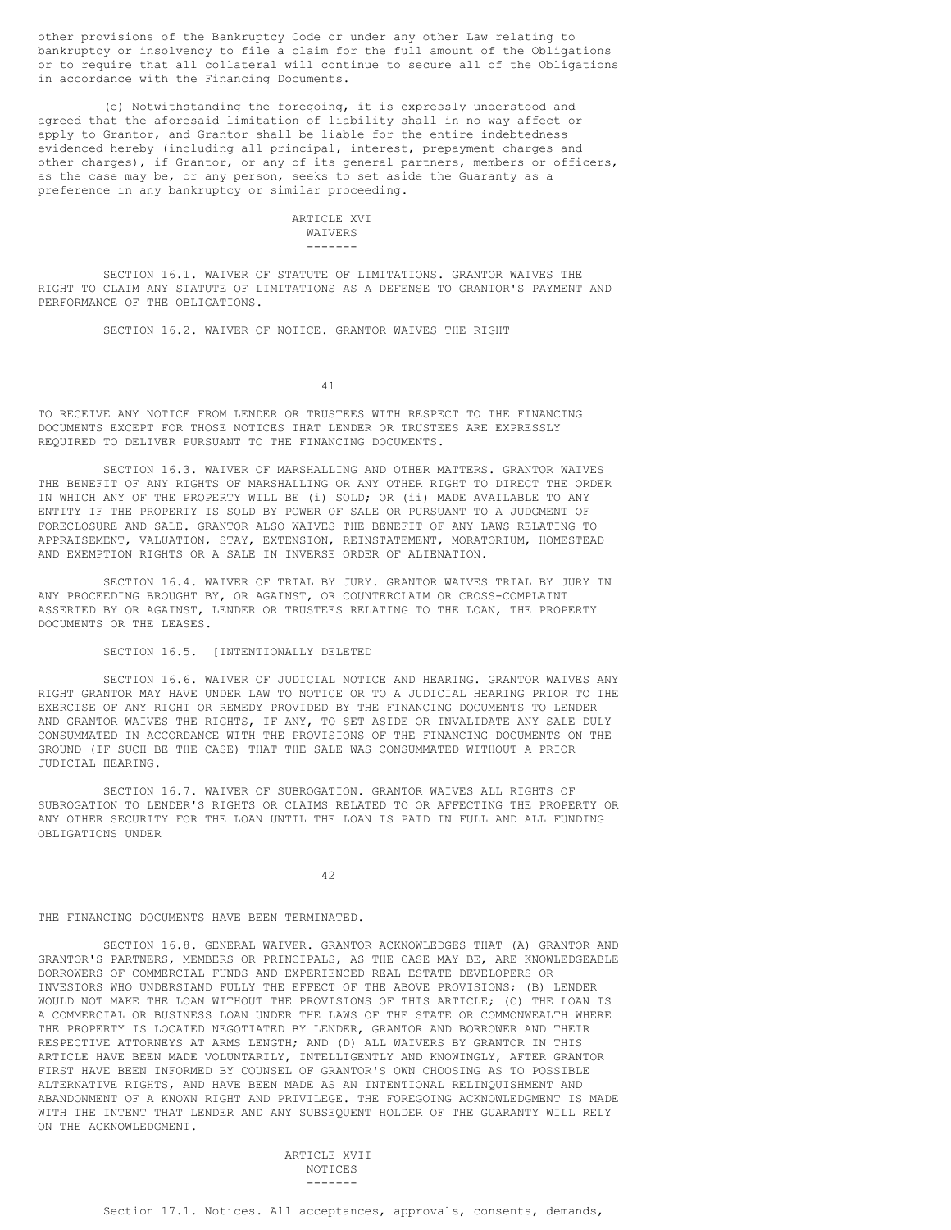other provisions of the Bankruptcy Code or under any other Law relating to bankruptcy or insolvency to file a claim for the full amount of the Obligations or to require that all collateral will continue to secure all of the Obligations in accordance with the Financing Documents.

(e) Notwithstanding the foregoing, it is expressly understood and agreed that the aforesaid limitation of liability shall in no way affect or apply to Grantor, and Grantor shall be liable for the entire indebtedness evidenced hereby (including all principal, interest, prepayment charges and other charges), if Grantor, or any of its general partners, members or officers, as the case may be, or any person, seeks to set aside the Guaranty as a preference in any bankruptcy or similar proceeding.

ARTICLE XVI WAIVERS -------

SECTION 16.1. WAIVER OF STATUTE OF LIMITATIONS. GRANTOR WAIVES THE RIGHT TO CLAIM ANY STATUTE OF LIMITATIONS AS A DEFENSE TO GRANTOR'S PAYMENT AND PERFORMANCE OF THE OBLIGATIONS.

SECTION 16.2. WAIVER OF NOTICE. GRANTOR WAIVES THE RIGHT

41

TO RECEIVE ANY NOTICE FROM LENDER OR TRUSTEES WITH RESPECT TO THE FINANCING DOCUMENTS EXCEPT FOR THOSE NOTICES THAT LENDER OR TRUSTEES ARE EXPRESSLY REQUIRED TO DELIVER PURSUANT TO THE FINANCING DOCUMENTS.

SECTION 16.3. WAIVER OF MARSHALLING AND OTHER MATTERS. GRANTOR WAIVES THE BENEFIT OF ANY RIGHTS OF MARSHALLING OR ANY OTHER RIGHT TO DIRECT THE ORDER IN WHICH ANY OF THE PROPERTY WILL BE (i) SOLD; OR (ii) MADE AVAILABLE TO ANY ENTITY IF THE PROPERTY IS SOLD BY POWER OF SALE OR PURSUANT TO A JUDGMENT OF FORECLOSURE AND SALE. GRANTOR ALSO WAIVES THE BENEFIT OF ANY LAWS RELATING TO APPRAISEMENT, VALUATION, STAY, EXTENSION, REINSTATEMENT, MORATORIUM, HOMESTEAD AND EXEMPTION RIGHTS OR A SALE IN INVERSE ORDER OF ALIENATION.

SECTION 16.4. WAIVER OF TRIAL BY JURY. GRANTOR WAIVES TRIAL BY JURY IN ANY PROCEEDING BROUGHT BY, OR AGAINST, OR COUNTERCLAIM OR CROSS-COMPLAINT ASSERTED BY OR AGAINST, LENDER OR TRUSTEES RELATING TO THE LOAN, THE PROPERTY DOCUMENTS OR THE LEASES.

#### SECTION 16.5. [INTENTIONALLY DELETED

SECTION 16.6. WAIVER OF JUDICIAL NOTICE AND HEARING. GRANTOR WAIVES ANY RIGHT GRANTOR MAY HAVE UNDER LAW TO NOTICE OR TO A JUDICIAL HEARING PRIOR TO THE EXERCISE OF ANY RIGHT OR REMEDY PROVIDED BY THE FINANCING DOCUMENTS TO LENDER AND GRANTOR WAIVES THE RIGHTS, IF ANY, TO SET ASIDE OR INVALIDATE ANY SALE DULY CONSUMMATED IN ACCORDANCE WITH THE PROVISIONS OF THE FINANCING DOCUMENTS ON THE GROUND (IF SUCH BE THE CASE) THAT THE SALE WAS CONSUMMATED WITHOUT A PRIOR JUDICIAL HEARING.

SECTION 16.7. WAIVER OF SUBROGATION. GRANTOR WAIVES ALL RIGHTS OF SUBROGATION TO LENDER'S RIGHTS OR CLAIMS RELATED TO OR AFFECTING THE PROPERTY OR ANY OTHER SECURITY FOR THE LOAN UNTIL THE LOAN IS PAID IN FULL AND ALL FUNDING OBLIGATIONS UNDER

42

## THE FINANCING DOCUMENTS HAVE BEEN TERMINATED.

SECTION 16.8. GENERAL WAIVER. GRANTOR ACKNOWLEDGES THAT (A) GRANTOR AND GRANTOR'S PARTNERS, MEMBERS OR PRINCIPALS, AS THE CASE MAY BE, ARE KNOWLEDGEABLE BORROWERS OF COMMERCIAL FUNDS AND EXPERIENCED REAL ESTATE DEVELOPERS OR INVESTORS WHO UNDERSTAND FULLY THE EFFECT OF THE ABOVE PROVISIONS; (B) LENDER WOULD NOT MAKE THE LOAN WITHOUT THE PROVISIONS OF THIS ARTICLE; (C) THE LOAN IS A COMMERCIAL OR BUSINESS LOAN UNDER THE LAWS OF THE STATE OR COMMONWEALTH WHERE THE PROPERTY IS LOCATED NEGOTIATED BY LENDER, GRANTOR AND BORROWER AND THEIR RESPECTIVE ATTORNEYS AT ARMS LENGTH; AND (D) ALL WAIVERS BY GRANTOR IN THIS ARTICLE HAVE BEEN MADE VOLUNTARILY, INTELLIGENTLY AND KNOWINGLY, AFTER GRANTOR FIRST HAVE BEEN INFORMED BY COUNSEL OF GRANTOR'S OWN CHOOSING AS TO POSSIBLE ALTERNATIVE RIGHTS, AND HAVE BEEN MADE AS AN INTENTIONAL RELINQUISHMENT AND ABANDONMENT OF A KNOWN RIGHT AND PRIVILEGE. THE FOREGOING ACKNOWLEDGMENT IS MADE WITH THE INTENT THAT LENDER AND ANY SUBSEQUENT HOLDER OF THE GUARANTY WILL RELY ON THE ACKNOWLEDGMENT.

> ARTICLE XVII NOTICES -------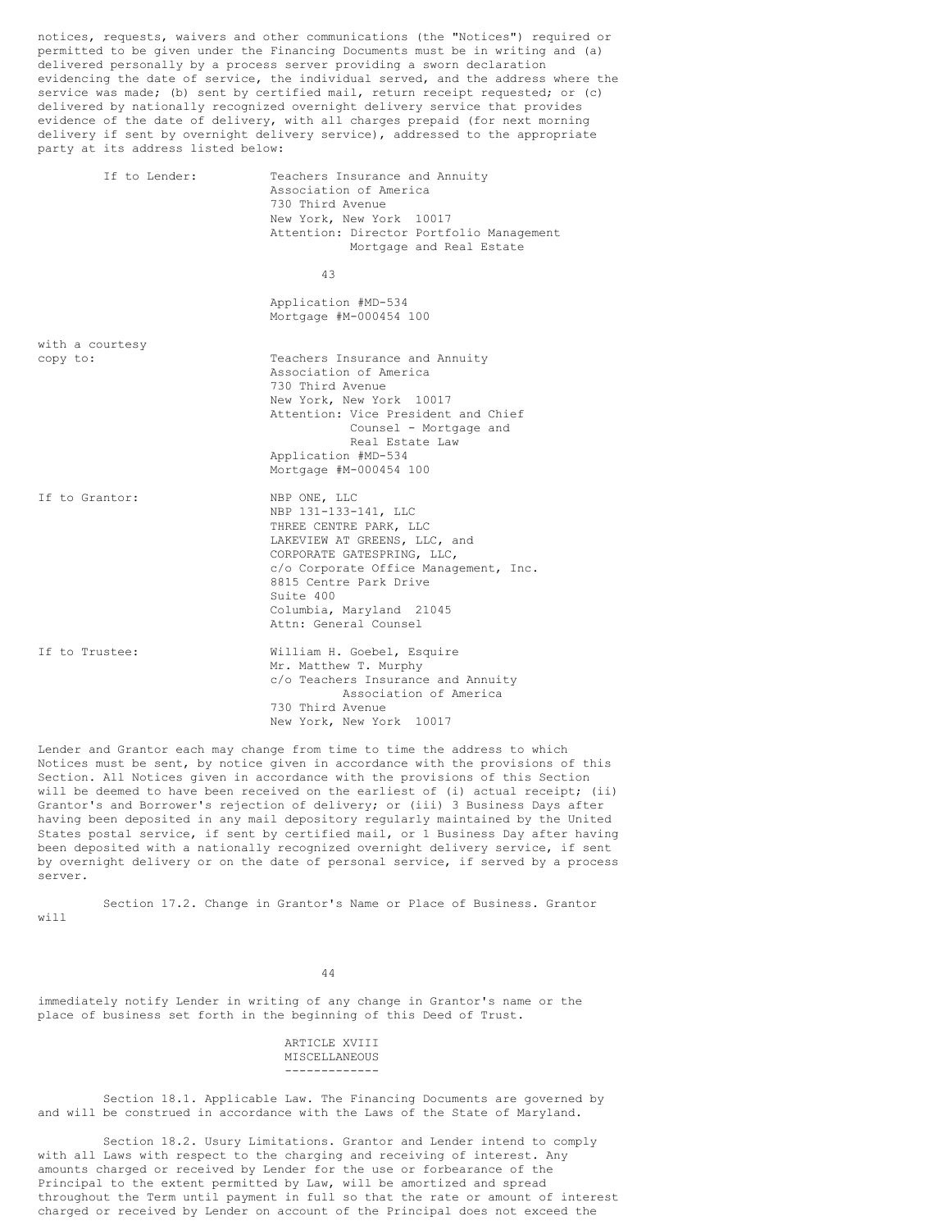notices, requests, waivers and other communications (the "Notices") required or permitted to be given under the Financing Documents must be in writing and (a) delivered personally by a process server providing a sworn declaration evidencing the date of service, the individual served, and the address where the service was made; (b) sent by certified mail, return receipt requested; or (c) delivered by nationally recognized overnight delivery service that provides evidence of the date of delivery, with all charges prepaid (for next morning delivery if sent by overnight delivery service), addressed to the appropriate party at its address listed below:

| If to Lender:               | Teachers Insurance and Annuity<br>Association of America<br>730 Third Avenue<br>New York, New York 10017<br>Attention: Director Portfolio Management<br>Mortgage and Real Estate                                                                                  |
|-----------------------------|-------------------------------------------------------------------------------------------------------------------------------------------------------------------------------------------------------------------------------------------------------------------|
|                             | 43                                                                                                                                                                                                                                                                |
|                             | Application #MD-534<br>Mortgage #M-000454 100                                                                                                                                                                                                                     |
| with a courtesy<br>copy to: | Teachers Insurance and Annuity<br>Association of America<br>730 Third Avenue<br>New York, New York 10017<br>Attention: Vice President and Chief<br>Counsel - Mortgage and<br>Real Estate Law<br>Application #MD-534<br>Mortgage #M-000454 100                     |
| If to Grantor:              | NBP ONE, LLC<br>NBP 131-133-141, LLC<br>THREE CENTRE PARK, LLC<br>LAKEVIEW AT GREENS, LLC, and<br>CORPORATE GATESPRING, LLC,<br>c/o Corporate Office Management, Inc.<br>8815 Centre Park Drive<br>Suite 400<br>Columbia, Maryland 21045<br>Attn: General Counsel |
| If to Trustee:              | William H. Goebel, Esquire<br>Mr. Matthew T. Murphy<br>c/o Teachers Insurance and Annuity<br>Association of America<br>730 Third Avenue<br>New York, New York<br>10017                                                                                            |

Lender and Grantor each may change from time to time the address to which Notices must be sent, by notice given in accordance with the provisions of this Section. All Notices given in accordance with the provisions of this Section will be deemed to have been received on the earliest of (i) actual receipt; (ii) Grantor's and Borrower's rejection of delivery; or (iii) 3 Business Days after having been deposited in any mail depository regularly maintained by the United States postal service, if sent by certified mail, or 1 Business Day after having been deposited with a nationally recognized overnight delivery service, if sent by overnight delivery or on the date of personal service, if served by a process server.

Section 17.2. Change in Grantor's Name or Place of Business. Grantor will

44

immediately notify Lender in writing of any change in Grantor's name or the place of business set forth in the beginning of this Deed of Trust.

## ARTICLE XVIII MISCELLANEOUS -------------

Section 18.1. Applicable Law. The Financing Documents are governed by and will be construed in accordance with the Laws of the State of Maryland.

Section 18.2. Usury Limitations. Grantor and Lender intend to comply with all Laws with respect to the charging and receiving of interest. Any amounts charged or received by Lender for the use or forbearance of the Principal to the extent permitted by Law, will be amortized and spread throughout the Term until payment in full so that the rate or amount of interest charged or received by Lender on account of the Principal does not exceed the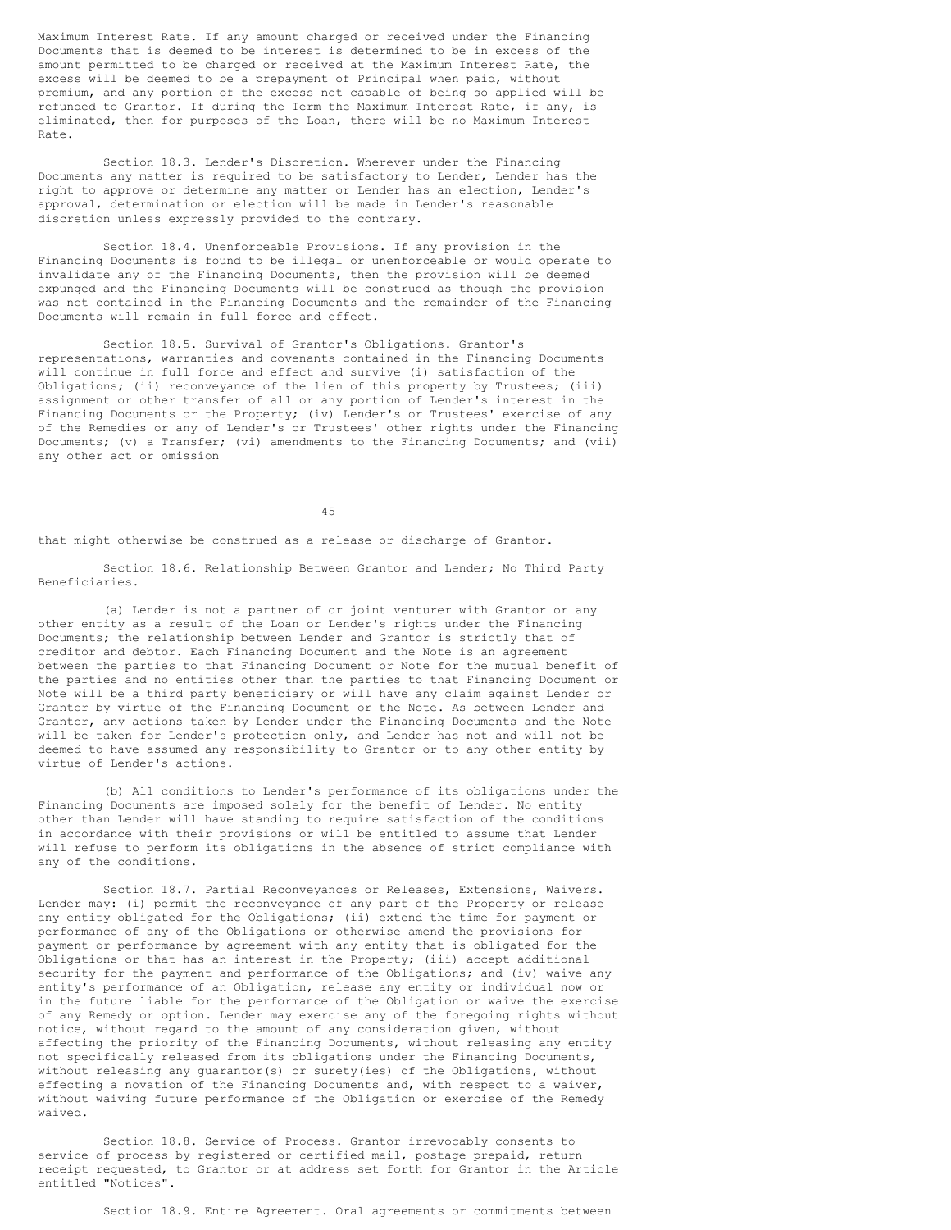Maximum Interest Rate. If any amount charged or received under the Financing Documents that is deemed to be interest is determined to be in excess of the amount permitted to be charged or received at the Maximum Interest Rate, the excess will be deemed to be a prepayment of Principal when paid, without premium, and any portion of the excess not capable of being so applied will be refunded to Grantor. If during the Term the Maximum Interest Rate, if any, is eliminated, then for purposes of the Loan, there will be no Maximum Interest Rate.

Section 18.3. Lender's Discretion. Wherever under the Financing Documents any matter is required to be satisfactory to Lender, Lender has the right to approve or determine any matter or Lender has an election, Lender's approval, determination or election will be made in Lender's reasonable discretion unless expressly provided to the contrary.

Section 18.4. Unenforceable Provisions. If any provision in the Financing Documents is found to be illegal or unenforceable or would operate to invalidate any of the Financing Documents, then the provision will be deemed expunged and the Financing Documents will be construed as though the provision was not contained in the Financing Documents and the remainder of the Financing Documents will remain in full force and effect.

Section 18.5. Survival of Grantor's Obligations. Grantor's representations, warranties and covenants contained in the Financing Documents will continue in full force and effect and survive (i) satisfaction of the Obligations; (ii) reconveyance of the lien of this property by Trustees; (iii) assignment or other transfer of all or any portion of Lender's interest in the Financing Documents or the Property; (iv) Lender's or Trustees' exercise of any of the Remedies or any of Lender's or Trustees' other rights under the Financing Documents; (v) a Transfer; (vi) amendments to the Financing Documents; and (vii) any other act or omission

45

that might otherwise be construed as a release or discharge of Grantor.

Section 18.6. Relationship Between Grantor and Lender; No Third Party Beneficiaries.

(a) Lender is not a partner of or joint venturer with Grantor or any other entity as a result of the Loan or Lender's rights under the Financing Documents; the relationship between Lender and Grantor is strictly that of creditor and debtor. Each Financing Document and the Note is an agreement between the parties to that Financing Document or Note for the mutual benefit of the parties and no entities other than the parties to that Financing Document or Note will be a third party beneficiary or will have any claim against Lender or Grantor by virtue of the Financing Document or the Note. As between Lender and Grantor, any actions taken by Lender under the Financing Documents and the Note will be taken for Lender's protection only, and Lender has not and will not be deemed to have assumed any responsibility to Grantor or to any other entity by virtue of Lender's actions.

(b) All conditions to Lender's performance of its obligations under the Financing Documents are imposed solely for the benefit of Lender. No entity other than Lender will have standing to require satisfaction of the conditions in accordance with their provisions or will be entitled to assume that Lender will refuse to perform its obligations in the absence of strict compliance with any of the conditions.

Section 18.7. Partial Reconveyances or Releases, Extensions, Waivers. Lender may: (i) permit the reconveyance of any part of the Property or release any entity obligated for the Obligations; (ii) extend the time for payment or performance of any of the Obligations or otherwise amend the provisions for payment or performance by agreement with any entity that is obligated for the Obligations or that has an interest in the Property; (iii) accept additional security for the payment and performance of the Obligations; and (iv) waive any entity's performance of an Obligation, release any entity or individual now or in the future liable for the performance of the Obligation or waive the exercise of any Remedy or option. Lender may exercise any of the foregoing rights without notice, without regard to the amount of any consideration given, without affecting the priority of the Financing Documents, without releasing any entity not specifically released from its obligations under the Financing Documents, without releasing any guarantor(s) or surety(ies) of the Obligations, without effecting a novation of the Financing Documents and, with respect to a waiver, without waiving future performance of the Obligation or exercise of the Remedy waived.

Section 18.8. Service of Process. Grantor irrevocably consents to service of process by registered or certified mail, postage prepaid, return receipt requested, to Grantor or at address set forth for Grantor in the Article entitled "Notices".

Section 18.9. Entire Agreement. Oral agreements or commitments between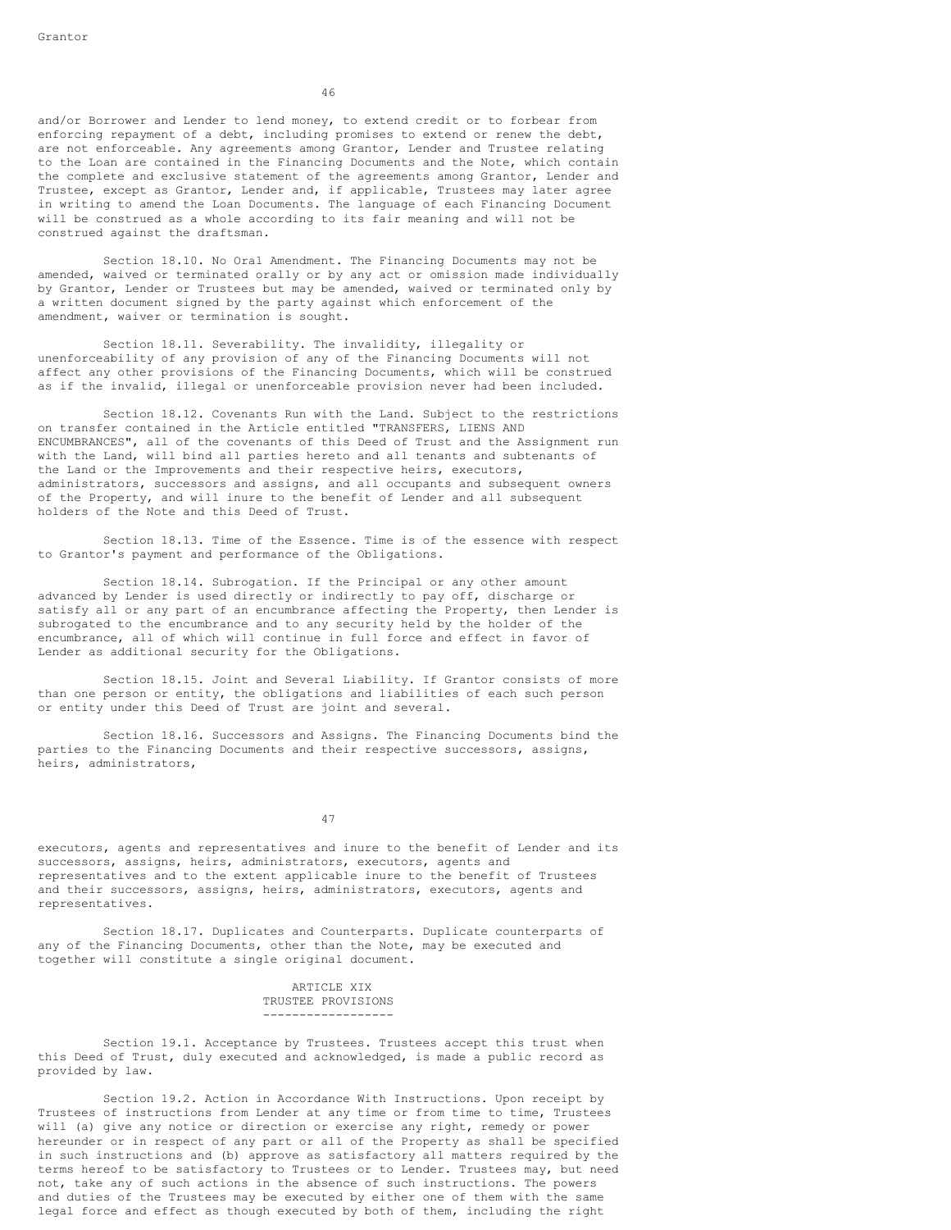46

and/or Borrower and Lender to lend money, to extend credit or to forbear from enforcing repayment of a debt, including promises to extend or renew the debt, are not enforceable. Any agreements among Grantor, Lender and Trustee relating to the Loan are contained in the Financing Documents and the Note, which contain the complete and exclusive statement of the agreements among Grantor, Lender and Trustee, except as Grantor, Lender and, if applicable, Trustees may later agree in writing to amend the Loan Documents. The language of each Financing Document will be construed as a whole according to its fair meaning and will not be construed against the draftsman.

Section 18.10. No Oral Amendment. The Financing Documents may not be amended, waived or terminated orally or by any act or omission made individually by Grantor, Lender or Trustees but may be amended, waived or terminated only by a written document signed by the party against which enforcement of the amendment, waiver or termination is sought.

Section 18.11. Severability. The invalidity, illegality or unenforceability of any provision of any of the Financing Documents will not affect any other provisions of the Financing Documents, which will be construed as if the invalid, illegal or unenforceable provision never had been included.

Section 18.12. Covenants Run with the Land. Subject to the restrictions on transfer contained in the Article entitled "TRANSFERS, LIENS AND ENCUMBRANCES", all of the covenants of this Deed of Trust and the Assignment run with the Land, will bind all parties hereto and all tenants and subtenants of the Land or the Improvements and their respective heirs, executors, administrators, successors and assigns, and all occupants and subsequent owners of the Property, and will inure to the benefit of Lender and all subsequent holders of the Note and this Deed of Trust.

Section 18.13. Time of the Essence. Time is of the essence with respect to Grantor's payment and performance of the Obligations.

Section 18.14. Subrogation. If the Principal or any other amount advanced by Lender is used directly or indirectly to pay off, discharge or satisfy all or any part of an encumbrance affecting the Property, then Lender is subrogated to the encumbrance and to any security held by the holder of the encumbrance, all of which will continue in full force and effect in favor of Lender as additional security for the Obligations.

Section 18.15. Joint and Several Liability. If Grantor consists of more than one person or entity, the obligations and liabilities of each such person or entity under this Deed of Trust are joint and several.

Section 18.16. Successors and Assigns. The Financing Documents bind the parties to the Financing Documents and their respective successors, assigns, heirs, administrators,

47

executors, agents and representatives and inure to the benefit of Lender and its successors, assigns, heirs, administrators, executors, agents and representatives and to the extent applicable inure to the benefit of Trustees and their successors, assigns, heirs, administrators, executors, agents and representatives.

Section 18.17. Duplicates and Counterparts. Duplicate counterparts of any of the Financing Documents, other than the Note, may be executed and together will constitute a single original document.

> ARTICLE XIX TRUSTEE PROVISIONS ------------------

Section 19.1. Acceptance by Trustees. Trustees accept this trust when this Deed of Trust, duly executed and acknowledged, is made a public record as provided by law.

Section 19.2. Action in Accordance With Instructions. Upon receipt by Trustees of instructions from Lender at any time or from time to time, Trustees will (a) give any notice or direction or exercise any right, remedy or power hereunder or in respect of any part or all of the Property as shall be specified in such instructions and (b) approve as satisfactory all matters required by the terms hereof to be satisfactory to Trustees or to Lender. Trustees may, but need not, take any of such actions in the absence of such instructions. The powers and duties of the Trustees may be executed by either one of them with the same legal force and effect as though executed by both of them, including the right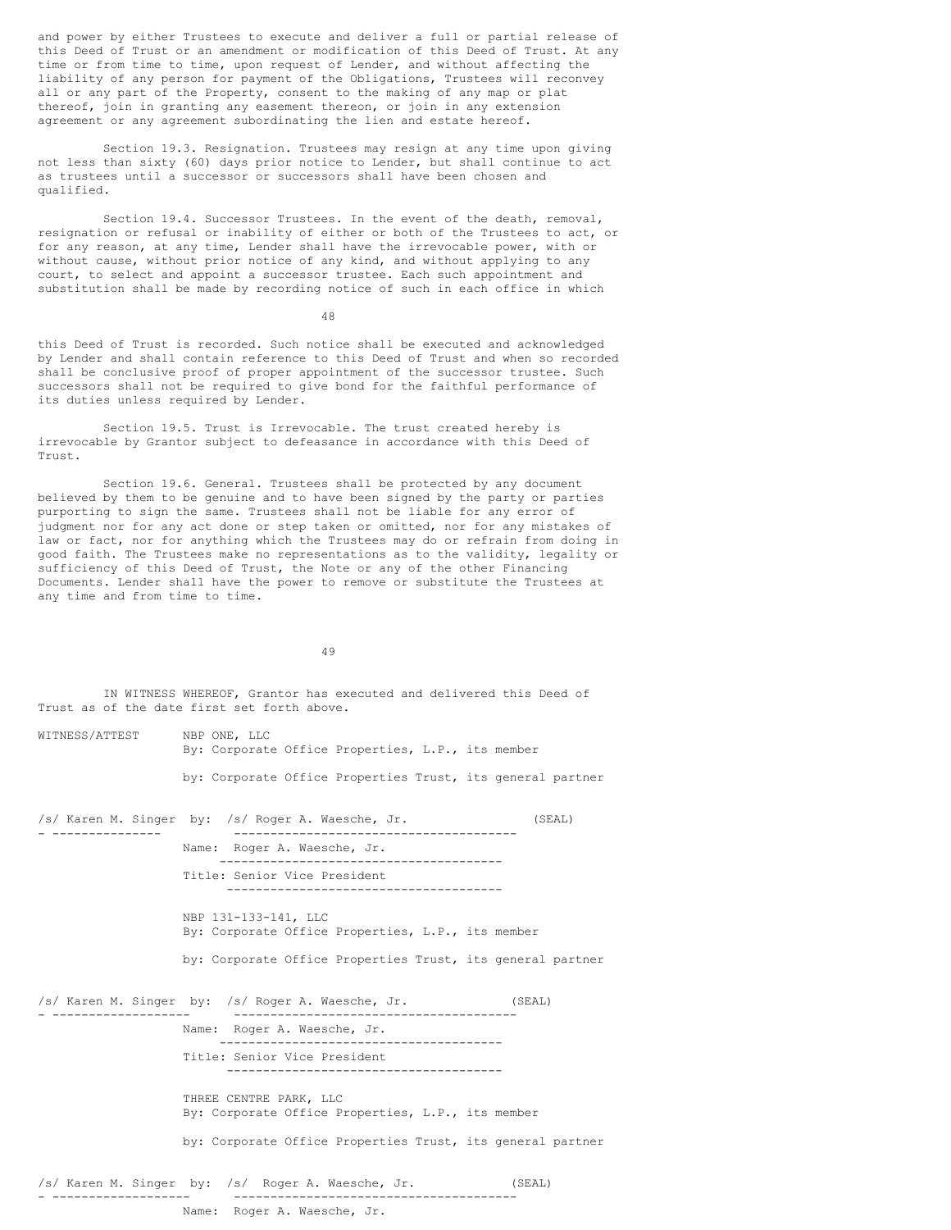and power by either Trustees to execute and deliver a full or partial release of this Deed of Trust or an amendment or modification of this Deed of Trust. At any time or from time to time, upon request of Lender, and without affecting the liability of any person for payment of the Obligations, Trustees will reconvey all or any part of the Property, consent to the making of any map or plat thereof, join in granting any easement thereon, or join in any extension agreement or any agreement subordinating the lien and estate hereof.

Section 19.3. Resignation. Trustees may resign at any time upon giving not less than sixty (60) days prior notice to Lender, but shall continue to act as trustees until a successor or successors shall have been chosen and qualified.

Section 19.4. Successor Trustees. In the event of the death, removal, resignation or refusal or inability of either or both of the Trustees to act, or for any reason, at any time, Lender shall have the irrevocable power, with or without cause, without prior notice of any kind, and without applying to any court, to select and appoint a successor trustee. Each such appointment and substitution shall be made by recording notice of such in each office in which

48

this Deed of Trust is recorded. Such notice shall be executed and acknowledged by Lender and shall contain reference to this Deed of Trust and when so recorded shall be conclusive proof of proper appointment of the successor trustee. Such successors shall not be required to give bond for the faithful performance of its duties unless required by Lender.

Section 19.5. Trust is Irrevocable. The trust created hereby is irrevocable by Grantor subject to defeasance in accordance with this Deed of Trust.

Section 19.6. General. Trustees shall be protected by any document believed by them to be genuine and to have been signed by the party or parties purporting to sign the same. Trustees shall not be liable for any error of judgment nor for any act done or step taken or omitted, nor for any mistakes of law or fact, nor for anything which the Trustees may do or refrain from doing in good faith. The Trustees make no representations as to the validity, legality or sufficiency of this Deed of Trust, the Note or any of the other Financing Documents. Lender shall have the power to remove or substitute the Trustees at any time and from time to time.

49

IN WITNESS WHEREOF, Grantor has executed and delivered this Deed of Trust as of the date first set forth above.

WITNESS/ATTEST NBP ONE, LLC By: Corporate Office Properties, L.P., its member

by: Corporate Office Properties Trust, its general partner

/s/ Karen M. Singer by: /s/ Roger A. Waesche, Jr. (SEAL) - --------------- --------------------------------------- Name: Roger A. Waesche, Jr. --------------------------------------- Title: Senior Vice President --------------------------------------

> NBP 131-133-141, LLC By: Corporate Office Properties, L.P., its member

by: Corporate Office Properties Trust, its general partner

/s/ Karen M. Singer by: /s/ Roger A. Waesche, Jr. (SEAL) - ------------------- --------------------------------------- Name: Roger A. Waesche, Jr. --------------------------------------- Title: Senior Vice President -------------------------------------- THREE CENTRE PARK, LLC By: Corporate Office Properties, L.P., its member by: Corporate Office Properties Trust, its general partner /s/ Karen M. Singer by: /s/ Roger A. Waesche, Jr. (SEAL) - ------------------- --------------------------------------- Name: Roger A. Waesche, Jr.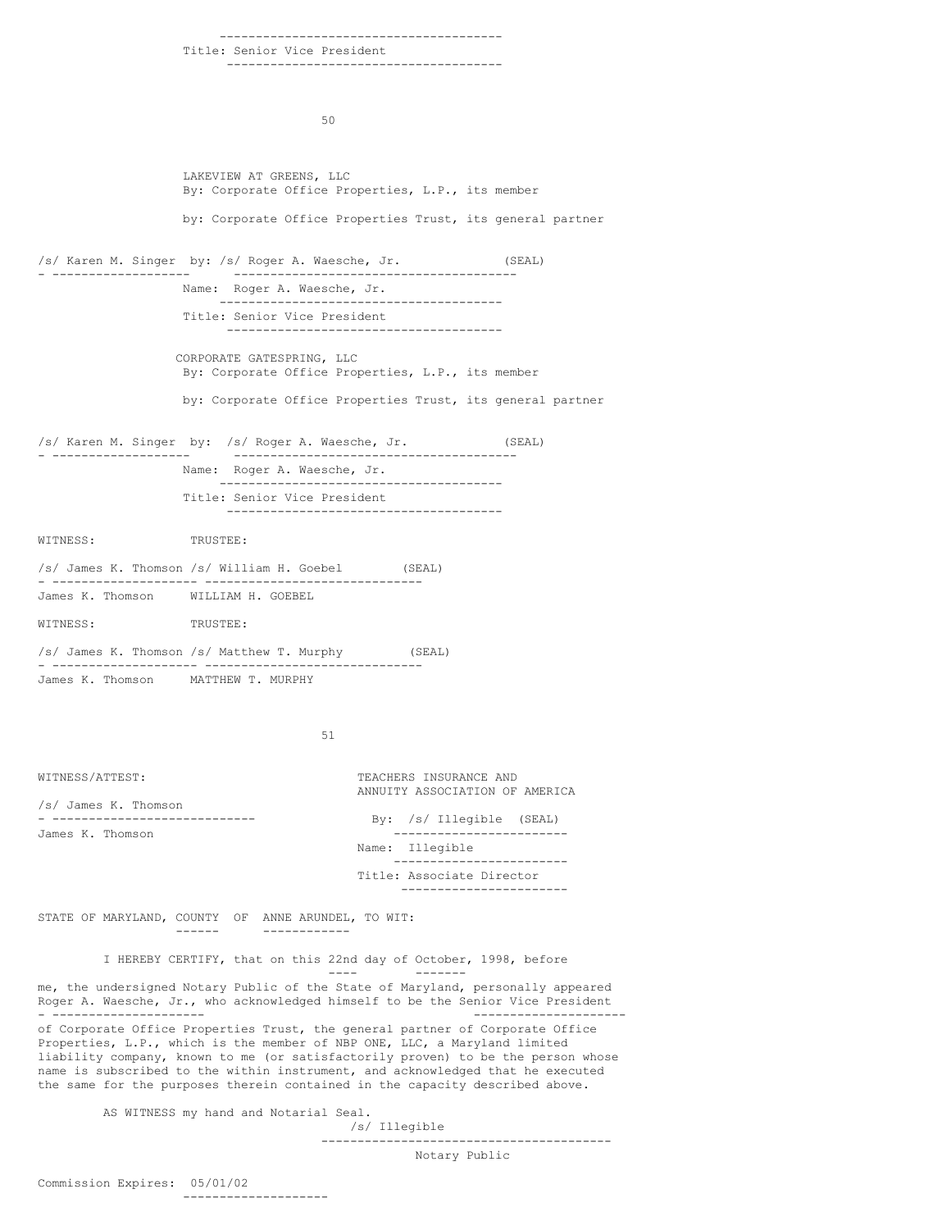Title: Senior Vice President -------------------------------------- 50 LAKEVIEW AT GREENS, LLC By: Corporate Office Properties, L.P., its member by: Corporate Office Properties Trust, its general partner /s/ Karen M. Singer by: /s/ Roger A. Waesche, Jr. (SEAL) - ------------------- --------------------------------------- Name: Roger A. Waesche, Jr. --------------------------------------- Title: Senior Vice President -------------------------------------- CORPORATE GATESPRING, LLC By: Corporate Office Properties, L.P., its member by: Corporate Office Properties Trust, its general partner /s/ Karen M. Singer by: /s/ Roger A. Waesche, Jr. (SEAL) - ------------------- --------------------------------------- Name: Roger A. Waesche, Jr. --------------------------------------- Title: Senior Vice President -------------------------------------- WITNESS: TRUSTEE: /s/ James K. Thomson /s/ William H. Goebel (SEAL) - -------------------- ------------------------------ James K. Thomson WILLIAM H. GOEBEL WITNESS: TRUSTEE: /s/ James K. Thomson /s/ Matthew T. Murphy (SEAL) - -------------------- ------------------------------ James K. Thomson MATTHEW T. MURPHY 51 WITNESS/ATTEST: TEACHERS INSURANCE AND ANNUITY ASSOCIATION OF AMERICA /s/ James K. Thomson By: /s/ Illegible (SEAL)

---------------------------------------

James K. Thomson ------------------------

Name: Illegible ------------------------ Title: Associate Director -----------------------

STATE OF MARYLAND, COUNTY OF ANNE ARUNDEL, TO WIT: ------ ------------

> I HEREBY CERTIFY, that on this 22nd day of October, 1998, before ---- -------

me, the undersigned Notary Public of the State of Maryland, personally appeared Roger A. Waesche, Jr., who acknowledged himself to be the Senior Vice President - --------------------- -------------------- of Corporate Office Properties Trust, the general partner of Corporate Office Properties, L.P., which is the member of NBP ONE, LLC, a Maryland limited liability company, known to me (or satisfactorily proven) to be the person whose name is subscribed to the within instrument, and acknowledged that he executed the same for the purposes therein contained in the capacity described above.

> AS WITNESS my hand and Notarial Seal. /s/ Illegible

----------------------------------------

Notary Public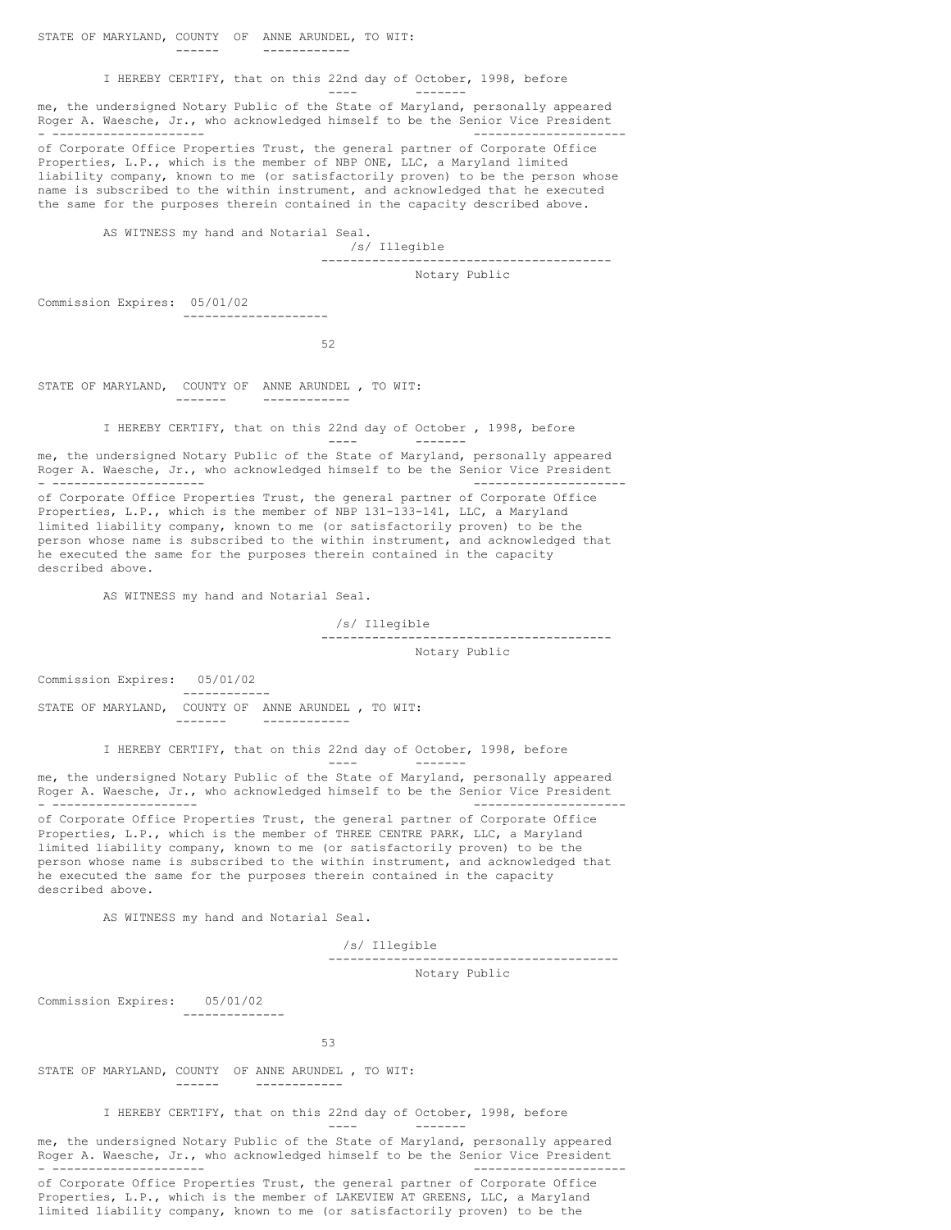STATE OF MARYLAND, COUNTY OF ANNE ARUNDEL, TO WIT:

------ ------------

I HEREBY CERTIFY, that on this 22nd day of October, 1998, before

---- -------

me, the undersigned Notary Public of the State of Maryland, personally appeared Roger A. Waesche, Jr., who acknowledged himself to be the Senior Vice President - --------------------- ---------------------

of Corporate Office Properties Trust, the general partner of Corporate Office Properties, L.P., which is the member of NBP ONE, LLC, a Maryland limited liability company, known to me (or satisfactorily proven) to be the person whose name is subscribed to the within instrument, and acknowledged that he executed the same for the purposes therein contained in the capacity described above.

> AS WITNESS my hand and Notarial Seal. /s/ Illegible

> > --------------------

---------------------------------------- Notary Public

Commission Expires: 05/01/02

52

STATE OF MARYLAND, COUNTY OF ANNE ARUNDEL , TO WIT: ------- ------------

> I HEREBY CERTIFY, that on this 22nd day of October , 1998, before ---- -------

me, the undersigned Notary Public of the State of Maryland, personally appeared Roger A. Waesche, Jr., who acknowledged himself to be the Senior Vice President - --------------------- -------------------- of Corporate Office Properties Trust, the general partner of Corporate Office Properties, L.P., which is the member of NBP 131-133-141, LLC, a Maryland limited liability company, known to me (or satisfactorily proven) to be the

person whose name is subscribed to the within instrument, and acknowledged that he executed the same for the purposes therein contained in the capacity described above.

AS WITNESS my hand and Notarial Seal.

/s/ Illegible

---- -------

# ----------------------------------------

Notary Public

Commission Expires: 05/01/02

------------ STATE OF MARYLAND, COUNTY OF ANNE ARUNDEL , TO WIT: ------- ------------

I HEREBY CERTIFY, that on this 22nd day of October, 1998, before

me, the undersigned Notary Public of the State of Maryland, personally appeared Roger A. Waesche, Jr., who acknowledged himself to be the Senior Vice President - -------------------- ---------------------

of Corporate Office Properties Trust, the general partner of Corporate Office Properties, L.P., which is the member of THREE CENTRE PARK, LLC, a Maryland limited liability company, known to me (or satisfactorily proven) to be the person whose name is subscribed to the within instrument, and acknowledged that he executed the same for the purposes therein contained in the capacity described above.

AS WITNESS my hand and Notarial Seal.

/s/ Illegible

----------------------------------------

Notary Public

Commission Expires: 05/01/02 --------------

53

STATE OF MARYLAND, COUNTY OF ANNE ARUNDEL , TO WIT: ------ ------------

I HEREBY CERTIFY, that on this 22nd day of October, 1998, before

me, the undersigned Notary Public of the State of Maryland, personally appeared Roger A. Waesche, Jr., who acknowledged himself to be the Senior Vice President - --------------------- ---------------------

---- -------

of Corporate Office Properties Trust, the general partner of Corporate Office Properties, L.P., which is the member of LAKEVIEW AT GREENS, LLC, a Maryland limited liability company, known to me (or satisfactorily proven) to be the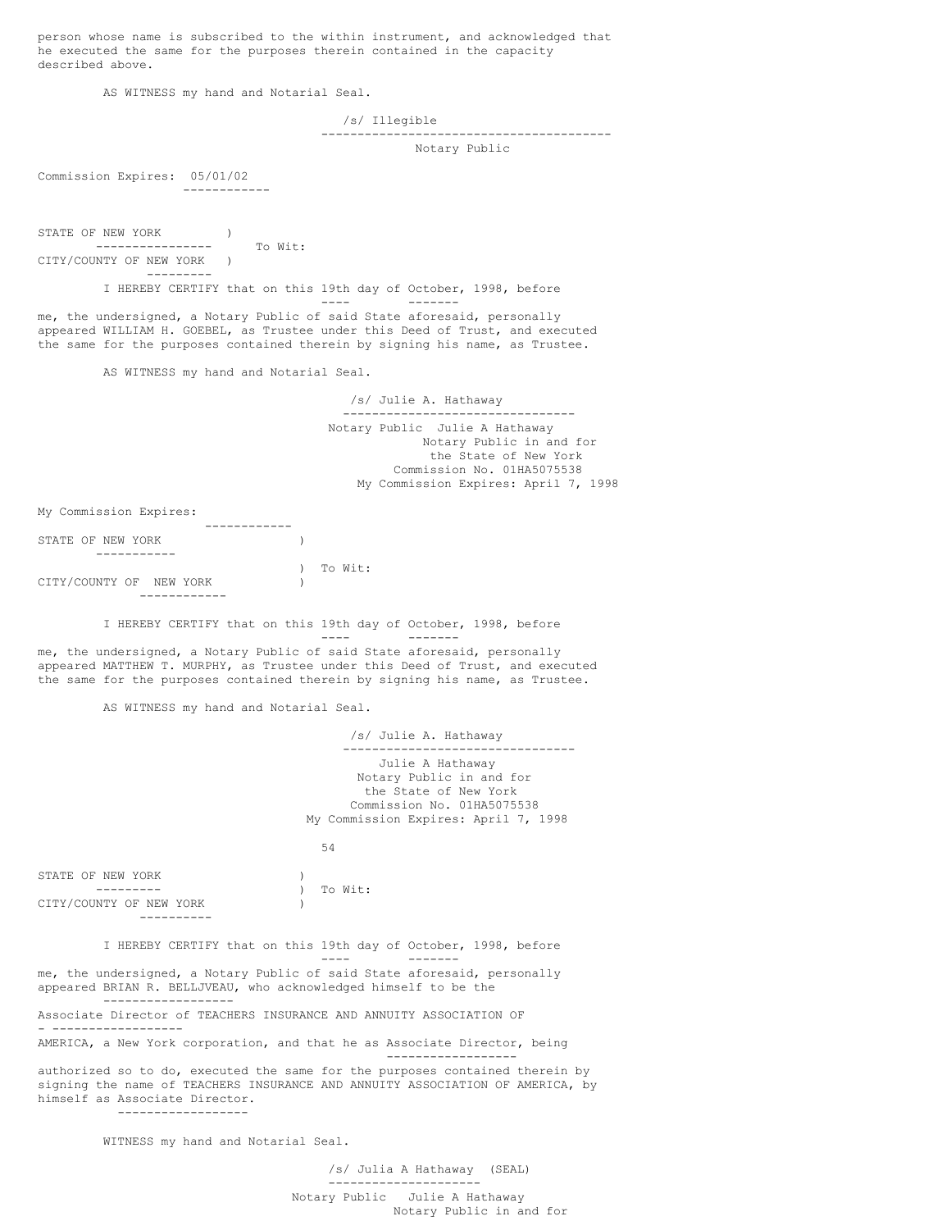person whose name is subscribed to the within instrument, and acknowledged that he executed the same for the purposes therein contained in the capacity described above.

AS WITNESS my hand and Notarial Seal.

------------

/s/ Illegible ---------------------------------------- Notary Public

Commission Expires: 05/01/02

STATE OF NEW YORK ) ---------------- To Wit: CITY/COUNTY OF NEW YORK ) --------- I HEREBY CERTIFY that on this 19th day of October, 1998, before

me, the undersigned, a Notary Public of said State aforesaid, personally appeared WILLIAM H. GOEBEL, as Trustee under this Deed of Trust, and executed the same for the purposes contained therein by signing his name, as Trustee.

---- -------

AS WITNESS my hand and Notarial Seal.

/s/ Julie A. Hathaway -------------------------------- Notary Public Julie A Hathaway Notary Public in and for the State of New York Commission No. 01HA5075538 My Commission Expires: April 7, 1998

My Commission Expires:

| STATE OF NEW YORK       |  |  |           |  |  |
|-------------------------|--|--|-----------|--|--|
|                         |  |  |           |  |  |
|                         |  |  | ) To Wit: |  |  |
| CITY/COUNTY OF NEW YORK |  |  |           |  |  |
|                         |  |  |           |  |  |

I HEREBY CERTIFY that on this 19th day of October, 1998, before

---- -------

me, the undersigned, a Notary Public of said State aforesaid, personally appeared MATTHEW T. MURPHY, as Trustee under this Deed of Trust, and executed the same for the purposes contained therein by signing his name, as Trustee.

AS WITNESS my hand and Notarial Seal.

/s/ Julie A. Hathaway -------------------------------- Julie A Hathaway Notary Public in and for the State of New York Commission No. 01HA5075538 My Commission Expires: April 7, 1998

STATE OF NEW YORK --------- ) To Wit: CITY/COUNTY OF NEW YORK ) ----------

> I HEREBY CERTIFY that on this 19th day of October, 1998, before ---- -------

54

me, the undersigned, a Notary Public of said State aforesaid, personally appeared BRIAN R. BELLJVEAU, who acknowledged himself to be the ------------------

Associate Director of TEACHERS INSURANCE AND ANNUITY ASSOCIATION OF - ------------------

AMERICA, a New York corporation, and that he as Associate Director, being ------------------

authorized so to do, executed the same for the purposes contained therein by signing the name of TEACHERS INSURANCE AND ANNUITY ASSOCIATION OF AMERICA, by himself as Associate Director. ------------------

WITNESS my hand and Notarial Seal.

/s/ Julia A Hathaway (SEAL) --------------------- Notary Public Julie A Hathaway Notary Public in and for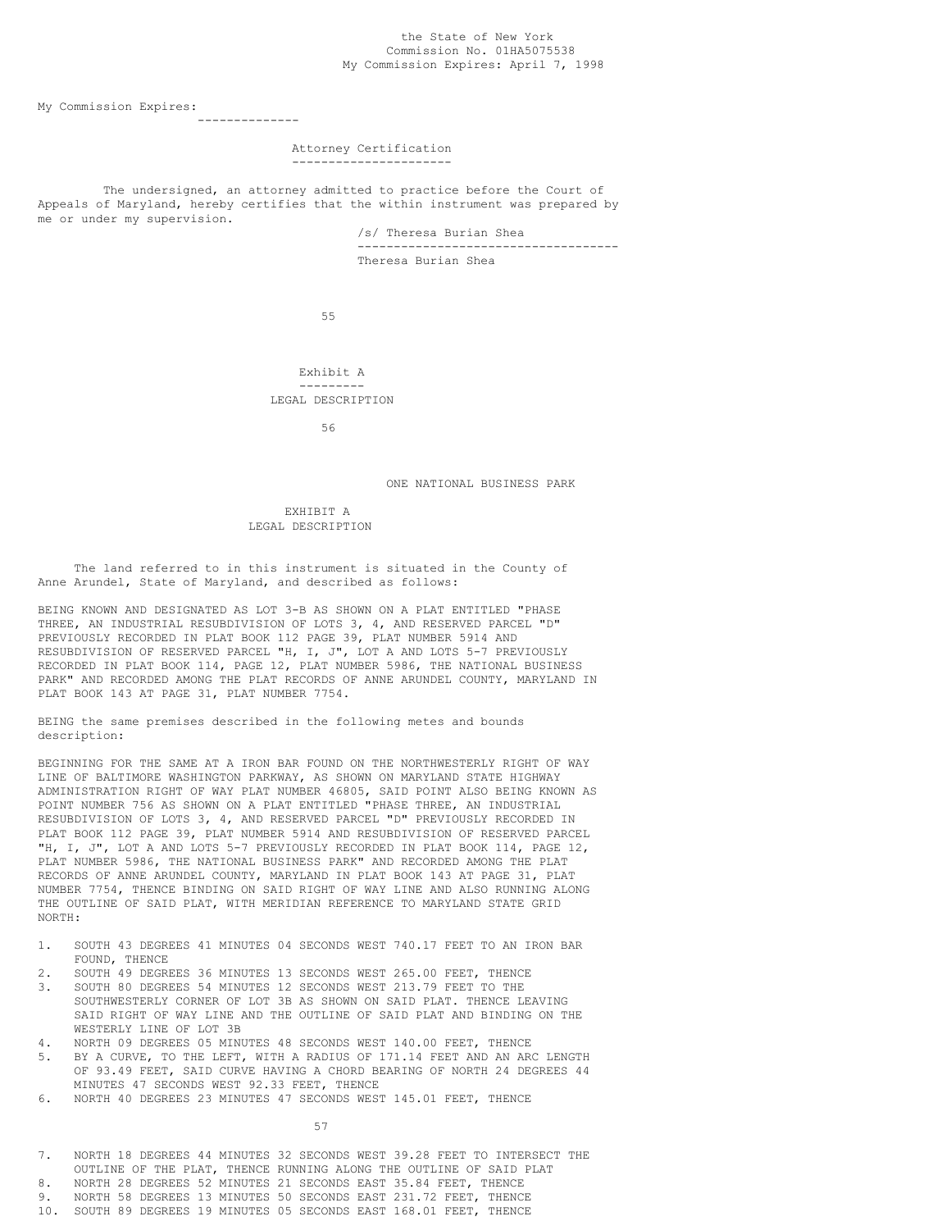## the State of New York Commission No. 01HA5075538 My Commission Expires: April 7, 1998

My Commission Expires:

Attorney Certification ----------------------

The undersigned, an attorney admitted to practice before the Court of Appeals of Maryland, hereby certifies that the within instrument was prepared by me or under my supervision.

--------------

/s/ Theresa Burian Shea ------------------------------------ Theresa Burian Shea

55

Exhibit A --------- LEGAL DESCRIPTION

56

ONE NATIONAL BUSINESS PARK

EXHIBIT A LEGAL DESCRIPTION

The land referred to in this instrument is situated in the County of Anne Arundel, State of Maryland, and described as follows:

BEING KNOWN AND DESIGNATED AS LOT 3-B AS SHOWN ON A PLAT ENTITLED "PHASE THREE, AN INDUSTRIAL RESUBDIVISION OF LOTS 3, 4, AND RESERVED PARCEL "D" PREVIOUSLY RECORDED IN PLAT BOOK 112 PAGE 39, PLAT NUMBER 5914 AND RESUBDIVISION OF RESERVED PARCEL "H, I, J", LOT A AND LOTS 5-7 PREVIOUSLY RECORDED IN PLAT BOOK 114, PAGE 12, PLAT NUMBER 5986, THE NATIONAL BUSINESS PARK" AND RECORDED AMONG THE PLAT RECORDS OF ANNE ARUNDEL COUNTY, MARYLAND IN PLAT BOOK 143 AT PAGE 31, PLAT NUMBER 7754.

BEING the same premises described in the following metes and bounds description:

BEGINNING FOR THE SAME AT A IRON BAR FOUND ON THE NORTHWESTERLY RIGHT OF WAY LINE OF BALTIMORE WASHINGTON PARKWAY, AS SHOWN ON MARYLAND STATE HIGHWAY ADMINISTRATION RIGHT OF WAY PLAT NUMBER 46805, SAID POINT ALSO BEING KNOWN AS POINT NUMBER 756 AS SHOWN ON A PLAT ENTITLED "PHASE THREE, AN INDUSTRIAL RESUBDIVISION OF LOTS 3, 4, AND RESERVED PARCEL "D" PREVIOUSLY RECORDED IN PLAT BOOK 112 PAGE 39, PLAT NUMBER 5914 AND RESUBDIVISION OF RESERVED PARCEL "H, I, J", LOT A AND LOTS 5-7 PREVIOUSLY RECORDED IN PLAT BOOK 114, PAGE 12, PLAT NUMBER 5986, THE NATIONAL BUSINESS PARK" AND RECORDED AMONG THE PLAT RECORDS OF ANNE ARUNDEL COUNTY, MARYLAND IN PLAT BOOK 143 AT PAGE 31, PLAT NUMBER 7754, THENCE BINDING ON SAID RIGHT OF WAY LINE AND ALSO RUNNING ALONG THE OUTLINE OF SAID PLAT, WITH MERIDIAN REFERENCE TO MARYLAND STATE GRID NORTH:

- 1. SOUTH 43 DEGREES 41 MINUTES 04 SECONDS WEST 740.17 FEET TO AN IRON BAR FOUND, THENCE
- 2. SOUTH 49 DEGREES 36 MINUTES 13 SECONDS WEST 265.00 FEET, THENCE
- 3. SOUTH 80 DEGREES 54 MINUTES 12 SECONDS WEST 213.79 FEET TO THE SOUTHWESTERLY CORNER OF LOT 3B AS SHOWN ON SAID PLAT. THENCE LEAVING SAID RIGHT OF WAY LINE AND THE OUTLINE OF SAID PLAT AND BINDING ON THE WESTERLY LINE OF LOT 3B
- 4. NORTH 09 DEGREES 05 MINUTES 48 SECONDS WEST 140.00 FEET, THENCE
- 5. BY A CURVE, TO THE LEFT, WITH A RADIUS OF 171.14 FEET AND AN ARC LENGTH OF 93.49 FEET, SAID CURVE HAVING A CHORD BEARING OF NORTH 24 DEGREES 44 MINUTES 47 SECONDS WEST 92.33 FEET, THENCE
- 6. NORTH 40 DEGREES 23 MINUTES 47 SECONDS WEST 145.01 FEET, THENCE

57

- 7. NORTH 18 DEGREES 44 MINUTES 32 SECONDS WEST 39.28 FEET TO INTERSECT THE
- OUTLINE OF THE PLAT, THENCE RUNNING ALONG THE OUTLINE OF SAID PLAT 8. NORTH 28 DEGREES 52 MINUTES 21 SECONDS EAST 35.84 FEET, THENCE
- 9. NORTH 58 DEGREES 13 MINUTES 50 SECONDS EAST 231.72 FEET, THENCE
- 10. SOUTH 89 DEGREES 19 MINUTES 05 SECONDS EAST 168.01 FEET, THENCE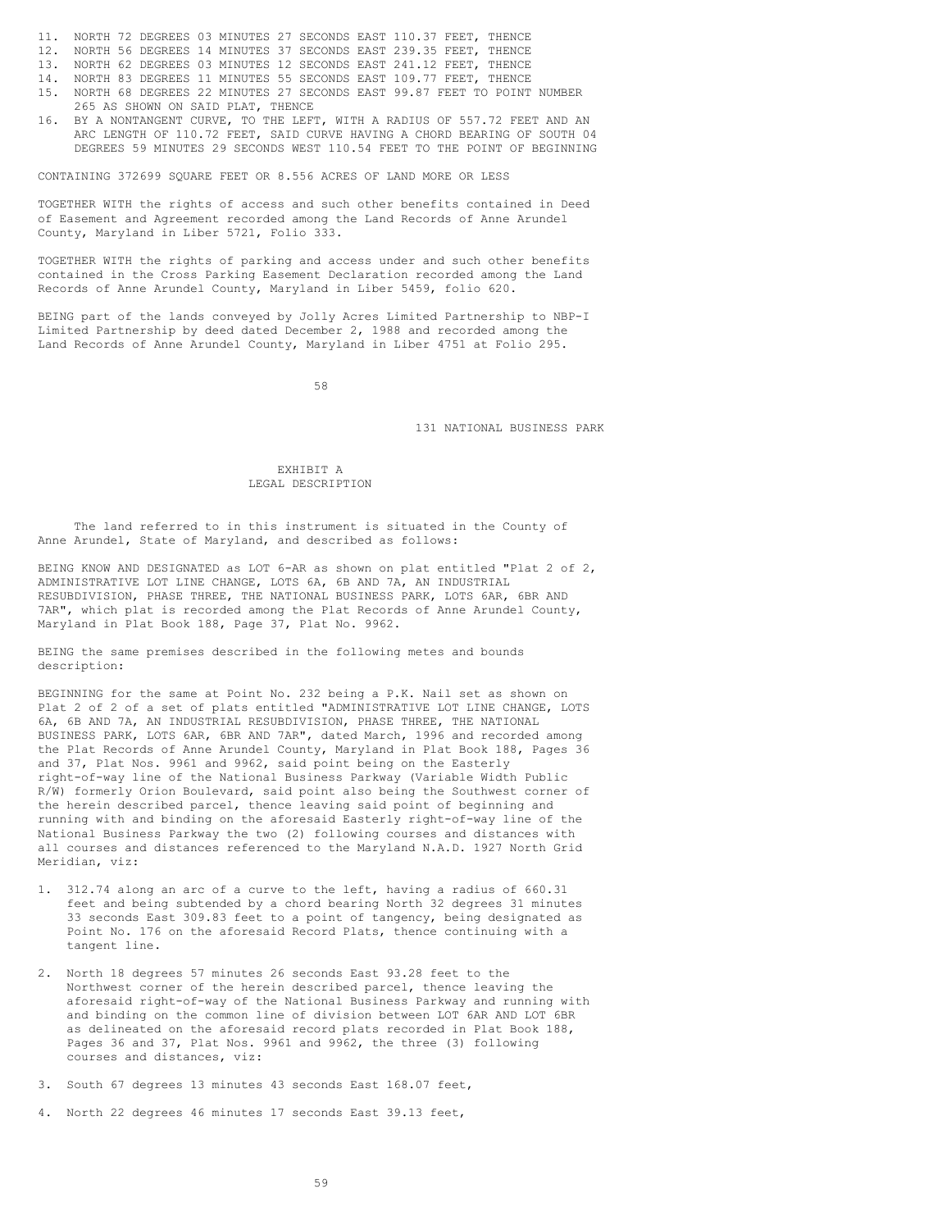- 11. NORTH 72 DEGREES 03 MINUTES 27 SECONDS EAST 110.37 FEET, THENCE
- 12. NORTH 56 DEGREES 14 MINUTES 37 SECONDS EAST 239.35 FEET, THENCE
- 13. NORTH 62 DEGREES 03 MINUTES 12 SECONDS EAST 241.12 FEET, THENCE
- 14. NORTH 83 DEGREES 11 MINUTES 55 SECONDS EAST 109.77 FEET, THENCE
- 15. NORTH 68 DEGREES 22 MINUTES 27 SECONDS EAST 99.87 FEET TO POINT NUMBER 265 AS SHOWN ON SAID PLAT, THENCE
- 16. BY A NONTANGENT CURVE, TO THE LEFT, WITH A RADIUS OF 557.72 FEET AND AN ARC LENGTH OF 110.72 FEET, SAID CURVE HAVING A CHORD BEARING OF SOUTH 04 DEGREES 59 MINUTES 29 SECONDS WEST 110.54 FEET TO THE POINT OF BEGINNING

CONTAINING 372699 SQUARE FEET OR 8.556 ACRES OF LAND MORE OR LESS

TOGETHER WITH the rights of access and such other benefits contained in Deed of Easement and Agreement recorded among the Land Records of Anne Arundel County, Maryland in Liber 5721, Folio 333.

TOGETHER WITH the rights of parking and access under and such other benefits contained in the Cross Parking Easement Declaration recorded among the Land Records of Anne Arundel County, Maryland in Liber 5459, folio 620.

BEING part of the lands conveyed by Jolly Acres Limited Partnership to NBP-I Limited Partnership by deed dated December 2, 1988 and recorded among the Land Records of Anne Arundel County, Maryland in Liber 4751 at Folio 295.

58

131 NATIONAL BUSINESS PARK

## EXHIBIT A LEGAL DESCRIPTION

The land referred to in this instrument is situated in the County of Anne Arundel, State of Maryland, and described as follows:

BEING KNOW AND DESIGNATED as LOT 6-AR as shown on plat entitled "Plat 2 of 2, ADMINISTRATIVE LOT LINE CHANGE, LOTS 6A, 6B AND 7A, AN INDUSTRIAL RESUBDIVISION, PHASE THREE, THE NATIONAL BUSINESS PARK, LOTS 6AR, 6BR AND 7AR", which plat is recorded among the Plat Records of Anne Arundel County, Maryland in Plat Book 188, Page 37, Plat No. 9962.

BEING the same premises described in the following metes and bounds description:

BEGINNING for the same at Point No. 232 being a P.K. Nail set as shown on Plat 2 of 2 of a set of plats entitled "ADMINISTRATIVE LOT LINE CHANGE, LOTS 6A, 6B AND 7A, AN INDUSTRIAL RESUBDIVISION, PHASE THREE, THE NATIONAL BUSINESS PARK, LOTS 6AR, 6BR AND 7AR", dated March, 1996 and recorded among the Plat Records of Anne Arundel County, Maryland in Plat Book 188, Pages 36 and 37, Plat Nos. 9961 and 9962, said point being on the Easterly right-of-way line of the National Business Parkway (Variable Width Public R/W) formerly Orion Boulevard, said point also being the Southwest corner of the herein described parcel, thence leaving said point of beginning and running with and binding on the aforesaid Easterly right-of-way line of the National Business Parkway the two (2) following courses and distances with all courses and distances referenced to the Maryland N.A.D. 1927 North Grid Meridian, viz:

- 1. 312.74 along an arc of a curve to the left, having a radius of 660.31 feet and being subtended by a chord bearing North 32 degrees 31 minutes 33 seconds East 309.83 feet to a point of tangency, being designated as Point No. 176 on the aforesaid Record Plats, thence continuing with a tangent line.
- 2. North 18 degrees 57 minutes 26 seconds East 93.28 feet to the Northwest corner of the herein described parcel, thence leaving the aforesaid right-of-way of the National Business Parkway and running with and binding on the common line of division between LOT 6AR AND LOT 6BR as delineated on the aforesaid record plats recorded in Plat Book 188, Pages 36 and 37, Plat Nos. 9961 and 9962, the three (3) following courses and distances, viz:
- 3. South 67 degrees 13 minutes 43 seconds East 168.07 feet,
- 4. North 22 degrees 46 minutes 17 seconds East 39.13 feet,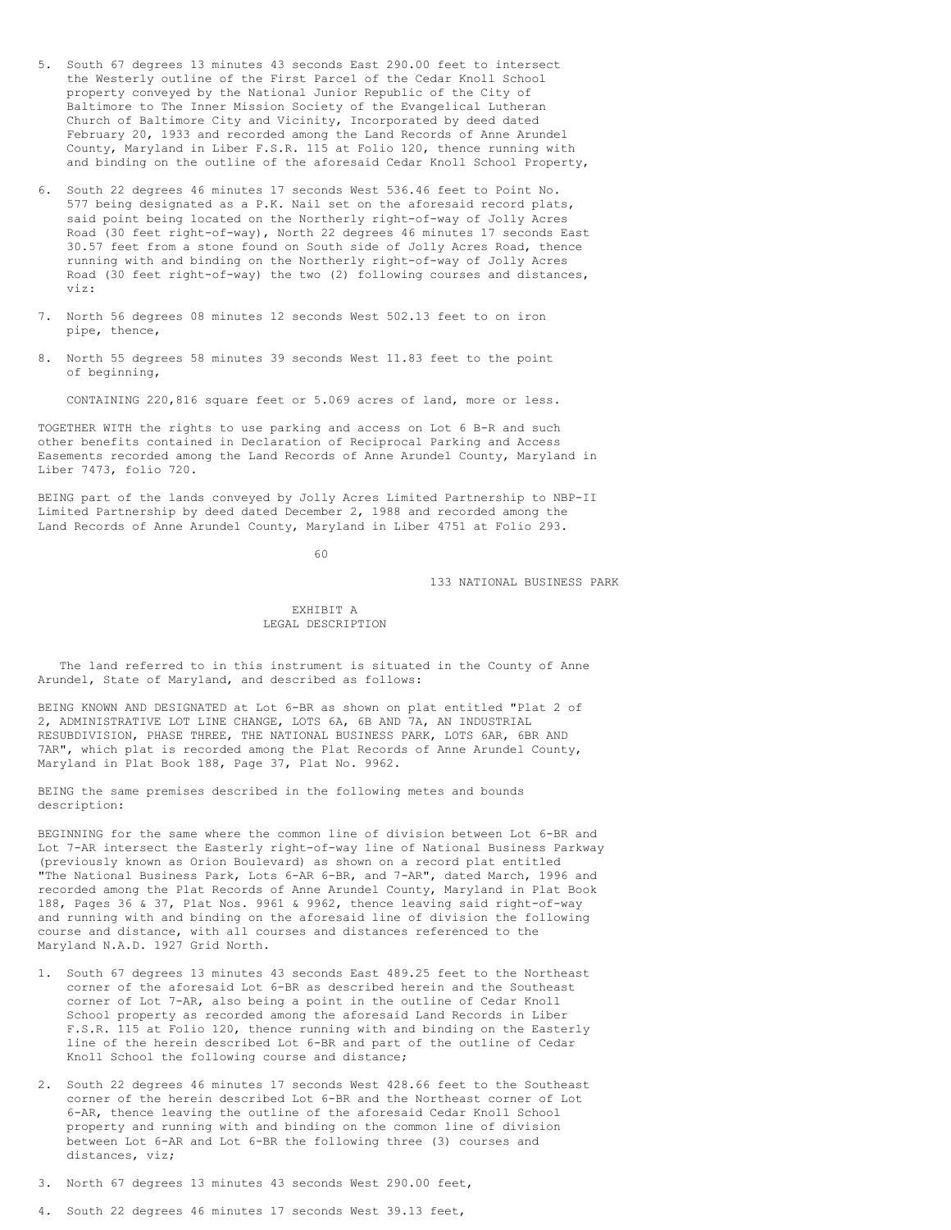- 5. South 67 degrees 13 minutes 43 seconds East 290.00 feet to intersect the Westerly outline of the First Parcel of the Cedar Knoll School property conveyed by the National Junior Republic of the City of Baltimore to The Inner Mission Society of the Evangelical Lutheran Church of Baltimore City and Vicinity, Incorporated by deed dated February 20, 1933 and recorded among the Land Records of Anne Arundel County, Maryland in Liber F.S.R. 115 at Folio 120, thence running with and binding on the outline of the aforesaid Cedar Knoll School Property,
- 6. South 22 degrees 46 minutes 17 seconds West 536.46 feet to Point No. 577 being designated as a P.K. Nail set on the aforesaid record plats, said point being located on the Northerly right-of-way of Jolly Acres Road (30 feet right-of-way), North 22 degrees 46 minutes 17 seconds East 30.57 feet from a stone found on South side of Jolly Acres Road, thence running with and binding on the Northerly right-of-way of Jolly Acres Road (30 feet right-of-way) the two (2) following courses and distances, viz:
- 7. North 56 degrees 08 minutes 12 seconds West 502.13 feet to on iron pipe, thence,
- 8. North 55 degrees 58 minutes 39 seconds West 11.83 feet to the point of beginning,

CONTAINING 220,816 square feet or 5.069 acres of land, more or less.

TOGETHER WITH the rights to use parking and access on Lot 6 B-R and such other benefits contained in Declaration of Reciprocal Parking and Access Easements recorded among the Land Records of Anne Arundel County, Maryland in Liber 7473, folio 720.

BEING part of the lands conveyed by Jolly Acres Limited Partnership to NBP-II Limited Partnership by deed dated December 2, 1988 and recorded among the Land Records of Anne Arundel County, Maryland in Liber 4751 at Folio 293.

 $60$ 

133 NATIONAL BUSINESS PARK

### EXHIBIT A LEGAL DESCRIPTION

The land referred to in this instrument is situated in the County of Anne Arundel, State of Maryland, and described as follows:

BEING KNOWN AND DESIGNATED at Lot 6-BR as shown on plat entitled "Plat 2 of 2, ADMINISTRATIVE LOT LINE CHANGE, LOTS 6A, 6B AND 7A, AN INDUSTRIAL RESUBDIVISION, PHASE THREE, THE NATIONAL BUSINESS PARK, LOTS 6AR, 6BR AND 7AR", which plat is recorded among the Plat Records of Anne Arundel County, Maryland in Plat Book 188, Page 37, Plat No. 9962.

BEING the same premises described in the following metes and bounds description:

BEGINNING for the same where the common line of division between Lot 6-BR and Lot 7-AR intersect the Easterly right-of-way line of National Business Parkway (previously known as Orion Boulevard) as shown on a record plat entitled "The National Business Park, Lots 6-AR 6-BR, and 7-AR", dated March, 1996 and recorded among the Plat Records of Anne Arundel County, Maryland in Plat Book 188, Pages 36 & 37, Plat Nos. 9961 & 9962, thence leaving said right-of-way and running with and binding on the aforesaid line of division the following course and distance, with all courses and distances referenced to the Maryland N.A.D. 1927 Grid North.

- 1. South 67 degrees 13 minutes 43 seconds East 489.25 feet to the Northeast corner of the aforesaid Lot 6-BR as described herein and the Southeast corner of Lot 7-AR, also being a point in the outline of Cedar Knoll School property as recorded among the aforesaid Land Records in Liber F.S.R. 115 at Folio 120, thence running with and binding on the Easterly line of the herein described Lot 6-BR and part of the outline of Cedar Knoll School the following course and distance;
- 2. South 22 degrees 46 minutes 17 seconds West 428.66 feet to the Southeast corner of the herein described Lot 6-BR and the Northeast corner of Lot 6-AR, thence leaving the outline of the aforesaid Cedar Knoll School property and running with and binding on the common line of division between Lot 6-AR and Lot 6-BR the following three (3) courses and distances, viz;
- 3. North 67 degrees 13 minutes 43 seconds West 290.00 feet,
- 4. South 22 degrees 46 minutes 17 seconds West 39.13 feet,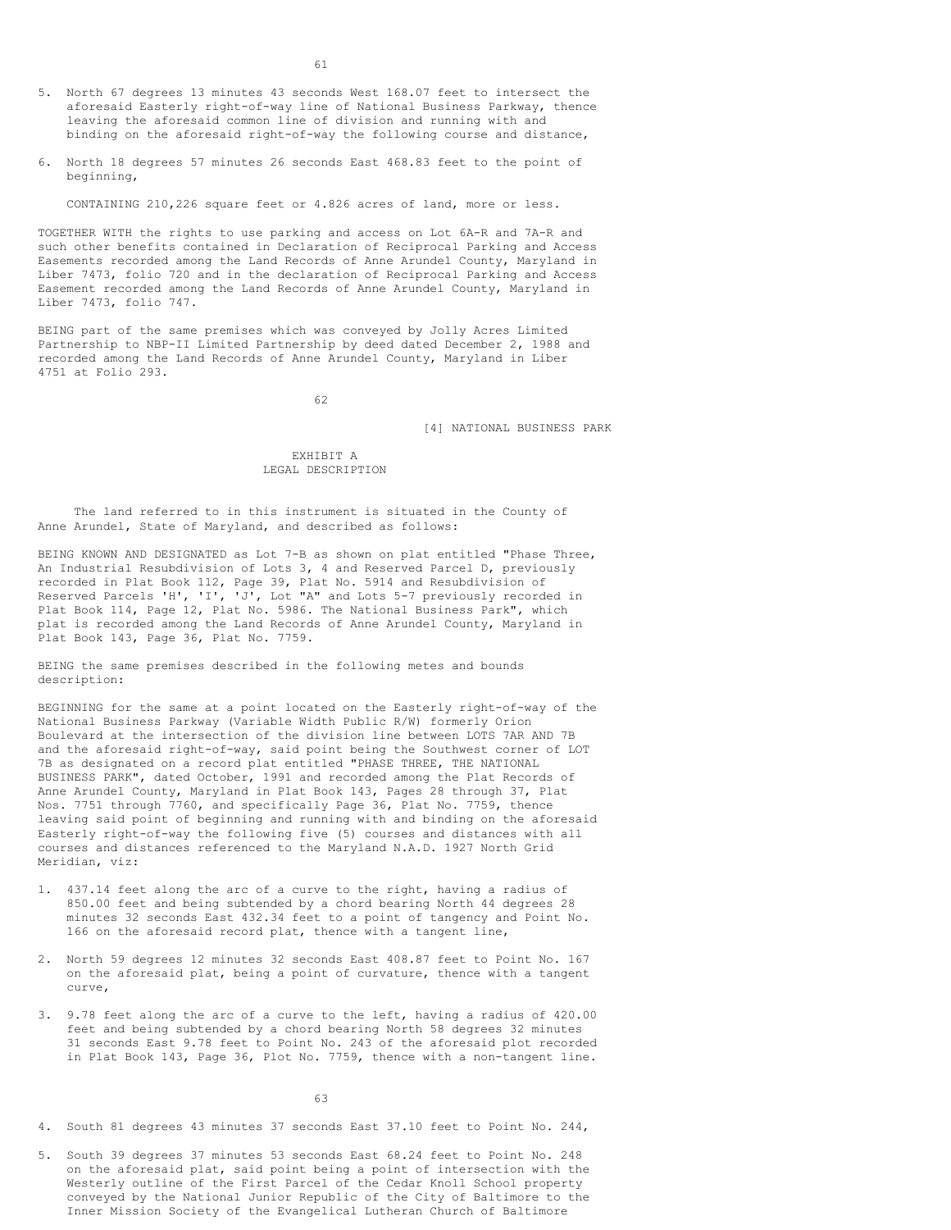- 5. North 67 degrees 13 minutes 43 seconds West 168.07 feet to intersect the aforesaid Easterly right-of-way line of National Business Parkway, thence leaving the aforesaid common line of division and running with and binding on the aforesaid right-of-way the following course and distance,
- 6. North 18 degrees 57 minutes 26 seconds East 468.83 feet to the point of beginning,

CONTAINING 210,226 square feet or 4.826 acres of land, more or less.

TOGETHER WITH the rights to use parking and access on Lot 6A-R and 7A-R and such other benefits contained in Declaration of Reciprocal Parking and Access Easements recorded among the Land Records of Anne Arundel County, Maryland in Liber 7473, folio 720 and in the declaration of Reciprocal Parking and Access Easement recorded among the Land Records of Anne Arundel County, Maryland in Liber 7473, folio 747.

BEING part of the same premises which was conveyed by Jolly Acres Limited Partnership to NBP-II Limited Partnership by deed dated December 2, 1988 and recorded among the Land Records of Anne Arundel County, Maryland in Liber 4751 at Folio 293.

62

[4] NATIONAL BUSINESS PARK

### EXHIBIT A LEGAL DESCRIPTION

The land referred to in this instrument is situated in the County of Anne Arundel, State of Maryland, and described as follows:

BEING KNOWN AND DESIGNATED as Lot 7-B as shown on plat entitled "Phase Three, An Industrial Resubdivision of Lots 3, 4 and Reserved Parcel D, previously recorded in Plat Book 112, Page 39, Plat No. 5914 and Resubdivision of Reserved Parcels 'H', 'I', 'J', Lot "A" and Lots 5-7 previously recorded in Plat Book 114, Page 12, Plat No. 5986. The National Business Park", which plat is recorded among the Land Records of Anne Arundel County, Maryland in Plat Book 143, Page 36, Plat No. 7759.

BEING the same premises described in the following metes and bounds description:

BEGINNING for the same at a point located on the Easterly right-of-way of the National Business Parkway (Variable Width Public R/W) formerly Orion Boulevard at the intersection of the division line between LOTS 7AR AND 7B and the aforesaid right-of-way, said point being the Southwest corner of LOT 7B as designated on a record plat entitled "PHASE THREE, THE NATIONAL BUSINESS PARK", dated October, 1991 and recorded among the Plat Records of Anne Arundel County, Maryland in Plat Book 143, Pages 28 through 37, Plat Nos. 7751 through 7760, and specifically Page 36, Plat No. 7759, thence leaving said point of beginning and running with and binding on the aforesaid Easterly right-of-way the following five (5) courses and distances with all courses and distances referenced to the Maryland N.A.D. 1927 North Grid Meridian, viz:

- 1. 437.14 feet along the arc of a curve to the right, having a radius of 850.00 feet and being subtended by a chord bearing North 44 degrees 28 minutes 32 seconds East 432.34 feet to a point of tangency and Point No. 166 on the aforesaid record plat, thence with a tangent line,
- 2. North 59 degrees 12 minutes 32 seconds East 408.87 feet to Point No. 167 on the aforesaid plat, being a point of curvature, thence with a tangent curve,
- 3. 9.78 feet along the arc of a curve to the left, having a radius of 420.00 feet and being subtended by a chord bearing North 58 degrees 32 minutes 31 seconds East 9.78 feet to Point No. 243 of the aforesaid plot recorded in Plat Book 143, Page 36, Plot No. 7759, thence with a non-tangent line.

63

4. South 81 degrees 43 minutes 37 seconds East 37.10 feet to Point No. 244,

5. South 39 degrees 37 minutes 53 seconds East 68.24 feet to Point No. 248 on the aforesaid plat, said point being a point of intersection with the Westerly outline of the First Parcel of the Cedar Knoll School property conveyed by the National Junior Republic of the City of Baltimore to the Inner Mission Society of the Evangelical Lutheran Church of Baltimore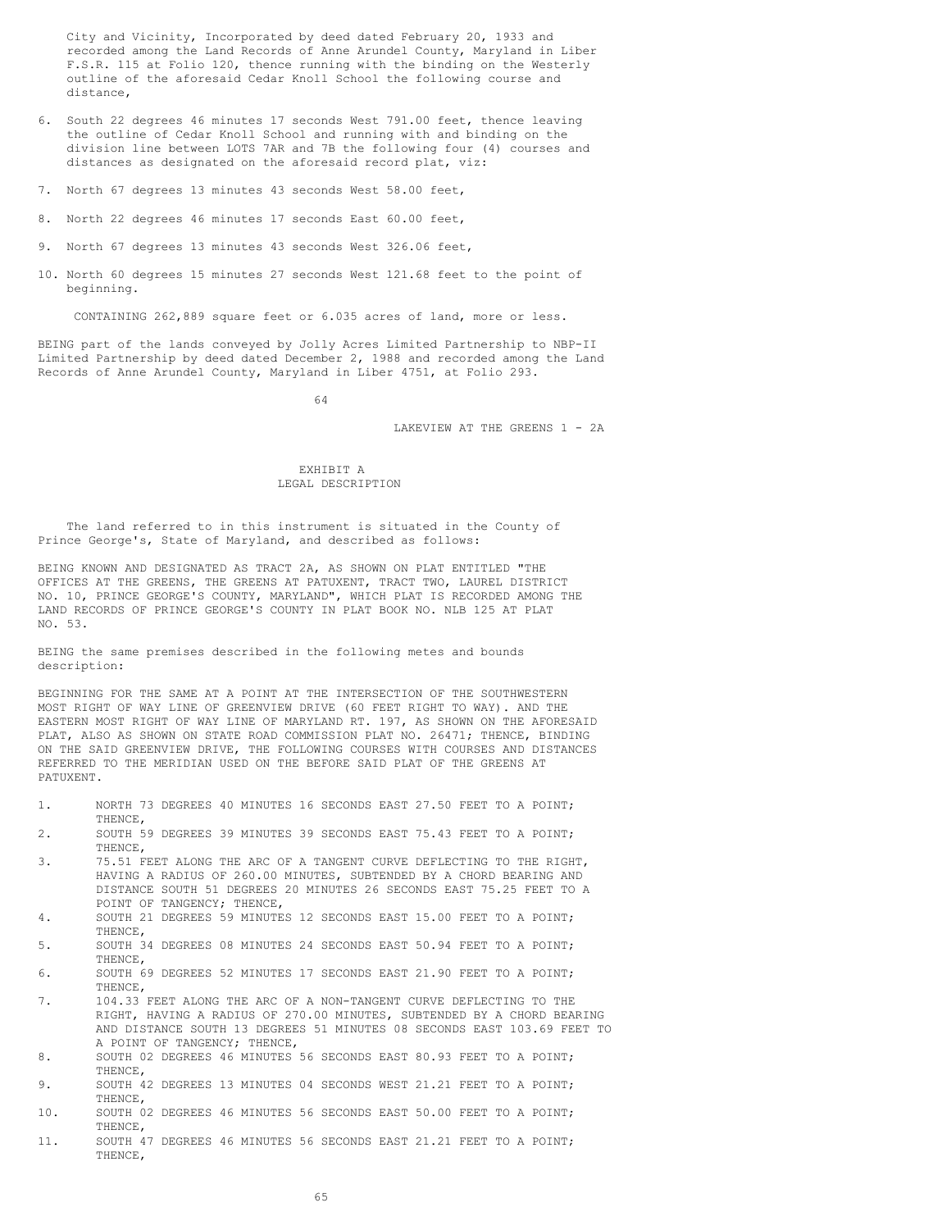City and Vicinity, Incorporated by deed dated February 20, 1933 and recorded among the Land Records of Anne Arundel County, Maryland in Liber F.S.R. 115 at Folio 120, thence running with the binding on the Westerly outline of the aforesaid Cedar Knoll School the following course and distance,

- 6. South 22 degrees 46 minutes 17 seconds West 791.00 feet, thence leaving the outline of Cedar Knoll School and running with and binding on the division line between LOTS 7AR and 7B the following four (4) courses and distances as designated on the aforesaid record plat, viz:
- 7. North 67 degrees 13 minutes 43 seconds West 58.00 feet,
- 8. North 22 degrees 46 minutes 17 seconds East 60.00 feet,
- 9. North 67 degrees 13 minutes 43 seconds West 326.06 feet,
- 10. North 60 degrees 15 minutes 27 seconds West 121.68 feet to the point of beginning.

CONTAINING 262,889 square feet or 6.035 acres of land, more or less.

BEING part of the lands conveyed by Jolly Acres Limited Partnership to NBP-II Limited Partnership by deed dated December 2, 1988 and recorded among the Land Records of Anne Arundel County, Maryland in Liber 4751, at Folio 293.

64

LAKEVIEW AT THE GREENS 1 - 2A

## EXHIBIT A LEGAL DESCRIPTION

The land referred to in this instrument is situated in the County of Prince George's, State of Maryland, and described as follows:

BEING KNOWN AND DESIGNATED AS TRACT 2A, AS SHOWN ON PLAT ENTITLED "THE OFFICES AT THE GREENS, THE GREENS AT PATUXENT, TRACT TWO, LAUREL DISTRICT NO. 10, PRINCE GEORGE'S COUNTY, MARYLAND", WHICH PLAT IS RECORDED AMONG THE LAND RECORDS OF PRINCE GEORGE'S COUNTY IN PLAT BOOK NO. NLB 125 AT PLAT NO. 53.

BEING the same premises described in the following metes and bounds description:

BEGINNING FOR THE SAME AT A POINT AT THE INTERSECTION OF THE SOUTHWESTERN MOST RIGHT OF WAY LINE OF GREENVIEW DRIVE (60 FEET RIGHT TO WAY). AND THE EASTERN MOST RIGHT OF WAY LINE OF MARYLAND RT. 197, AS SHOWN ON THE AFORESAID PLAT, ALSO AS SHOWN ON STATE ROAD COMMISSION PLAT NO. 26471; THENCE, BINDING ON THE SAID GREENVIEW DRIVE, THE FOLLOWING COURSES WITH COURSES AND DISTANCES REFERRED TO THE MERIDIAN USED ON THE BEFORE SAID PLAT OF THE GREENS AT PATUXENT.

- 1. NORTH 73 DEGREES 40 MINUTES 16 SECONDS EAST 27.50 FEET TO A POINT; THENCE,
- 2. SOUTH 59 DEGREES 39 MINUTES 39 SECONDS EAST 75.43 FEET TO A POINT; THENCE,
- 3. 75.51 FEET ALONG THE ARC OF A TANGENT CURVE DEFLECTING TO THE RIGHT, HAVING A RADIUS OF 260.00 MINUTES, SUBTENDED BY A CHORD BEARING AND DISTANCE SOUTH 51 DEGREES 20 MINUTES 26 SECONDS EAST 75.25 FEET TO A POINT OF TANGENCY; THENCE,
- 4. SOUTH 21 DEGREES 59 MINUTES 12 SECONDS EAST 15.00 FEET TO A POINT; THENCE,
- 5. SOUTH 34 DEGREES 08 MINUTES 24 SECONDS EAST 50.94 FEET TO A POINT; THENCE,
- 6. SOUTH 69 DEGREES 52 MINUTES 17 SECONDS EAST 21.90 FEET TO A POINT; THENCE,
- 7. 104.33 FEET ALONG THE ARC OF A NON-TANGENT CURVE DEFLECTING TO THE RIGHT, HAVING A RADIUS OF 270.00 MINUTES, SUBTENDED BY A CHORD BEARING AND DISTANCE SOUTH 13 DEGREES 51 MINUTES 08 SECONDS EAST 103.69 FEET TO A POINT OF TANGENCY; THENCE,
- 8. SOUTH 02 DEGREES 46 MINUTES 56 SECONDS EAST 80.93 FEET TO A POINT; THENCE,
- 9. SOUTH 42 DEGREES 13 MINUTES 04 SECONDS WEST 21.21 FEET TO A POINT; THENCE,
- 10. SOUTH 02 DEGREES 46 MINUTES 56 SECONDS EAST 50.00 FEET TO A POINT; THENCE,
- 11. SOUTH 47 DEGREES 46 MINUTES 56 SECONDS EAST 21.21 FEET TO A POINT; THENCE,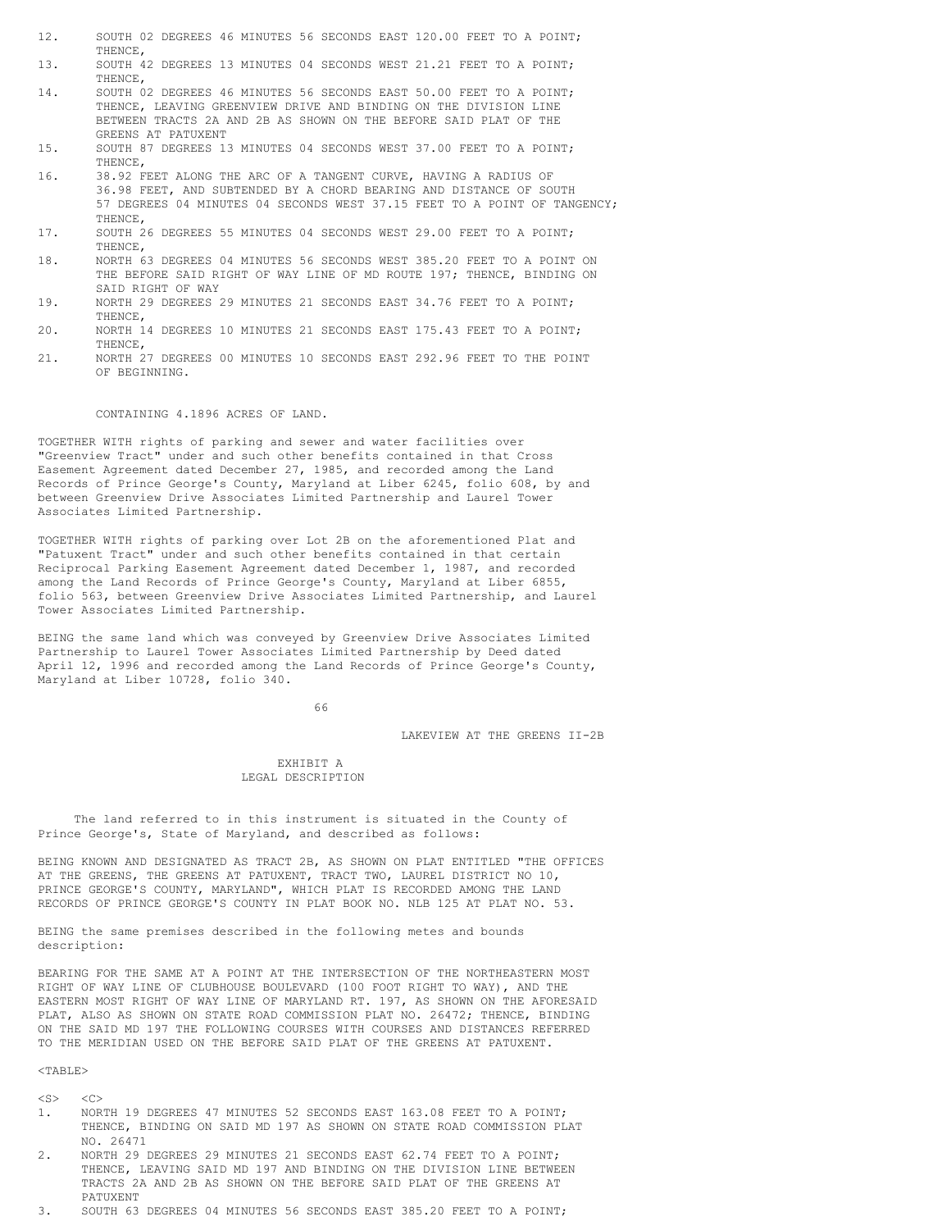- 12. SOUTH 02 DEGREES 46 MINUTES 56 SECONDS EAST 120.00 FEET TO A POINT; THENCE,
- 13. SOUTH 42 DEGREES 13 MINUTES 04 SECONDS WEST 21.21 FEET TO A POINT; THENCE,
- 14. SOUTH 02 DEGREES 46 MINUTES 56 SECONDS EAST 50.00 FEET TO A POINT; THENCE, LEAVING GREENVIEW DRIVE AND BINDING ON THE DIVISION LINE BETWEEN TRACTS 2A AND 2B AS SHOWN ON THE BEFORE SAID PLAT OF THE GREENS AT PATUXENT
- 15. SOUTH 87 DEGREES 13 MINUTES 04 SECONDS WEST 37.00 FEET TO A POINT; THENCE,
- 16. 38.92 FEET ALONG THE ARC OF A TANGENT CURVE, HAVING A RADIUS OF 36.98 FEET, AND SUBTENDED BY A CHORD BEARING AND DISTANCE OF SOUTH 57 DEGREES 04 MINUTES 04 SECONDS WEST 37.15 FEET TO A POINT OF TANGENCY; THENCE,
- 17. SOUTH 26 DEGREES 55 MINUTES 04 SECONDS WEST 29.00 FEET TO A POINT; THENCE,
- 18. NORTH 63 DEGREES 04 MINUTES 56 SECONDS WEST 385.20 FEET TO A POINT ON THE BEFORE SAID RIGHT OF WAY LINE OF MD ROUTE 197; THENCE, BINDING ON SAID RIGHT OF WAY
- 19. NORTH 29 DEGREES 29 MINUTES 21 SECONDS EAST 34.76 FEET TO A POINT; THENCE,
- 20. NORTH 14 DEGREES 10 MINUTES 21 SECONDS EAST 175.43 FEET TO A POINT; THENCE,
- 21. NORTH 27 DEGREES 00 MINUTES 10 SECONDS EAST 292.96 FEET TO THE POINT OF BEGINNING.

CONTAINING 4.1896 ACRES OF LAND.

TOGETHER WITH rights of parking and sewer and water facilities over "Greenview Tract" under and such other benefits contained in that Cross Easement Agreement dated December 27, 1985, and recorded among the Land Records of Prince George's County, Maryland at Liber 6245, folio 608, by and between Greenview Drive Associates Limited Partnership and Laurel Tower Associates Limited Partnership.

TOGETHER WITH rights of parking over Lot 2B on the aforementioned Plat and "Patuxent Tract" under and such other benefits contained in that certain Reciprocal Parking Easement Agreement dated December 1, 1987, and recorded among the Land Records of Prince George's County, Maryland at Liber 6855, folio 563, between Greenview Drive Associates Limited Partnership, and Laurel Tower Associates Limited Partnership.

BEING the same land which was conveyed by Greenview Drive Associates Limited Partnership to Laurel Tower Associates Limited Partnership by Deed dated April 12, 1996 and recorded among the Land Records of Prince George's County, Maryland at Liber 10728, folio 340.

66

LAKEVIEW AT THE GREENS II-2B

## EXHIBIT A LEGAL DESCRIPTION

The land referred to in this instrument is situated in the County of Prince George's, State of Maryland, and described as follows:

BEING KNOWN AND DESIGNATED AS TRACT 2B, AS SHOWN ON PLAT ENTITLED "THE OFFICES AT THE GREENS, THE GREENS AT PATUXENT, TRACT TWO, LAUREL DISTRICT NO 10, PRINCE GEORGE'S COUNTY, MARYLAND", WHICH PLAT IS RECORDED AMONG THE LAND RECORDS OF PRINCE GEORGE'S COUNTY IN PLAT BOOK NO. NLB 125 AT PLAT NO. 53.

BEING the same premises described in the following metes and bounds description:

BEARING FOR THE SAME AT A POINT AT THE INTERSECTION OF THE NORTHEASTERN MOST RIGHT OF WAY LINE OF CLUBHOUSE BOULEVARD (100 FOOT RIGHT TO WAY), AND THE EASTERN MOST RIGHT OF WAY LINE OF MARYLAND RT. 197, AS SHOWN ON THE AFORESAID PLAT, ALSO AS SHOWN ON STATE ROAD COMMISSION PLAT NO. 26472; THENCE, BINDING ON THE SAID MD 197 THE FOLLOWING COURSES WITH COURSES AND DISTANCES REFERRED TO THE MERIDIAN USED ON THE BEFORE SAID PLAT OF THE GREENS AT PATUXENT.

#### <TABLE>

 $\langle$ S>  $\langle$ C>

- 1. NORTH 19 DEGREES 47 MINUTES 52 SECONDS EAST 163.08 FEET TO A POINT; THENCE, BINDING ON SAID MD 197 AS SHOWN ON STATE ROAD COMMISSION PLAT NO. 26471
- 2. NORTH 29 DEGREES 29 MINUTES 21 SECONDS EAST 62.74 FEET TO A POINT; THENCE, LEAVING SAID MD 197 AND BINDING ON THE DIVISION LINE BETWEEN TRACTS 2A AND 2B AS SHOWN ON THE BEFORE SAID PLAT OF THE GREENS AT PATUXENT
- 3. SOUTH 63 DEGREES 04 MINUTES 56 SECONDS EAST 385.20 FEET TO A POINT;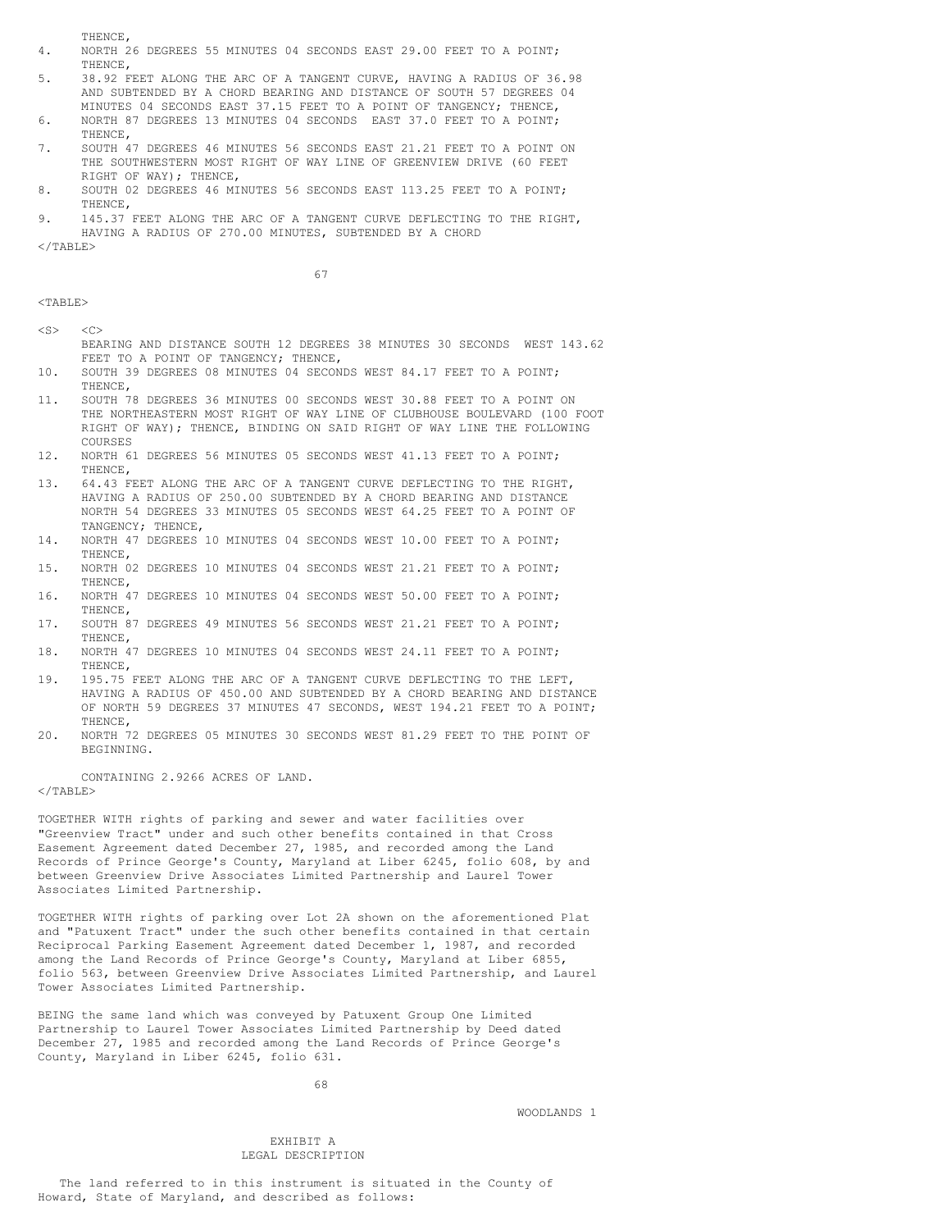THENCE,

4. NORTH 26 DEGREES 55 MINUTES 04 SECONDS EAST 29.00 FEET TO A POINT; THENCE,

- 5. 38.92 FEET ALONG THE ARC OF A TANGENT CURVE, HAVING A RADIUS OF 36.98 AND SUBTENDED BY A CHORD BEARING AND DISTANCE OF SOUTH 57 DEGREES 04 MINUTES 04 SECONDS EAST 37.15 FEET TO A POINT OF TANGENCY; THENCE,
- 6. NORTH 87 DEGREES 13 MINUTES 04 SECONDS EAST 37.0 FEET TO A POINT; THENCE,
- 7. SOUTH 47 DEGREES 46 MINUTES 56 SECONDS EAST 21.21 FEET TO A POINT ON THE SOUTHWESTERN MOST RIGHT OF WAY LINE OF GREENVIEW DRIVE (60 FEET RIGHT OF WAY); THENCE,
- 8. SOUTH 02 DEGREES 46 MINUTES 56 SECONDS EAST 113.25 FEET TO A POINT; THENCE,
- 9. 145.37 FEET ALONG THE ARC OF A TANGENT CURVE DEFLECTING TO THE RIGHT, HAVING A RADIUS OF 270.00 MINUTES, SUBTENDED BY A CHORD

 $\langle$ /TABLE>

67

#### <TABLE>

- $\langle$ S>  $\langle$ C> BEARING AND DISTANCE SOUTH 12 DEGREES 38 MINUTES 30 SECONDS WEST 143.62 FEET TO A POINT OF TANGENCY; THENCE,
	- 10. SOUTH 39 DEGREES 08 MINUTES 04 SECONDS WEST 84.17 FEET TO A POINT; THENCE,
	- 11. SOUTH 78 DEGREES 36 MINUTES 00 SECONDS WEST 30.88 FEET TO A POINT ON THE NORTHEASTERN MOST RIGHT OF WAY LINE OF CLUBHOUSE BOULEVARD (100 FOOT RIGHT OF WAY); THENCE, BINDING ON SAID RIGHT OF WAY LINE THE FOLLOWING COURSES
	- 12. NORTH 61 DEGREES 56 MINUTES 05 SECONDS WEST 41.13 FEET TO A POINT; THENCE,
	- 13. 64.43 FEET ALONG THE ARC OF A TANGENT CURVE DEFLECTING TO THE RIGHT, HAVING A RADIUS OF 250.00 SUBTENDED BY A CHORD BEARING AND DISTANCE NORTH 54 DEGREES 33 MINUTES 05 SECONDS WEST 64.25 FEET TO A POINT OF TANGENCY; THENCE,
	- 14. NORTH 47 DEGREES 10 MINUTES 04 SECONDS WEST 10.00 FEET TO A POINT; THENCE,
	- 15. NORTH 02 DEGREES 10 MINUTES 04 SECONDS WEST 21.21 FEET TO A POINT; THENCE,
	- 16. NORTH 47 DEGREES 10 MINUTES 04 SECONDS WEST 50.00 FEET TO A POINT; THENCE,
	- 17. SOUTH 87 DEGREES 49 MINUTES 56 SECONDS WEST 21.21 FEET TO A POINT; THENCE,
	- 18. NORTH 47 DEGREES 10 MINUTES 04 SECONDS WEST 24.11 FEET TO A POINT; THENCE,
	- 19. 195.75 FEET ALONG THE ARC OF A TANGENT CURVE DEFLECTING TO THE LEFT, HAVING A RADIUS OF 450.00 AND SUBTENDED BY A CHORD BEARING AND DISTANCE OF NORTH 59 DEGREES 37 MINUTES 47 SECONDS, WEST 194.21 FEET TO A POINT; THENCE,
	- 20. NORTH 72 DEGREES 05 MINUTES 30 SECONDS WEST 81.29 FEET TO THE POINT OF BEGINNING.

CONTAINING 2.9266 ACRES OF LAND.

 $<$ /TABLE>

TOGETHER WITH rights of parking and sewer and water facilities over "Greenview Tract" under and such other benefits contained in that Cross Easement Agreement dated December 27, 1985, and recorded among the Land Records of Prince George's County, Maryland at Liber 6245, folio 608, by and between Greenview Drive Associates Limited Partnership and Laurel Tower Associates Limited Partnership.

TOGETHER WITH rights of parking over Lot 2A shown on the aforementioned Plat and "Patuxent Tract" under the such other benefits contained in that certain Reciprocal Parking Easement Agreement dated December 1, 1987, and recorded among the Land Records of Prince George's County, Maryland at Liber 6855, folio 563, between Greenview Drive Associates Limited Partnership, and Laurel Tower Associates Limited Partnership.

BEING the same land which was conveyed by Patuxent Group One Limited Partnership to Laurel Tower Associates Limited Partnership by Deed dated December 27, 1985 and recorded among the Land Records of Prince George's County, Maryland in Liber 6245, folio 631.

68

WOODLANDS 1

## EXHIBIT A LEGAL DESCRIPTION

The land referred to in this instrument is situated in the County of Howard, State of Maryland, and described as follows: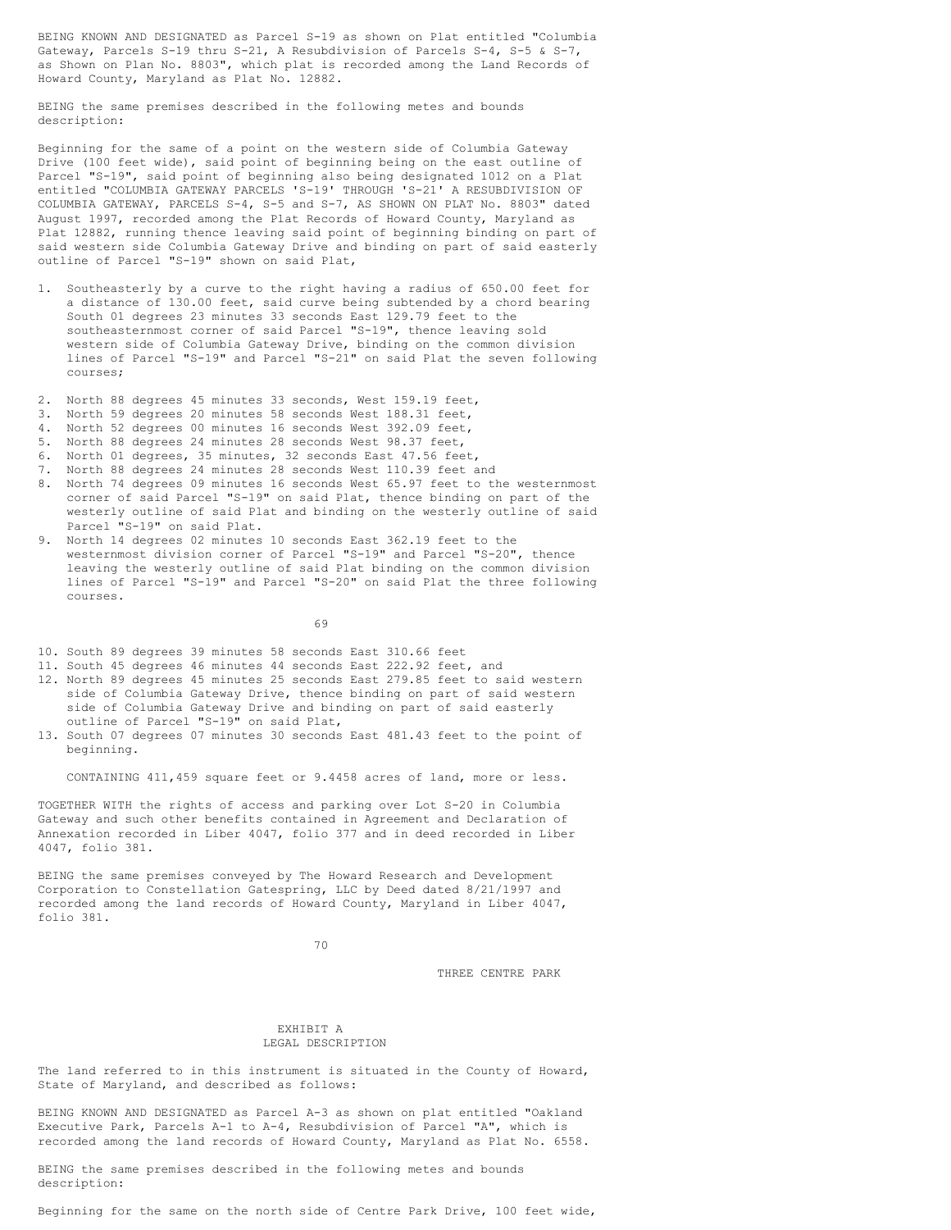BEING KNOWN AND DESIGNATED as Parcel S-19 as shown on Plat entitled "Columbia Gateway, Parcels S-19 thru S-21, A Resubdivision of Parcels S-4, S-5 & S-7, as Shown on Plan No. 8803", which plat is recorded among the Land Records of Howard County, Maryland as Plat No. 12882.

BEING the same premises described in the following metes and bounds description:

Beginning for the same of a point on the western side of Columbia Gateway Drive (100 feet wide), said point of beginning being on the east outline of Parcel "S-19", said point of beginning also being designated 1012 on a Plat entitled "COLUMBIA GATEWAY PARCELS 'S-19' THROUGH 'S-21' A RESUBDIVISION OF COLUMBIA GATEWAY, PARCELS S-4, S-5 and S-7, AS SHOWN ON PLAT No. 8803" dated August 1997, recorded among the Plat Records of Howard County, Maryland as Plat 12882, running thence leaving said point of beginning binding on part of said western side Columbia Gateway Drive and binding on part of said easterly outline of Parcel "S-19" shown on said Plat,

- 1. Southeasterly by a curve to the right having a radius of 650.00 feet for a distance of 130.00 feet, said curve being subtended by a chord bearing South 01 degrees 23 minutes 33 seconds East 129.79 feet to the southeasternmost corner of said Parcel "S-19", thence leaving sold western side of Columbia Gateway Drive, binding on the common division lines of Parcel "S-19" and Parcel "S-21" on said Plat the seven following courses;
- 2. North 88 degrees 45 minutes 33 seconds, West 159.19 feet,
- 3. North 59 degrees 20 minutes 58 seconds West 188.31 feet,
- 4. North 52 degrees 00 minutes 16 seconds West 392.09 feet,
- 5. North 88 degrees 24 minutes 28 seconds West 98.37 feet,
- 6. North 01 degrees, 35 minutes, 32 seconds East 47.56 feet,
- 7. North 88 degrees 24 minutes 28 seconds West 110.39 feet and
- 8. North 74 degrees 09 minutes 16 seconds West 65.97 feet to the westernmost corner of said Parcel "S-19" on said Plat, thence binding on part of the westerly outline of said Plat and binding on the westerly outline of said Parcel "S-19" on said Plat.
- 9. North 14 degrees 02 minutes 10 seconds East 362.19 feet to the westernmost division corner of Parcel "S-19" and Parcel "S-20", thence leaving the westerly outline of said Plat binding on the common division lines of Parcel "S-19" and Parcel "S-20" on said Plat the three following courses.
	- 69
- 10. South 89 degrees 39 minutes 58 seconds East 310.66 feet
- 11. South 45 degrees 46 minutes 44 seconds East 222.92 feet, and
- 12. North 89 degrees 45 minutes 25 seconds East 279.85 feet to said western side of Columbia Gateway Drive, thence binding on part of said western side of Columbia Gateway Drive and binding on part of said easterly outline of Parcel "S-19" on said Plat,
- 13. South 07 degrees 07 minutes 30 seconds East 481.43 feet to the point of beginning.

CONTAINING 411,459 square feet or 9.4458 acres of land, more or less.

TOGETHER WITH the rights of access and parking over Lot S-20 in Columbia Gateway and such other benefits contained in Agreement and Declaration of Annexation recorded in Liber 4047, folio 377 and in deed recorded in Liber 4047, folio 381.

BEING the same premises conveyed by The Howard Research and Development Corporation to Constellation Gatespring, LLC by Deed dated 8/21/1997 and recorded among the land records of Howard County, Maryland in Liber 4047, folio 381.

70

THREE CENTRE PARK

## EXHIBIT A LEGAL DESCRIPTION

The land referred to in this instrument is situated in the County of Howard, State of Maryland, and described as follows:

BEING KNOWN AND DESIGNATED as Parcel A-3 as shown on plat entitled "Oakland Executive Park, Parcels A-1 to A-4, Resubdivision of Parcel "A", which is recorded among the land records of Howard County, Maryland as Plat No. 6558.

BEING the same premises described in the following metes and bounds description:

Beginning for the same on the north side of Centre Park Drive, 100 feet wide,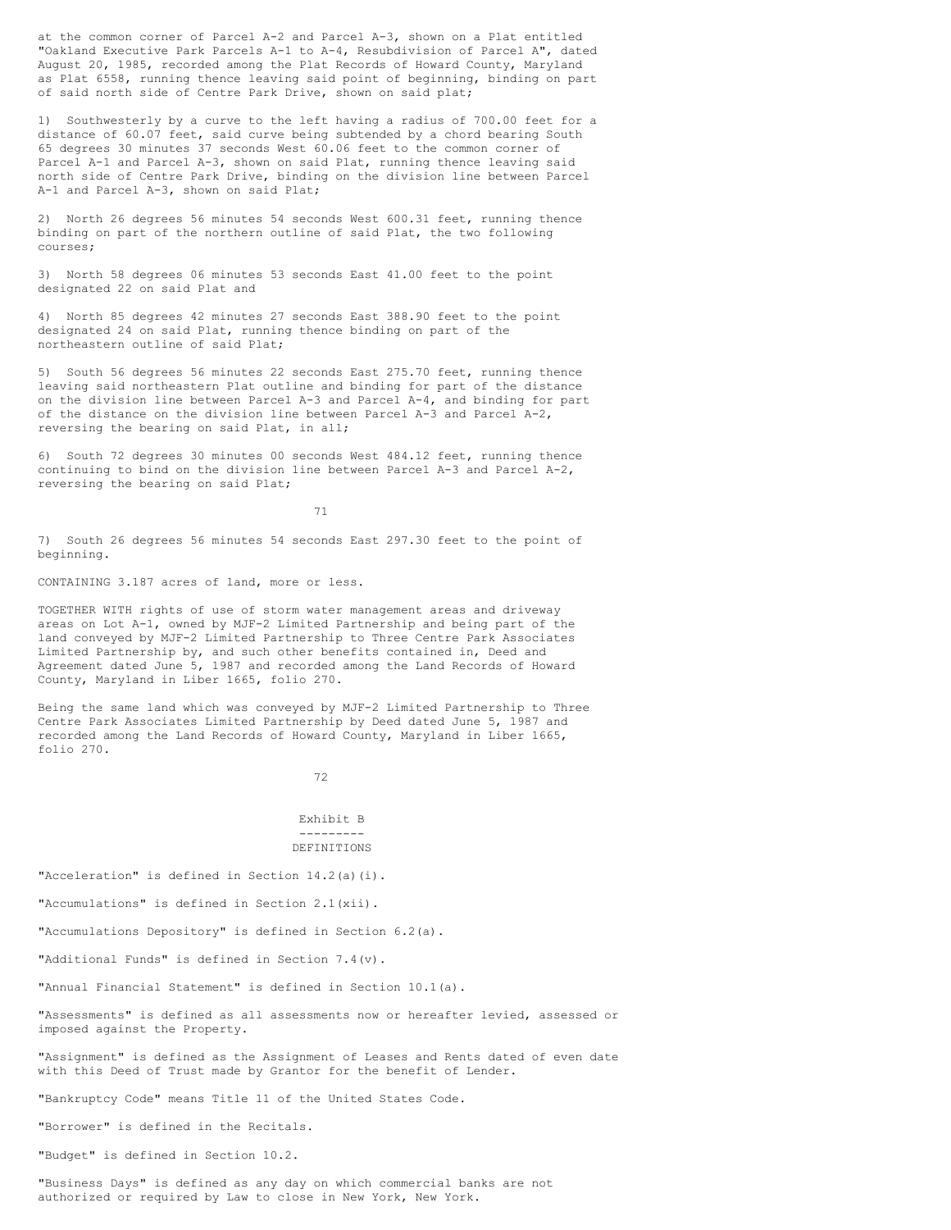at the common corner of Parcel A-2 and Parcel A-3, shown on a Plat entitled "Oakland Executive Park Parcels A-1 to A-4, Resubdivision of Parcel A", dated August 20, 1985, recorded among the Plat Records of Howard County, Maryland as Plat 6558, running thence leaving said point of beginning, binding on part of said north side of Centre Park Drive, shown on said plat;

1) Southwesterly by a curve to the left having a radius of 700.00 feet for a distance of 60.07 feet, said curve being subtended by a chord bearing South 65 degrees 30 minutes 37 seconds West 60.06 feet to the common corner of Parcel A-1 and Parcel A-3, shown on said Plat, running thence leaving said north side of Centre Park Drive, binding on the division line between Parcel A-1 and Parcel A-3, shown on said Plat;

2) North 26 degrees 56 minutes 54 seconds West 600.31 feet, running thence binding on part of the northern outline of said Plat, the two following courses;

3) North 58 degrees 06 minutes 53 seconds East 41.00 feet to the point designated 22 on said Plat and

4) North 85 degrees 42 minutes 27 seconds East 388.90 feet to the point designated 24 on said Plat, running thence binding on part of the northeastern outline of said Plat;

5) South 56 degrees 56 minutes 22 seconds East 275.70 feet, running thence leaving said northeastern Plat outline and binding for part of the distance on the division line between Parcel A-3 and Parcel A-4, and binding for part of the distance on the division line between Parcel A-3 and Parcel A-2, reversing the bearing on said Plat, in all;

6) South 72 degrees 30 minutes 00 seconds West 484.12 feet, running thence continuing to bind on the division line between Parcel A-3 and Parcel A-2, reversing the bearing on said Plat;

71

7) South 26 degrees 56 minutes 54 seconds East 297.30 feet to the point of beginning.

CONTAINING 3.187 acres of land, more or less.

TOGETHER WITH rights of use of storm water management areas and driveway areas on Lot A-1, owned by MJF-2 Limited Partnership and being part of the land conveyed by MJF-2 Limited Partnership to Three Centre Park Associates Limited Partnership by, and such other benefits contained in, Deed and Agreement dated June 5, 1987 and recorded among the Land Records of Howard County, Maryland in Liber 1665, folio 270.

Being the same land which was conveyed by MJF-2 Limited Partnership to Three Centre Park Associates Limited Partnership by Deed dated June 5, 1987 and recorded among the Land Records of Howard County, Maryland in Liber 1665, folio 270.

72

## Exhibit B --------- DEFINITIONS

"Acceleration" is defined in Section 14.2(a)(i).

"Accumulations" is defined in Section 2.1(xii).

"Accumulations Depository" is defined in Section 6.2(a).

"Additional Funds" is defined in Section 7.4(v).

"Annual Financial Statement" is defined in Section 10.1(a).

"Assessments" is defined as all assessments now or hereafter levied, assessed or imposed against the Property.

"Assignment" is defined as the Assignment of Leases and Rents dated of even date with this Deed of Trust made by Grantor for the benefit of Lender.

"Bankruptcy Code" means Title 11 of the United States Code.

"Borrower" is defined in the Recitals.

"Budget" is defined in Section 10.2.

"Business Days" is defined as any day on which commercial banks are not authorized or required by Law to close in New York, New York.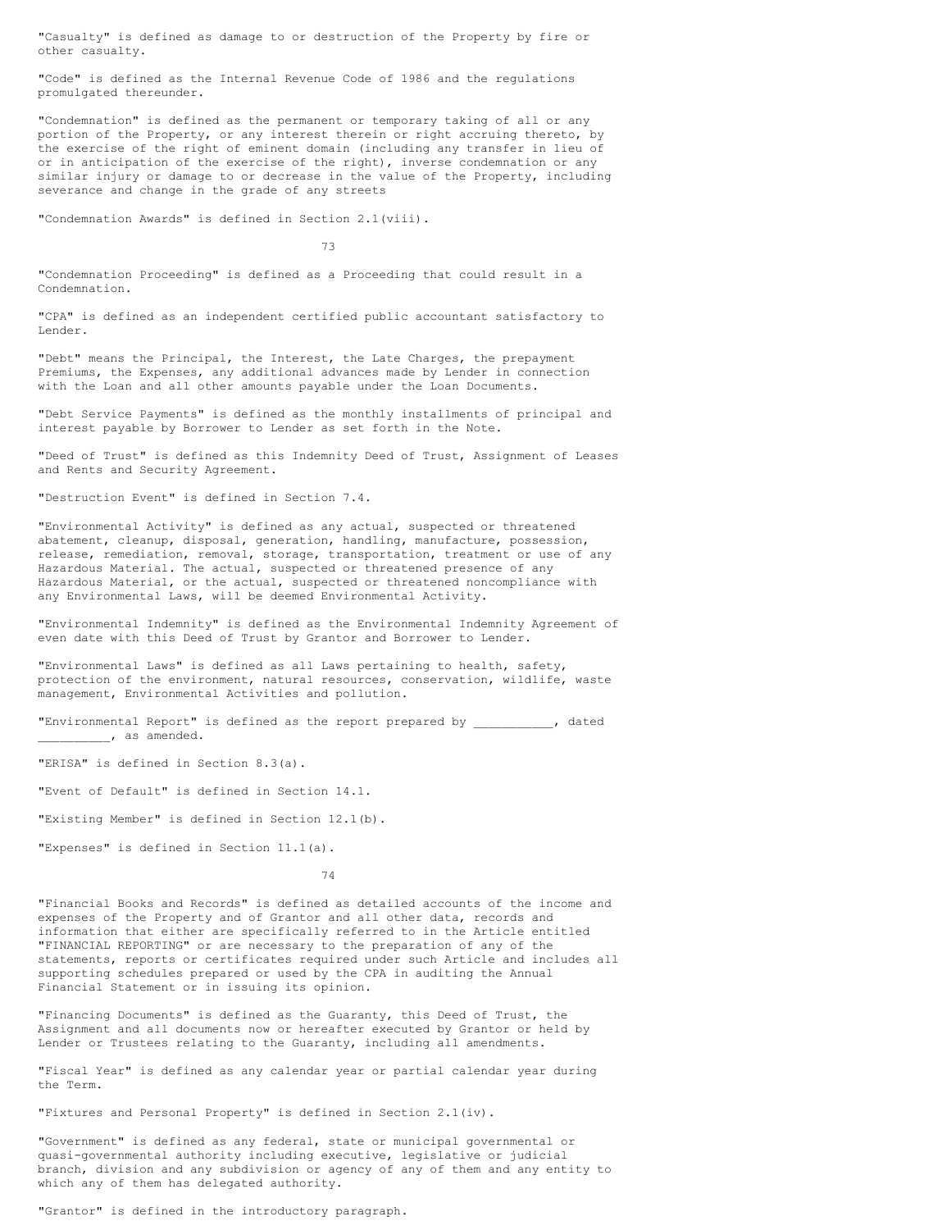"Casualty" is defined as damage to or destruction of the Property by fire or other casualty.

"Code" is defined as the Internal Revenue Code of 1986 and the regulations promulgated thereunder.

"Condemnation" is defined as the permanent or temporary taking of all or any portion of the Property, or any interest therein or right accruing thereto, by the exercise of the right of eminent domain (including any transfer in lieu of or in anticipation of the exercise of the right), inverse condemnation or any similar injury or damage to or decrease in the value of the Property, including severance and change in the grade of any streets

"Condemnation Awards" is defined in Section 2.1(viii).

73

"Condemnation Proceeding" is defined as a Proceeding that could result in a Condemnation.

"CPA" is defined as an independent certified public accountant satisfactory to Lender.

"Debt" means the Principal, the Interest, the Late Charges, the prepayment Premiums, the Expenses, any additional advances made by Lender in connection with the Loan and all other amounts payable under the Loan Documents.

"Debt Service Payments" is defined as the monthly installments of principal and interest payable by Borrower to Lender as set forth in the Note.

"Deed of Trust" is defined as this Indemnity Deed of Trust, Assignment of Leases and Rents and Security Agreement.

"Destruction Event" is defined in Section 7.4.

"Environmental Activity" is defined as any actual, suspected or threatened abatement, cleanup, disposal, generation, handling, manufacture, possession, release, remediation, removal, storage, transportation, treatment or use of any Hazardous Material. The actual, suspected or threatened presence of any Hazardous Material, or the actual, suspected or threatened noncompliance with any Environmental Laws, will be deemed Environmental Activity.

"Environmental Indemnity" is defined as the Environmental Indemnity Agreement of even date with this Deed of Trust by Grantor and Borrower to Lender.

"Environmental Laws" is defined as all Laws pertaining to health, safety, protection of the environment, natural resources, conservation, wildlife, waste management, Environmental Activities and pollution.

"Environmental Report" is defined as the report prepared by \_\_\_\_\_\_\_\_\_\_\_, dated \_\_\_\_\_\_\_\_\_\_, as amended.

"ERISA" is defined in Section 8.3(a).

"Event of Default" is defined in Section 14.1.

"Existing Member" is defined in Section 12.1(b).

"Expenses" is defined in Section 11.1(a).

74

"Financial Books and Records" is defined as detailed accounts of the income and expenses of the Property and of Grantor and all other data, records and information that either are specifically referred to in the Article entitled "FINANCIAL REPORTING" or are necessary to the preparation of any of the statements, reports or certificates required under such Article and includes all supporting schedules prepared or used by the CPA in auditing the Annual Financial Statement or in issuing its opinion.

"Financing Documents" is defined as the Guaranty, this Deed of Trust, the Assignment and all documents now or hereafter executed by Grantor or held by Lender or Trustees relating to the Guaranty, including all amendments.

"Fiscal Year" is defined as any calendar year or partial calendar year during the Term.

"Fixtures and Personal Property" is defined in Section 2.1(iv).

"Government" is defined as any federal, state or municipal governmental or quasi-governmental authority including executive, legislative or judicial branch, division and any subdivision or agency of any of them and any entity to which any of them has delegated authority.

"Grantor" is defined in the introductory paragraph.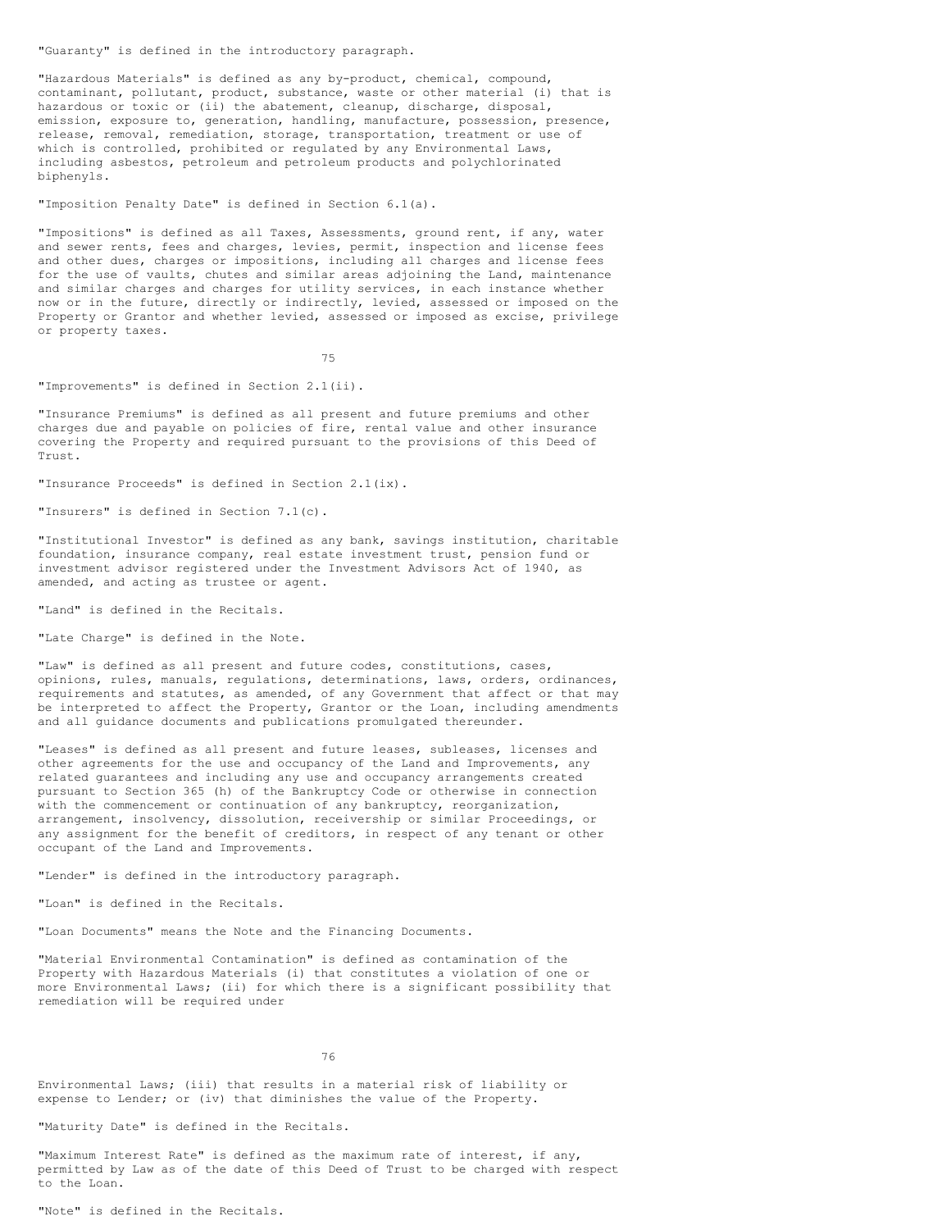"Guaranty" is defined in the introductory paragraph.

"Hazardous Materials" is defined as any by-product, chemical, compound, contaminant, pollutant, product, substance, waste or other material (i) that is hazardous or toxic or (ii) the abatement, cleanup, discharge, disposal, emission, exposure to, generation, handling, manufacture, possession, presence, release, removal, remediation, storage, transportation, treatment or use of which is controlled, prohibited or regulated by any Environmental Laws, including asbestos, petroleum and petroleum products and polychlorinated biphenyls.

"Imposition Penalty Date" is defined in Section 6.1(a).

"Impositions" is defined as all Taxes, Assessments, ground rent, if any, water and sewer rents, fees and charges, levies, permit, inspection and license fees and other dues, charges or impositions, including all charges and license fees for the use of vaults, chutes and similar areas adjoining the Land, maintenance and similar charges and charges for utility services, in each instance whether now or in the future, directly or indirectly, levied, assessed or imposed on the Property or Grantor and whether levied, assessed or imposed as excise, privilege or property taxes.

75

"Improvements" is defined in Section 2.1(ii).

"Insurance Premiums" is defined as all present and future premiums and other charges due and payable on policies of fire, rental value and other insurance covering the Property and required pursuant to the provisions of this Deed of Trust.

"Insurance Proceeds" is defined in Section 2.1(ix).

"Insurers" is defined in Section 7.1(c).

"Institutional Investor" is defined as any bank, savings institution, charitable foundation, insurance company, real estate investment trust, pension fund or investment advisor registered under the Investment Advisors Act of 1940, as amended, and acting as trustee or agent.

"Land" is defined in the Recitals.

"Late Charge" is defined in the Note.

"Law" is defined as all present and future codes, constitutions, cases, opinions, rules, manuals, regulations, determinations, laws, orders, ordinances, requirements and statutes, as amended, of any Government that affect or that may be interpreted to affect the Property, Grantor or the Loan, including amendments and all guidance documents and publications promulgated thereunder.

"Leases" is defined as all present and future leases, subleases, licenses and other agreements for the use and occupancy of the Land and Improvements, any related guarantees and including any use and occupancy arrangements created pursuant to Section 365 (h) of the Bankruptcy Code or otherwise in connection with the commencement or continuation of any bankruptcy, reorganization, arrangement, insolvency, dissolution, receivership or similar Proceedings, or any assignment for the benefit of creditors, in respect of any tenant or other occupant of the Land and Improvements.

"Lender" is defined in the introductory paragraph.

"Loan" is defined in the Recitals.

"Loan Documents" means the Note and the Financing Documents.

"Material Environmental Contamination" is defined as contamination of the Property with Hazardous Materials (i) that constitutes a violation of one or more Environmental Laws; (ii) for which there is a significant possibility that remediation will be required under

76

Environmental Laws; (iii) that results in a material risk of liability or expense to Lender; or (iv) that diminishes the value of the Property.

"Maturity Date" is defined in the Recitals.

"Maximum Interest Rate" is defined as the maximum rate of interest, if any, permitted by Law as of the date of this Deed of Trust to be charged with respect to the Loan.

"Note" is defined in the Recitals.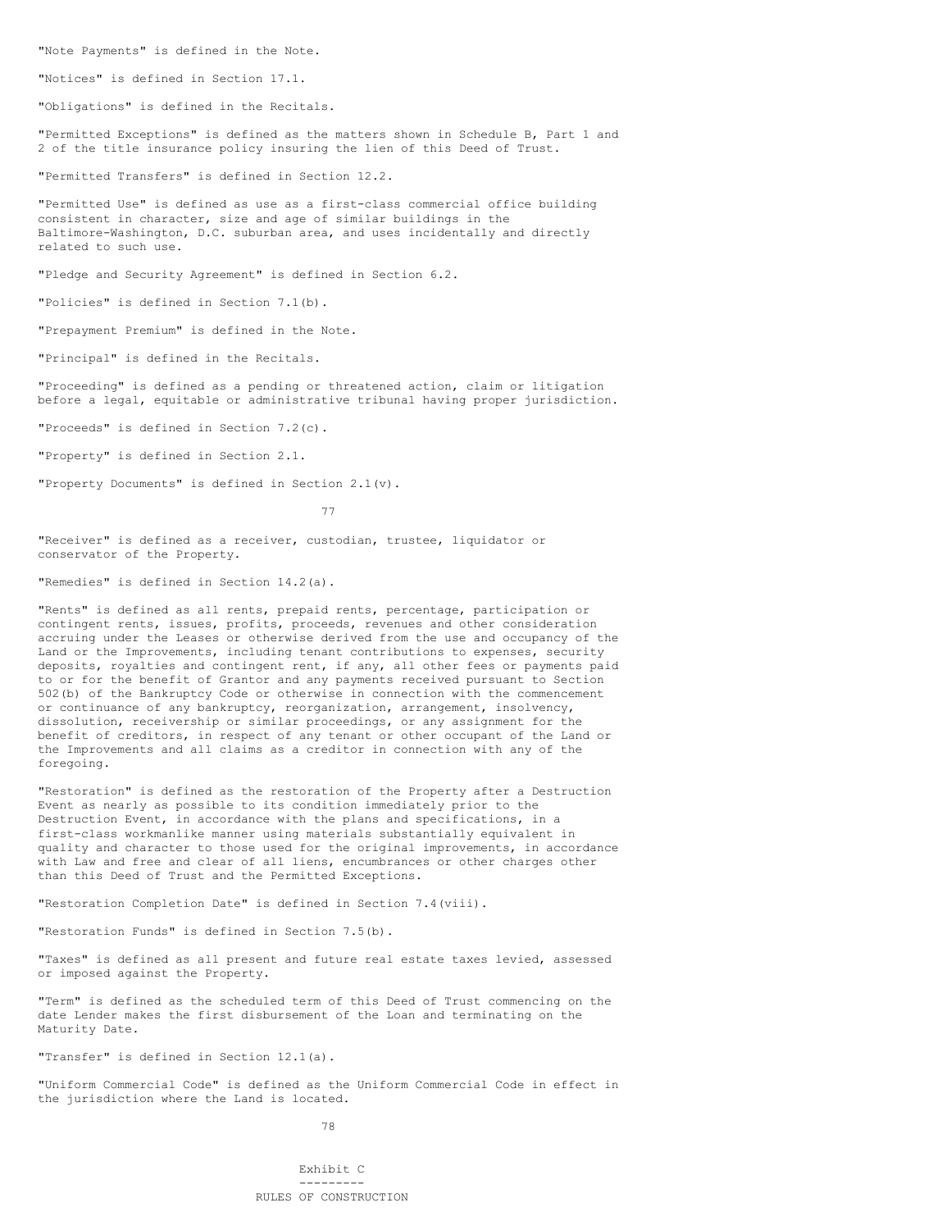"Note Payments" is defined in the Note.

"Notices" is defined in Section 17.1.

"Obligations" is defined in the Recitals.

"Permitted Exceptions" is defined as the matters shown in Schedule B, Part 1 and 2 of the title insurance policy insuring the lien of this Deed of Trust.

"Permitted Transfers" is defined in Section 12.2.

"Permitted Use" is defined as use as a first-class commercial office building consistent in character, size and age of similar buildings in the Baltimore-Washington, D.C. suburban area, and uses incidentally and directly related to such use.

"Pledge and Security Agreement" is defined in Section 6.2.

"Policies" is defined in Section 7.1(b).

"Prepayment Premium" is defined in the Note.

"Principal" is defined in the Recitals.

"Proceeding" is defined as a pending or threatened action, claim or litigation before a legal, equitable or administrative tribunal having proper jurisdiction.

"Proceeds" is defined in Section 7.2(c).

"Property" is defined in Section 2.1.

"Property Documents" is defined in Section 2.1(v).

77

"Receiver" is defined as a receiver, custodian, trustee, liquidator or conservator of the Property.

"Remedies" is defined in Section 14.2(a).

"Rents" is defined as all rents, prepaid rents, percentage, participation or contingent rents, issues, profits, proceeds, revenues and other consideration accruing under the Leases or otherwise derived from the use and occupancy of the Land or the Improvements, including tenant contributions to expenses, security deposits, royalties and contingent rent, if any, all other fees or payments paid to or for the benefit of Grantor and any payments received pursuant to Section 502(b) of the Bankruptcy Code or otherwise in connection with the commencement or continuance of any bankruptcy, reorganization, arrangement, insolvency, dissolution, receivership or similar proceedings, or any assignment for the benefit of creditors, in respect of any tenant or other occupant of the Land or the Improvements and all claims as a creditor in connection with any of the foregoing.

"Restoration" is defined as the restoration of the Property after a Destruction Event as nearly as possible to its condition immediately prior to the Destruction Event, in accordance with the plans and specifications, in a first-class workmanlike manner using materials substantially equivalent in quality and character to those used for the original improvements, in accordance with Law and free and clear of all liens, encumbrances or other charges other than this Deed of Trust and the Permitted Exceptions.

"Restoration Completion Date" is defined in Section 7.4(viii).

"Restoration Funds" is defined in Section 7.5(b).

"Taxes" is defined as all present and future real estate taxes levied, assessed or imposed against the Property.

"Term" is defined as the scheduled term of this Deed of Trust commencing on the date Lender makes the first disbursement of the Loan and terminating on the Maturity Date.

"Transfer" is defined in Section 12.1(a).

"Uniform Commercial Code" is defined as the Uniform Commercial Code in effect in the jurisdiction where the Land is located.

78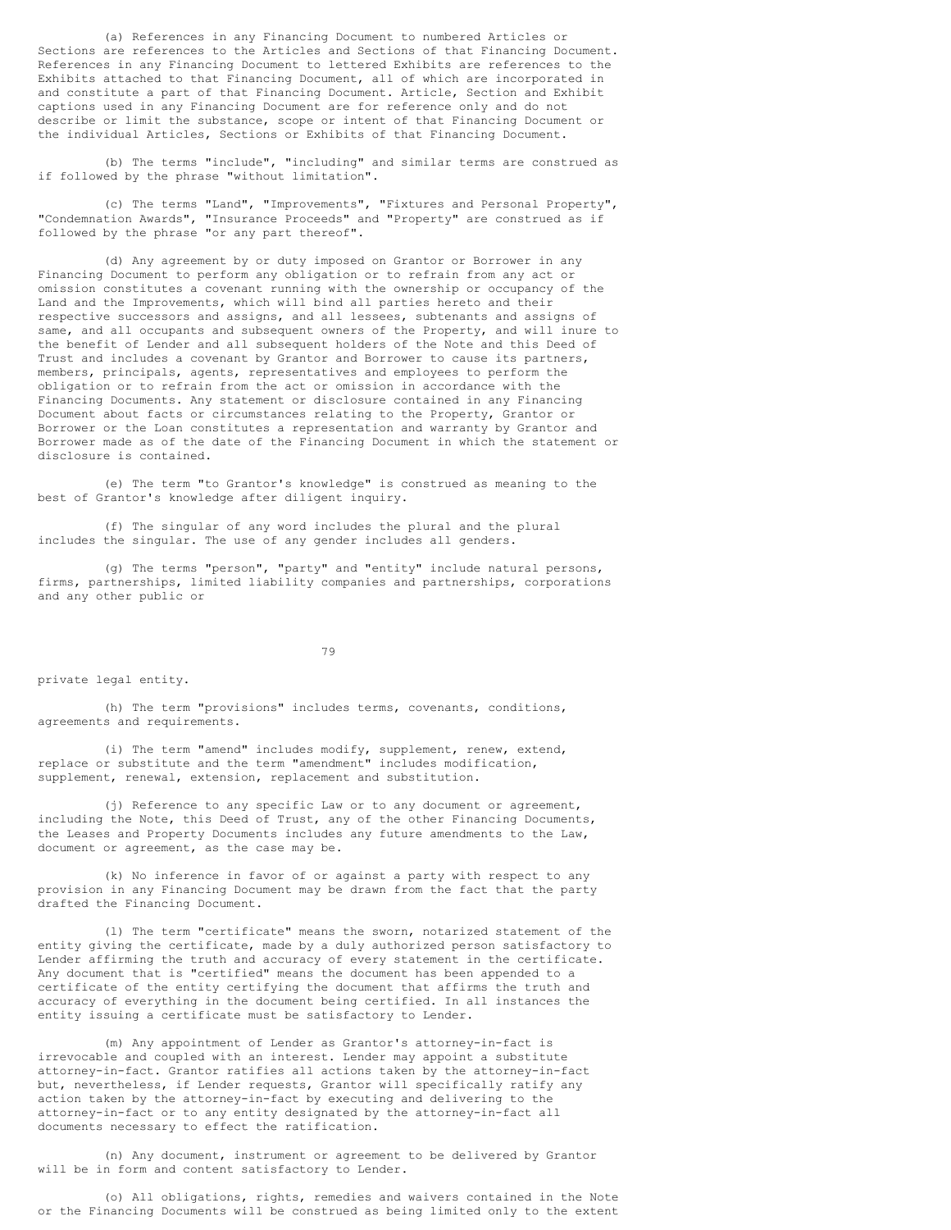(a) References in any Financing Document to numbered Articles or Sections are references to the Articles and Sections of that Financing Document. References in any Financing Document to lettered Exhibits are references to the Exhibits attached to that Financing Document, all of which are incorporated in and constitute a part of that Financing Document. Article, Section and Exhibit captions used in any Financing Document are for reference only and do not describe or limit the substance, scope or intent of that Financing Document or the individual Articles, Sections or Exhibits of that Financing Document.

(b) The terms "include", "including" and similar terms are construed as if followed by the phrase "without limitation".

(c) The terms "Land", "Improvements", "Fixtures and Personal Property", "Condemnation Awards", "Insurance Proceeds" and "Property" are construed as if followed by the phrase "or any part thereof".

(d) Any agreement by or duty imposed on Grantor or Borrower in any Financing Document to perform any obligation or to refrain from any act or omission constitutes a covenant running with the ownership or occupancy of the Land and the Improvements, which will bind all parties hereto and their respective successors and assigns, and all lessees, subtenants and assigns of same, and all occupants and subsequent owners of the Property, and will inure to the benefit of Lender and all subsequent holders of the Note and this Deed of Trust and includes a covenant by Grantor and Borrower to cause its partners, members, principals, agents, representatives and employees to perform the obligation or to refrain from the act or omission in accordance with the Financing Documents. Any statement or disclosure contained in any Financing Document about facts or circumstances relating to the Property, Grantor or Borrower or the Loan constitutes a representation and warranty by Grantor and Borrower made as of the date of the Financing Document in which the statement or disclosure is contained.

(e) The term "to Grantor's knowledge" is construed as meaning to the best of Grantor's knowledge after diligent inquiry.

(f) The singular of any word includes the plural and the plural includes the singular. The use of any gender includes all genders.

(g) The terms "person", "party" and "entity" include natural persons, firms, partnerships, limited liability companies and partnerships, corporations and any other public or

79

private legal entity.

(h) The term "provisions" includes terms, covenants, conditions, agreements and requirements.

(i) The term "amend" includes modify, supplement, renew, extend, replace or substitute and the term "amendment" includes modification, supplement, renewal, extension, replacement and substitution.

(j) Reference to any specific Law or to any document or agreement, including the Note, this Deed of Trust, any of the other Financing Documents, the Leases and Property Documents includes any future amendments to the Law, document or agreement, as the case may be.

(k) No inference in favor of or against a party with respect to any provision in any Financing Document may be drawn from the fact that the party drafted the Financing Document.

(l) The term "certificate" means the sworn, notarized statement of the entity giving the certificate, made by a duly authorized person satisfactory to Lender affirming the truth and accuracy of every statement in the certificate. Any document that is "certified" means the document has been appended to a certificate of the entity certifying the document that affirms the truth and accuracy of everything in the document being certified. In all instances the entity issuing a certificate must be satisfactory to Lender.

(m) Any appointment of Lender as Grantor's attorney-in-fact is irrevocable and coupled with an interest. Lender may appoint a substitute attorney-in-fact. Grantor ratifies all actions taken by the attorney-in-fact but, nevertheless, if Lender requests, Grantor will specifically ratify any action taken by the attorney-in-fact by executing and delivering to the attorney-in-fact or to any entity designated by the attorney-in-fact all documents necessary to effect the ratification.

(n) Any document, instrument or agreement to be delivered by Grantor will be in form and content satisfactory to Lender.

(o) All obligations, rights, remedies and waivers contained in the Note or the Financing Documents will be construed as being limited only to the extent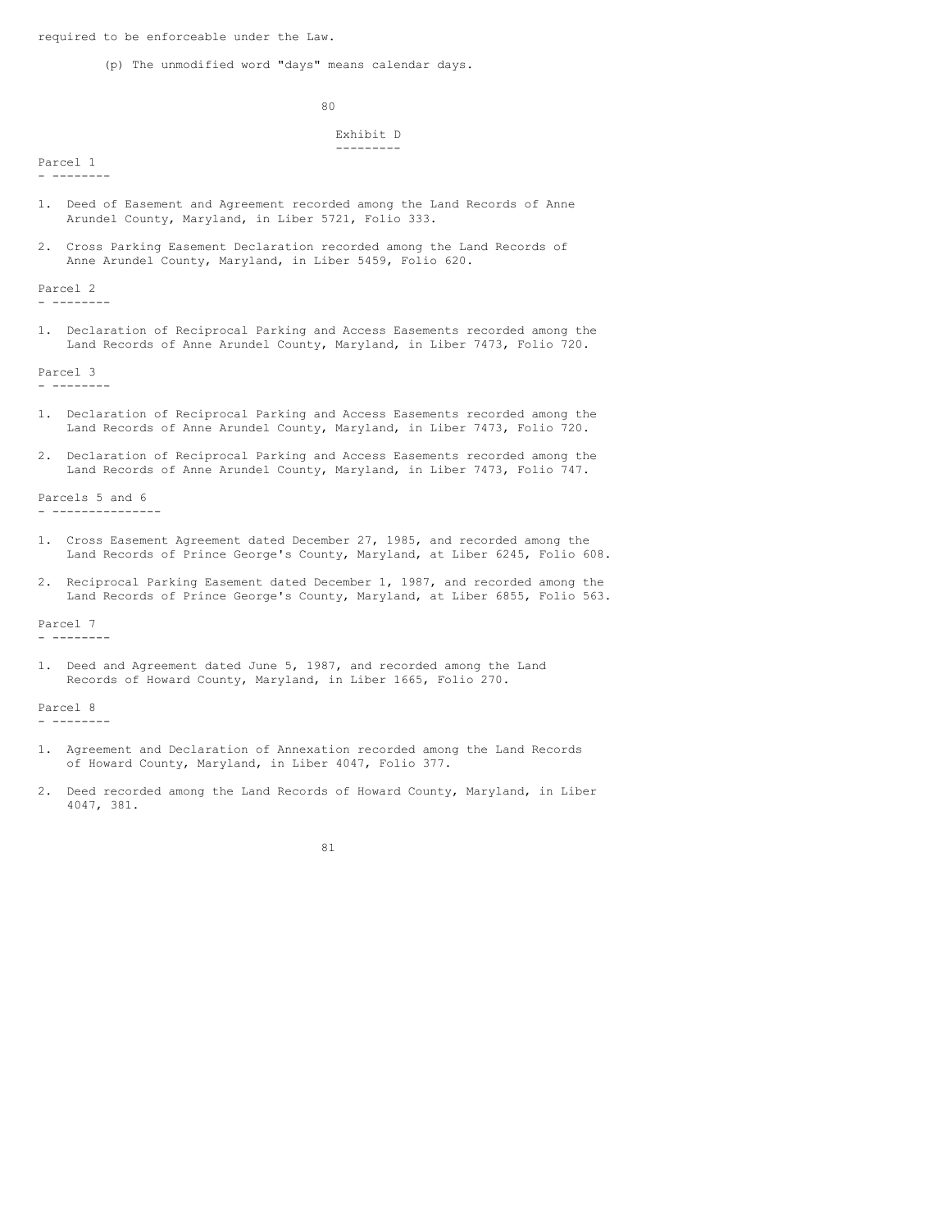required to be enforceable under the Law.

(p) The unmodified word "days" means calendar days.

80

Exhibit D ---------

Parcel 1 - --------

- 1. Deed of Easement and Agreement recorded among the Land Records of Anne Arundel County, Maryland, in Liber 5721, Folio 333.
- 2. Cross Parking Easement Declaration recorded among the Land Records of Anne Arundel County, Maryland, in Liber 5459, Folio 620.

Parcel 2 - --------

1. Declaration of Reciprocal Parking and Access Easements recorded among the Land Records of Anne Arundel County, Maryland, in Liber 7473, Folio 720.

Parcel 3

- --------

- 1. Declaration of Reciprocal Parking and Access Easements recorded among the Land Records of Anne Arundel County, Maryland, in Liber 7473, Folio 720.
- 2. Declaration of Reciprocal Parking and Access Easements recorded among the Land Records of Anne Arundel County, Maryland, in Liber 7473, Folio 747.

Parcels 5 and 6 - ---------------

- 1. Cross Easement Agreement dated December 27, 1985, and recorded among the Land Records of Prince George's County, Maryland, at Liber 6245, Folio 608.
- 2. Reciprocal Parking Easement dated December 1, 1987, and recorded among the Land Records of Prince George's County, Maryland, at Liber 6855, Folio 563.

Parcel 7 - --------

1. Deed and Agreement dated June 5, 1987, and recorded among the Land Records of Howard County, Maryland, in Liber 1665, Folio 270.

Parcel 8

- --------

- 1. Agreement and Declaration of Annexation recorded among the Land Records of Howard County, Maryland, in Liber 4047, Folio 377.
- 2. Deed recorded among the Land Records of Howard County, Maryland, in Liber 4047, 381.

81